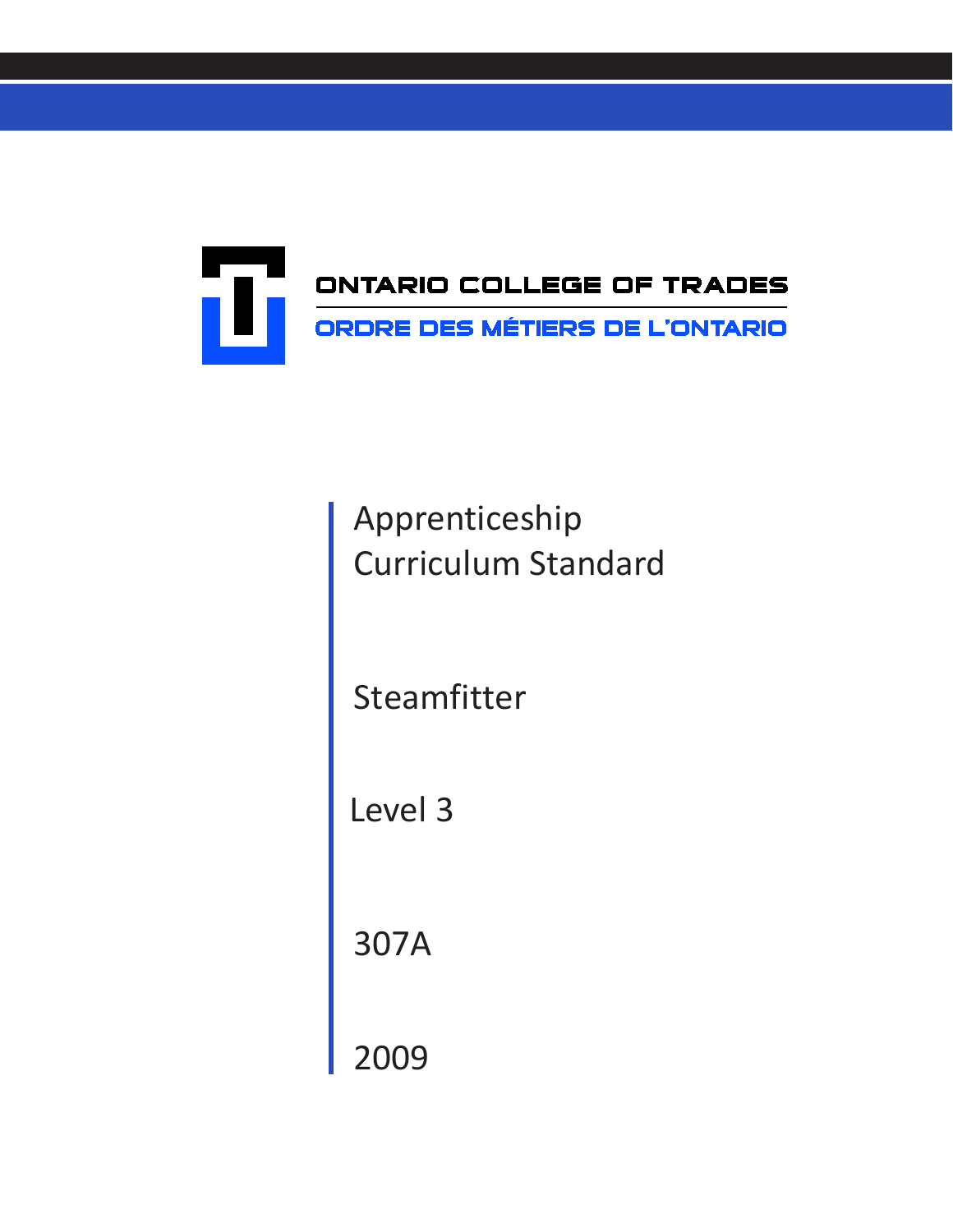

Apprenticeship Curriculum Standard

Steamfitter

Level 3

307A

2009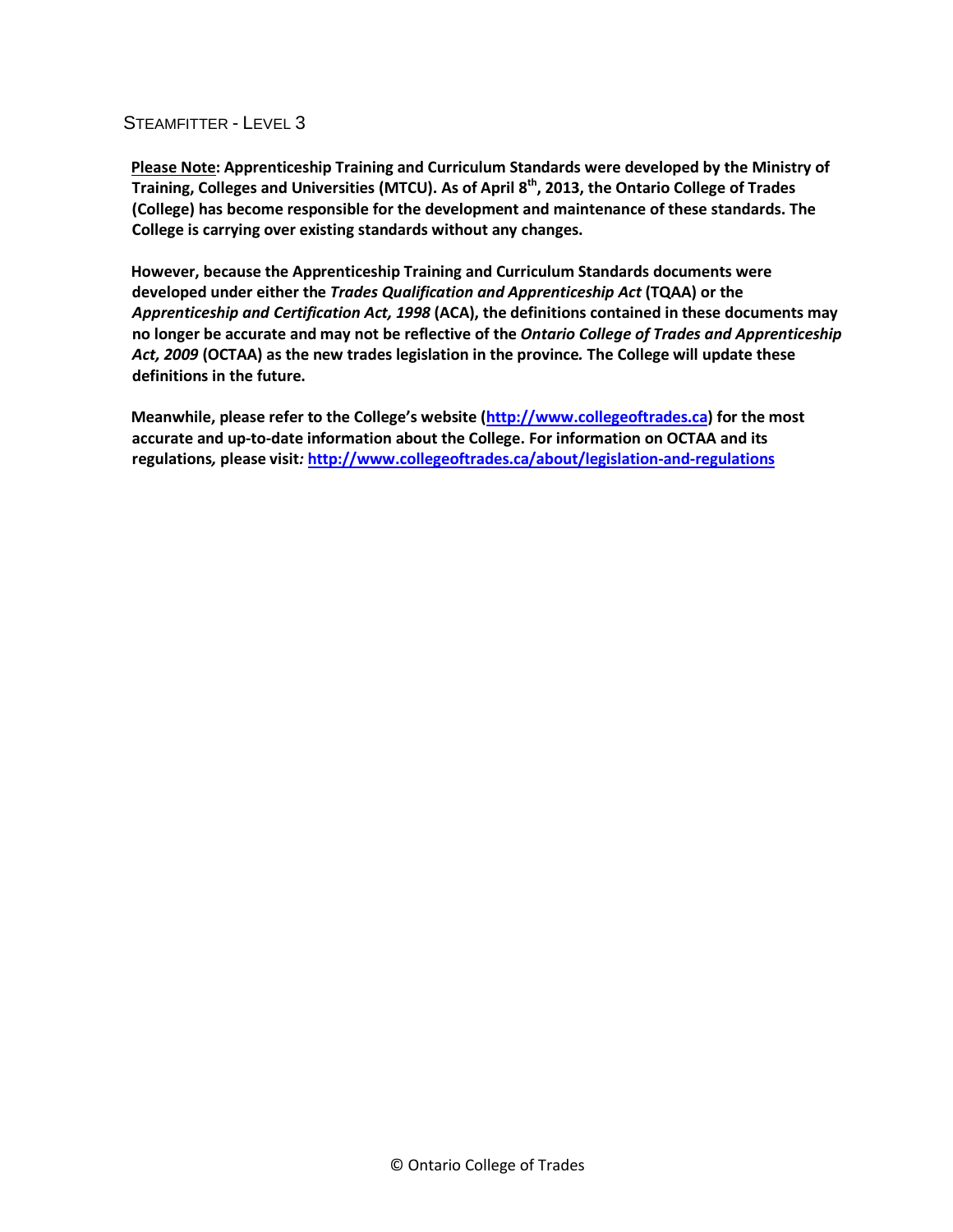**Please Note: Apprenticeship Training and Curriculum Standards were developed by the Ministry of Training, Colleges and Universities (MTCU). As of April 8th, 2013, the Ontario College of Trades (College) has become responsible for the development and maintenance of these standards. The College is carrying over existing standards without any changes.**

**However, because the Apprenticeship Training and Curriculum Standards documents were developed under either the** *Trades Qualification and Apprenticeship Act* **(TQAA) or the**  *Apprenticeship and Certification Act, 1998* **(ACA), the definitions contained in these documents may no longer be accurate and may not be reflective of the** *Ontario College of Trades and Apprenticeship Act, 2009* **(OCTAA) as the new trades legislation in the province***.* **The College will update these definitions in the future.**

**Meanwhile, please refer to the College's website [\(http://www.collegeoftrades.ca\)](http://www.collegeoftrades.ca/) for the most accurate and up-to-date information about the College. For information on OCTAA and its regulations***,* **please visit***:* **<http://www.collegeoftrades.ca/about/legislation-and-regulations>**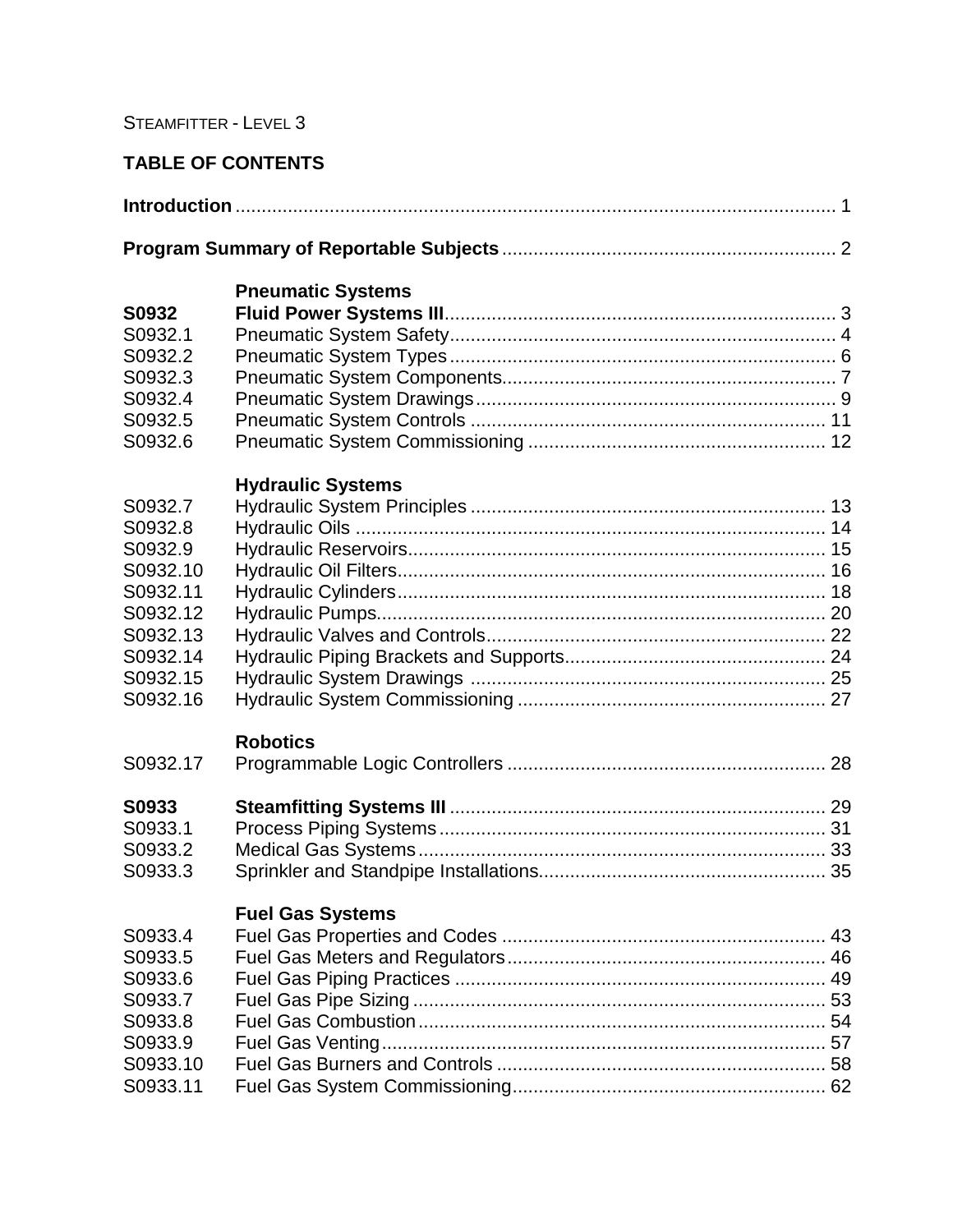## **TABLE OF CONTENTS**

|--|--|

## **Pneumatic Systems**

| <b>S0932</b> |  |
|--------------|--|
| S0932.1      |  |
| S0932.2      |  |
| S0932.3      |  |
| S0932.4      |  |
| S0932.5      |  |
| S0932.6      |  |

## **Hydraulic Systems**

| S0932.7  |  |
|----------|--|
| S0932.8  |  |
| S0932.9  |  |
| S0932.10 |  |
| S0932.11 |  |
| S0932.12 |  |
| S0932.13 |  |
| S0932.14 |  |
| S0932.15 |  |
| S0932.16 |  |
|          |  |

## **Robotics**

| <b>S0933</b> |  |
|--------------|--|
| S0933.1      |  |
| S0933.2      |  |
| S0933.3      |  |

# **Fuel Gas Systems**

| S0933.4  |  |
|----------|--|
| S0933.5  |  |
| S0933.6  |  |
| S0933.7  |  |
| S0933.8  |  |
| S0933.9  |  |
| S0933.10 |  |
| S0933.11 |  |
|          |  |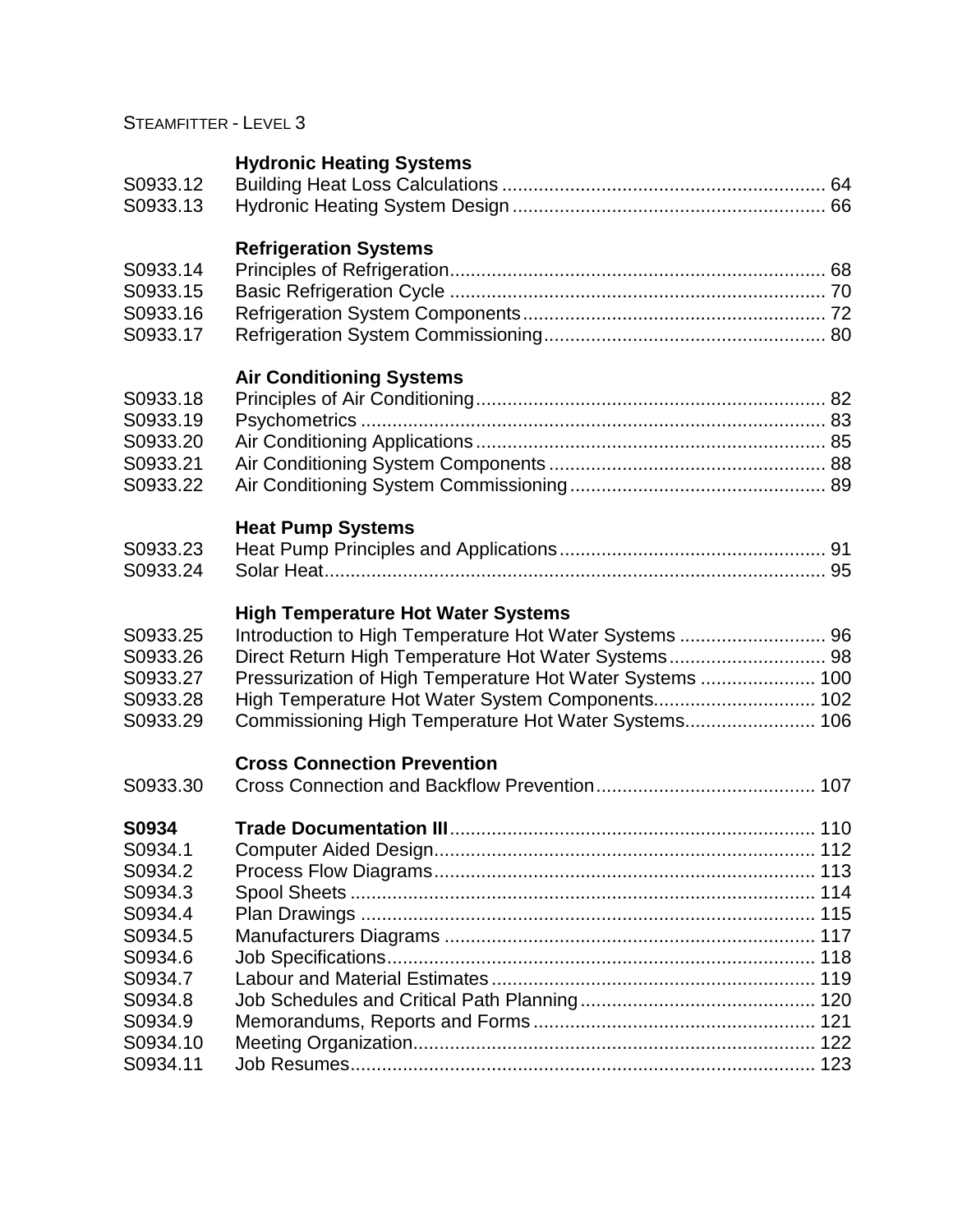# **Hydronic Heating Systems**

| S0933.13                                                                                                                              |  |
|---------------------------------------------------------------------------------------------------------------------------------------|--|
|                                                                                                                                       |  |
| <b>Refrigeration Systems</b><br>S0933.14                                                                                              |  |
| S0933.15                                                                                                                              |  |
| S0933.16<br>S0933.17                                                                                                                  |  |
| <b>Air Conditioning Systems</b>                                                                                                       |  |
| S0933.18<br>S0933.19                                                                                                                  |  |
| S0933.20                                                                                                                              |  |
| S0933.21                                                                                                                              |  |
| S0933.22                                                                                                                              |  |
| <b>Heat Pump Systems</b>                                                                                                              |  |
| S0933.23<br>S0933.24                                                                                                                  |  |
| <b>High Temperature Hot Water Systems</b>                                                                                             |  |
| Introduction to High Temperature Hot Water Systems  96<br>S0933.25<br>Direct Return High Temperature Hot Water Systems 98<br>S0933.26 |  |
| Pressurization of High Temperature Hot Water Systems  100<br>S0933.27                                                                 |  |
| High Temperature Hot Water System Components 102<br>S0933.28                                                                          |  |
| S0933.29                                                                                                                              |  |
| <b>Cross Connection Prevention</b>                                                                                                    |  |
| S0933.30                                                                                                                              |  |
| S0934                                                                                                                                 |  |
| S0934.1<br>S0934.2                                                                                                                    |  |

| S0934.2  |  |
|----------|--|
| S0934.3  |  |
| S0934.4  |  |
| S0934.5  |  |
| S0934.6  |  |
| S0934.7  |  |
| S0934.8  |  |
| S0934.9  |  |
| S0934.10 |  |
| S0934.11 |  |
|          |  |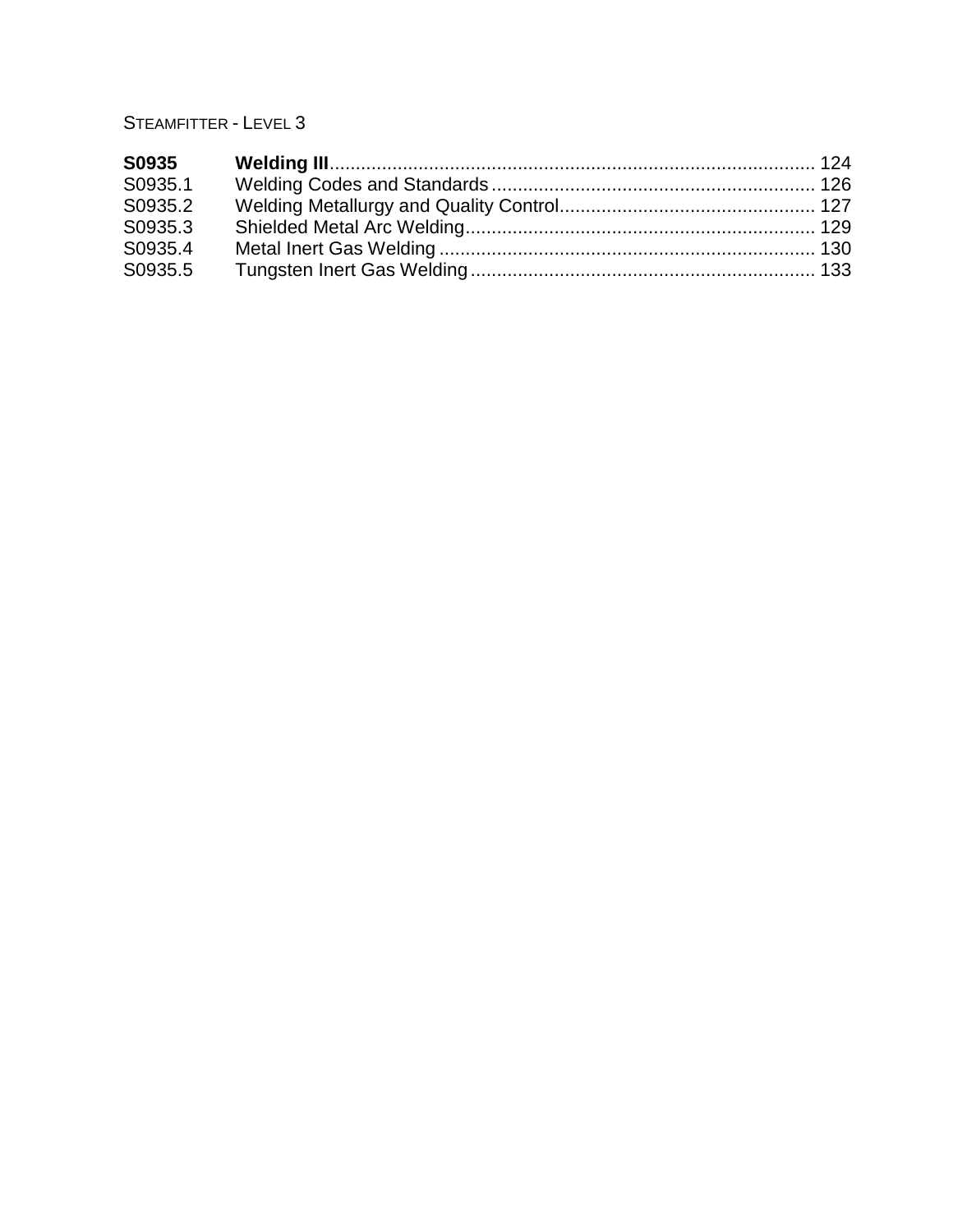| S0935   |  |
|---------|--|
| S0935.1 |  |
| S0935.2 |  |
| S0935.3 |  |
| S0935.4 |  |
| S0935.5 |  |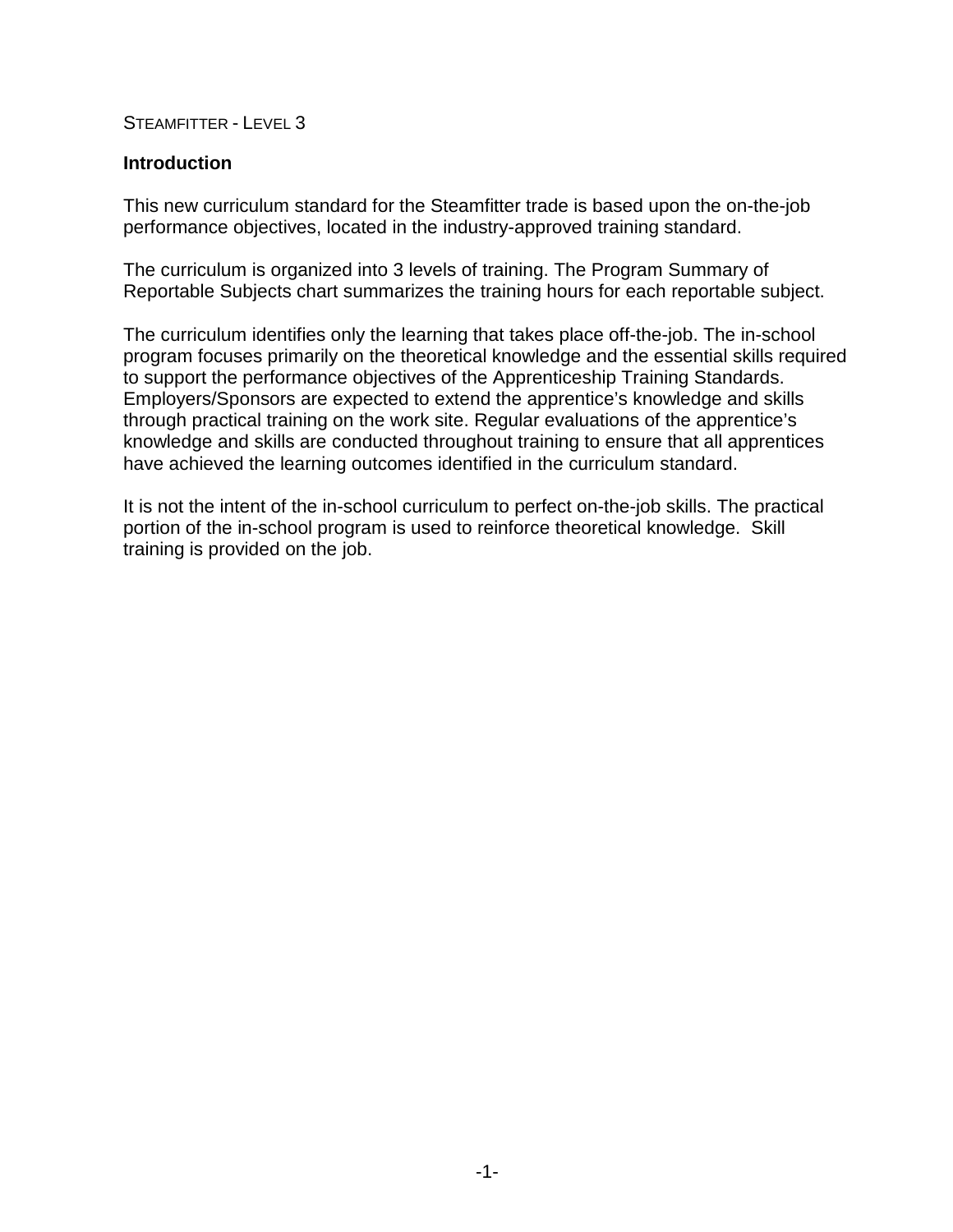#### **Introduction**

This new curriculum standard for the Steamfitter trade is based upon the on-the-job performance objectives, located in the industry-approved training standard.

The curriculum is organized into 3 levels of training. The Program Summary of Reportable Subjects chart summarizes the training hours for each reportable subject.

The curriculum identifies only the learning that takes place off-the-job. The in-school program focuses primarily on the theoretical knowledge and the essential skills required to support the performance objectives of the Apprenticeship Training Standards. Employers/Sponsors are expected to extend the apprentice's knowledge and skills through practical training on the work site. Regular evaluations of the apprentice's knowledge and skills are conducted throughout training to ensure that all apprentices have achieved the learning outcomes identified in the curriculum standard.

It is not the intent of the in-school curriculum to perfect on-the-job skills. The practical portion of the in-school program is used to reinforce theoretical knowledge. Skill training is provided on the job.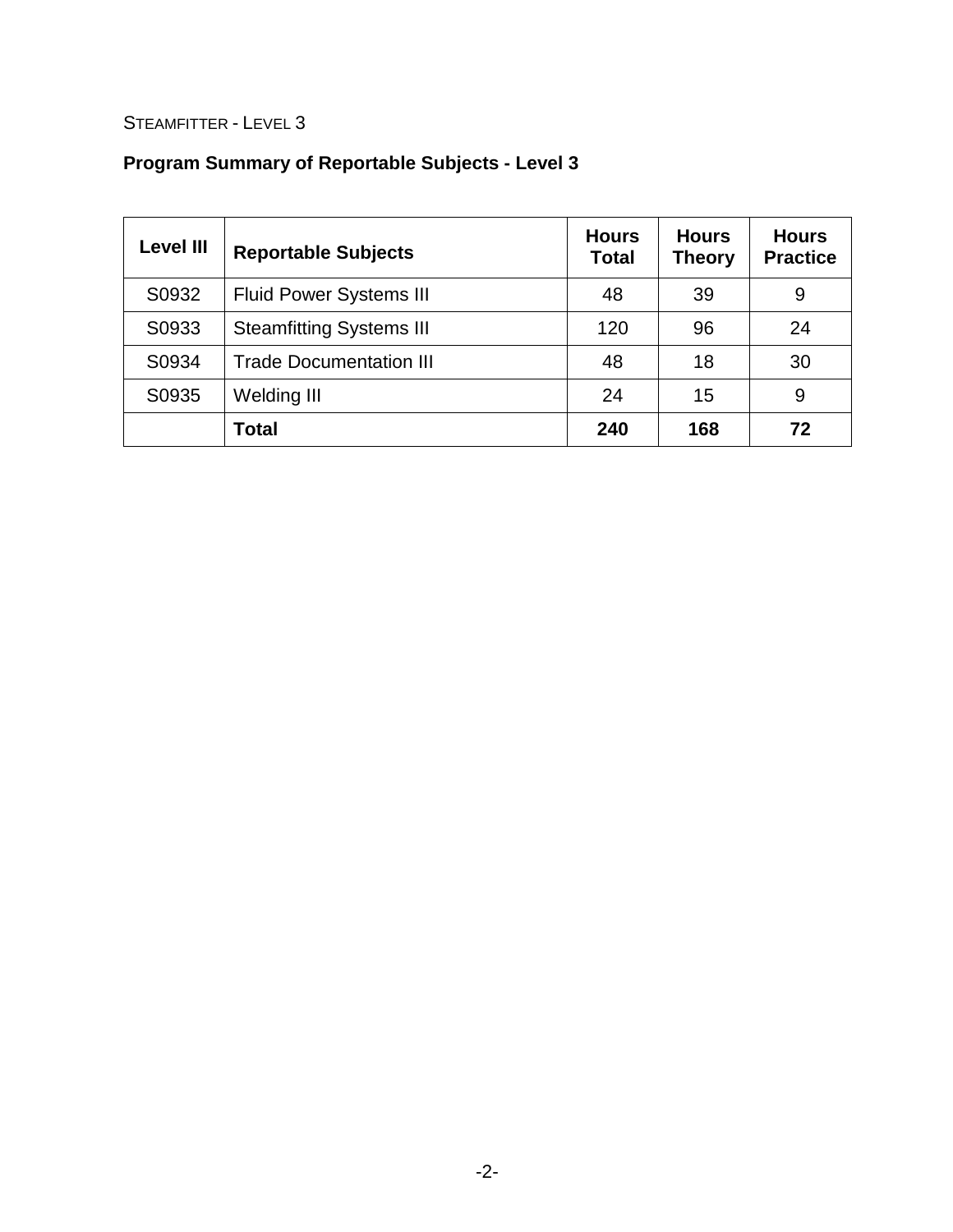# **Program Summary of Reportable Subjects - Level 3**

| <b>Level III</b>                        | <b>Reportable Subjects</b>      | <b>Hours</b><br><b>Total</b> | <b>Hours</b><br><b>Theory</b> | <b>Hours</b><br><b>Practice</b> |
|-----------------------------------------|---------------------------------|------------------------------|-------------------------------|---------------------------------|
| S0932                                   | <b>Fluid Power Systems III</b>  | 48                           | 39                            | 9                               |
| S0933                                   | <b>Steamfitting Systems III</b> | 120                          | 96                            | 24                              |
| S0934<br><b>Trade Documentation III</b> |                                 | 48                           | 18                            | 30                              |
| S0935                                   | <b>Welding III</b>              | 24                           | 15                            | 9                               |
|                                         | <b>Total</b>                    | 240                          | 168                           | 72                              |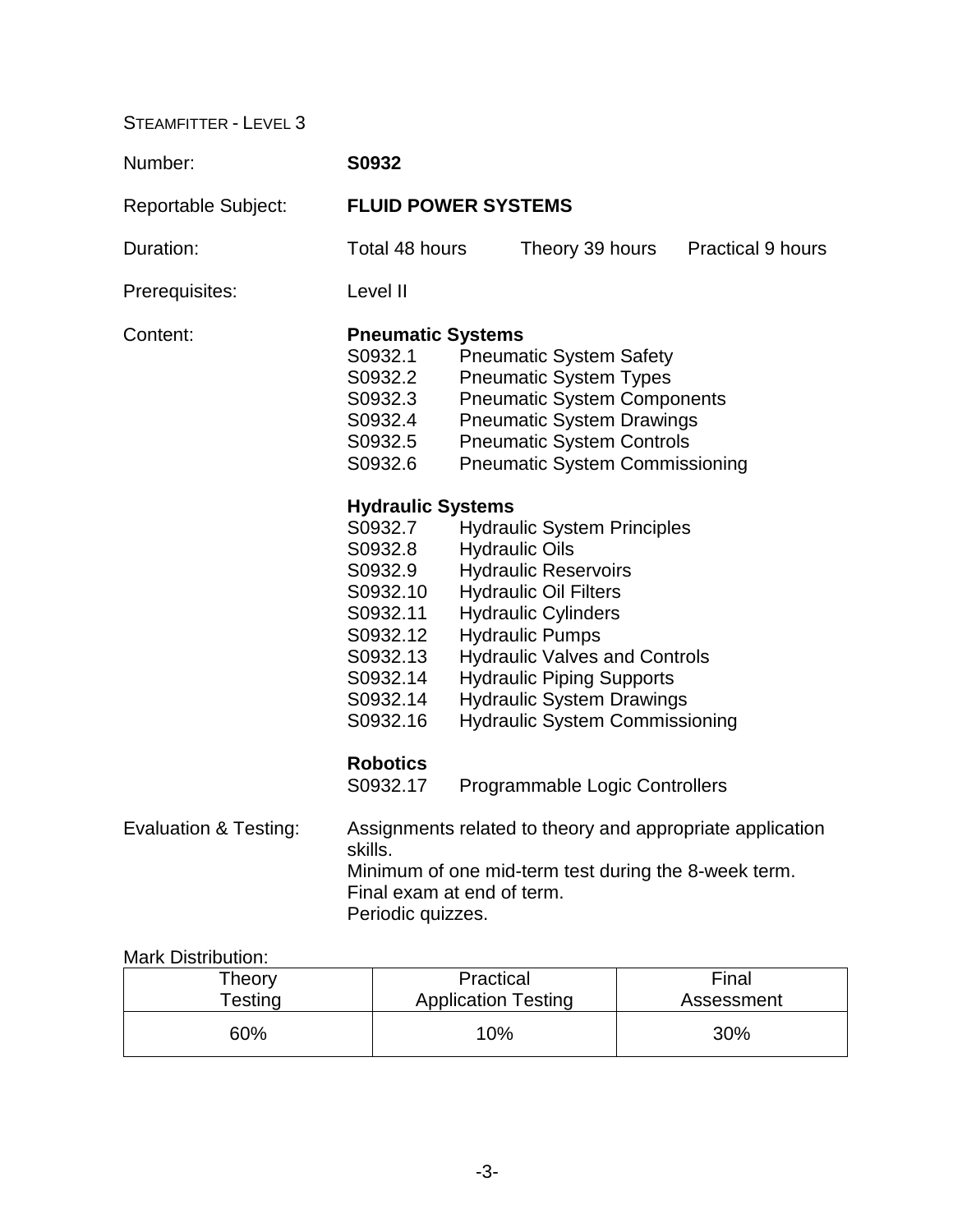| Number:                          | S0932                                                                                                                  |  |                                                                                                                                                                                                                                                                                                                                             |                                                           |
|----------------------------------|------------------------------------------------------------------------------------------------------------------------|--|---------------------------------------------------------------------------------------------------------------------------------------------------------------------------------------------------------------------------------------------------------------------------------------------------------------------------------------------|-----------------------------------------------------------|
| <b>Reportable Subject:</b>       | <b>FLUID POWER SYSTEMS</b>                                                                                             |  |                                                                                                                                                                                                                                                                                                                                             |                                                           |
| Duration:                        | Total 48 hours                                                                                                         |  | Theory 39 hours                                                                                                                                                                                                                                                                                                                             | <b>Practical 9 hours</b>                                  |
| Prerequisites:                   | Level II                                                                                                               |  |                                                                                                                                                                                                                                                                                                                                             |                                                           |
| Content:                         | <b>Pneumatic Systems</b><br>S0932.1<br>S0932.2<br>S0932.3<br>S0932.4<br>S0932.5<br>S0932.6<br><b>Hydraulic Systems</b> |  | <b>Pneumatic System Safety</b><br><b>Pneumatic System Types</b><br><b>Pneumatic System Components</b><br><b>Pneumatic System Drawings</b><br><b>Pneumatic System Controls</b><br><b>Pneumatic System Commissioning</b>                                                                                                                      |                                                           |
|                                  | S0932.7<br>S0932.8<br>S0932.9<br>S0932.10<br>S0932.11<br>S0932.12<br>S0932.13<br>S0932.14<br>S0932.14<br>S0932.16      |  | <b>Hydraulic System Principles</b><br><b>Hydraulic Oils</b><br><b>Hydraulic Reservoirs</b><br><b>Hydraulic Oil Filters</b><br><b>Hydraulic Cylinders</b><br><b>Hydraulic Pumps</b><br><b>Hydraulic Valves and Controls</b><br><b>Hydraulic Piping Supports</b><br><b>Hydraulic System Drawings</b><br><b>Hydraulic System Commissioning</b> |                                                           |
| <b>Evaluation &amp; Testing:</b> | <b>Robotics</b><br>S0932.17<br>skills.<br>Final exam at end of term.<br>Periodic quizzes.                              |  | Programmable Logic Controllers<br>Minimum of one mid-term test during the 8-week term.                                                                                                                                                                                                                                                      | Assignments related to theory and appropriate application |

## Mark Distribution:

| Theory     | Practical                  | Final      |
|------------|----------------------------|------------|
| $T$ esting | <b>Application Testing</b> | Assessment |
| 60%        | 10%                        | 30%        |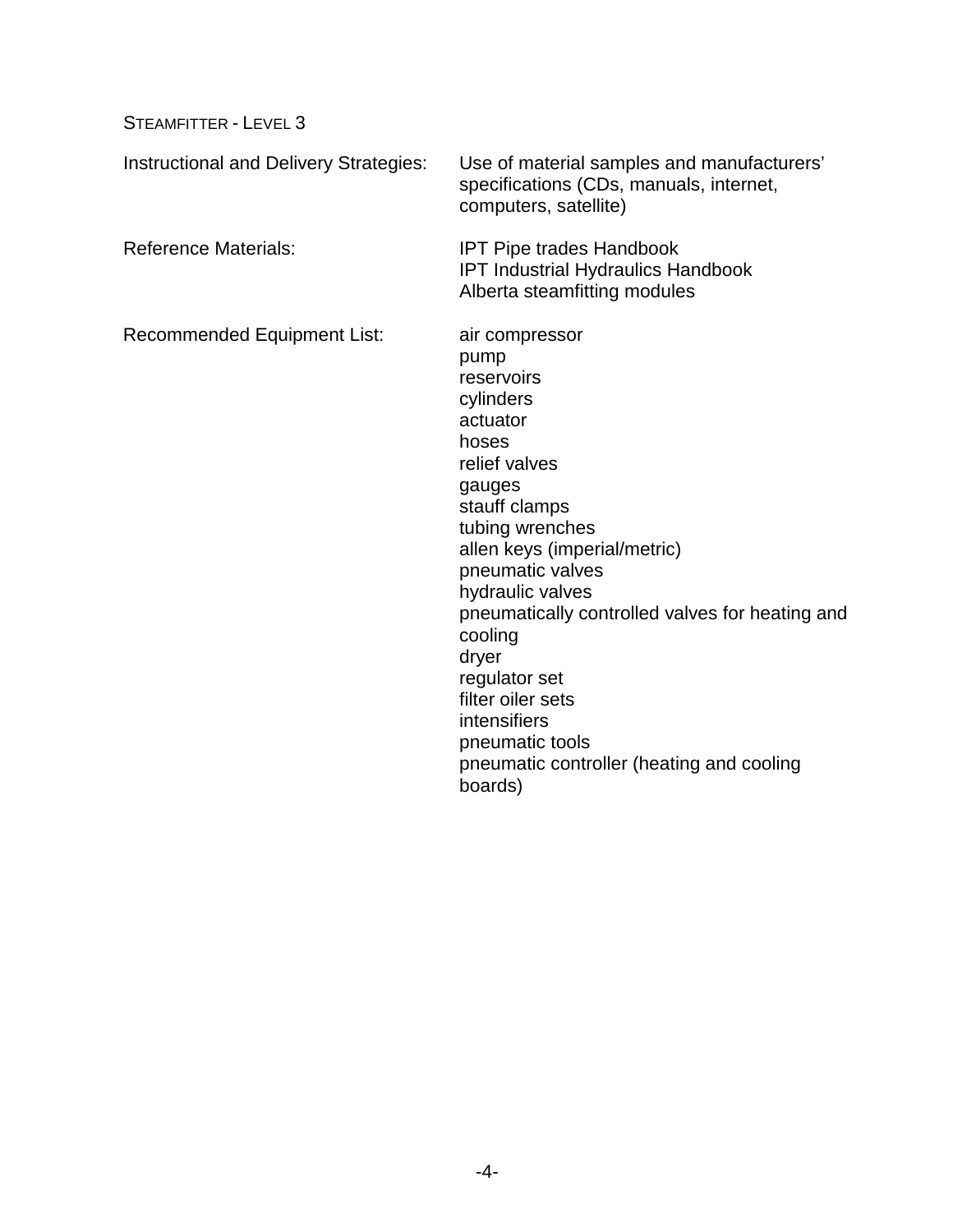| Instructional and Delivery Strategies: | Use of material samples and manufacturers'<br>specifications (CDs, manuals, internet,<br>computers, satellite)                                                                                                                                                                                                                                                                                                        |
|----------------------------------------|-----------------------------------------------------------------------------------------------------------------------------------------------------------------------------------------------------------------------------------------------------------------------------------------------------------------------------------------------------------------------------------------------------------------------|
| <b>Reference Materials:</b>            | <b>IPT Pipe trades Handbook</b><br><b>IPT Industrial Hydraulics Handbook</b><br>Alberta steamfitting modules                                                                                                                                                                                                                                                                                                          |
| <b>Recommended Equipment List:</b>     | air compressor<br>pump<br>reservoirs<br>cylinders<br>actuator<br>hoses<br>relief valves<br>gauges<br>stauff clamps<br>tubing wrenches<br>allen keys (imperial/metric)<br>pneumatic valves<br>hydraulic valves<br>pneumatically controlled valves for heating and<br>cooling<br>dryer<br>regulator set<br>filter oiler sets<br>intensifiers<br>pneumatic tools<br>pneumatic controller (heating and cooling<br>boards) |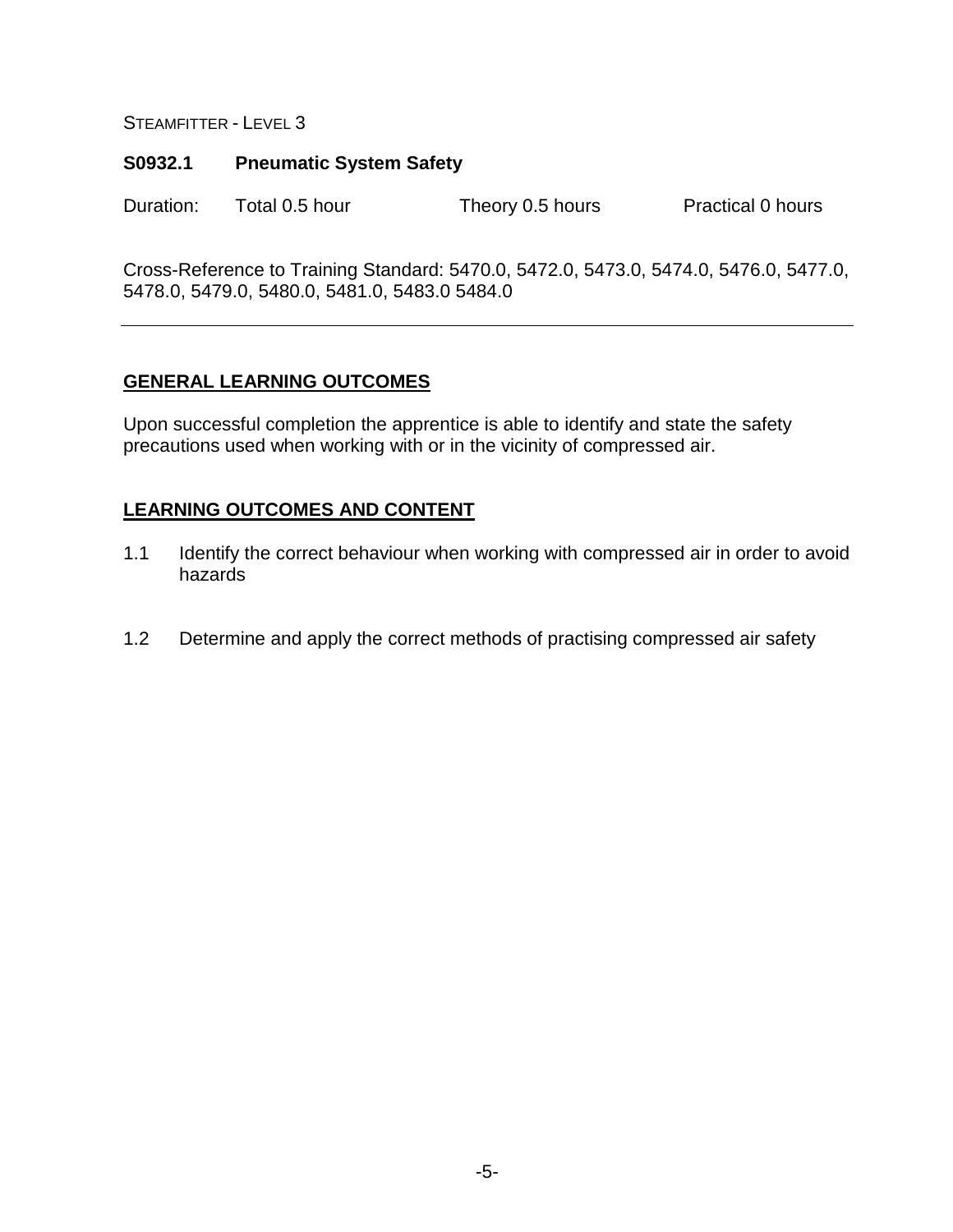#### **S0932.1 Pneumatic System Safety**

Duration: Total 0.5 hour Theory 0.5 hours Practical 0 hours

Cross-Reference to Training Standard: 5470.0, 5472.0, 5473.0, 5474.0, 5476.0, 5477.0, 5478.0, 5479.0, 5480.0, 5481.0, 5483.0 5484.0

#### **GENERAL LEARNING OUTCOMES**

Upon successful completion the apprentice is able to identify and state the safety precautions used when working with or in the vicinity of compressed air.

- 1.1 Identify the correct behaviour when working with compressed air in order to avoid hazards
- 1.2 Determine and apply the correct methods of practising compressed air safety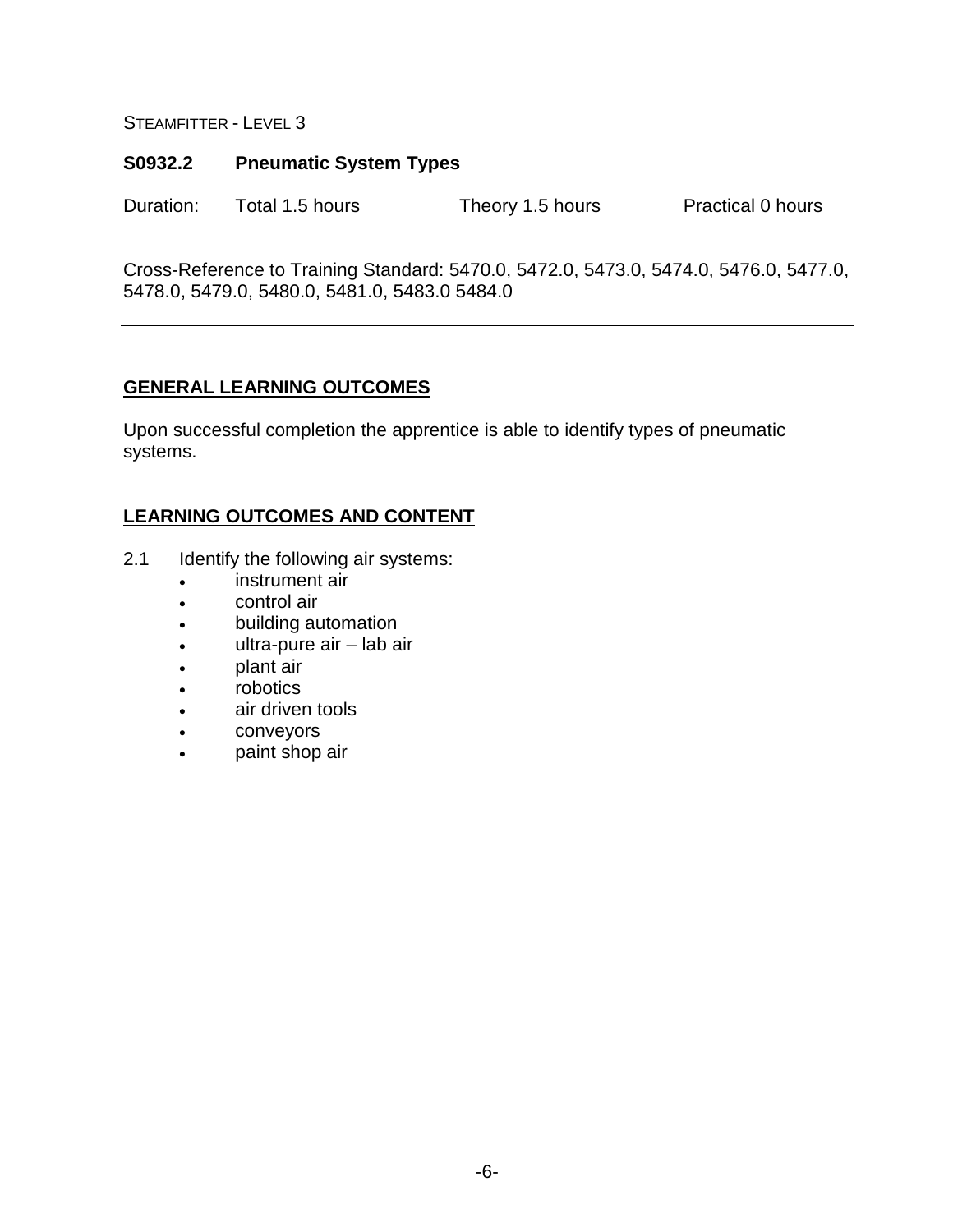#### **S0932.2 Pneumatic System Types**

Duration: Total 1.5 hours Theory 1.5 hours Practical 0 hours

Cross-Reference to Training Standard: 5470.0, 5472.0, 5473.0, 5474.0, 5476.0, 5477.0, 5478.0, 5479.0, 5480.0, 5481.0, 5483.0 5484.0

#### **GENERAL LEARNING OUTCOMES**

Upon successful completion the apprentice is able to identify types of pneumatic systems.

- 2.1 Identify the following air systems:
	- instrument air
	- control air
	- building automation
	- ultra-pure air lab air
	- plant air
	- robotics
	- air driven tools
	- conveyors
	- paint shop air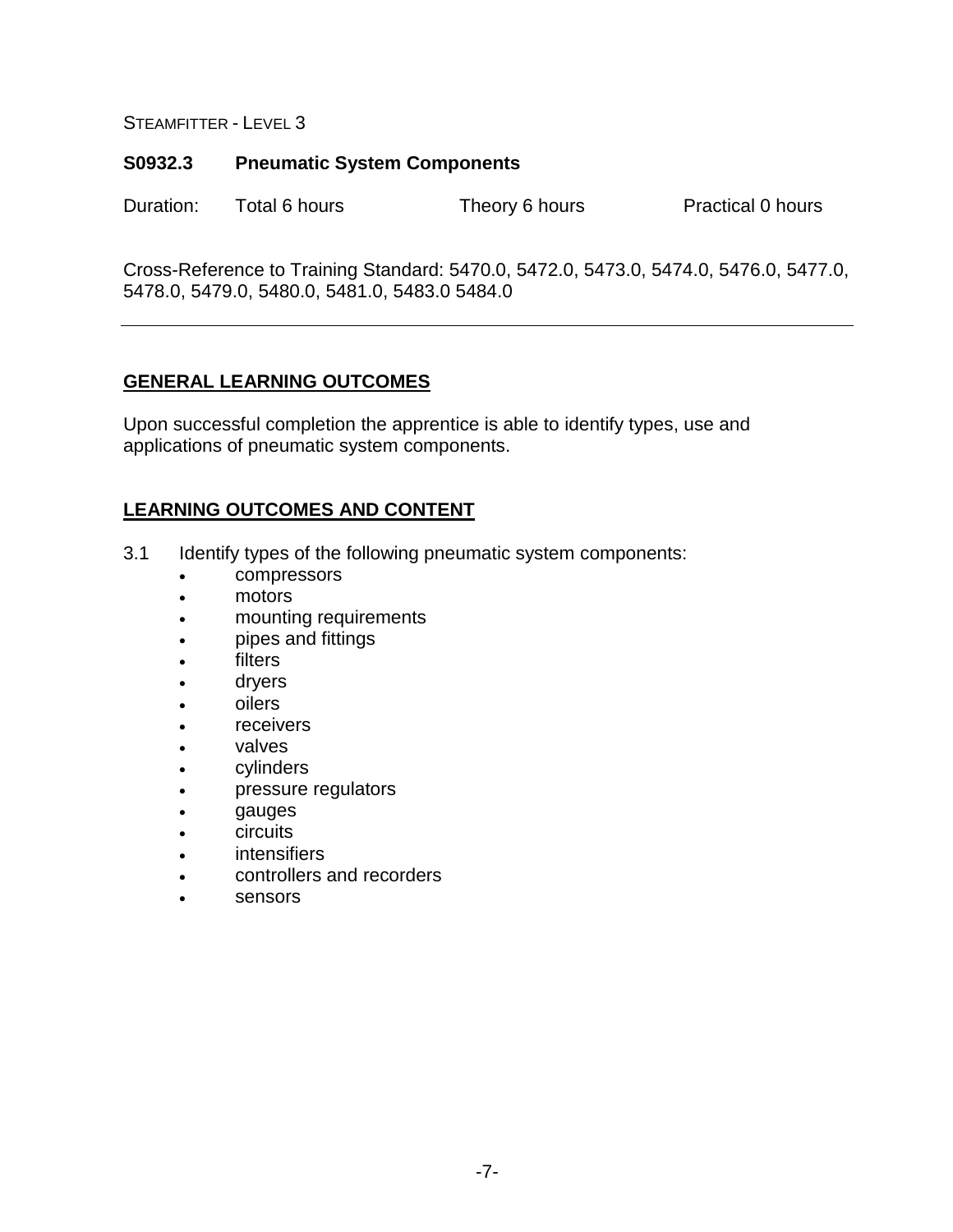#### **S0932.3 Pneumatic System Components**

Duration: Total 6 hours Theory 6 hours Practical 0 hours

Cross-Reference to Training Standard: 5470.0, 5472.0, 5473.0, 5474.0, 5476.0, 5477.0, 5478.0, 5479.0, 5480.0, 5481.0, 5483.0 5484.0

## **GENERAL LEARNING OUTCOMES**

Upon successful completion the apprentice is able to identify types, use and applications of pneumatic system components.

- 3.1 Identify types of the following pneumatic system components:
	- compressors
	- motors
	- mounting requirements
	- pipes and fittings
	- **filters**
	- dryers
	- oilers
	- receivers
	- **valves**
	- cylinders
	- pressure regulators
	- gauges
	- circuits
	- **intensifiers**
	- controllers and recorders
	- sensors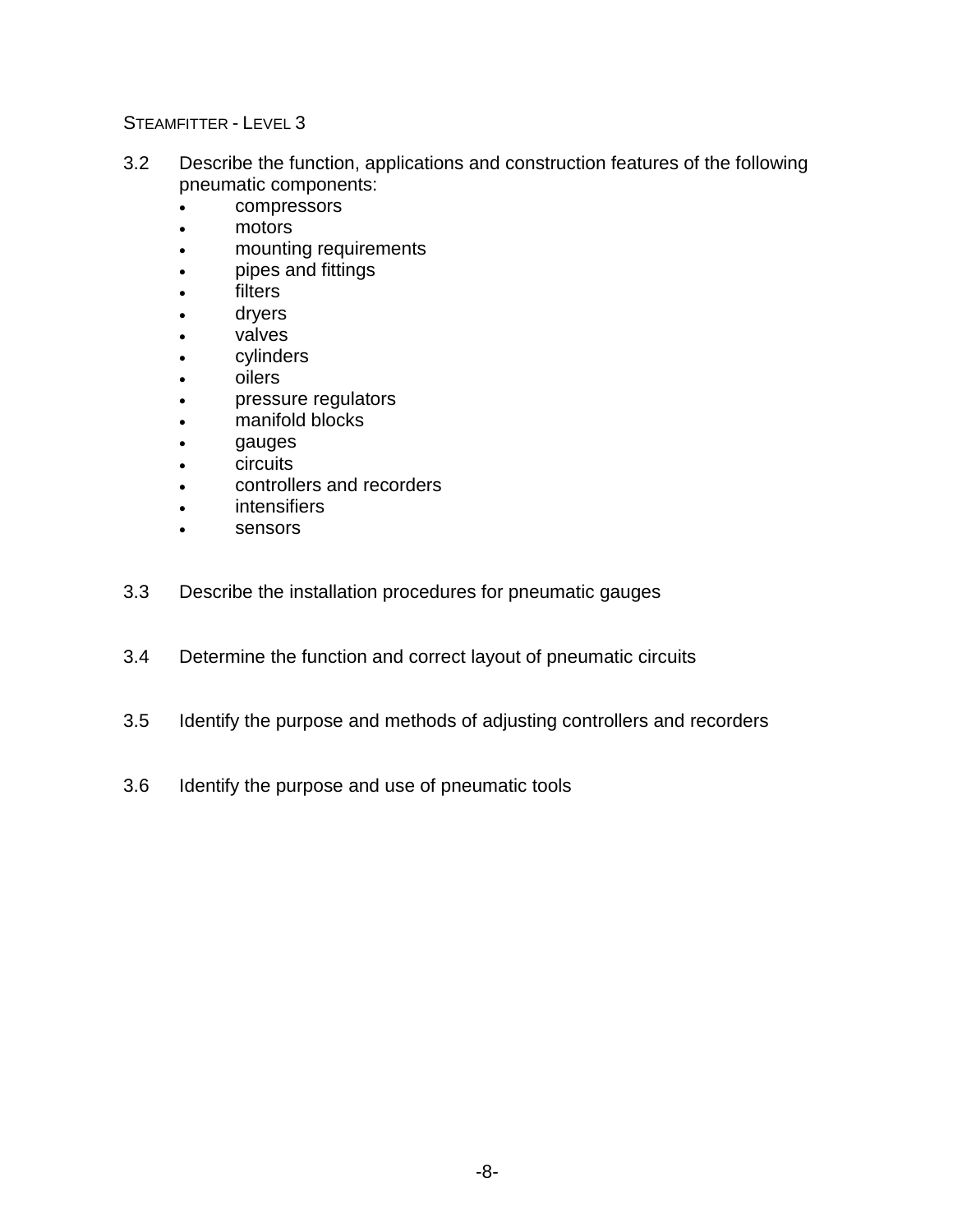- 3.2 Describe the function, applications and construction features of the following pneumatic components:
	- compressors
	- motors
	- mounting requirements
	- pipes and fittings
	- **filters**
	- dryers
	- valves
	- cylinders
	- oilers
	- pressure regulators
	- manifold blocks
	- gauges
	- **circuits**
	- controllers and recorders
	- intensifiers
	- sensors
- 3.3 Describe the installation procedures for pneumatic gauges
- 3.4 Determine the function and correct layout of pneumatic circuits
- 3.5 Identify the purpose and methods of adjusting controllers and recorders
- 3.6 Identify the purpose and use of pneumatic tools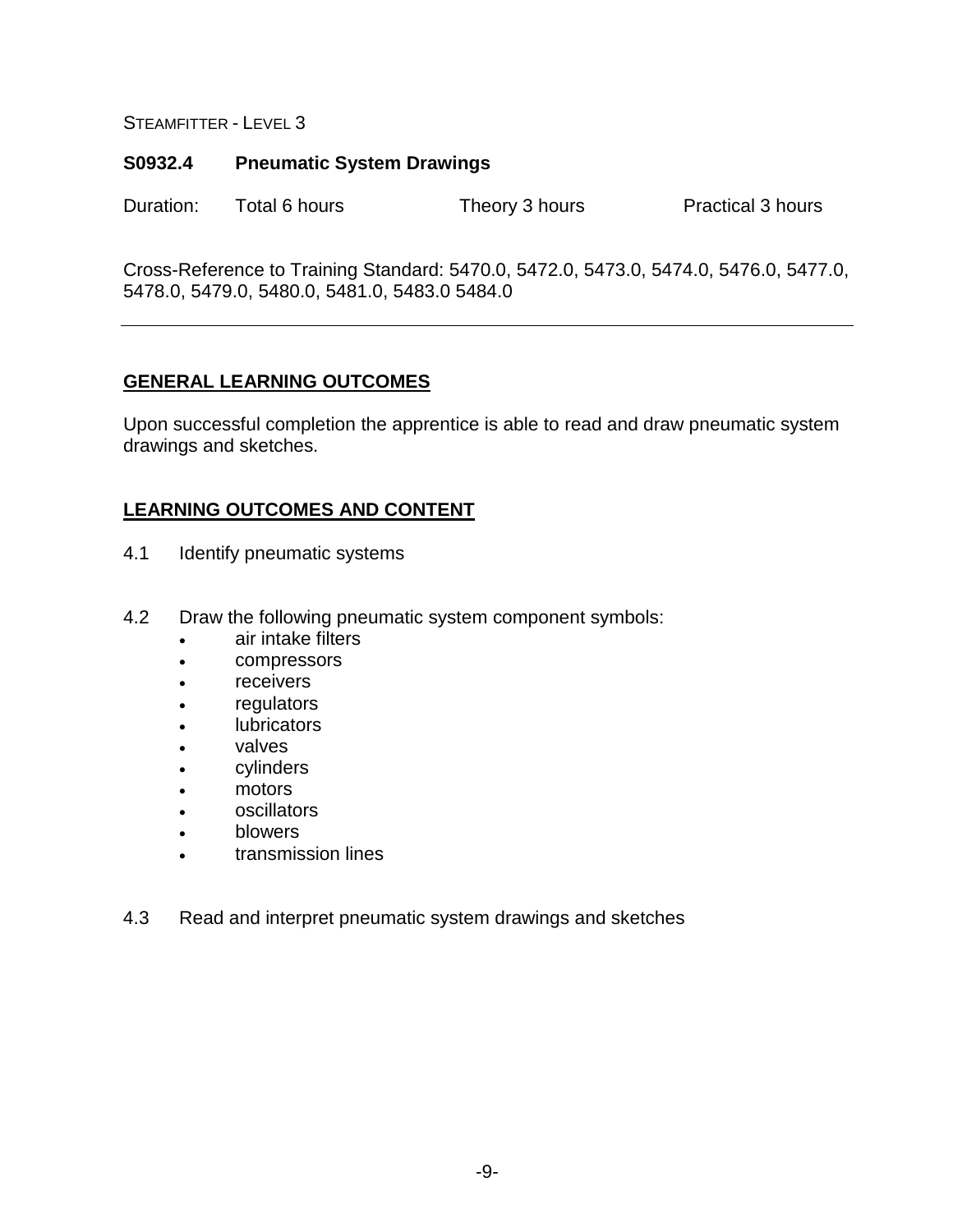#### **S0932.4 Pneumatic System Drawings**

Duration: Total 6 hours Theory 3 hours Practical 3 hours

Cross-Reference to Training Standard: 5470.0, 5472.0, 5473.0, 5474.0, 5476.0, 5477.0, 5478.0, 5479.0, 5480.0, 5481.0, 5483.0 5484.0

#### **GENERAL LEARNING OUTCOMES**

Upon successful completion the apprentice is able to read and draw pneumatic system drawings and sketches.

- 4.1 Identify pneumatic systems
- 4.2 Draw the following pneumatic system component symbols:
	- air intake filters
	- compressors
	- receivers
	- **regulators**
	- **lubricators**
	- valves
	- cylinders
	- motors
	- oscillators
	- blowers
	- transmission lines
- 4.3 Read and interpret pneumatic system drawings and sketches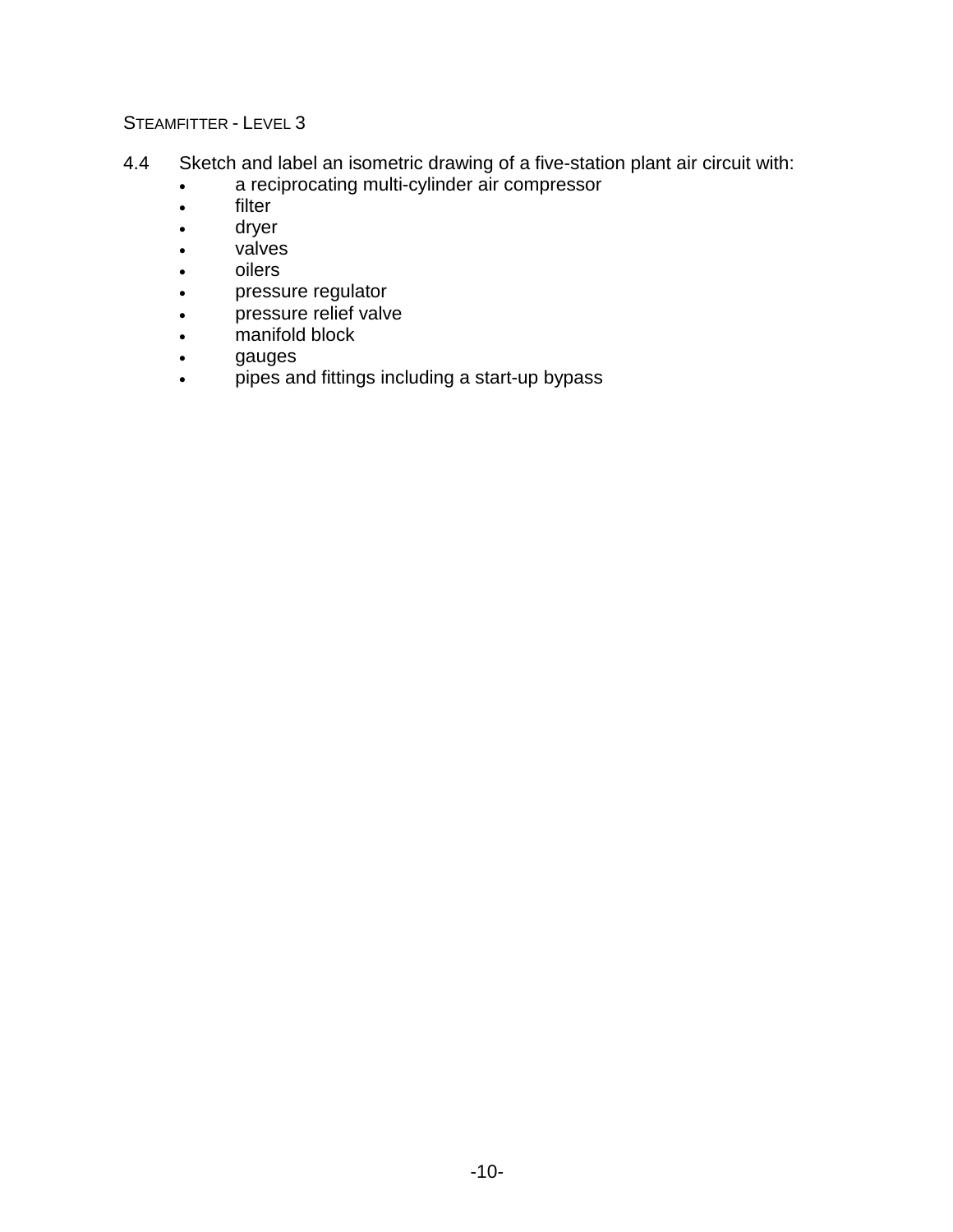- 4.4 Sketch and label an isometric drawing of a five-station plant air circuit with:
	- a reciprocating multi-cylinder air compressor
	- filter
	- dryer
	- valves
	- oilers
	- pressure regulator
	- pressure relief valve
	- manifold block
	- gauges
	- pipes and fittings including a start-up bypass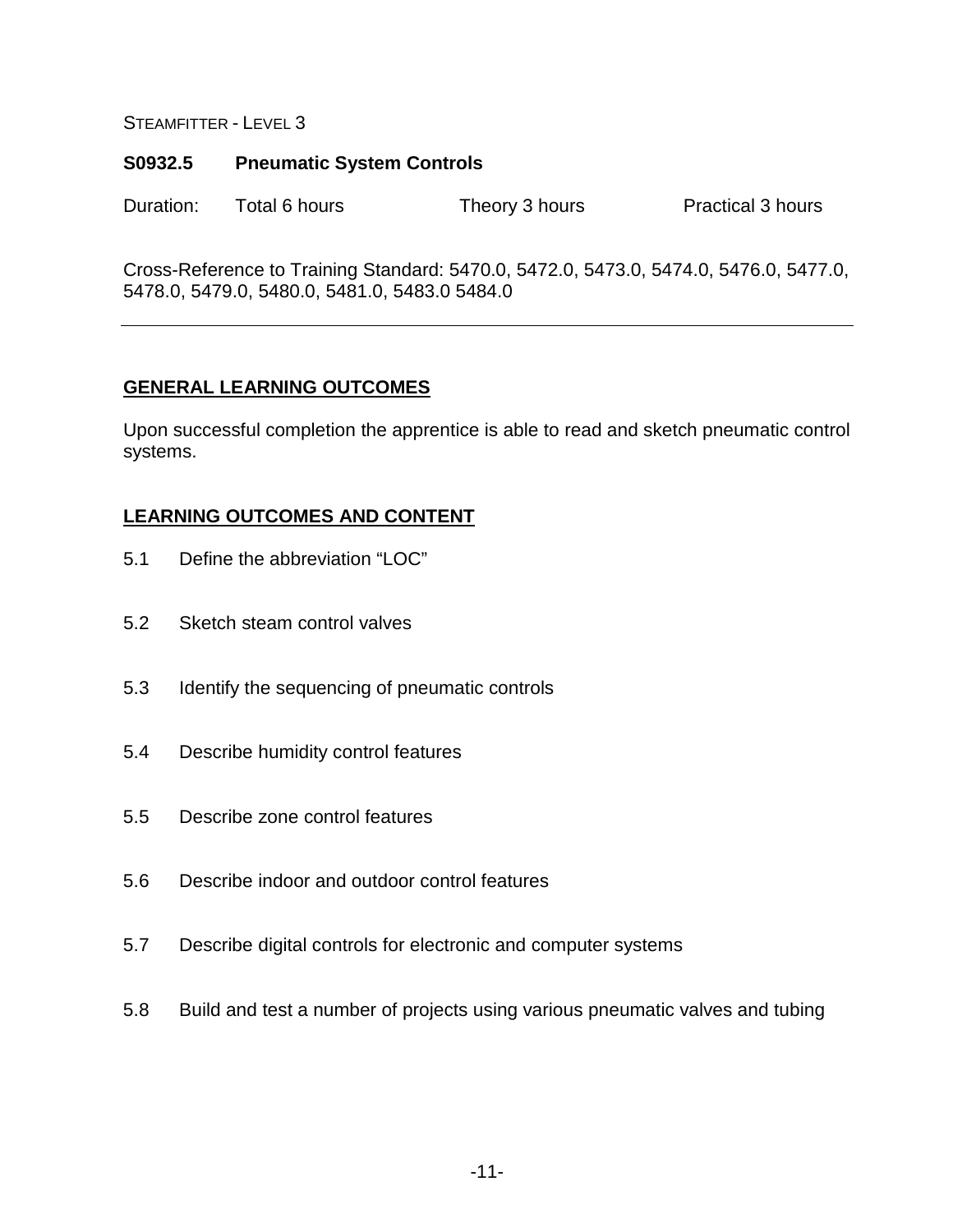#### **S0932.5 Pneumatic System Controls**

Duration: Total 6 hours Theory 3 hours Practical 3 hours

Cross-Reference to Training Standard: 5470.0, 5472.0, 5473.0, 5474.0, 5476.0, 5477.0, 5478.0, 5479.0, 5480.0, 5481.0, 5483.0 5484.0

#### **GENERAL LEARNING OUTCOMES**

Upon successful completion the apprentice is able to read and sketch pneumatic control systems.

- 5.1 Define the abbreviation "LOC"
- 5.2 Sketch steam control valves
- 5.3 Identify the sequencing of pneumatic controls
- 5.4 Describe humidity control features
- 5.5 Describe zone control features
- 5.6 Describe indoor and outdoor control features
- 5.7 Describe digital controls for electronic and computer systems
- 5.8 Build and test a number of projects using various pneumatic valves and tubing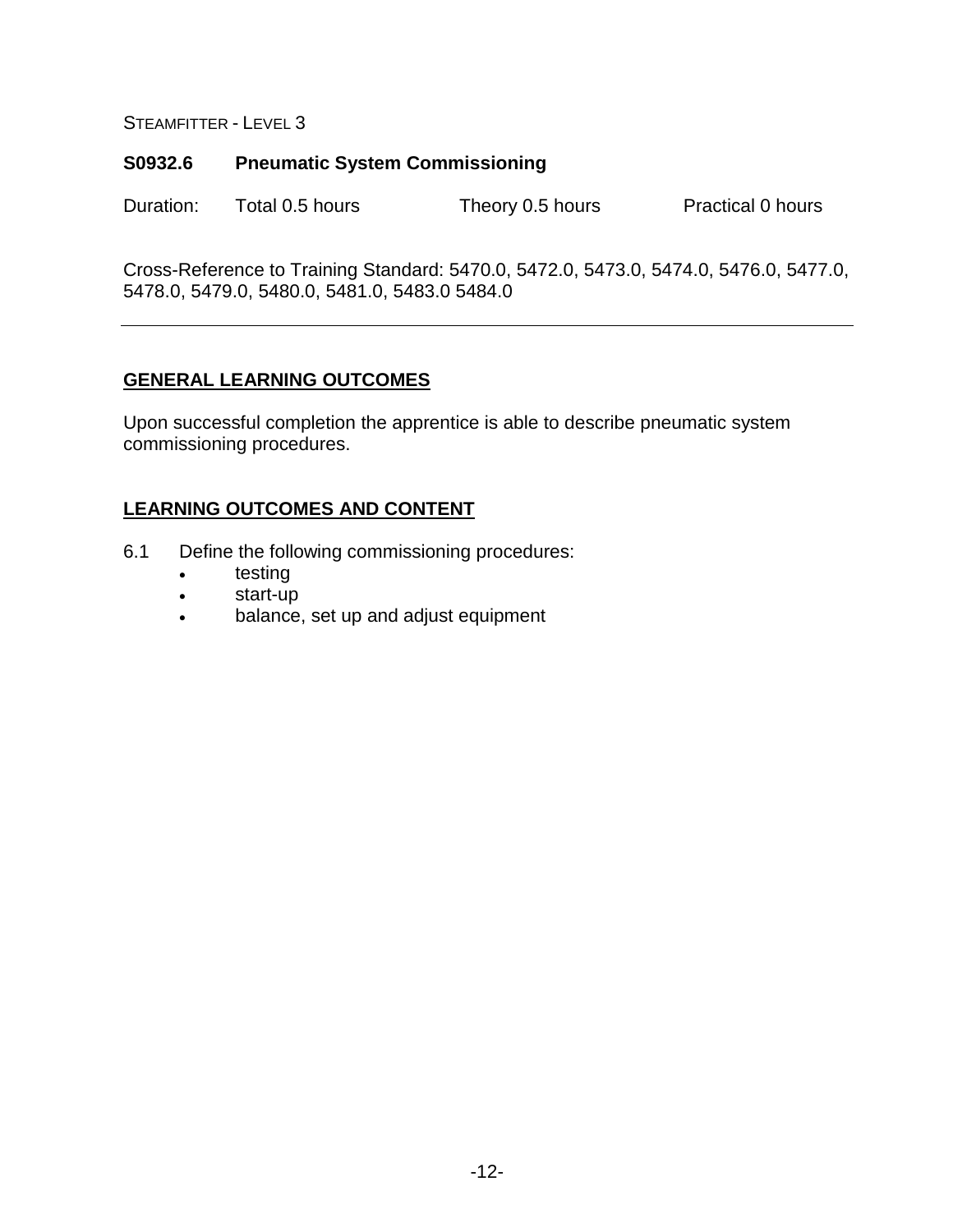#### **S0932.6 Pneumatic System Commissioning**

Duration: Total 0.5 hours Theory 0.5 hours Practical 0 hours

Cross-Reference to Training Standard: 5470.0, 5472.0, 5473.0, 5474.0, 5476.0, 5477.0, 5478.0, 5479.0, 5480.0, 5481.0, 5483.0 5484.0

#### **GENERAL LEARNING OUTCOMES**

Upon successful completion the apprentice is able to describe pneumatic system commissioning procedures.

- 6.1 Define the following commissioning procedures:
	- testing
	- start-up
	- balance, set up and adjust equipment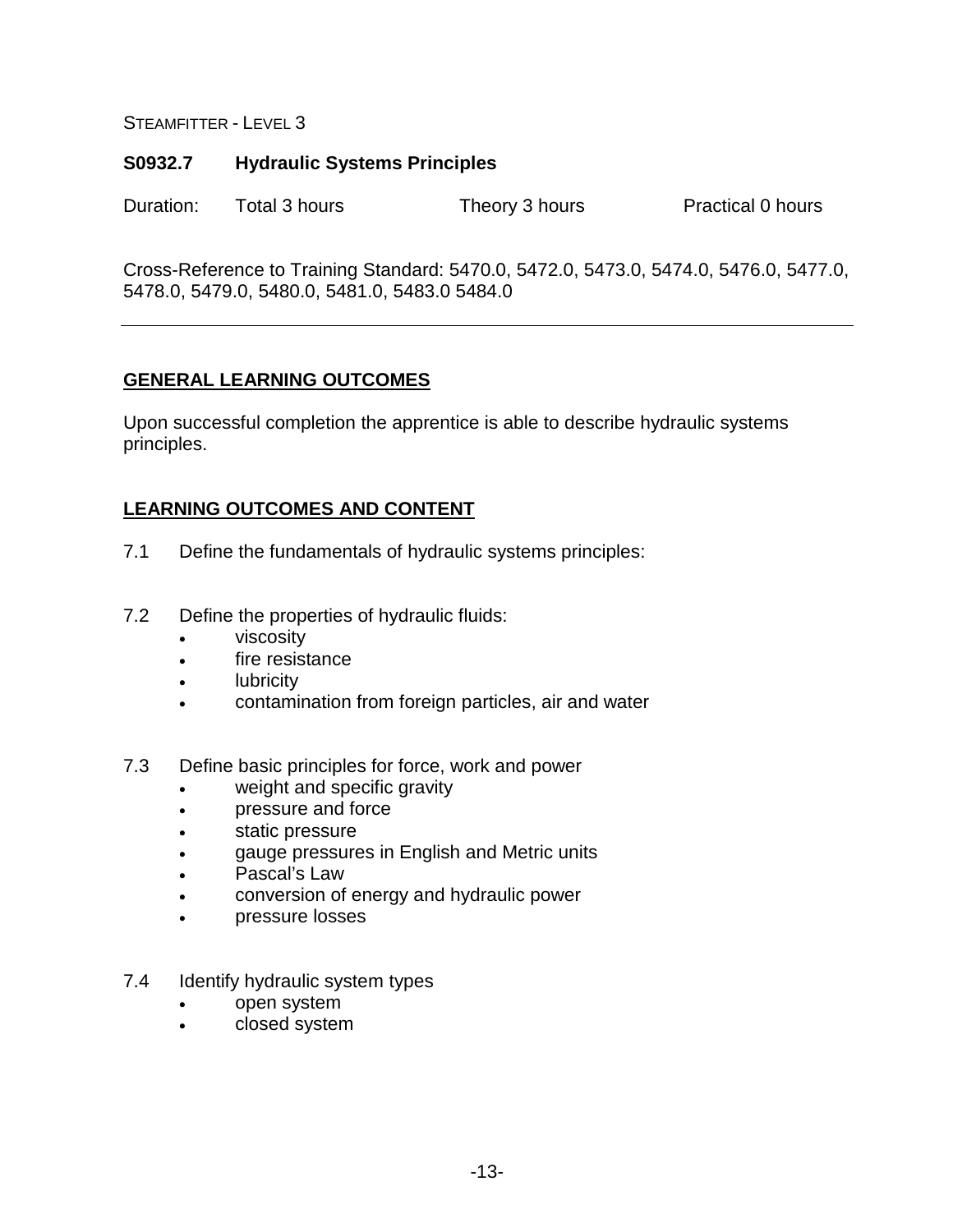#### **S0932.7 Hydraulic Systems Principles**

Duration: Total 3 hours Theory 3 hours Practical 0 hours

Cross-Reference to Training Standard: 5470.0, 5472.0, 5473.0, 5474.0, 5476.0, 5477.0, 5478.0, 5479.0, 5480.0, 5481.0, 5483.0 5484.0

#### **GENERAL LEARNING OUTCOMES**

Upon successful completion the apprentice is able to describe hydraulic systems principles.

- 7.1 Define the fundamentals of hydraulic systems principles:
- 7.2 Define the properties of hydraulic fluids:
	- viscosity
	- fire resistance
	- lubricity
	- contamination from foreign particles, air and water
- 7.3 Define basic principles for force, work and power
	- weight and specific gravity
	- pressure and force
	- static pressure
	- gauge pressures in English and Metric units
	- Pascal's Law
	- conversion of energy and hydraulic power
	- pressure losses
- 7.4 Identify hydraulic system types
	- open system
	- closed system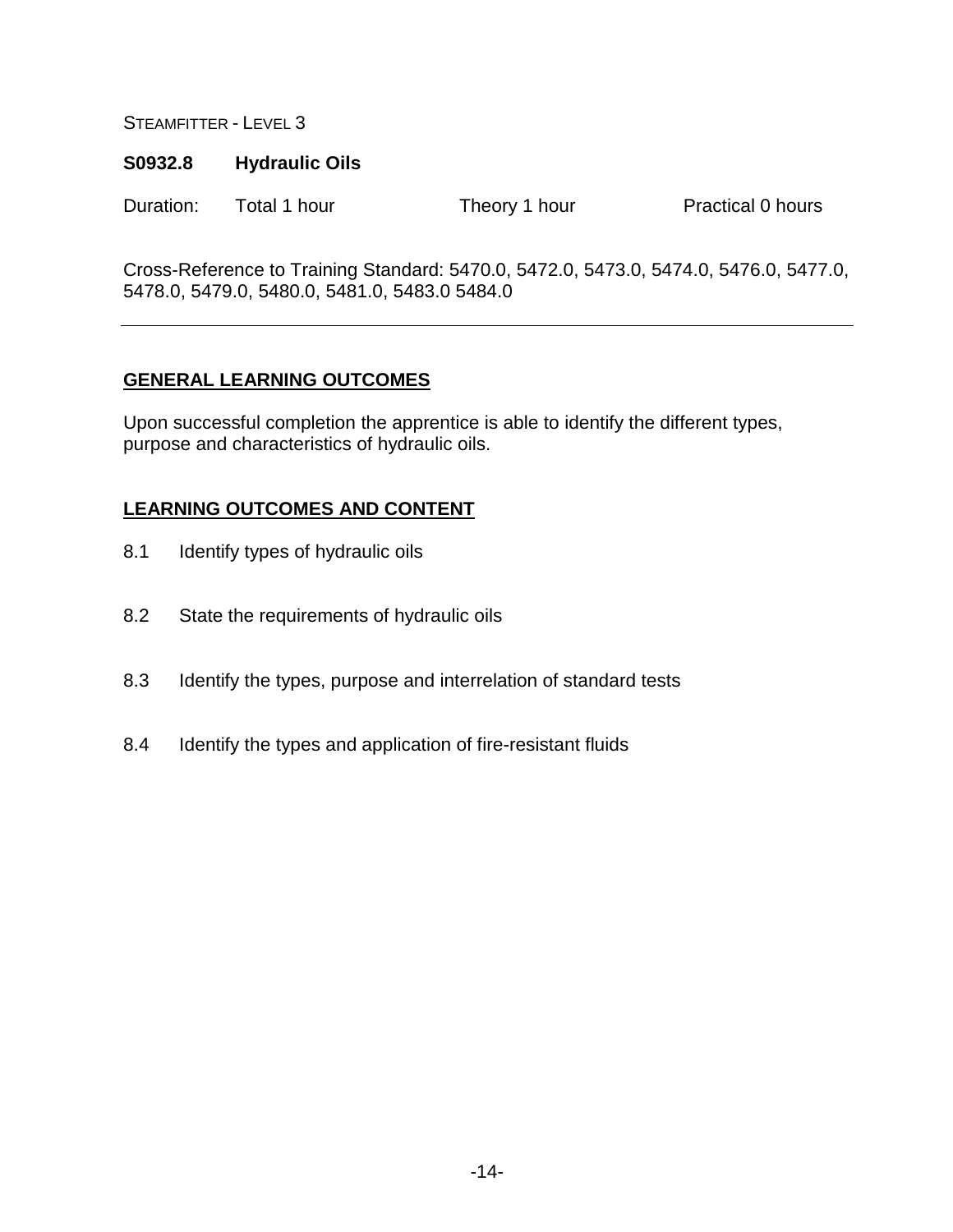#### **S0932.8 Hydraulic Oils**

Duration: Total 1 hour Theory 1 hour Practical 0 hours

Cross-Reference to Training Standard: 5470.0, 5472.0, 5473.0, 5474.0, 5476.0, 5477.0, 5478.0, 5479.0, 5480.0, 5481.0, 5483.0 5484.0

#### **GENERAL LEARNING OUTCOMES**

Upon successful completion the apprentice is able to identify the different types, purpose and characteristics of hydraulic oils.

- 8.1 Identify types of hydraulic oils
- 8.2 State the requirements of hydraulic oils
- 8.3 Identify the types, purpose and interrelation of standard tests
- 8.4 Identify the types and application of fire-resistant fluids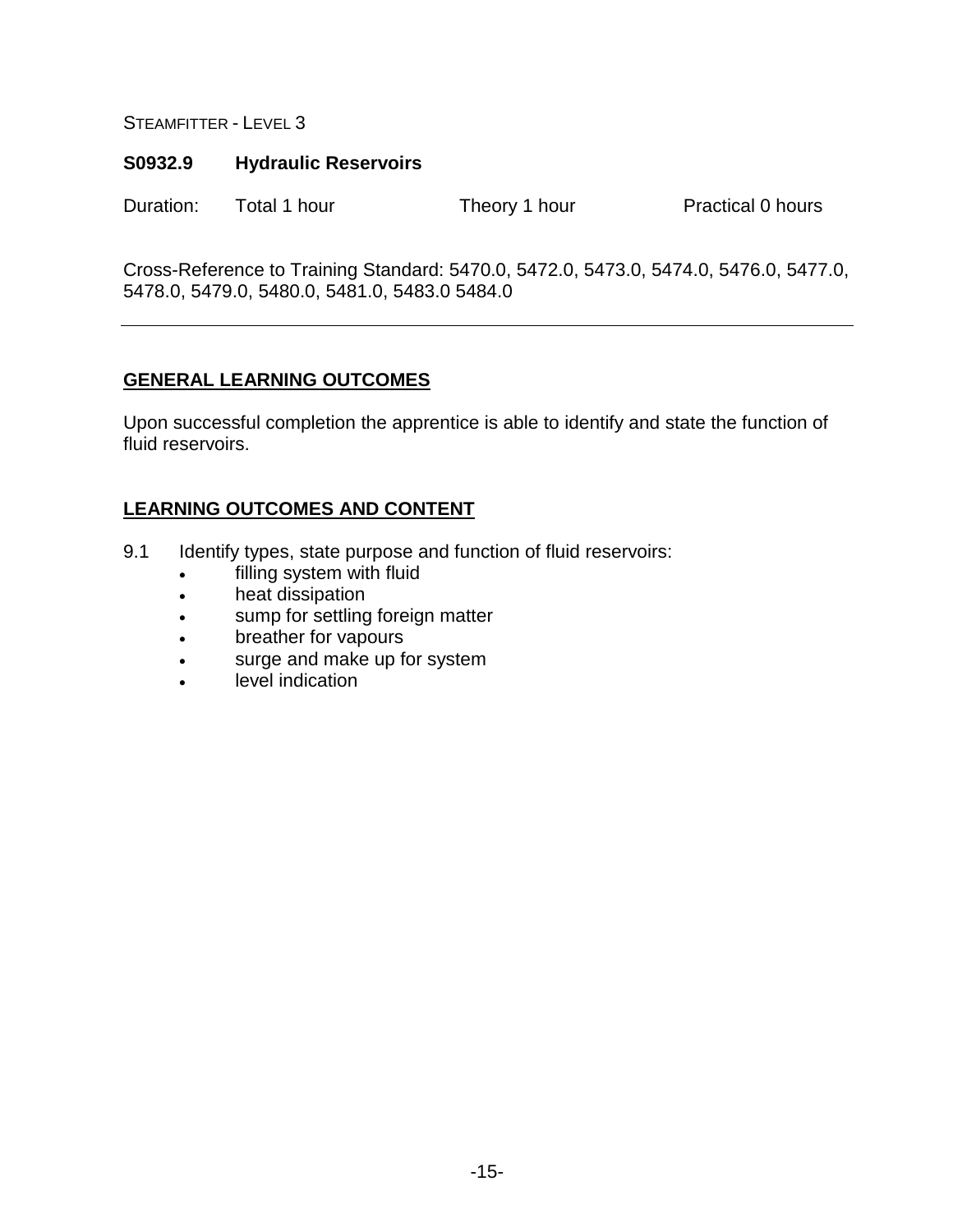#### **S0932.9 Hydraulic Reservoirs**

Duration: Total 1 hour Theory 1 hour Practical 0 hours

Cross-Reference to Training Standard: 5470.0, 5472.0, 5473.0, 5474.0, 5476.0, 5477.0, 5478.0, 5479.0, 5480.0, 5481.0, 5483.0 5484.0

#### **GENERAL LEARNING OUTCOMES**

Upon successful completion the apprentice is able to identify and state the function of fluid reservoirs.

- 9.1 Identify types, state purpose and function of fluid reservoirs:
	- filling system with fluid
	- heat dissipation
	- sump for settling foreign matter
	- breather for vapours
	- surge and make up for system
	- level indication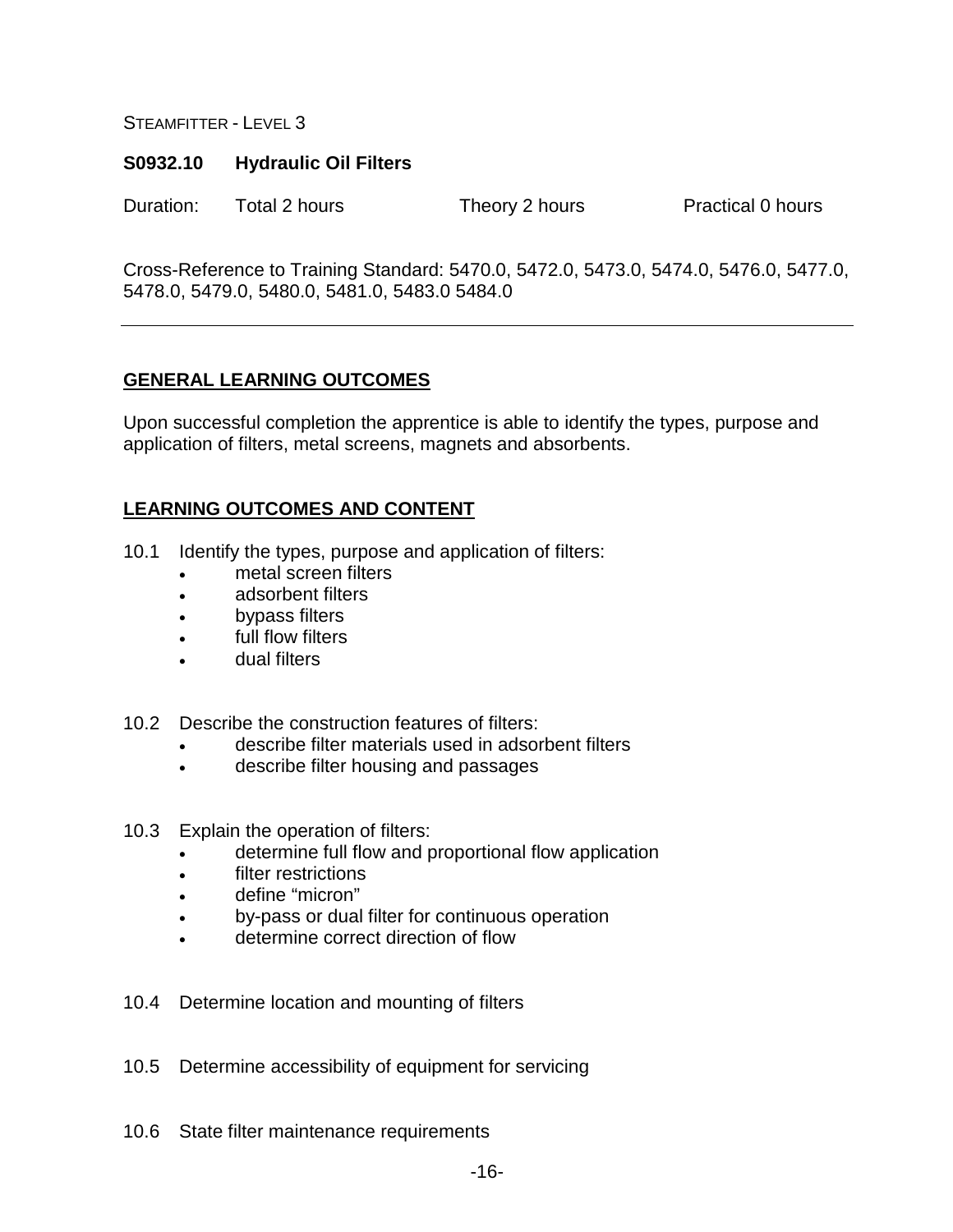#### **S0932.10 Hydraulic Oil Filters**

Duration: Total 2 hours Theory 2 hours Practical 0 hours

Cross-Reference to Training Standard: 5470.0, 5472.0, 5473.0, 5474.0, 5476.0, 5477.0, 5478.0, 5479.0, 5480.0, 5481.0, 5483.0 5484.0

#### **GENERAL LEARNING OUTCOMES**

Upon successful completion the apprentice is able to identify the types, purpose and application of filters, metal screens, magnets and absorbents.

- 10.1 Identify the types, purpose and application of filters:
	- metal screen filters
	- adsorbent filters
	- bypass filters
	- full flow filters
	- dual filters
- 10.2 Describe the construction features of filters:
	- describe filter materials used in adsorbent filters
	- describe filter housing and passages
- 10.3 Explain the operation of filters:
	- determine full flow and proportional flow application
	- filter restrictions
	- define "micron"
	- by-pass or dual filter for continuous operation
	- determine correct direction of flow
- 10.4 Determine location and mounting of filters
- 10.5 Determine accessibility of equipment for servicing
- 10.6 State filter maintenance requirements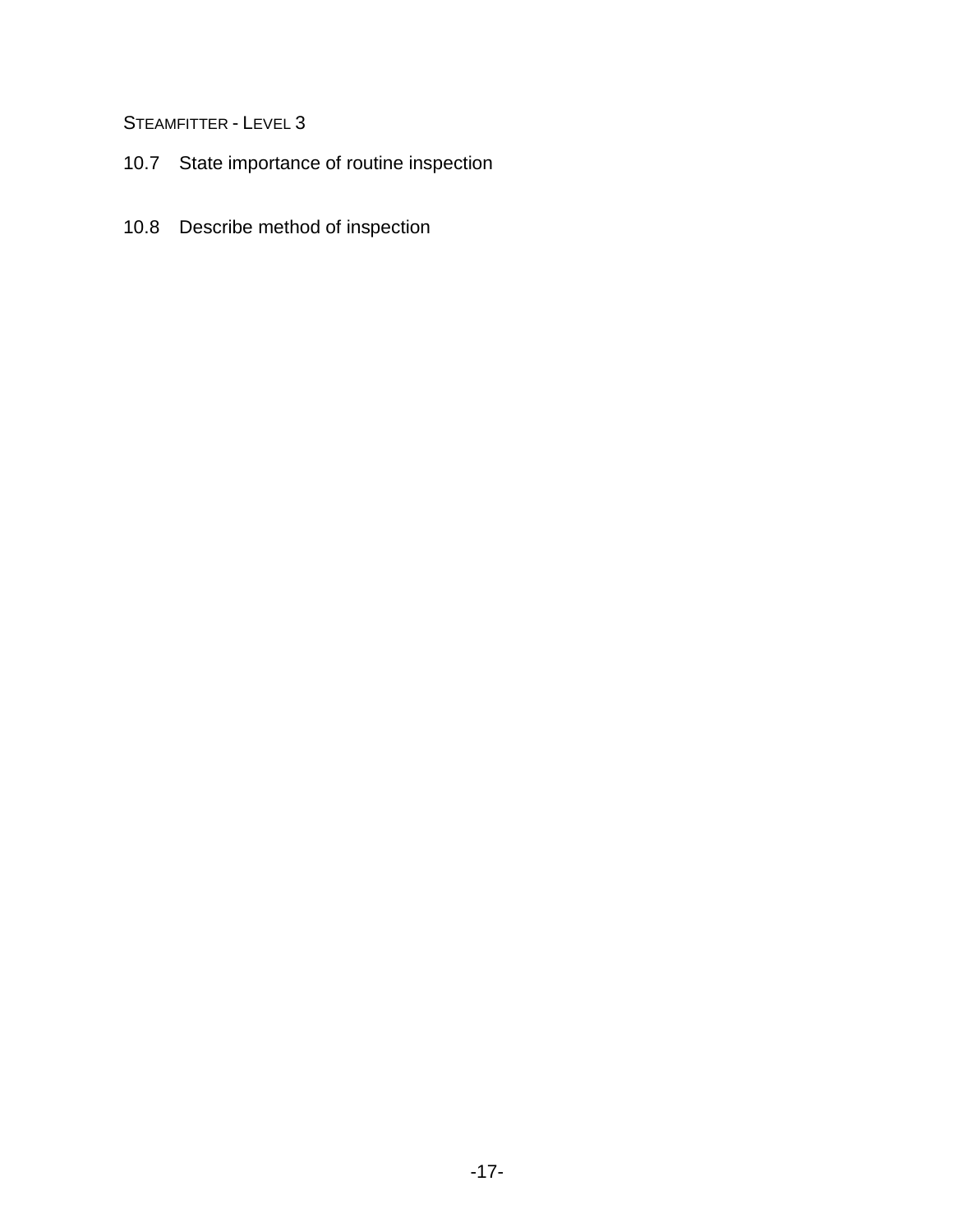- 10.7 State importance of routine inspection
- 10.8 Describe method of inspection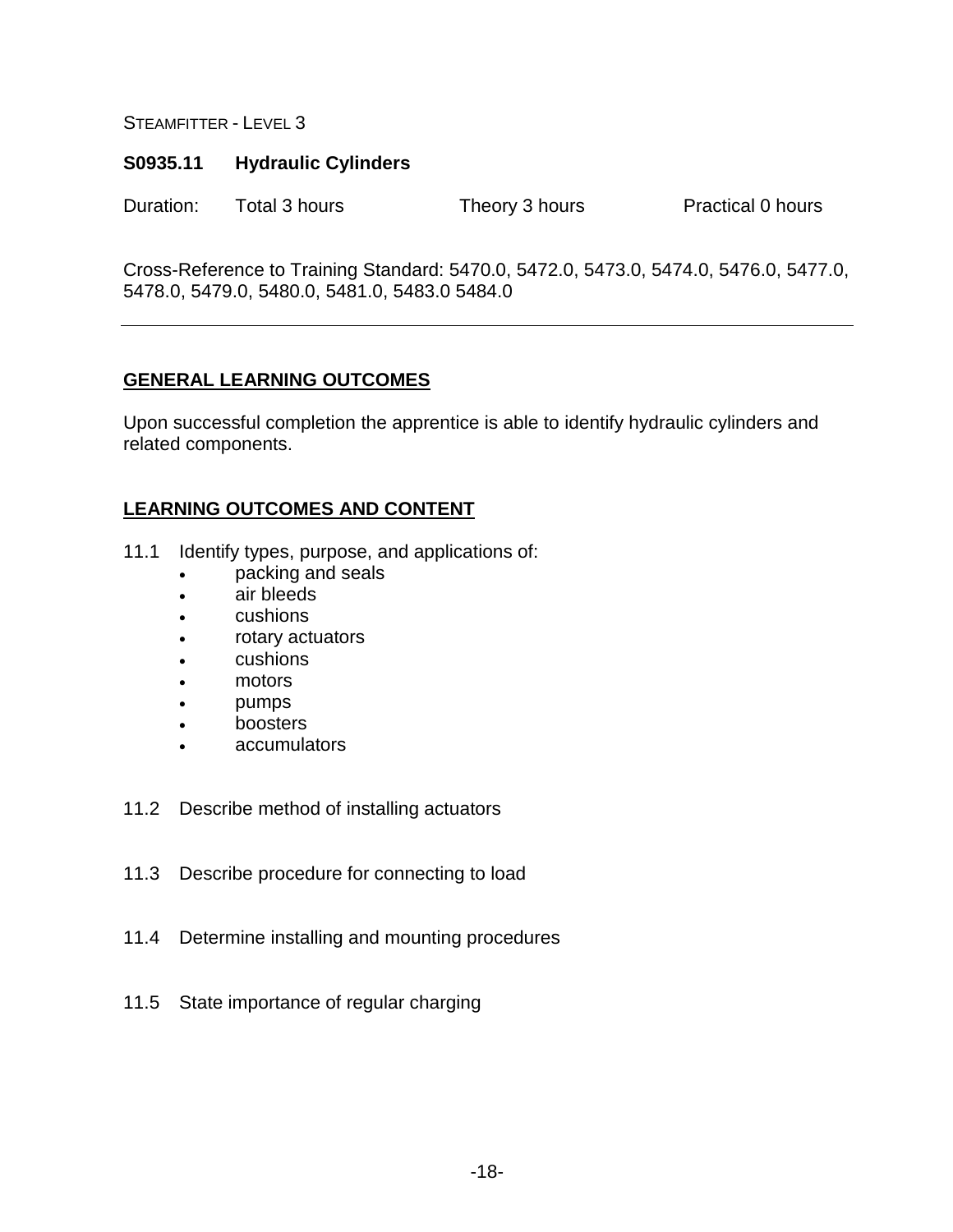#### **S0935.11 Hydraulic Cylinders**

Duration: Total 3 hours Theory 3 hours Practical 0 hours

Cross-Reference to Training Standard: 5470.0, 5472.0, 5473.0, 5474.0, 5476.0, 5477.0, 5478.0, 5479.0, 5480.0, 5481.0, 5483.0 5484.0

#### **GENERAL LEARNING OUTCOMES**

Upon successful completion the apprentice is able to identify hydraulic cylinders and related components.

- 11.1 Identify types, purpose, and applications of:
	- packing and seals
	- air bleeds
	- cushions
	- rotary actuators
	- cushions
	- motors
	- pumps
	- boosters
	- accumulators
- 11.2 Describe method of installing actuators
- 11.3 Describe procedure for connecting to load
- 11.4 Determine installing and mounting procedures
- 11.5 State importance of regular charging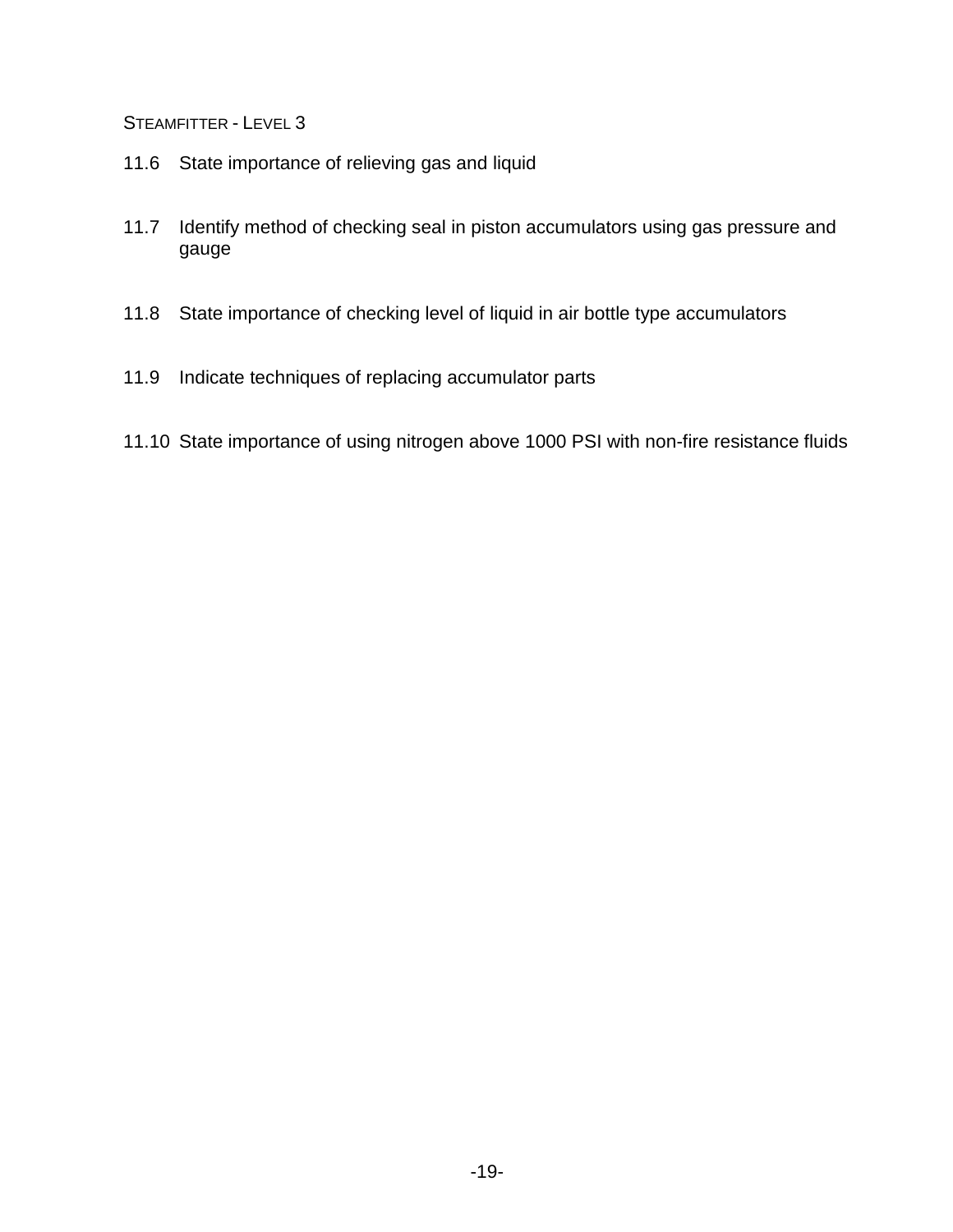- 11.6 State importance of relieving gas and liquid
- 11.7 Identify method of checking seal in piston accumulators using gas pressure and gauge
- 11.8 State importance of checking level of liquid in air bottle type accumulators
- 11.9 Indicate techniques of replacing accumulator parts
- 11.10 State importance of using nitrogen above 1000 PSI with non-fire resistance fluids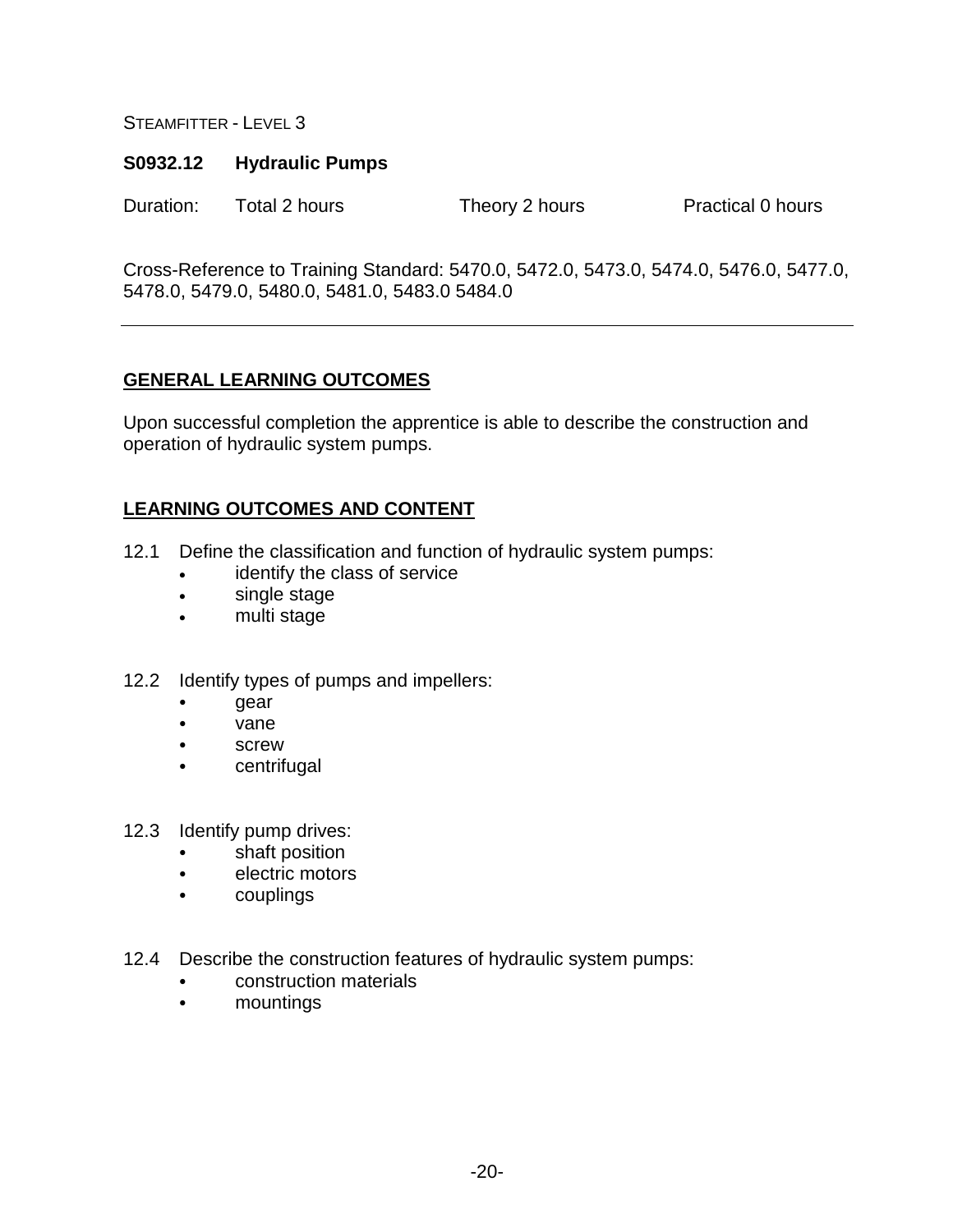#### **S0932.12 Hydraulic Pumps**

Duration: Total 2 hours Theory 2 hours Practical 0 hours

Cross-Reference to Training Standard: 5470.0, 5472.0, 5473.0, 5474.0, 5476.0, 5477.0, 5478.0, 5479.0, 5480.0, 5481.0, 5483.0 5484.0

#### **GENERAL LEARNING OUTCOMES**

Upon successful completion the apprentice is able to describe the construction and operation of hydraulic system pumps.

- 12.1 Define the classification and function of hydraulic system pumps:
	- identify the class of service
	- single stage
	- multi stage
- 12.2 Identify types of pumps and impellers:
	- gear
	- vane
	- screw
	- centrifugal
- 12.3 Identify pump drives:
	- shaft position
	- electric motors
	- couplings
- 12.4 Describe the construction features of hydraulic system pumps:
	- construction materials
	- mountings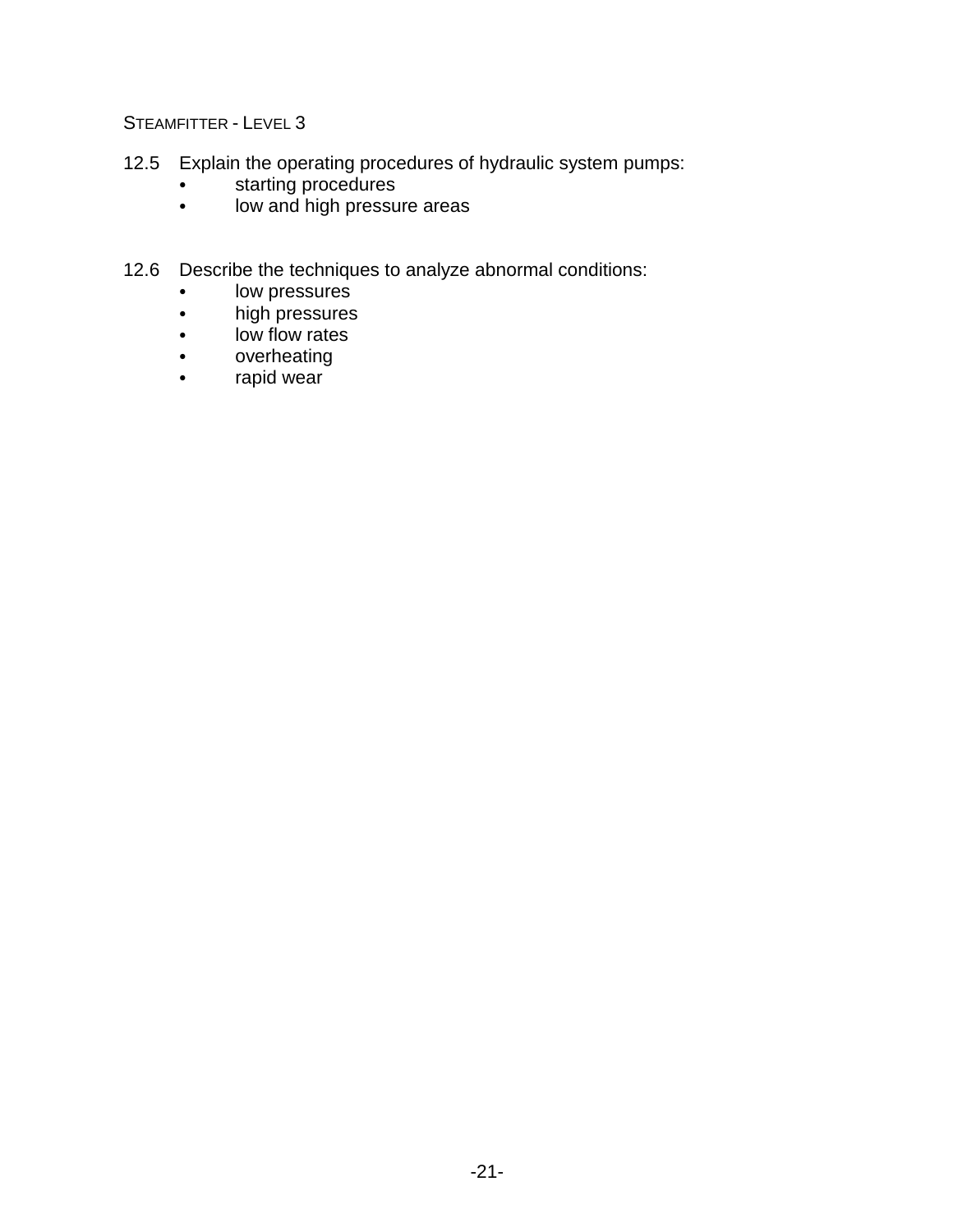- 12.5 Explain the operating procedures of hydraulic system pumps:
	- **•** starting procedures
	- low and high pressure areas
- 12.6 Describe the techniques to analyze abnormal conditions:
	- low pressures
	- high pressures
	- low flow rates
	- overheating
	- rapid wear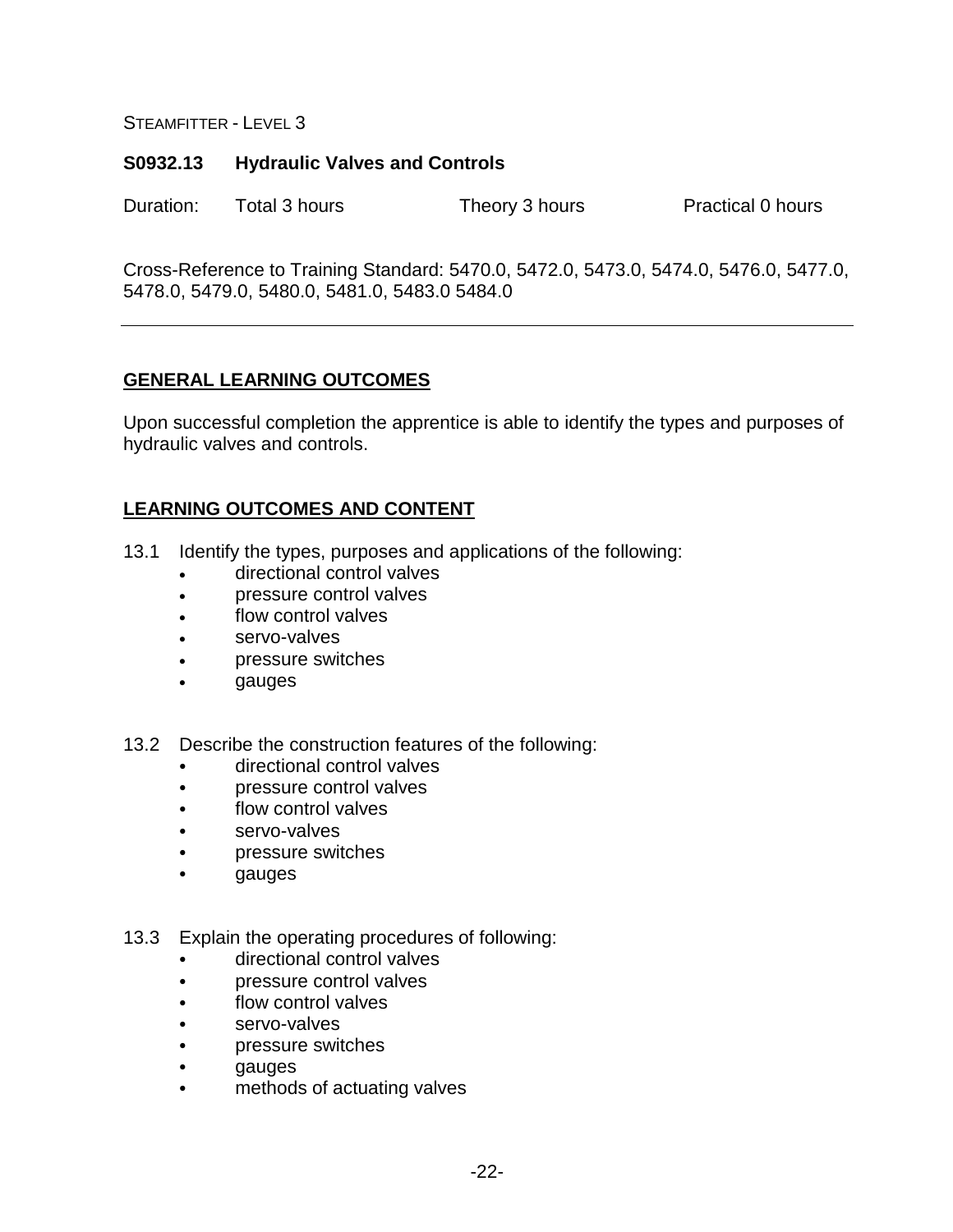#### **S0932.13 Hydraulic Valves and Controls**

Duration: Total 3 hours Theory 3 hours Practical 0 hours

Cross-Reference to Training Standard: 5470.0, 5472.0, 5473.0, 5474.0, 5476.0, 5477.0, 5478.0, 5479.0, 5480.0, 5481.0, 5483.0 5484.0

#### **GENERAL LEARNING OUTCOMES**

Upon successful completion the apprentice is able to identify the types and purposes of hydraulic valves and controls.

- 13.1 Identify the types, purposes and applications of the following:
	- directional control valves
	- pressure control valves
	- flow control valves
	- servo-valves
	- pressure switches
	- gauges
- 13.2 Describe the construction features of the following:
	- directional control valves
	- pressure control valves
	- flow control valves
	- servo-valves
	- pressure switches
	- gauges
- 13.3 Explain the operating procedures of following:
	- directional control valves
	- pressure control valves
	- flow control valves
	- servo-valves
	- pressure switches
	- gauges
	- methods of actuating valves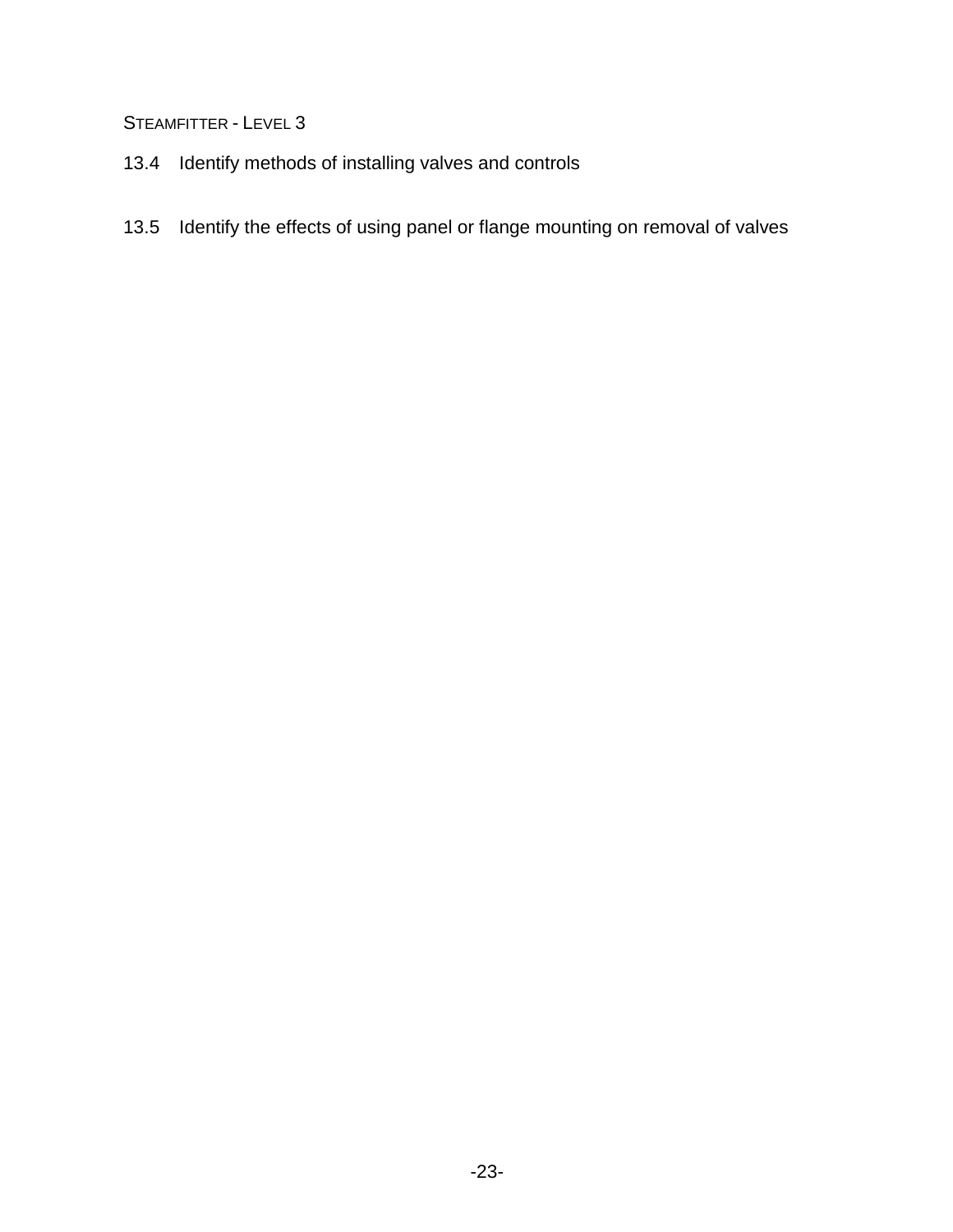- 13.4 Identify methods of installing valves and controls
- 13.5 Identify the effects of using panel or flange mounting on removal of valves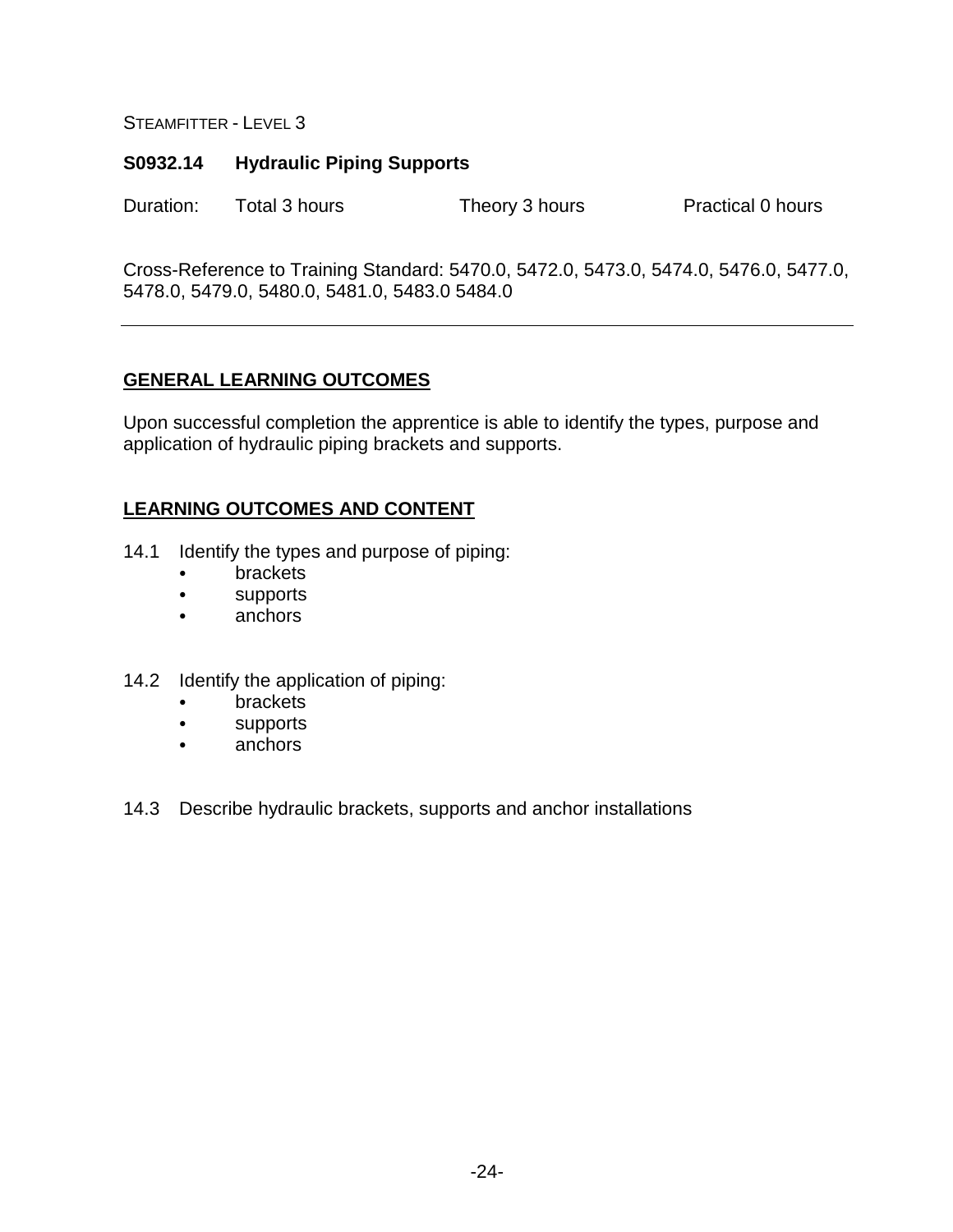#### **S0932.14 Hydraulic Piping Supports**

Duration: Total 3 hours Theory 3 hours Practical 0 hours

Cross-Reference to Training Standard: 5470.0, 5472.0, 5473.0, 5474.0, 5476.0, 5477.0, 5478.0, 5479.0, 5480.0, 5481.0, 5483.0 5484.0

#### **GENERAL LEARNING OUTCOMES**

Upon successful completion the apprentice is able to identify the types, purpose and application of hydraulic piping brackets and supports.

- 14.1 Identify the types and purpose of piping:
	- brackets
	- supports
	- anchors
- 14.2 Identify the application of piping:
	- brackets
	- supports
	- anchors
- 14.3 Describe hydraulic brackets, supports and anchor installations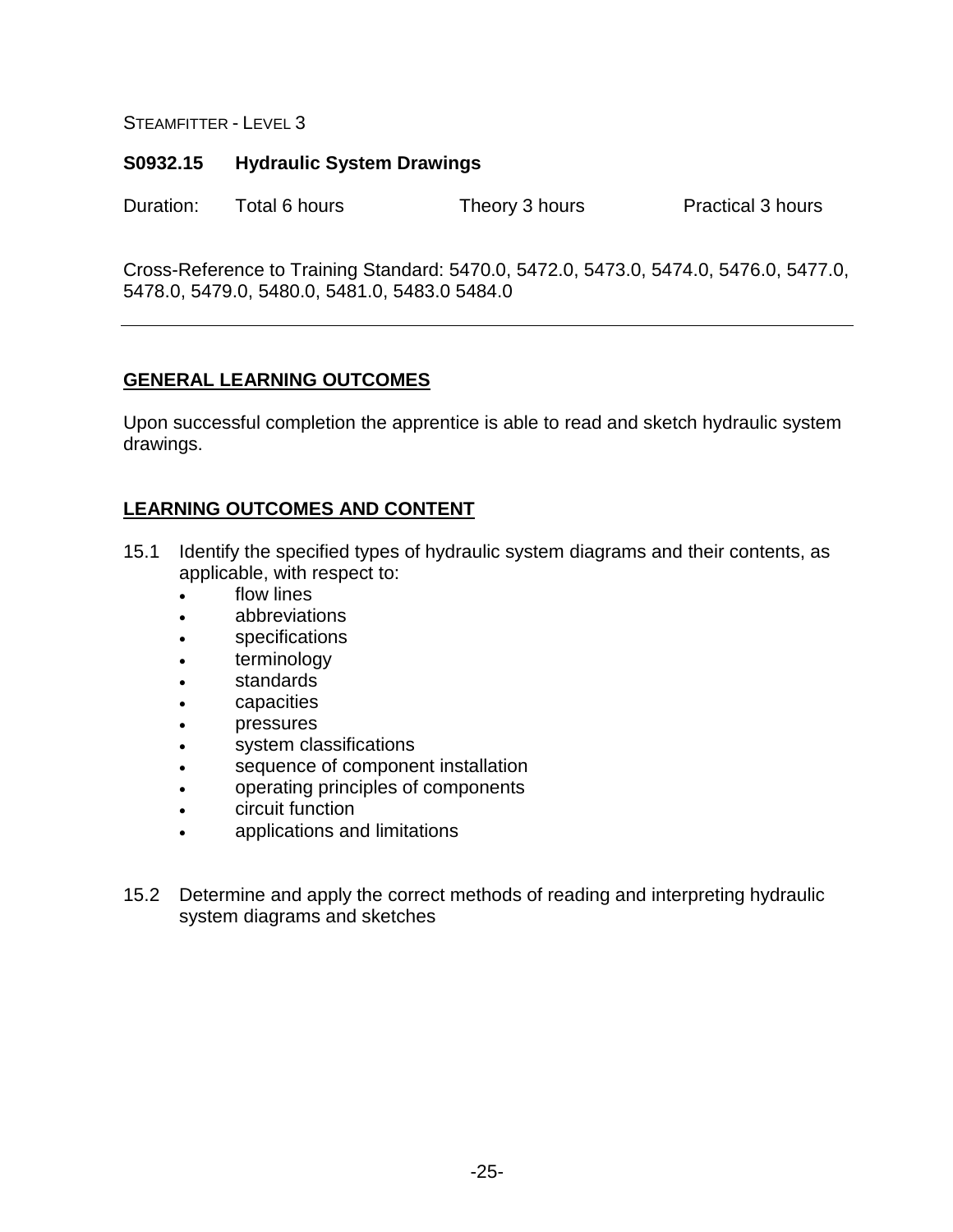#### **S0932.15 Hydraulic System Drawings**

Duration: Total 6 hours Theory 3 hours Practical 3 hours

Cross-Reference to Training Standard: 5470.0, 5472.0, 5473.0, 5474.0, 5476.0, 5477.0, 5478.0, 5479.0, 5480.0, 5481.0, 5483.0 5484.0

#### **GENERAL LEARNING OUTCOMES**

Upon successful completion the apprentice is able to read and sketch hydraulic system drawings.

- 15.1 Identify the specified types of hydraulic system diagrams and their contents, as applicable, with respect to:
	- flow lines
	- abbreviations
	- specifications
	- terminology
	- standards
	- capacities
	- **pressures**
	- system classifications
	- sequence of component installation
	- operating principles of components
	- circuit function
	- applications and limitations
- 15.2 Determine and apply the correct methods of reading and interpreting hydraulic system diagrams and sketches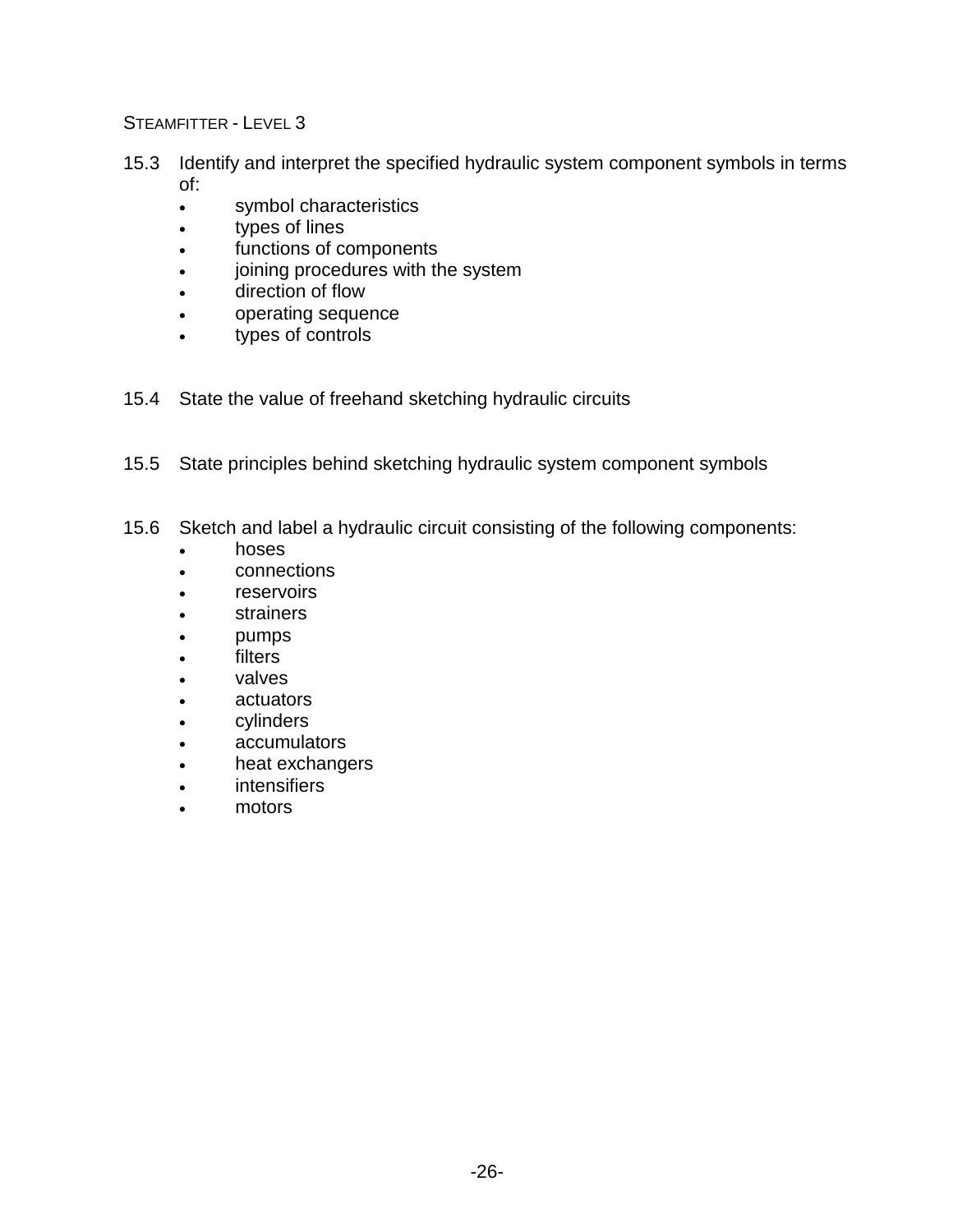- 15.3 Identify and interpret the specified hydraulic system component symbols in terms of:
	- symbol characteristics
	- types of lines
	- functions of components
	- joining procedures with the system
	- direction of flow
	- operating sequence
	- types of controls
- 15.4 State the value of freehand sketching hydraulic circuits
- 15.5 State principles behind sketching hydraulic system component symbols
- 15.6 Sketch and label a hydraulic circuit consisting of the following components:
	- hoses
	- connections
	- reservoirs
	- **strainers**
	- pumps
	- **filters**
	- valves
	- actuators
	- cylinders
	- accumulators
	- heat exchangers
	- intensifiers
	- motors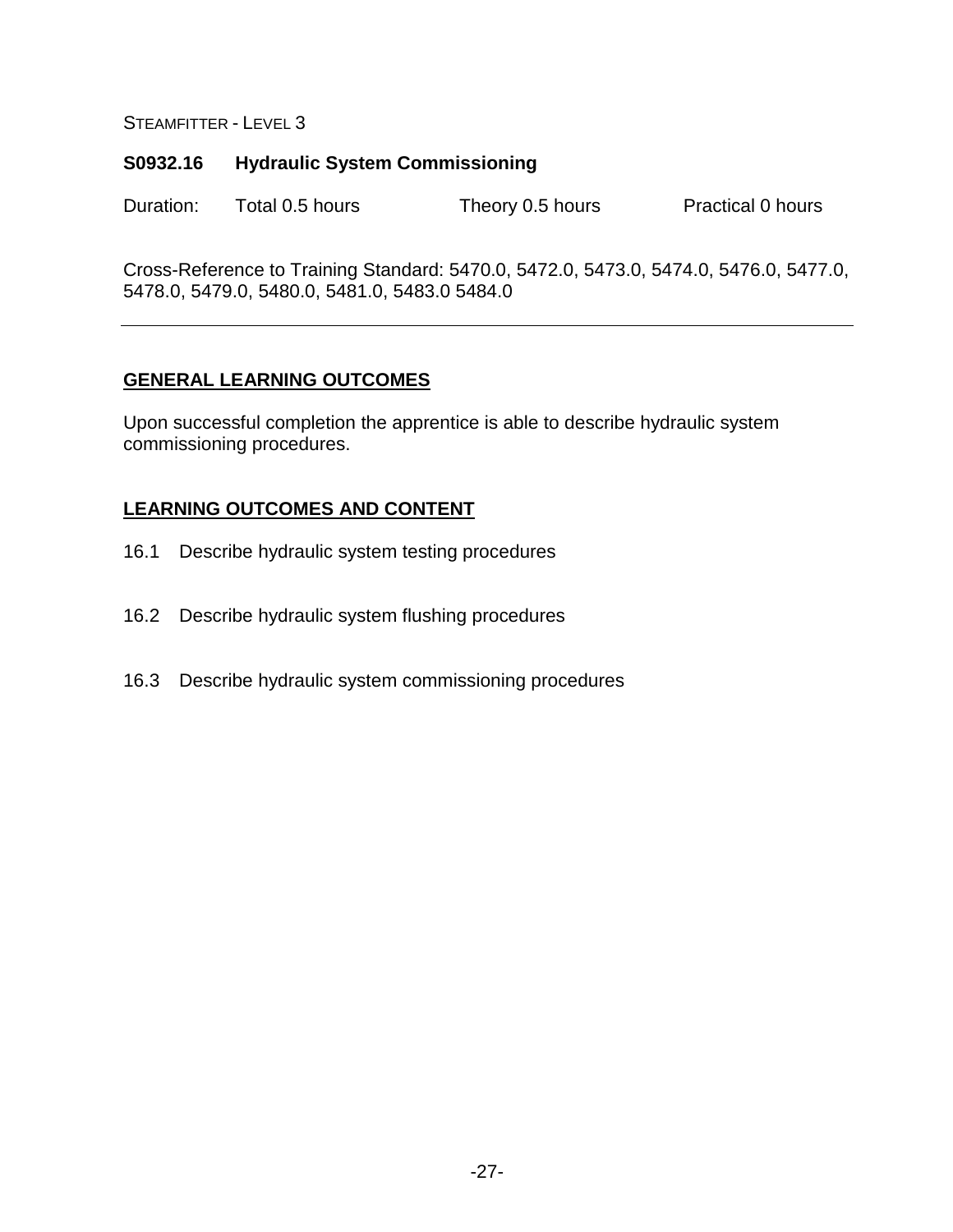#### **S0932.16 Hydraulic System Commissioning**

Duration: Total 0.5 hours Theory 0.5 hours Practical 0 hours

Cross-Reference to Training Standard: 5470.0, 5472.0, 5473.0, 5474.0, 5476.0, 5477.0, 5478.0, 5479.0, 5480.0, 5481.0, 5483.0 5484.0

#### **GENERAL LEARNING OUTCOMES**

Upon successful completion the apprentice is able to describe hydraulic system commissioning procedures.

- 16.1 Describe hydraulic system testing procedures
- 16.2 Describe hydraulic system flushing procedures
- 16.3 Describe hydraulic system commissioning procedures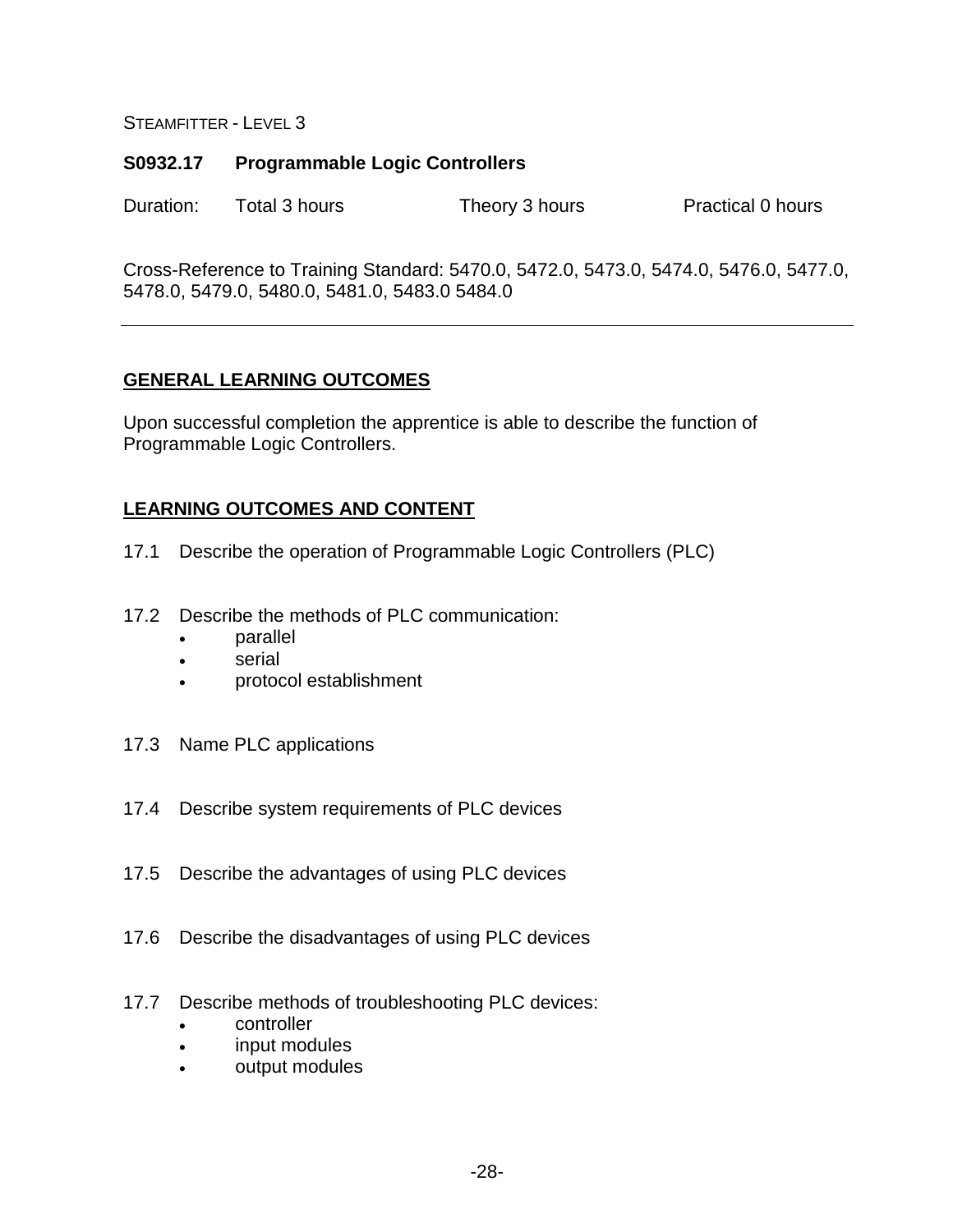#### **S0932.17 Programmable Logic Controllers**

Duration: Total 3 hours Theory 3 hours Practical 0 hours

Cross-Reference to Training Standard: 5470.0, 5472.0, 5473.0, 5474.0, 5476.0, 5477.0, 5478.0, 5479.0, 5480.0, 5481.0, 5483.0 5484.0

#### **GENERAL LEARNING OUTCOMES**

Upon successful completion the apprentice is able to describe the function of Programmable Logic Controllers.

- 17.1 Describe the operation of Programmable Logic Controllers (PLC)
- 17.2 Describe the methods of PLC communication:
	- parallel
	- serial
	- protocol establishment
- 17.3 Name PLC applications
- 17.4 Describe system requirements of PLC devices
- 17.5 Describe the advantages of using PLC devices
- 17.6 Describe the disadvantages of using PLC devices
- 17.7 Describe methods of troubleshooting PLC devices:
	- controller
	- input modules
	- output modules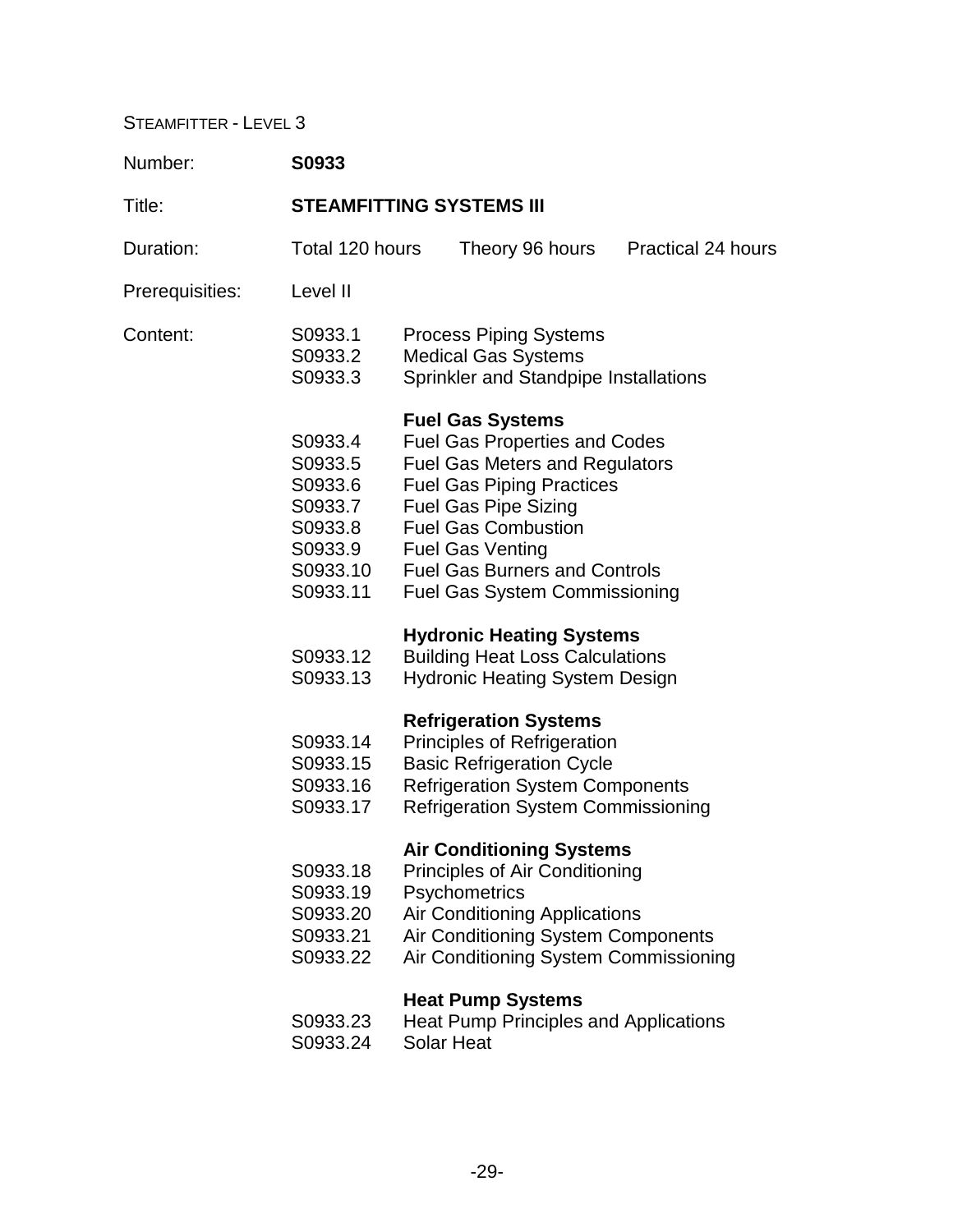| Number:         | S0933                                                                                  |                                 |                                                                                                                                                                                                                                                                                                                      |                           |  |
|-----------------|----------------------------------------------------------------------------------------|---------------------------------|----------------------------------------------------------------------------------------------------------------------------------------------------------------------------------------------------------------------------------------------------------------------------------------------------------------------|---------------------------|--|
| Title:          |                                                                                        | <b>STEAMFITTING SYSTEMS III</b> |                                                                                                                                                                                                                                                                                                                      |                           |  |
| Duration:       | Total 120 hours                                                                        |                                 | Theory 96 hours                                                                                                                                                                                                                                                                                                      | <b>Practical 24 hours</b> |  |
| Prerequisities: | Level II                                                                               |                                 |                                                                                                                                                                                                                                                                                                                      |                           |  |
| Content:        | S0933.1<br>S0933.2<br>S0933.3                                                          |                                 | <b>Process Piping Systems</b><br><b>Medical Gas Systems</b><br>Sprinkler and Standpipe Installations                                                                                                                                                                                                                 |                           |  |
|                 | S0933.4<br>S0933.5<br>S0933.6<br>S0933.7<br>S0933.8<br>S0933.9<br>S0933.10<br>S0933.11 |                                 | <b>Fuel Gas Systems</b><br><b>Fuel Gas Properties and Codes</b><br><b>Fuel Gas Meters and Regulators</b><br><b>Fuel Gas Piping Practices</b><br><b>Fuel Gas Pipe Sizing</b><br><b>Fuel Gas Combustion</b><br><b>Fuel Gas Venting</b><br><b>Fuel Gas Burners and Controls</b><br><b>Fuel Gas System Commissioning</b> |                           |  |
|                 | S0933.12<br>S0933.13                                                                   |                                 | <b>Hydronic Heating Systems</b><br><b>Building Heat Loss Calculations</b><br><b>Hydronic Heating System Design</b>                                                                                                                                                                                                   |                           |  |
|                 | S0933.14<br>S0933.15<br>S0933.16<br>S0933.17                                           |                                 | <b>Refrigeration Systems</b><br><b>Principles of Refrigeration</b><br><b>Basic Refrigeration Cycle</b><br><b>Refrigeration System Components</b><br><b>Refrigeration System Commissioning</b>                                                                                                                        |                           |  |
|                 | S0933.18<br>S0933.19<br>S0933.20<br>S0933.21<br>S0933.22                               |                                 | <b>Air Conditioning Systems</b><br>Principles of Air Conditioning<br>Psychometrics<br><b>Air Conditioning Applications</b><br>Air Conditioning System Components<br>Air Conditioning System Commissioning                                                                                                            |                           |  |
|                 | S0933.23<br>S0933.24                                                                   |                                 | <b>Heat Pump Systems</b><br><b>Heat Pump Principles and Applications</b><br><b>Solar Heat</b>                                                                                                                                                                                                                        |                           |  |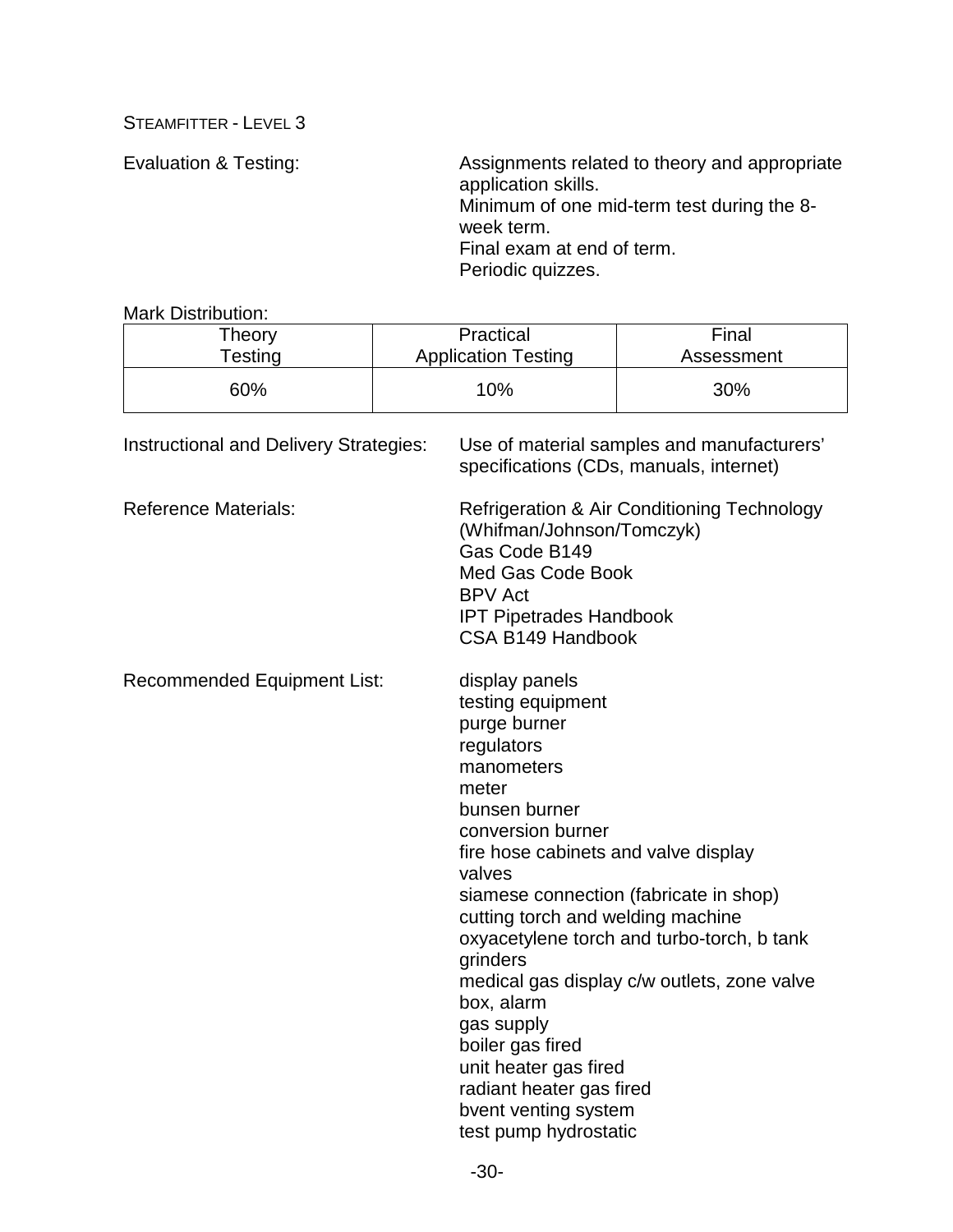Evaluation & Testing: Assignments related to theory and appropriate application skills. Minimum of one mid-term test during the 8 week term. Final exam at end of term. Periodic quizzes.

Mark Distribution:

| Theory  | Practical                  | Final      |
|---------|----------------------------|------------|
| Testing | <b>Application Testing</b> | Assessment |
| 60%     | 10%                        | 30%        |

| Instructional and Delivery Strategies: | Use of material samples and manufacturers'<br>specifications (CDs, manuals, internet)                                                                                                                                                                                                                                                                                                                                                                                                                                          |
|----------------------------------------|--------------------------------------------------------------------------------------------------------------------------------------------------------------------------------------------------------------------------------------------------------------------------------------------------------------------------------------------------------------------------------------------------------------------------------------------------------------------------------------------------------------------------------|
| <b>Reference Materials:</b>            | <b>Refrigeration &amp; Air Conditioning Technology</b><br>(Whifman/Johnson/Tomczyk)<br>Gas Code B149<br><b>Med Gas Code Book</b><br><b>BPV Act</b><br><b>IPT Pipetrades Handbook</b><br>CSA B149 Handbook                                                                                                                                                                                                                                                                                                                      |
| <b>Recommended Equipment List:</b>     | display panels<br>testing equipment<br>purge burner<br>regulators<br>manometers<br>meter<br>bunsen burner<br>conversion burner<br>fire hose cabinets and valve display<br>valves<br>siamese connection (fabricate in shop)<br>cutting torch and welding machine<br>oxyacetylene torch and turbo-torch, b tank<br>grinders<br>medical gas display c/w outlets, zone valve<br>box, alarm<br>gas supply<br>boiler gas fired<br>unit heater gas fired<br>radiant heater gas fired<br>bvent venting system<br>test pump hydrostatic |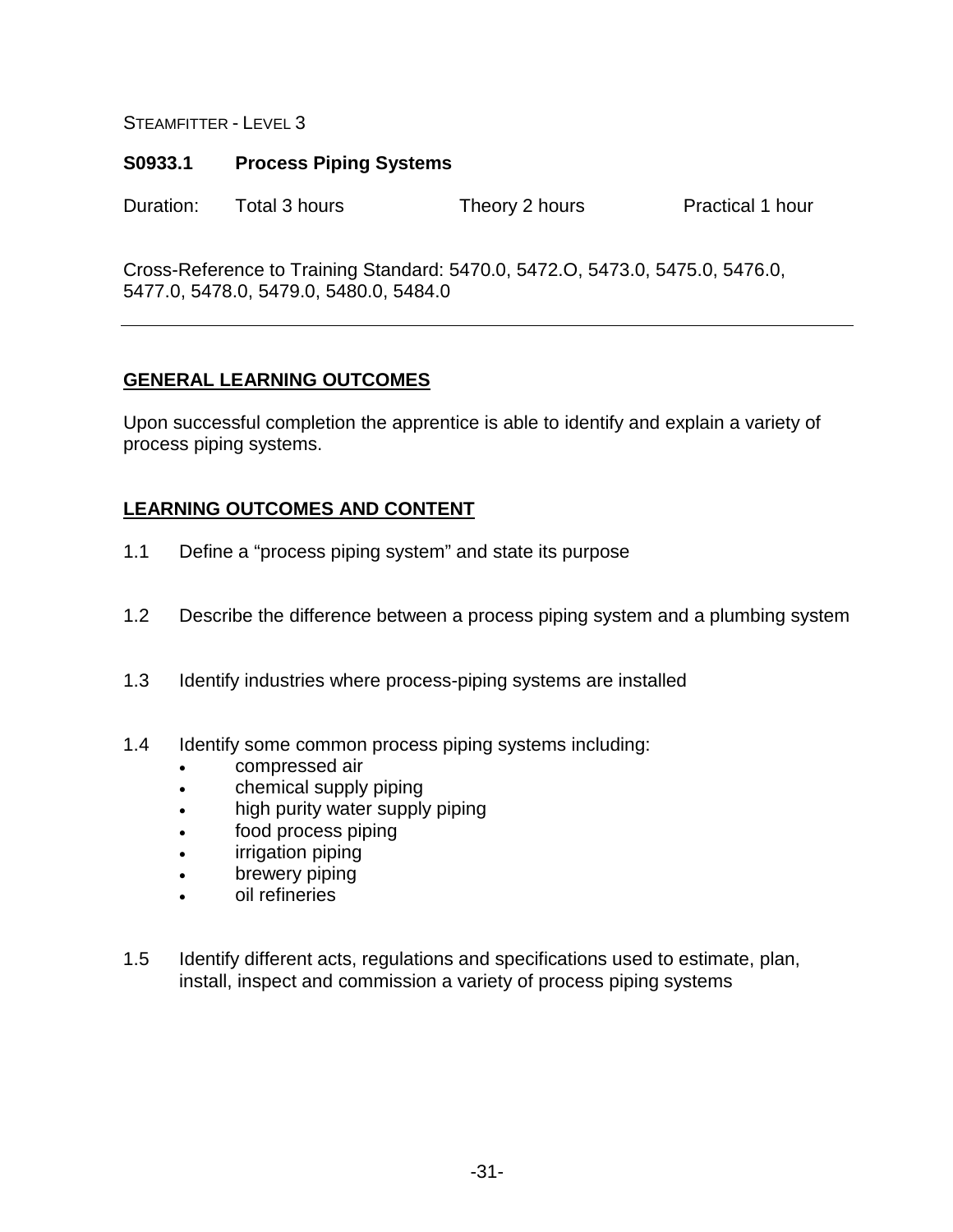### **S0933.1 Process Piping Systems**

Duration: Total 3 hours Theory 2 hours Practical 1 hour

Cross-Reference to Training Standard: 5470.0, 5472.O, 5473.0, 5475.0, 5476.0, 5477.0, 5478.0, 5479.0, 5480.0, 5484.0

# **GENERAL LEARNING OUTCOMES**

Upon successful completion the apprentice is able to identify and explain a variety of process piping systems.

- 1.1 Define a "process piping system" and state its purpose
- 1.2 Describe the difference between a process piping system and a plumbing system
- 1.3 Identify industries where process-piping systems are installed
- 1.4 Identify some common process piping systems including:
	- compressed air
	- chemical supply piping
	- high purity water supply piping
	- food process piping
	- irrigation piping
	- brewery piping
	- oil refineries
- 1.5 Identify different acts, regulations and specifications used to estimate, plan, install, inspect and commission a variety of process piping systems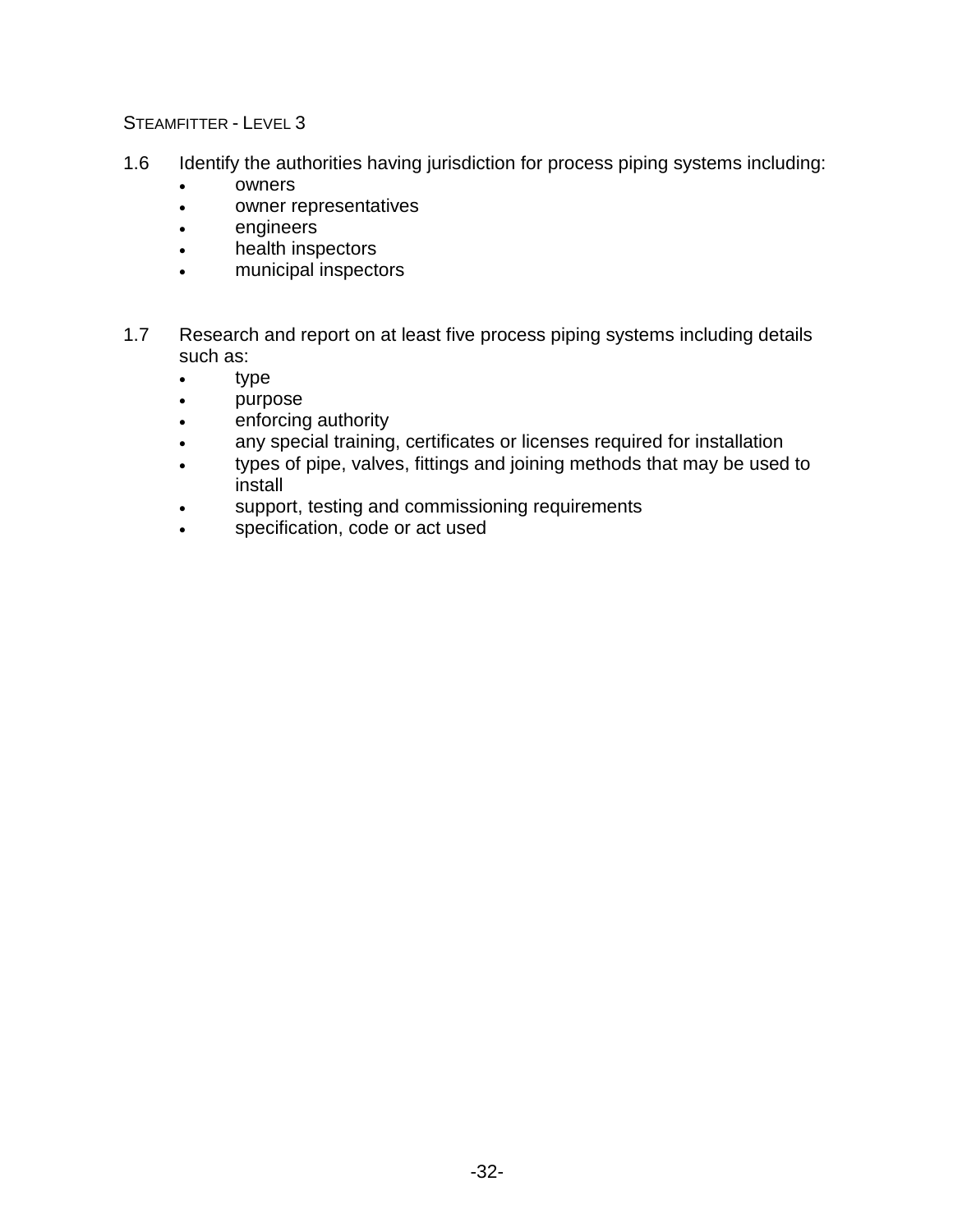- 1.6 Identify the authorities having jurisdiction for process piping systems including:
	- owners
	- owner representatives
	- engineers
	- health inspectors
	- municipal inspectors
- 1.7 Research and report on at least five process piping systems including details such as:
	- type
	- purpose
	- enforcing authority
	- any special training, certificates or licenses required for installation
	- types of pipe, valves, fittings and joining methods that may be used to install
	- support, testing and commissioning requirements
	- specification, code or act used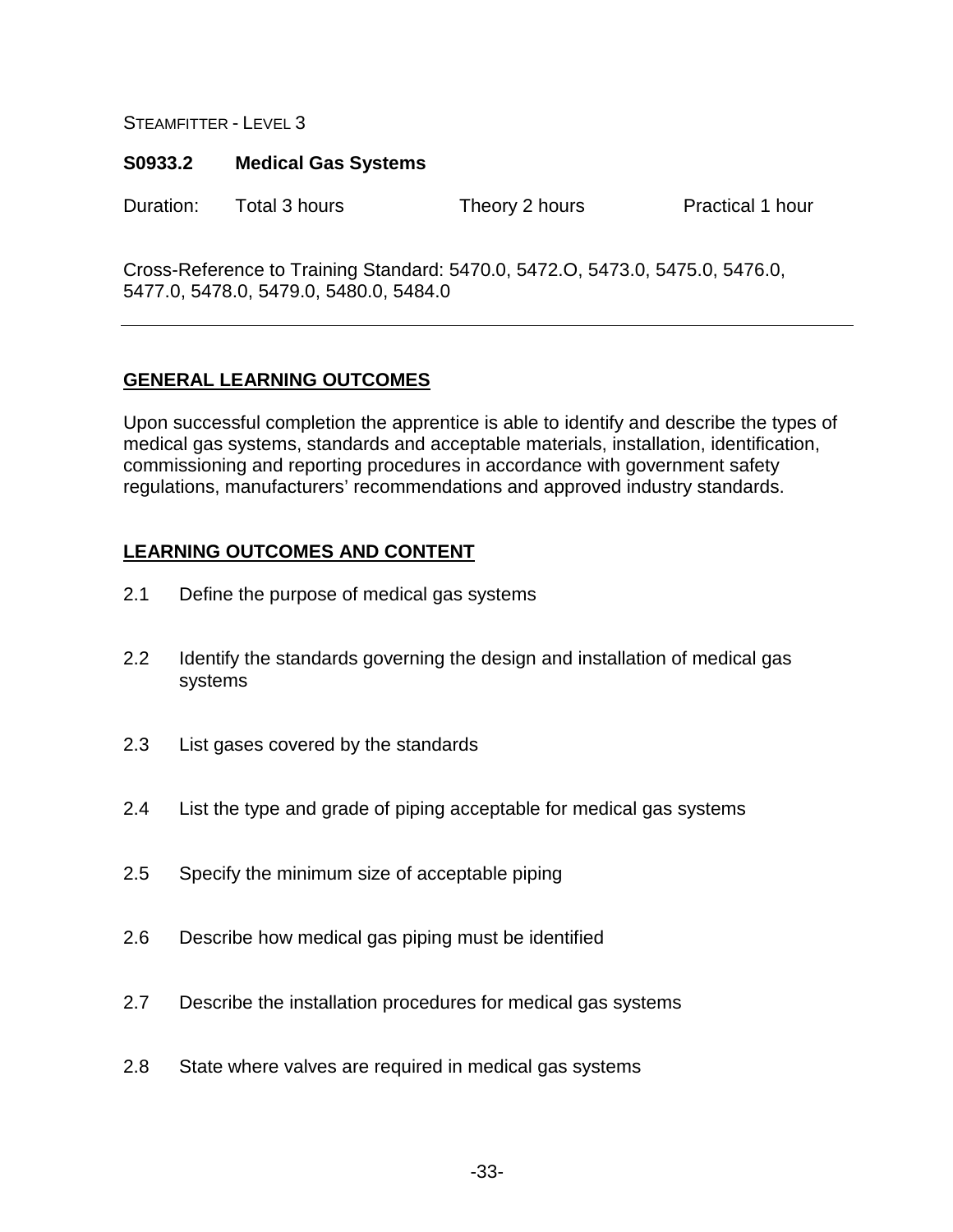### **S0933.2 Medical Gas Systems**

Duration: Total 3 hours Theory 2 hours Practical 1 hour

Cross-Reference to Training Standard: 5470.0, 5472.O, 5473.0, 5475.0, 5476.0, 5477.0, 5478.0, 5479.0, 5480.0, 5484.0

# **GENERAL LEARNING OUTCOMES**

Upon successful completion the apprentice is able to identify and describe the types of medical gas systems, standards and acceptable materials, installation, identification, commissioning and reporting procedures in accordance with government safety regulations, manufacturers' recommendations and approved industry standards.

- 2.1 Define the purpose of medical gas systems
- 2.2 Identify the standards governing the design and installation of medical gas systems
- 2.3 List gases covered by the standards
- 2.4 List the type and grade of piping acceptable for medical gas systems
- 2.5 Specify the minimum size of acceptable piping
- 2.6 Describe how medical gas piping must be identified
- 2.7 Describe the installation procedures for medical gas systems
- 2.8 State where valves are required in medical gas systems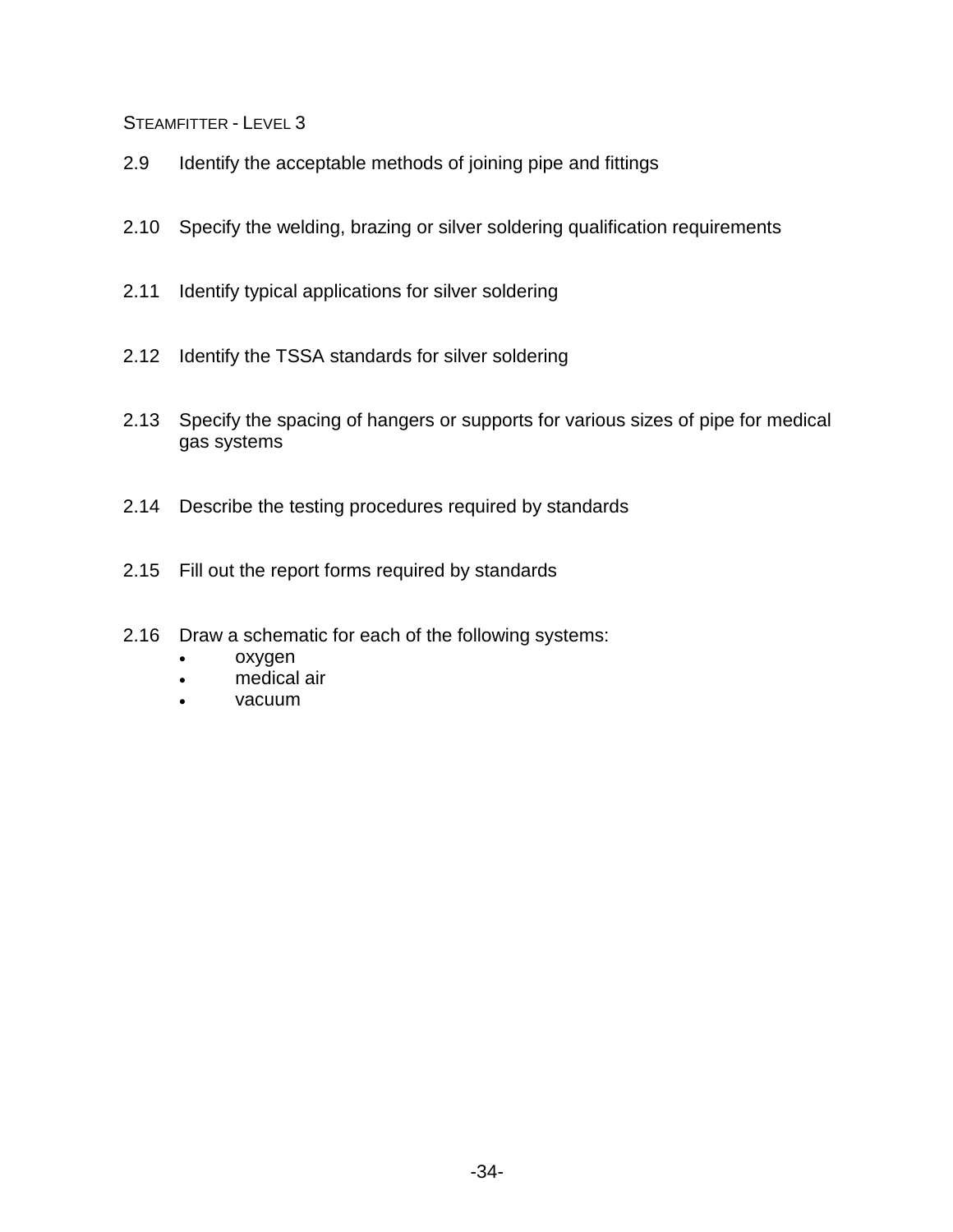- 2.9 Identify the acceptable methods of joining pipe and fittings
- 2.10 Specify the welding, brazing or silver soldering qualification requirements
- 2.11 Identify typical applications for silver soldering
- 2.12 Identify the TSSA standards for silver soldering
- 2.13 Specify the spacing of hangers or supports for various sizes of pipe for medical gas systems
- 2.14 Describe the testing procedures required by standards
- 2.15 Fill out the report forms required by standards
- 2.16 Draw a schematic for each of the following systems:
	- oxygen
	- medical air
	- vacuum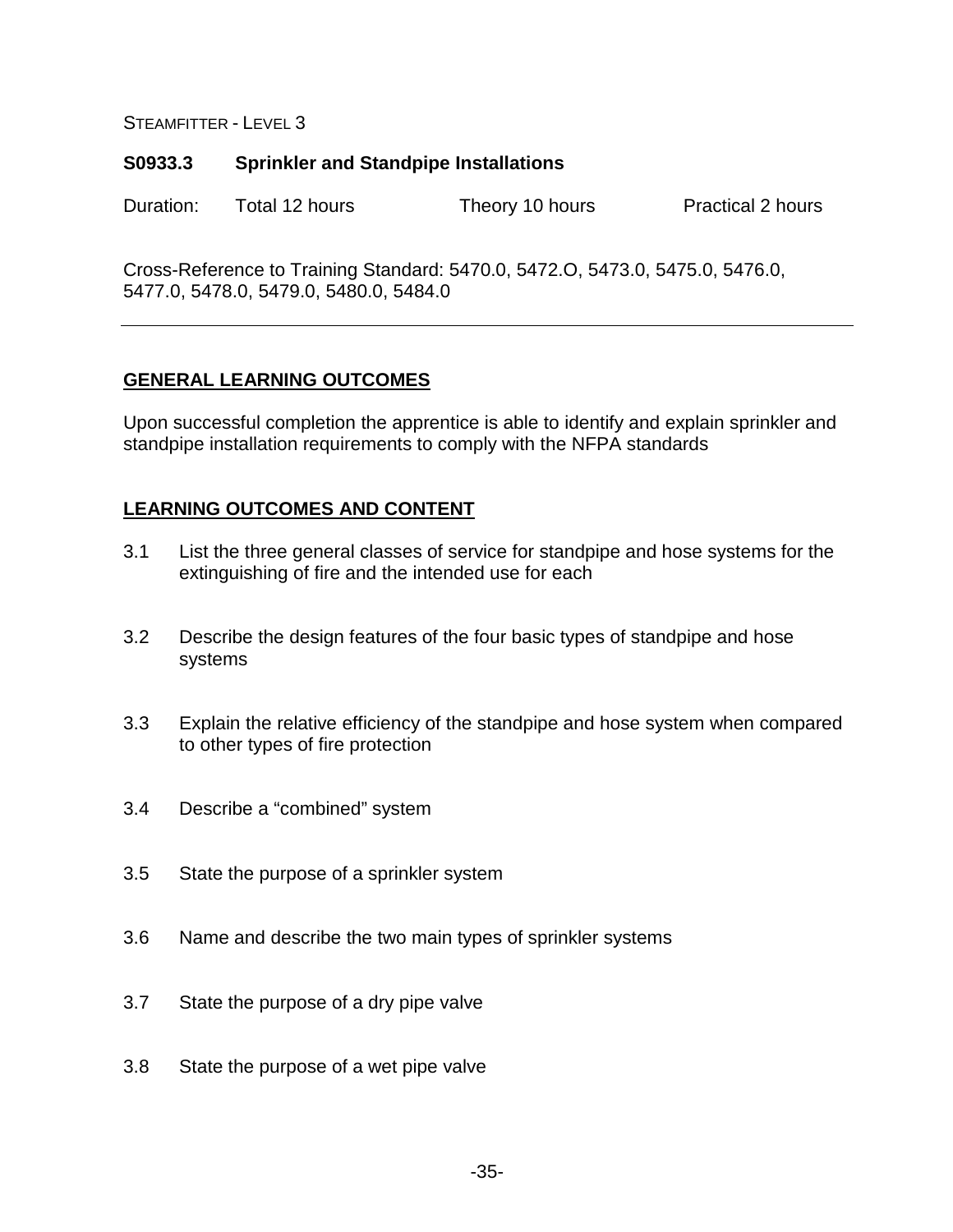## **S0933.3 Sprinkler and Standpipe Installations**

Duration: Total 12 hours Theory 10 hours Practical 2 hours

Cross-Reference to Training Standard: 5470.0, 5472.O, 5473.0, 5475.0, 5476.0, 5477.0, 5478.0, 5479.0, 5480.0, 5484.0

## **GENERAL LEARNING OUTCOMES**

Upon successful completion the apprentice is able to identify and explain sprinkler and standpipe installation requirements to comply with the NFPA standards

- 3.1 List the three general classes of service for standpipe and hose systems for the extinguishing of fire and the intended use for each
- 3.2 Describe the design features of the four basic types of standpipe and hose systems
- 3.3 Explain the relative efficiency of the standpipe and hose system when compared to other types of fire protection
- 3.4 Describe a "combined" system
- 3.5 State the purpose of a sprinkler system
- 3.6 Name and describe the two main types of sprinkler systems
- 3.7 State the purpose of a dry pipe valve
- 3.8 State the purpose of a wet pipe valve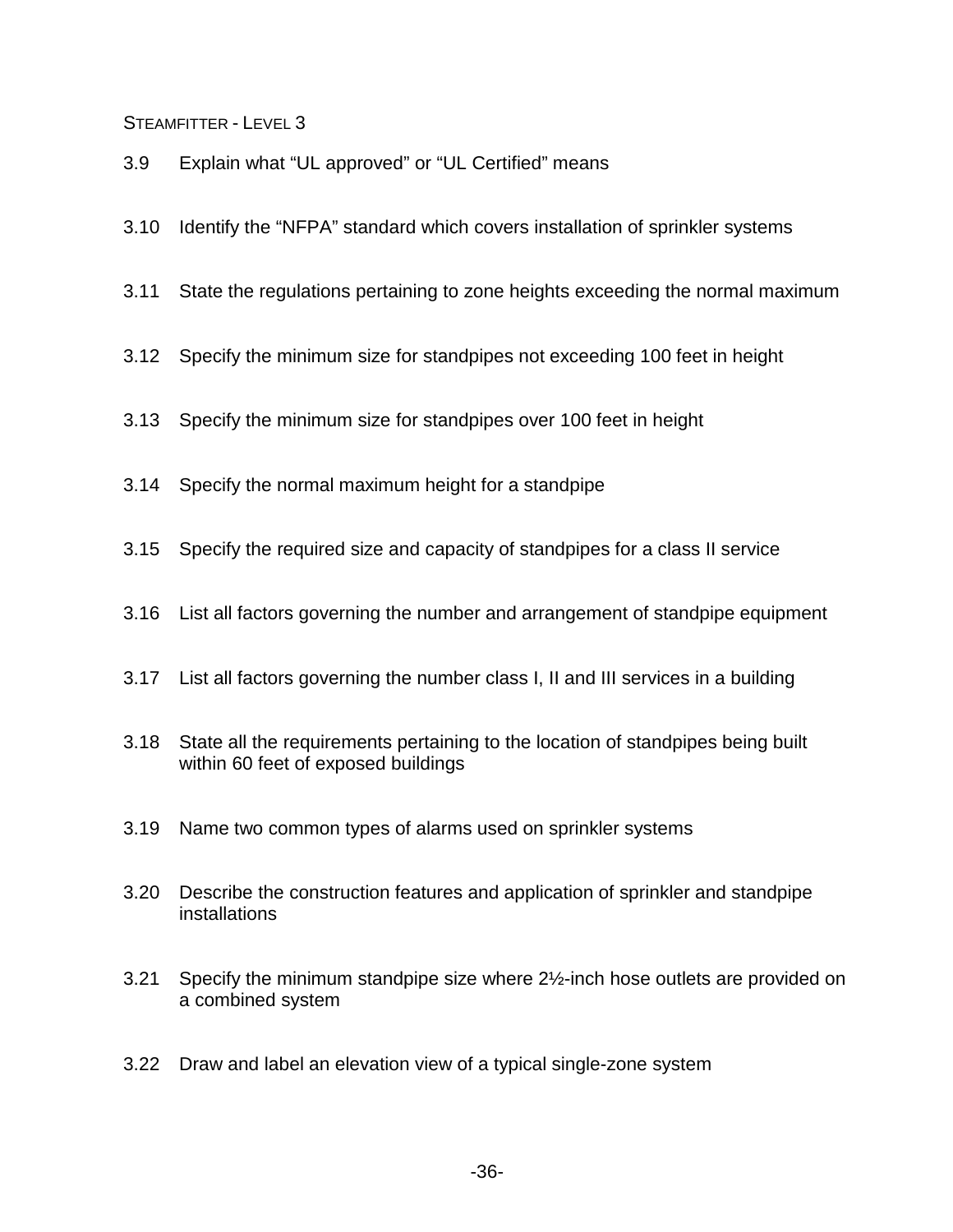- 3.9 Explain what "UL approved" or "UL Certified" means
- 3.10 Identify the "NFPA" standard which covers installation of sprinkler systems
- 3.11 State the regulations pertaining to zone heights exceeding the normal maximum
- 3.12 Specify the minimum size for standpipes not exceeding 100 feet in height
- 3.13 Specify the minimum size for standpipes over 100 feet in height
- 3.14 Specify the normal maximum height for a standpipe
- 3.15 Specify the required size and capacity of standpipes for a class II service
- 3.16 List all factors governing the number and arrangement of standpipe equipment
- 3.17 List all factors governing the number class I, II and III services in a building
- 3.18 State all the requirements pertaining to the location of standpipes being built within 60 feet of exposed buildings
- 3.19 Name two common types of alarms used on sprinkler systems
- 3.20 Describe the construction features and application of sprinkler and standpipe installations
- 3.21 Specify the minimum standpipe size where 2½-inch hose outlets are provided on a combined system
- 3.22 Draw and label an elevation view of a typical single-zone system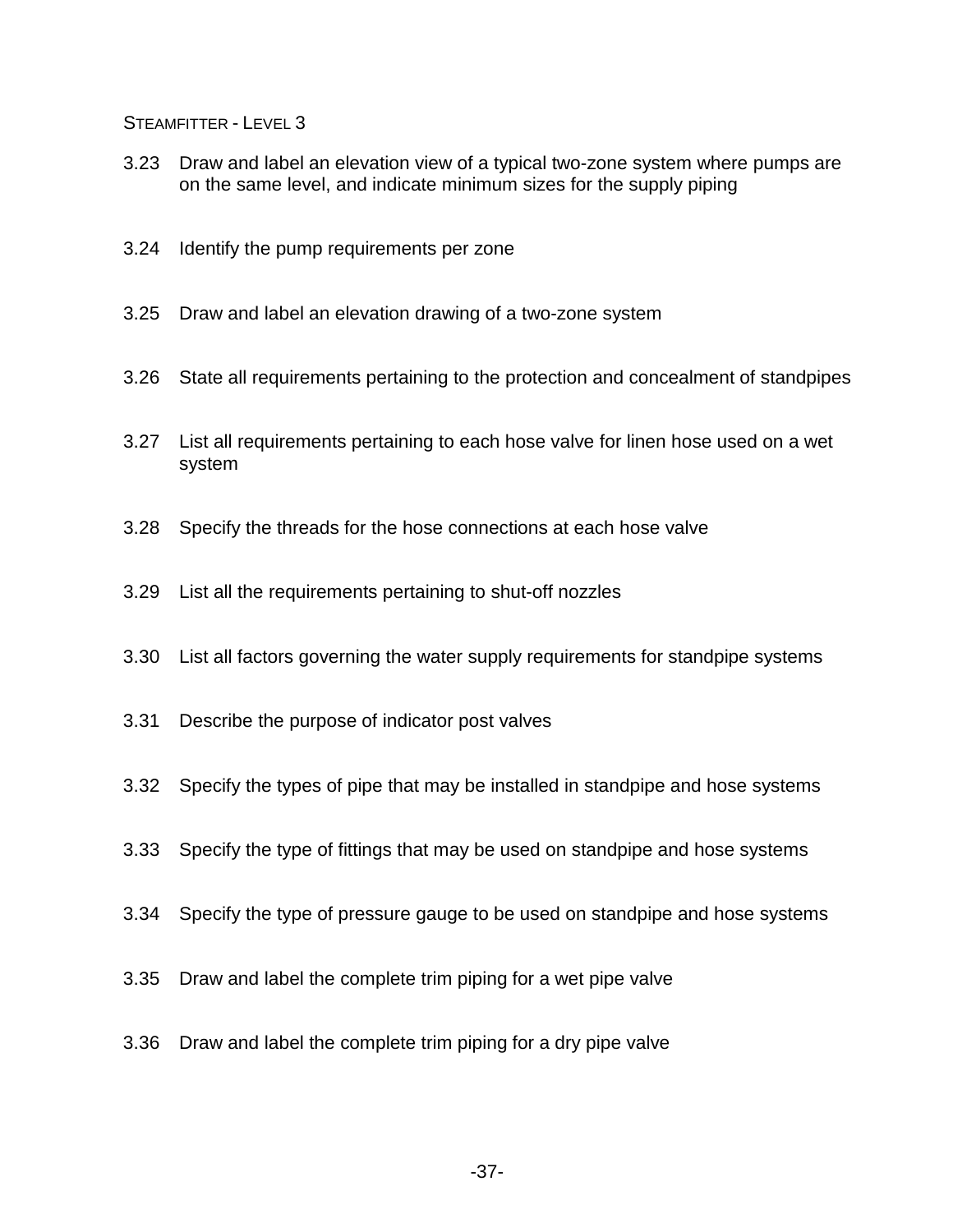- 3.23 Draw and label an elevation view of a typical two-zone system where pumps are on the same level, and indicate minimum sizes for the supply piping
- 3.24 Identify the pump requirements per zone
- 3.25 Draw and label an elevation drawing of a two-zone system
- 3.26 State all requirements pertaining to the protection and concealment of standpipes
- 3.27 List all requirements pertaining to each hose valve for linen hose used on a wet system
- 3.28 Specify the threads for the hose connections at each hose valve
- 3.29 List all the requirements pertaining to shut-off nozzles
- 3.30 List all factors governing the water supply requirements for standpipe systems
- 3.31 Describe the purpose of indicator post valves
- 3.32 Specify the types of pipe that may be installed in standpipe and hose systems
- 3.33 Specify the type of fittings that may be used on standpipe and hose systems
- 3.34 Specify the type of pressure gauge to be used on standpipe and hose systems
- 3.35 Draw and label the complete trim piping for a wet pipe valve
- 3.36 Draw and label the complete trim piping for a dry pipe valve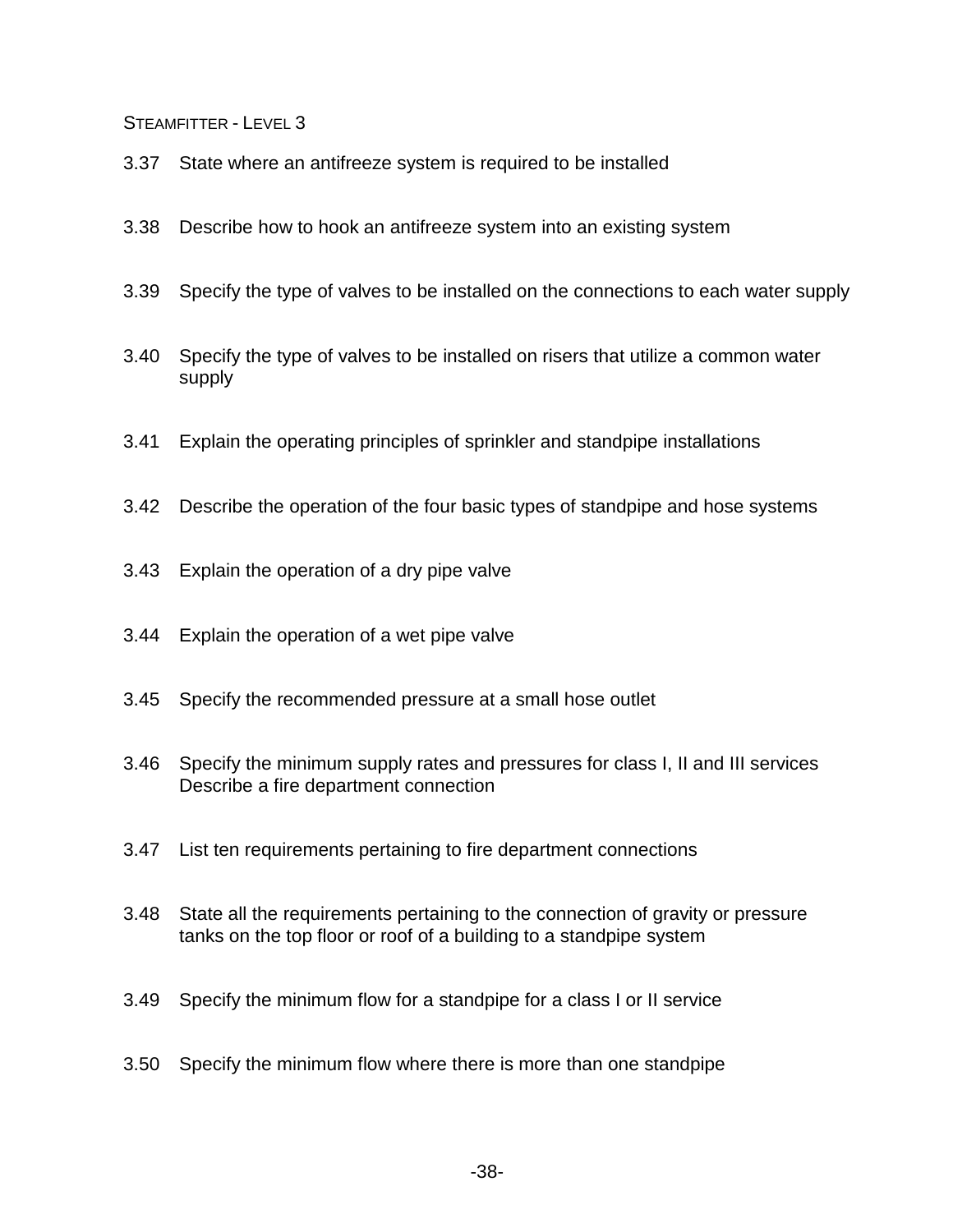- 3.37 State where an antifreeze system is required to be installed
- 3.38 Describe how to hook an antifreeze system into an existing system
- 3.39 Specify the type of valves to be installed on the connections to each water supply
- 3.40 Specify the type of valves to be installed on risers that utilize a common water supply
- 3.41 Explain the operating principles of sprinkler and standpipe installations
- 3.42 Describe the operation of the four basic types of standpipe and hose systems
- 3.43 Explain the operation of a dry pipe valve
- 3.44 Explain the operation of a wet pipe valve
- 3.45 Specify the recommended pressure at a small hose outlet
- 3.46 Specify the minimum supply rates and pressures for class I, II and III services Describe a fire department connection
- 3.47 List ten requirements pertaining to fire department connections
- 3.48 State all the requirements pertaining to the connection of gravity or pressure tanks on the top floor or roof of a building to a standpipe system
- 3.49 Specify the minimum flow for a standpipe for a class I or II service
- 3.50 Specify the minimum flow where there is more than one standpipe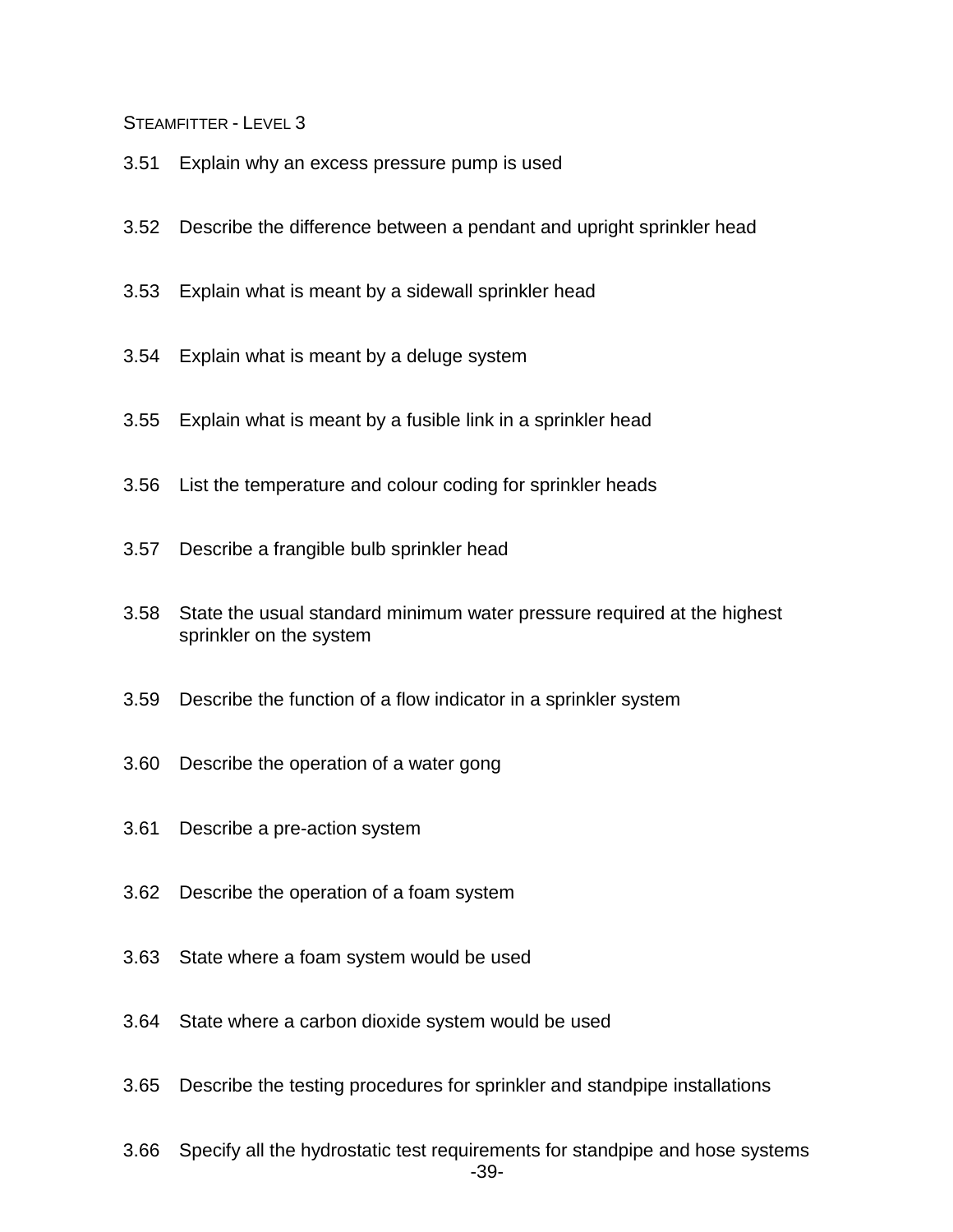- 3.51 Explain why an excess pressure pump is used
- 3.52 Describe the difference between a pendant and upright sprinkler head
- 3.53 Explain what is meant by a sidewall sprinkler head
- 3.54 Explain what is meant by a deluge system
- 3.55 Explain what is meant by a fusible link in a sprinkler head
- 3.56 List the temperature and colour coding for sprinkler heads
- 3.57 Describe a frangible bulb sprinkler head
- 3.58 State the usual standard minimum water pressure required at the highest sprinkler on the system
- 3.59 Describe the function of a flow indicator in a sprinkler system
- 3.60 Describe the operation of a water gong
- 3.61 Describe a pre-action system
- 3.62 Describe the operation of a foam system
- 3.63 State where a foam system would be used
- 3.64 State where a carbon dioxide system would be used
- 3.65 Describe the testing procedures for sprinkler and standpipe installations
- -39- 3.66 Specify all the hydrostatic test requirements for standpipe and hose systems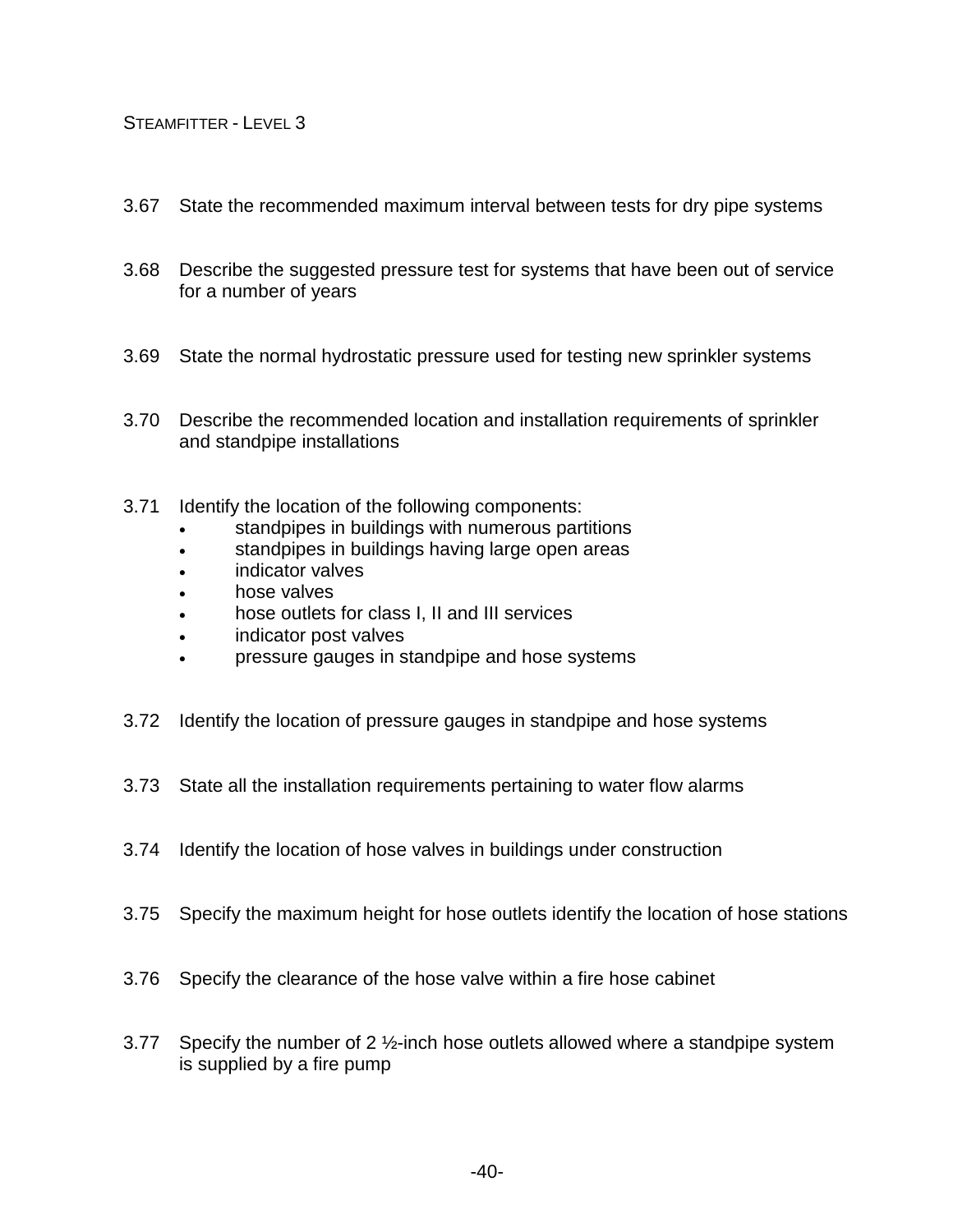- 3.67 State the recommended maximum interval between tests for dry pipe systems
- 3.68 Describe the suggested pressure test for systems that have been out of service for a number of years
- 3.69 State the normal hydrostatic pressure used for testing new sprinkler systems
- 3.70 Describe the recommended location and installation requirements of sprinkler and standpipe installations
- 3.71 Identify the location of the following components:
	- standpipes in buildings with numerous partitions
	- standpipes in buildings having large open areas
	- indicator valves
	- hose valves
	- hose outlets for class I, II and III services
	- indicator post valves
	- pressure gauges in standpipe and hose systems
- 3.72 Identify the location of pressure gauges in standpipe and hose systems
- 3.73 State all the installation requirements pertaining to water flow alarms
- 3.74 Identify the location of hose valves in buildings under construction
- 3.75 Specify the maximum height for hose outlets identify the location of hose stations
- 3.76 Specify the clearance of the hose valve within a fire hose cabinet
- 3.77 Specify the number of 2 ½-inch hose outlets allowed where a standpipe system is supplied by a fire pump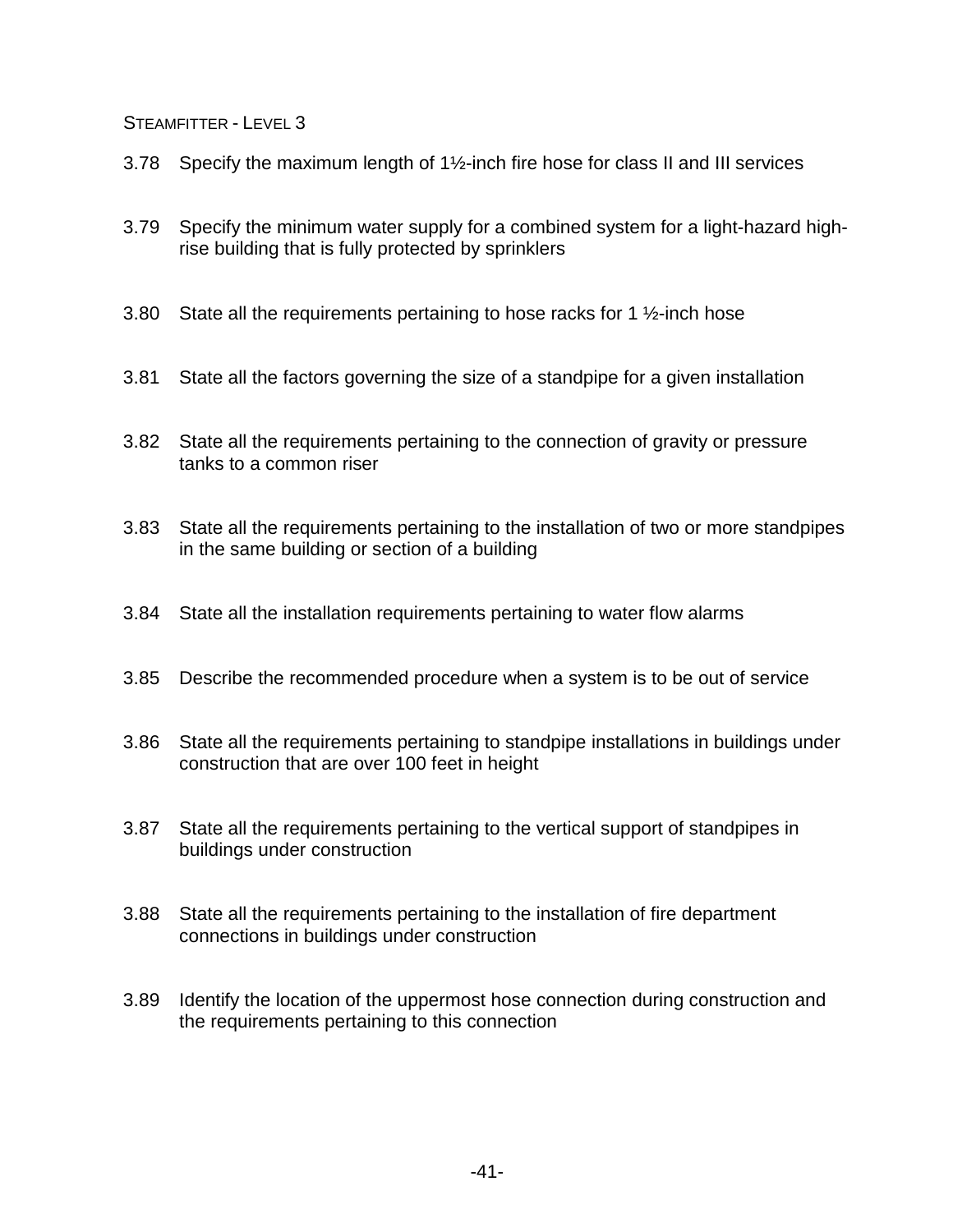- 3.78 Specify the maximum length of 1½-inch fire hose for class II and III services
- 3.79 Specify the minimum water supply for a combined system for a light-hazard highrise building that is fully protected by sprinklers
- 3.80 State all the requirements pertaining to hose racks for 1  $\frac{1}{2}$ -inch hose
- 3.81 State all the factors governing the size of a standpipe for a given installation
- 3.82 State all the requirements pertaining to the connection of gravity or pressure tanks to a common riser
- 3.83 State all the requirements pertaining to the installation of two or more standpipes in the same building or section of a building
- 3.84 State all the installation requirements pertaining to water flow alarms
- 3.85 Describe the recommended procedure when a system is to be out of service
- 3.86 State all the requirements pertaining to standpipe installations in buildings under construction that are over 100 feet in height
- 3.87 State all the requirements pertaining to the vertical support of standpipes in buildings under construction
- 3.88 State all the requirements pertaining to the installation of fire department connections in buildings under construction
- 3.89 Identify the location of the uppermost hose connection during construction and the requirements pertaining to this connection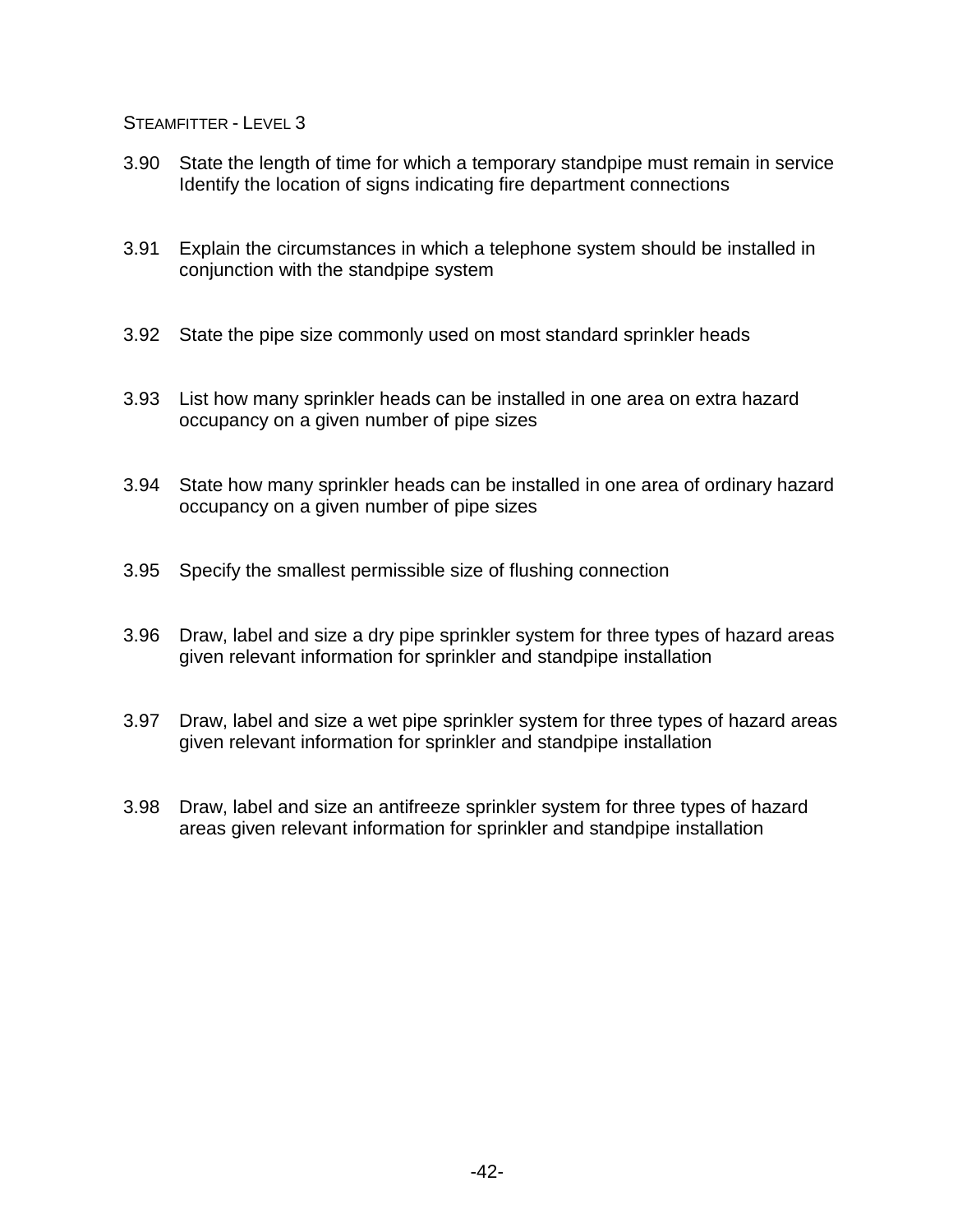- 3.90 State the length of time for which a temporary standpipe must remain in service Identify the location of signs indicating fire department connections
- 3.91 Explain the circumstances in which a telephone system should be installed in conjunction with the standpipe system
- 3.92 State the pipe size commonly used on most standard sprinkler heads
- 3.93 List how many sprinkler heads can be installed in one area on extra hazard occupancy on a given number of pipe sizes
- 3.94 State how many sprinkler heads can be installed in one area of ordinary hazard occupancy on a given number of pipe sizes
- 3.95 Specify the smallest permissible size of flushing connection
- 3.96 Draw, label and size a dry pipe sprinkler system for three types of hazard areas given relevant information for sprinkler and standpipe installation
- 3.97 Draw, label and size a wet pipe sprinkler system for three types of hazard areas given relevant information for sprinkler and standpipe installation
- 3.98 Draw, label and size an antifreeze sprinkler system for three types of hazard areas given relevant information for sprinkler and standpipe installation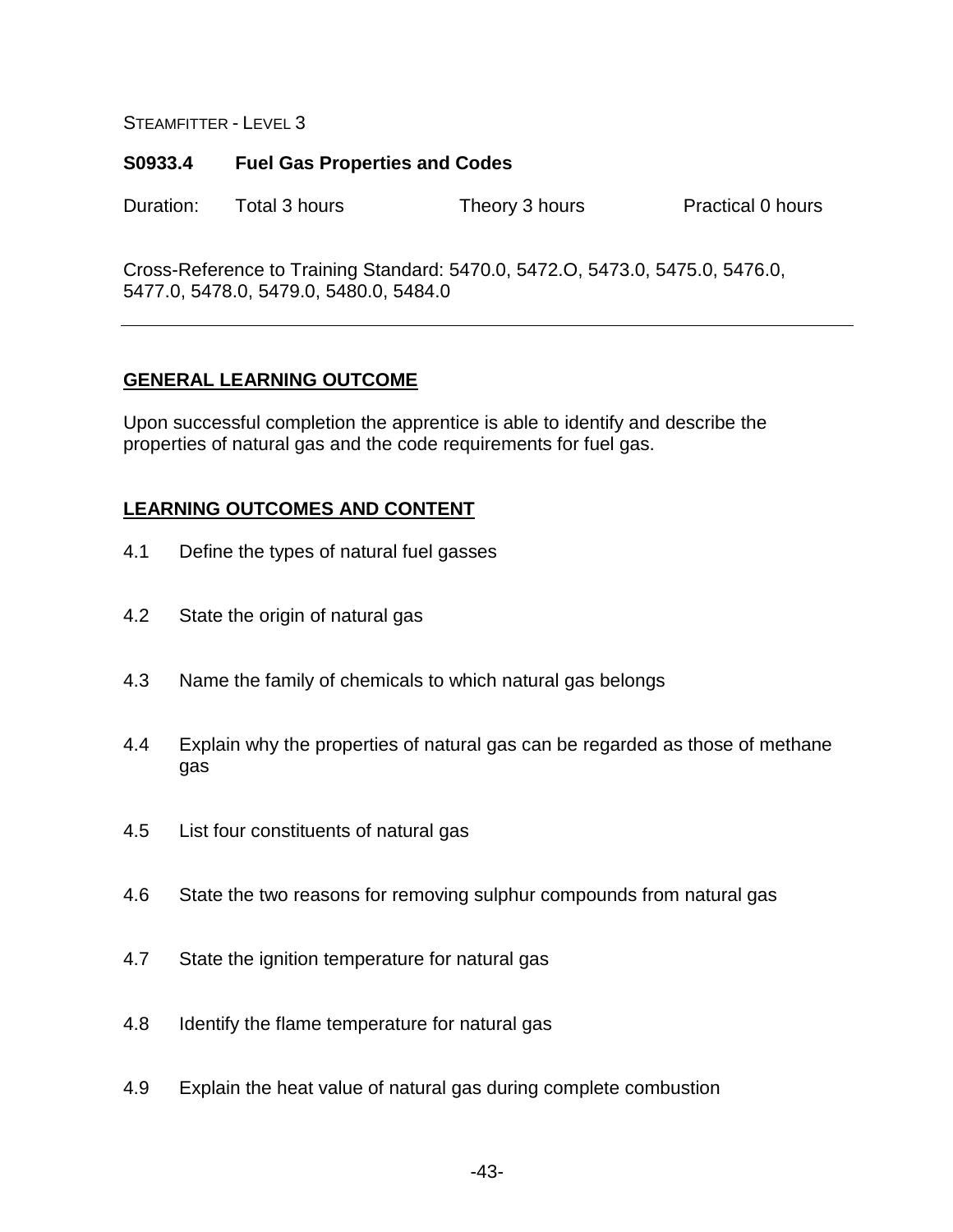## **S0933.4 Fuel Gas Properties and Codes**

Duration: Total 3 hours Theory 3 hours Practical 0 hours

Cross-Reference to Training Standard: 5470.0, 5472.O, 5473.0, 5475.0, 5476.0, 5477.0, 5478.0, 5479.0, 5480.0, 5484.0

# **GENERAL LEARNING OUTCOME**

Upon successful completion the apprentice is able to identify and describe the properties of natural gas and the code requirements for fuel gas.

- 4.1 Define the types of natural fuel gasses
- 4.2 State the origin of natural gas
- 4.3 Name the family of chemicals to which natural gas belongs
- 4.4 Explain why the properties of natural gas can be regarded as those of methane gas
- 4.5 List four constituents of natural gas
- 4.6 State the two reasons for removing sulphur compounds from natural gas
- 4.7 State the ignition temperature for natural gas
- 4.8 Identify the flame temperature for natural gas
- 4.9 Explain the heat value of natural gas during complete combustion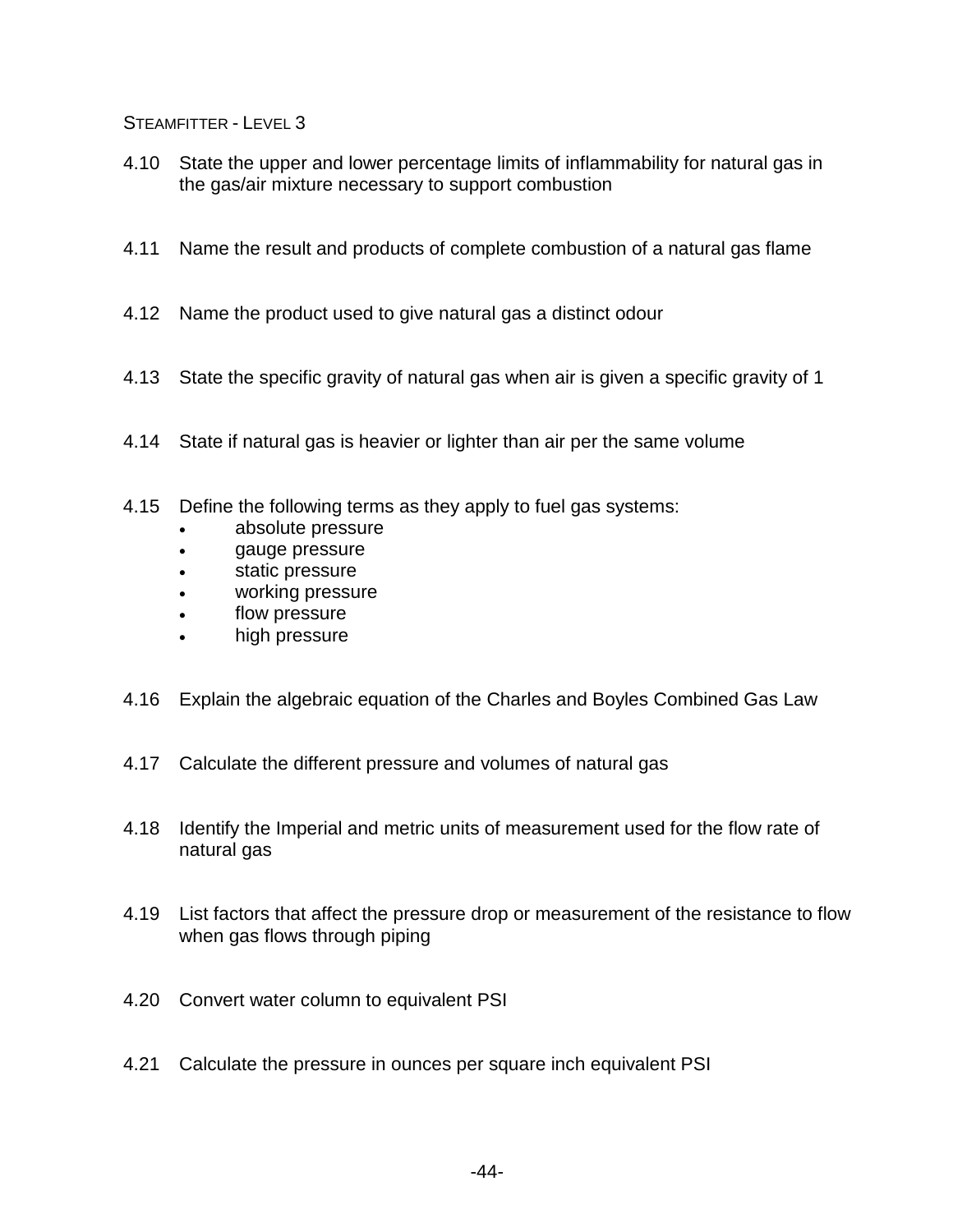- 4.10 State the upper and lower percentage limits of inflammability for natural gas in the gas/air mixture necessary to support combustion
- 4.11 Name the result and products of complete combustion of a natural gas flame
- 4.12 Name the product used to give natural gas a distinct odour
- 4.13 State the specific gravity of natural gas when air is given a specific gravity of 1
- 4.14 State if natural gas is heavier or lighter than air per the same volume
- 4.15 Define the following terms as they apply to fuel gas systems:
	- absolute pressure
	- gauge pressure
	- static pressure
	- working pressure
	- flow pressure
	- high pressure
- 4.16 Explain the algebraic equation of the Charles and Boyles Combined Gas Law
- 4.17 Calculate the different pressure and volumes of natural gas
- 4.18 Identify the Imperial and metric units of measurement used for the flow rate of natural gas
- 4.19 List factors that affect the pressure drop or measurement of the resistance to flow when gas flows through piping
- 4.20 Convert water column to equivalent PSI
- 4.21 Calculate the pressure in ounces per square inch equivalent PSI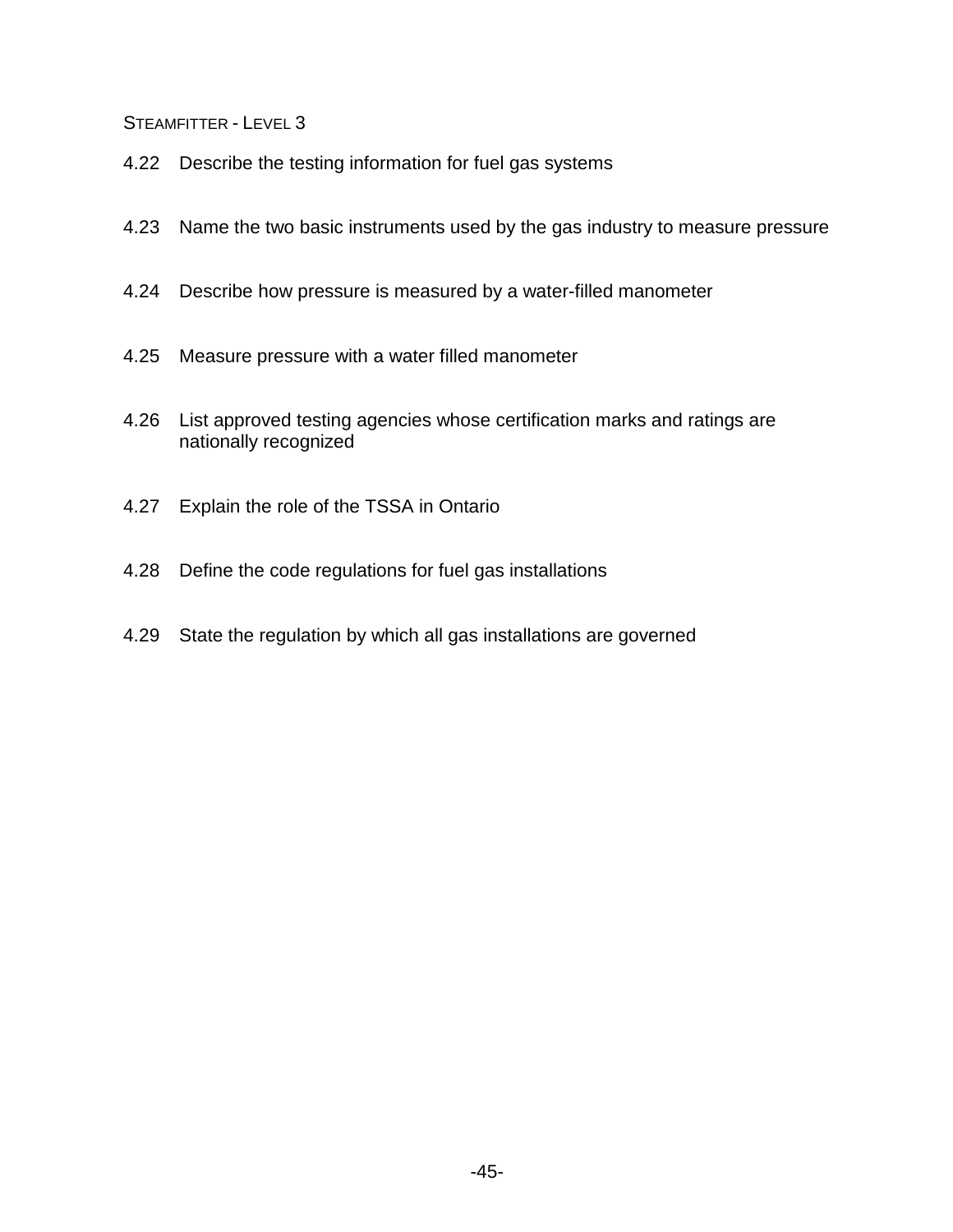- 4.22 Describe the testing information for fuel gas systems
- 4.23 Name the two basic instruments used by the gas industry to measure pressure
- 4.24 Describe how pressure is measured by a water-filled manometer
- 4.25 Measure pressure with a water filled manometer
- 4.26 List approved testing agencies whose certification marks and ratings are nationally recognized
- 4.27 Explain the role of the TSSA in Ontario
- 4.28 Define the code regulations for fuel gas installations
- 4.29 State the regulation by which all gas installations are governed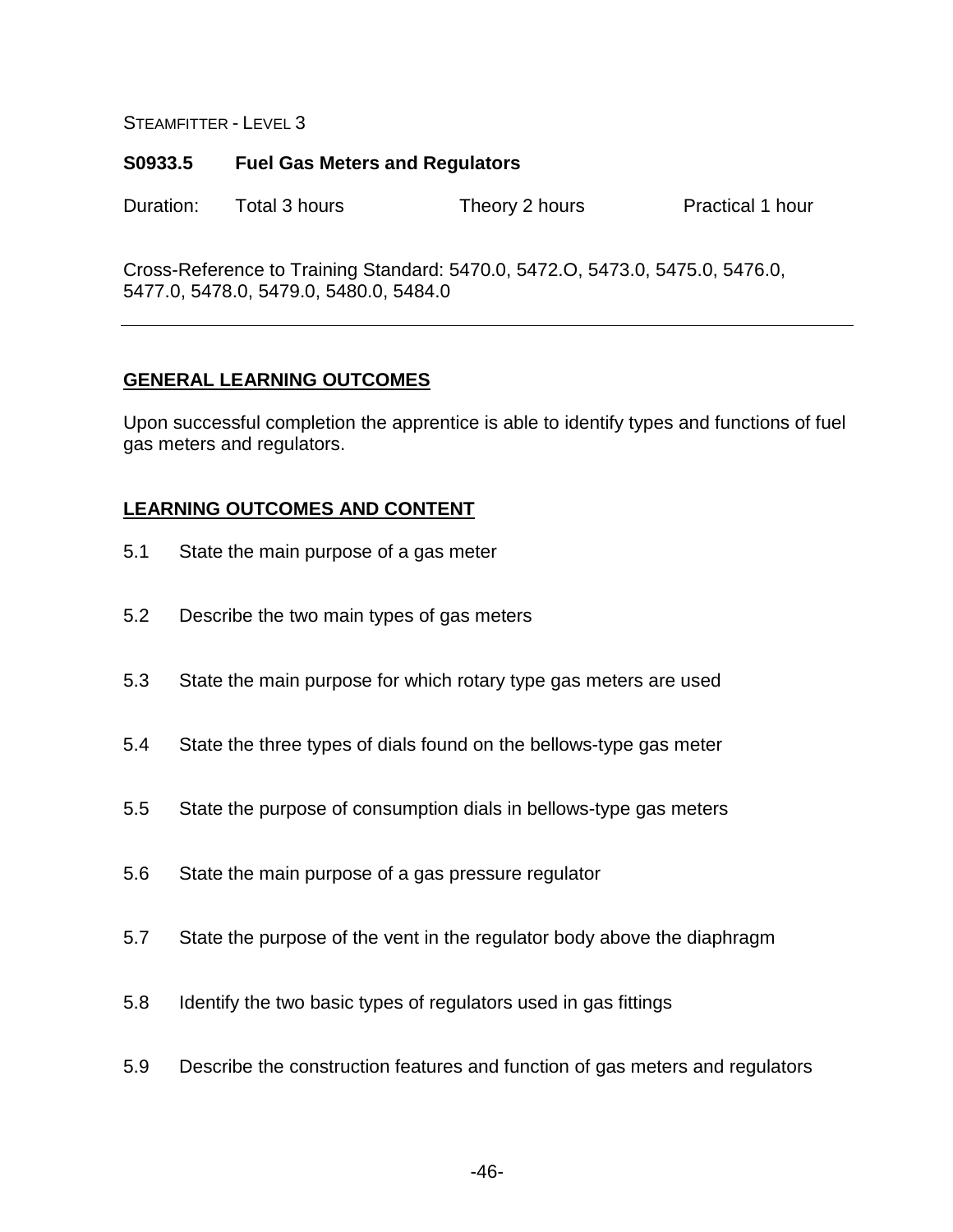#### **S0933.5 Fuel Gas Meters and Regulators**

Duration: Total 3 hours Theory 2 hours Practical 1 hour

Cross-Reference to Training Standard: 5470.0, 5472.O, 5473.0, 5475.0, 5476.0, 5477.0, 5478.0, 5479.0, 5480.0, 5484.0

## **GENERAL LEARNING OUTCOMES**

Upon successful completion the apprentice is able to identify types and functions of fuel gas meters and regulators.

- 5.1 State the main purpose of a gas meter
- 5.2 Describe the two main types of gas meters
- 5.3 State the main purpose for which rotary type gas meters are used
- 5.4 State the three types of dials found on the bellows-type gas meter
- 5.5 State the purpose of consumption dials in bellows-type gas meters
- 5.6 State the main purpose of a gas pressure regulator
- 5.7 State the purpose of the vent in the regulator body above the diaphragm
- 5.8 Identify the two basic types of regulators used in gas fittings
- 5.9 Describe the construction features and function of gas meters and regulators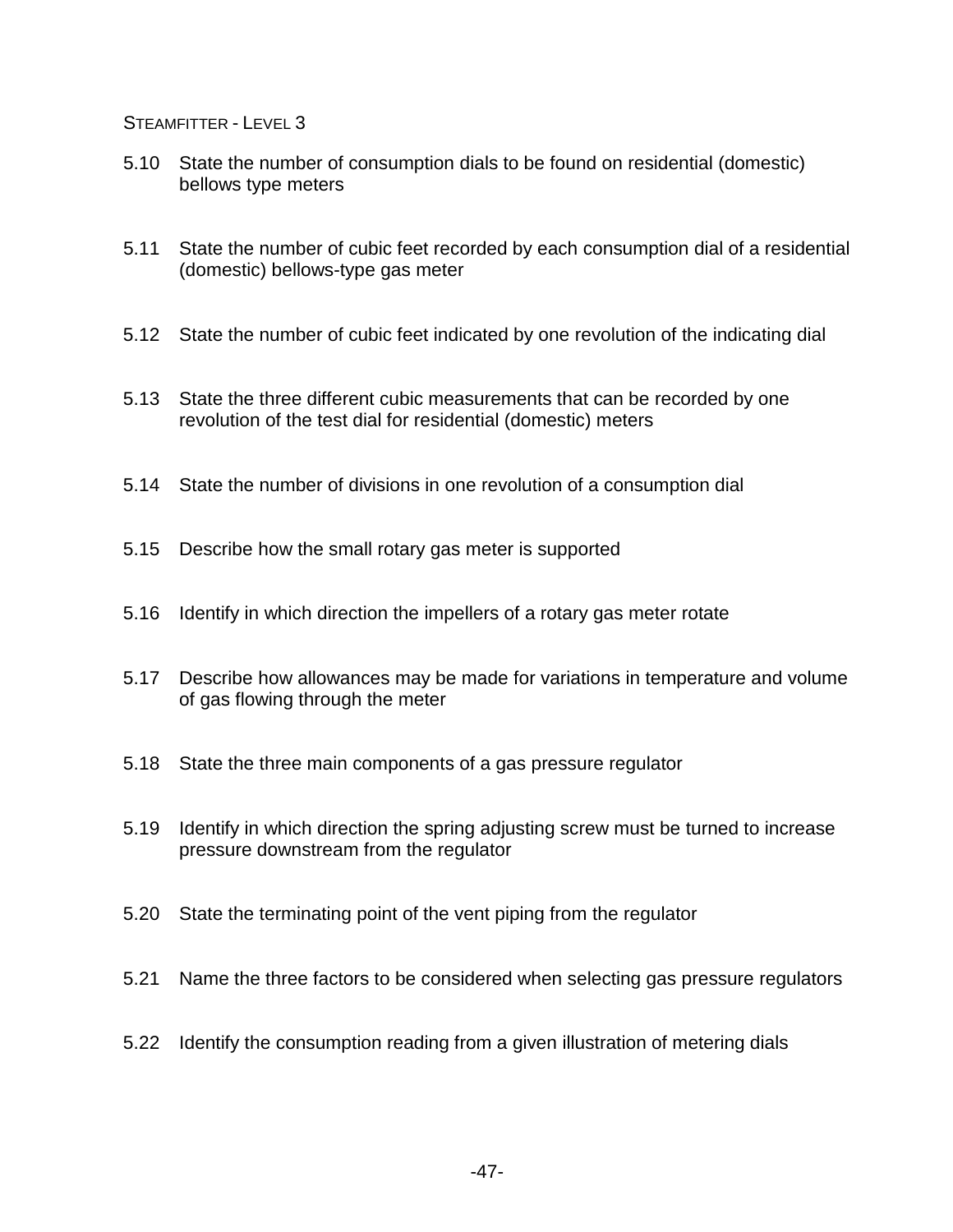- 5.10 State the number of consumption dials to be found on residential (domestic) bellows type meters
- 5.11 State the number of cubic feet recorded by each consumption dial of a residential (domestic) bellows-type gas meter
- 5.12 State the number of cubic feet indicated by one revolution of the indicating dial
- 5.13 State the three different cubic measurements that can be recorded by one revolution of the test dial for residential (domestic) meters
- 5.14 State the number of divisions in one revolution of a consumption dial
- 5.15 Describe how the small rotary gas meter is supported
- 5.16 Identify in which direction the impellers of a rotary gas meter rotate
- 5.17 Describe how allowances may be made for variations in temperature and volume of gas flowing through the meter
- 5.18 State the three main components of a gas pressure regulator
- 5.19 Identify in which direction the spring adjusting screw must be turned to increase pressure downstream from the regulator
- 5.20 State the terminating point of the vent piping from the regulator
- 5.21 Name the three factors to be considered when selecting gas pressure regulators
- 5.22 Identify the consumption reading from a given illustration of metering dials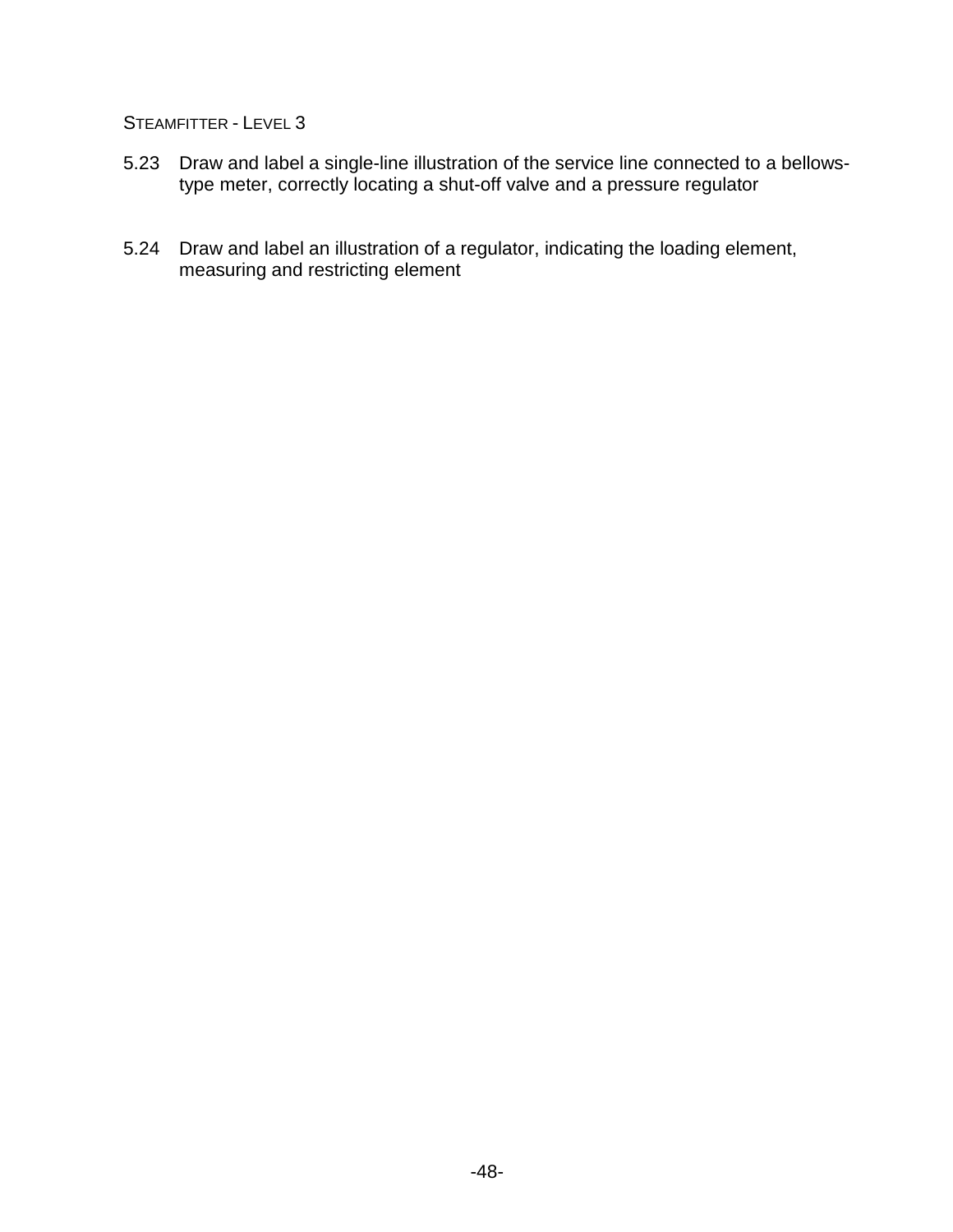- 5.23 Draw and label a single-line illustration of the service line connected to a bellowstype meter, correctly locating a shut-off valve and a pressure regulator
- 5.24 Draw and label an illustration of a regulator, indicating the loading element, measuring and restricting element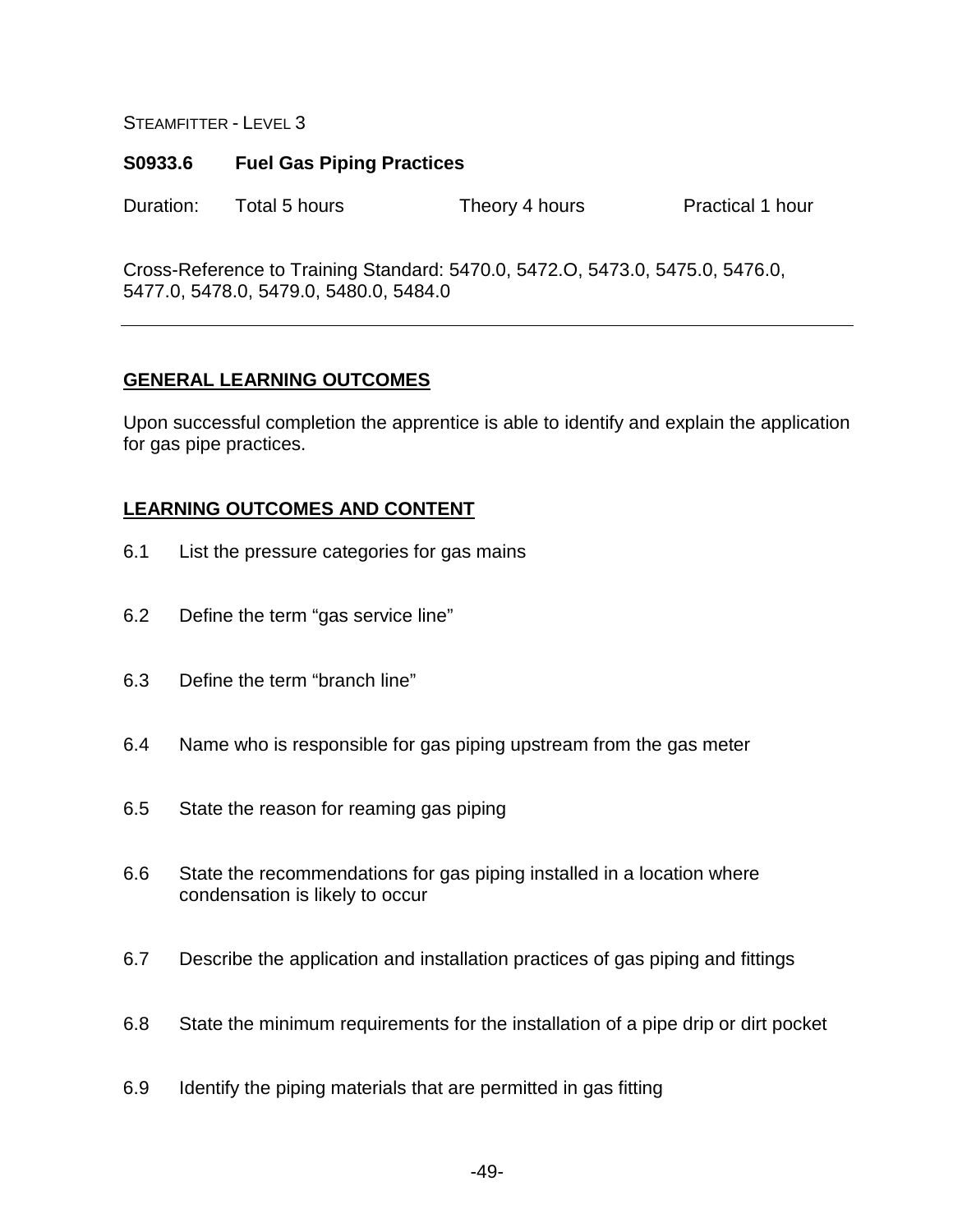## **S0933.6 Fuel Gas Piping Practices**

Duration: Total 5 hours Theory 4 hours Practical 1 hour

Cross-Reference to Training Standard: 5470.0, 5472.O, 5473.0, 5475.0, 5476.0, 5477.0, 5478.0, 5479.0, 5480.0, 5484.0

# **GENERAL LEARNING OUTCOMES**

Upon successful completion the apprentice is able to identify and explain the application for gas pipe practices.

- 6.1 List the pressure categories for gas mains
- 6.2 Define the term "gas service line"
- 6.3 Define the term "branch line"
- 6.4 Name who is responsible for gas piping upstream from the gas meter
- 6.5 State the reason for reaming gas piping
- 6.6 State the recommendations for gas piping installed in a location where condensation is likely to occur
- 6.7 Describe the application and installation practices of gas piping and fittings
- 6.8 State the minimum requirements for the installation of a pipe drip or dirt pocket
- 6.9 Identify the piping materials that are permitted in gas fitting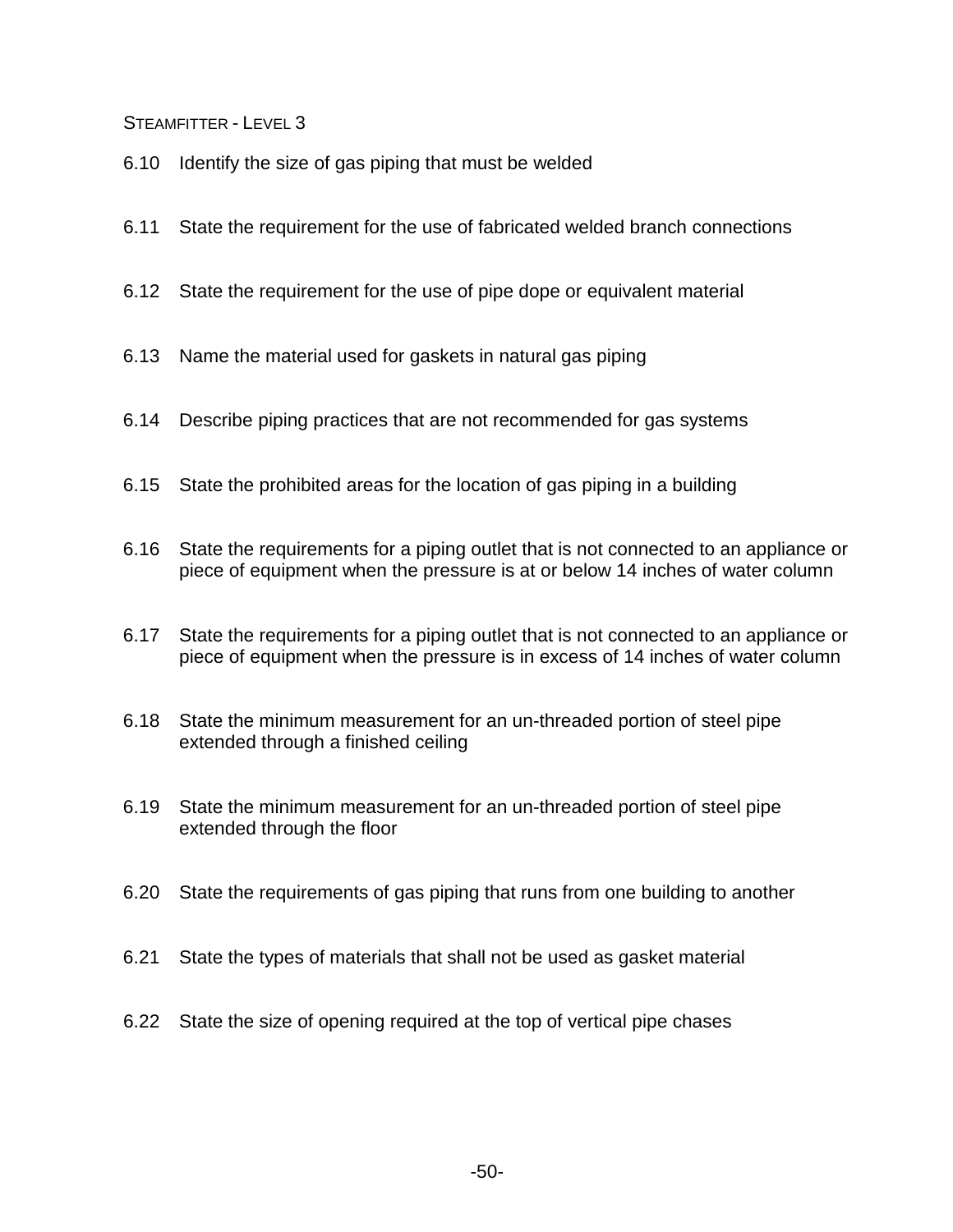- 6.10 Identify the size of gas piping that must be welded
- 6.11 State the requirement for the use of fabricated welded branch connections
- 6.12 State the requirement for the use of pipe dope or equivalent material
- 6.13 Name the material used for gaskets in natural gas piping
- 6.14 Describe piping practices that are not recommended for gas systems
- 6.15 State the prohibited areas for the location of gas piping in a building
- 6.16 State the requirements for a piping outlet that is not connected to an appliance or piece of equipment when the pressure is at or below 14 inches of water column
- 6.17 State the requirements for a piping outlet that is not connected to an appliance or piece of equipment when the pressure is in excess of 14 inches of water column
- 6.18 State the minimum measurement for an un-threaded portion of steel pipe extended through a finished ceiling
- 6.19 State the minimum measurement for an un-threaded portion of steel pipe extended through the floor
- 6.20 State the requirements of gas piping that runs from one building to another
- 6.21 State the types of materials that shall not be used as gasket material
- 6.22 State the size of opening required at the top of vertical pipe chases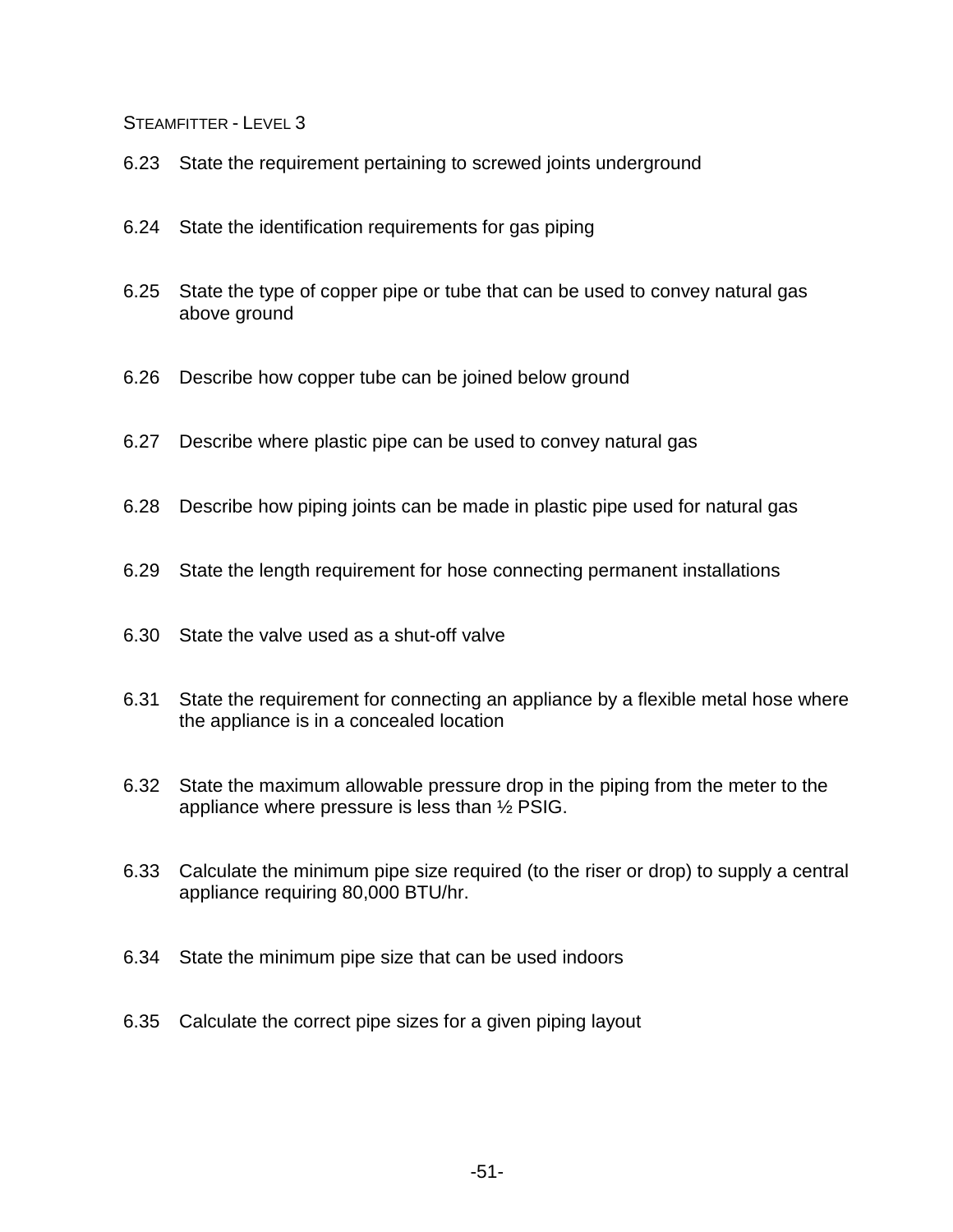- 6.23 State the requirement pertaining to screwed joints underground
- 6.24 State the identification requirements for gas piping
- 6.25 State the type of copper pipe or tube that can be used to convey natural gas above ground
- 6.26 Describe how copper tube can be joined below ground
- 6.27 Describe where plastic pipe can be used to convey natural gas
- 6.28 Describe how piping joints can be made in plastic pipe used for natural gas
- 6.29 State the length requirement for hose connecting permanent installations
- 6.30 State the valve used as a shut-off valve
- 6.31 State the requirement for connecting an appliance by a flexible metal hose where the appliance is in a concealed location
- 6.32 State the maximum allowable pressure drop in the piping from the meter to the appliance where pressure is less than ½ PSIG.
- 6.33 Calculate the minimum pipe size required (to the riser or drop) to supply a central appliance requiring 80,000 BTU/hr.
- 6.34 State the minimum pipe size that can be used indoors
- 6.35 Calculate the correct pipe sizes for a given piping layout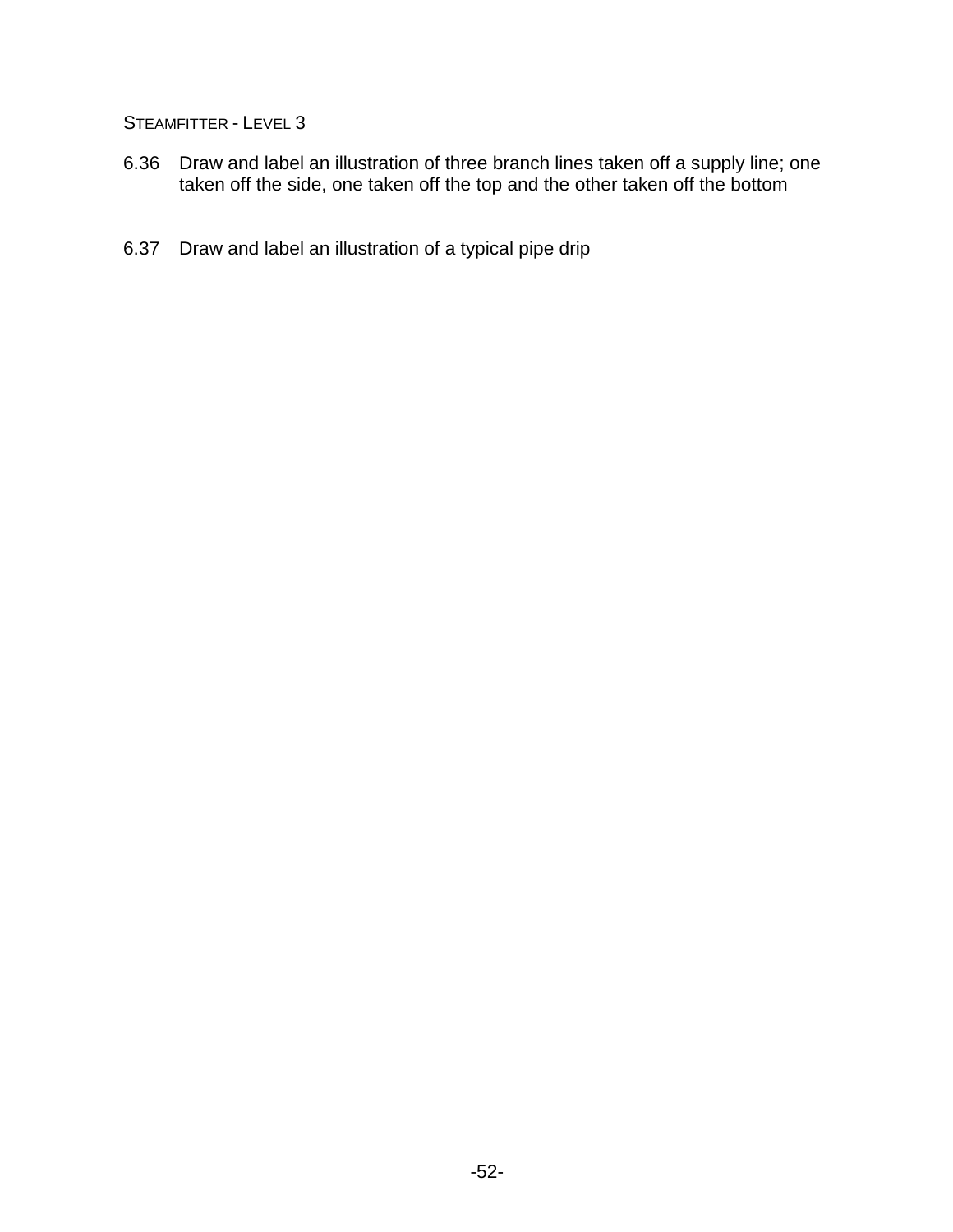- 6.36 Draw and label an illustration of three branch lines taken off a supply line; one taken off the side, one taken off the top and the other taken off the bottom
- 6.37 Draw and label an illustration of a typical pipe drip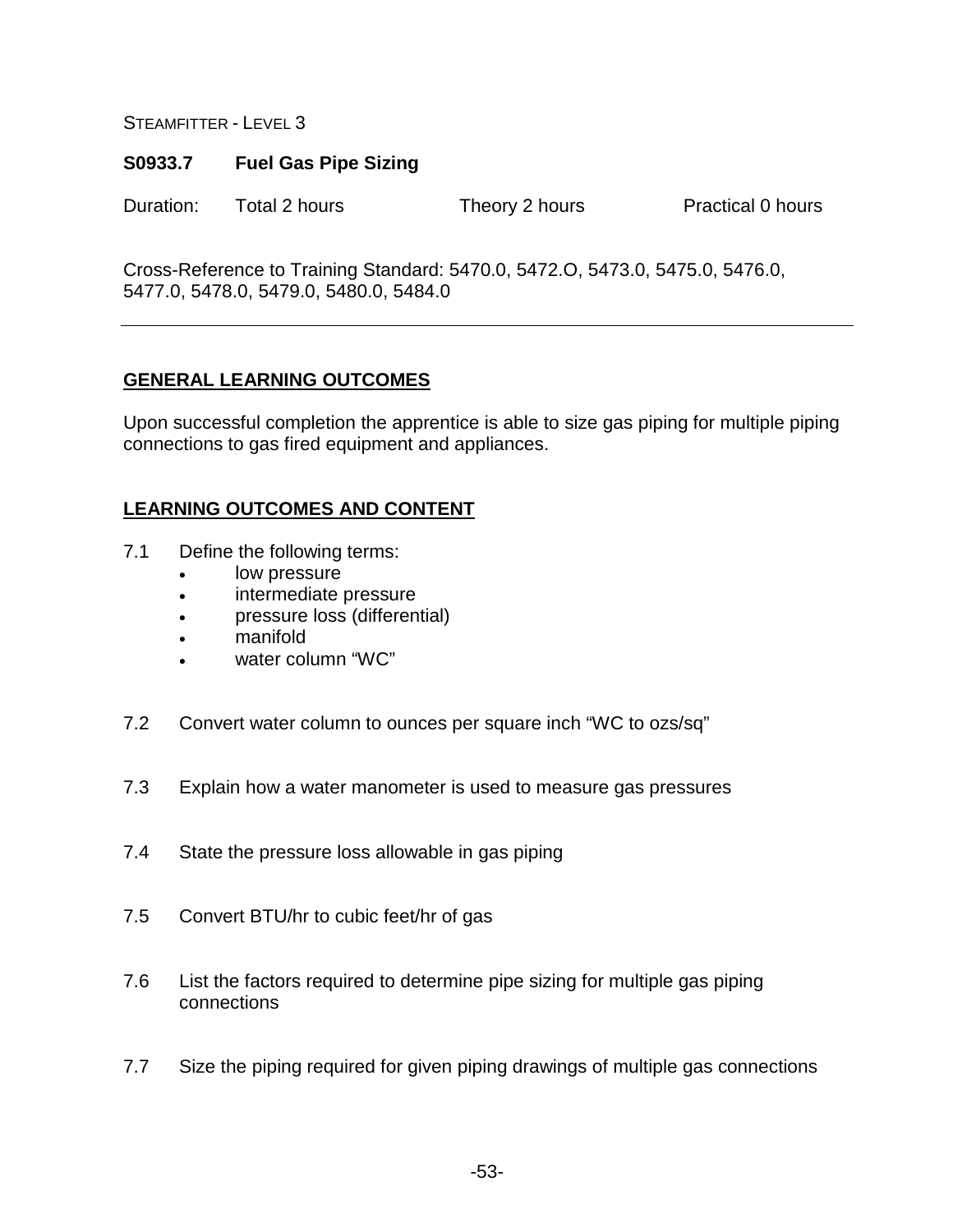### **S0933.7 Fuel Gas Pipe Sizing**

Duration: Total 2 hours Theory 2 hours Practical 0 hours

Cross-Reference to Training Standard: 5470.0, 5472.O, 5473.0, 5475.0, 5476.0, 5477.0, 5478.0, 5479.0, 5480.0, 5484.0

## **GENERAL LEARNING OUTCOMES**

Upon successful completion the apprentice is able to size gas piping for multiple piping connections to gas fired equipment and appliances.

- 7.1 Define the following terms:
	- low pressure
	- intermediate pressure
	- pressure loss (differential)
	- manifold
	- water column "WC"
- 7.2 Convert water column to ounces per square inch "WC to ozs/sq"
- 7.3 Explain how a water manometer is used to measure gas pressures
- 7.4 State the pressure loss allowable in gas piping
- 7.5 Convert BTU/hr to cubic feet/hr of gas
- 7.6 List the factors required to determine pipe sizing for multiple gas piping connections
- 7.7 Size the piping required for given piping drawings of multiple gas connections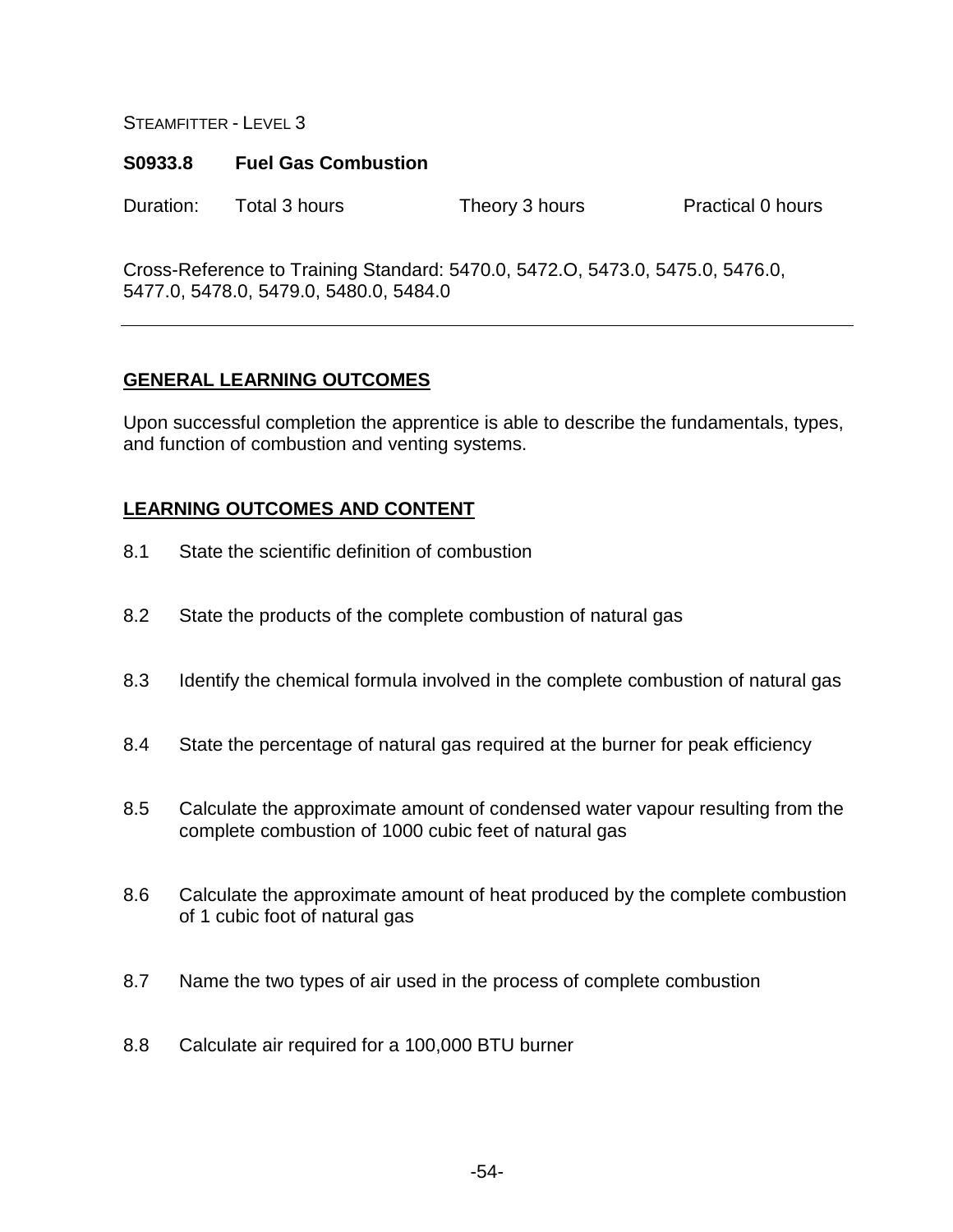#### **S0933.8 Fuel Gas Combustion**

Duration: Total 3 hours Theory 3 hours Practical 0 hours

Cross-Reference to Training Standard: 5470.0, 5472.O, 5473.0, 5475.0, 5476.0, 5477.0, 5478.0, 5479.0, 5480.0, 5484.0

# **GENERAL LEARNING OUTCOMES**

Upon successful completion the apprentice is able to describe the fundamentals, types, and function of combustion and venting systems.

- 8.1 State the scientific definition of combustion
- 8.2 State the products of the complete combustion of natural gas
- 8.3 Identify the chemical formula involved in the complete combustion of natural gas
- 8.4 State the percentage of natural gas required at the burner for peak efficiency
- 8.5 Calculate the approximate amount of condensed water vapour resulting from the complete combustion of 1000 cubic feet of natural gas
- 8.6 Calculate the approximate amount of heat produced by the complete combustion of 1 cubic foot of natural gas
- 8.7 Name the two types of air used in the process of complete combustion
- 8.8 Calculate air required for a 100,000 BTU burner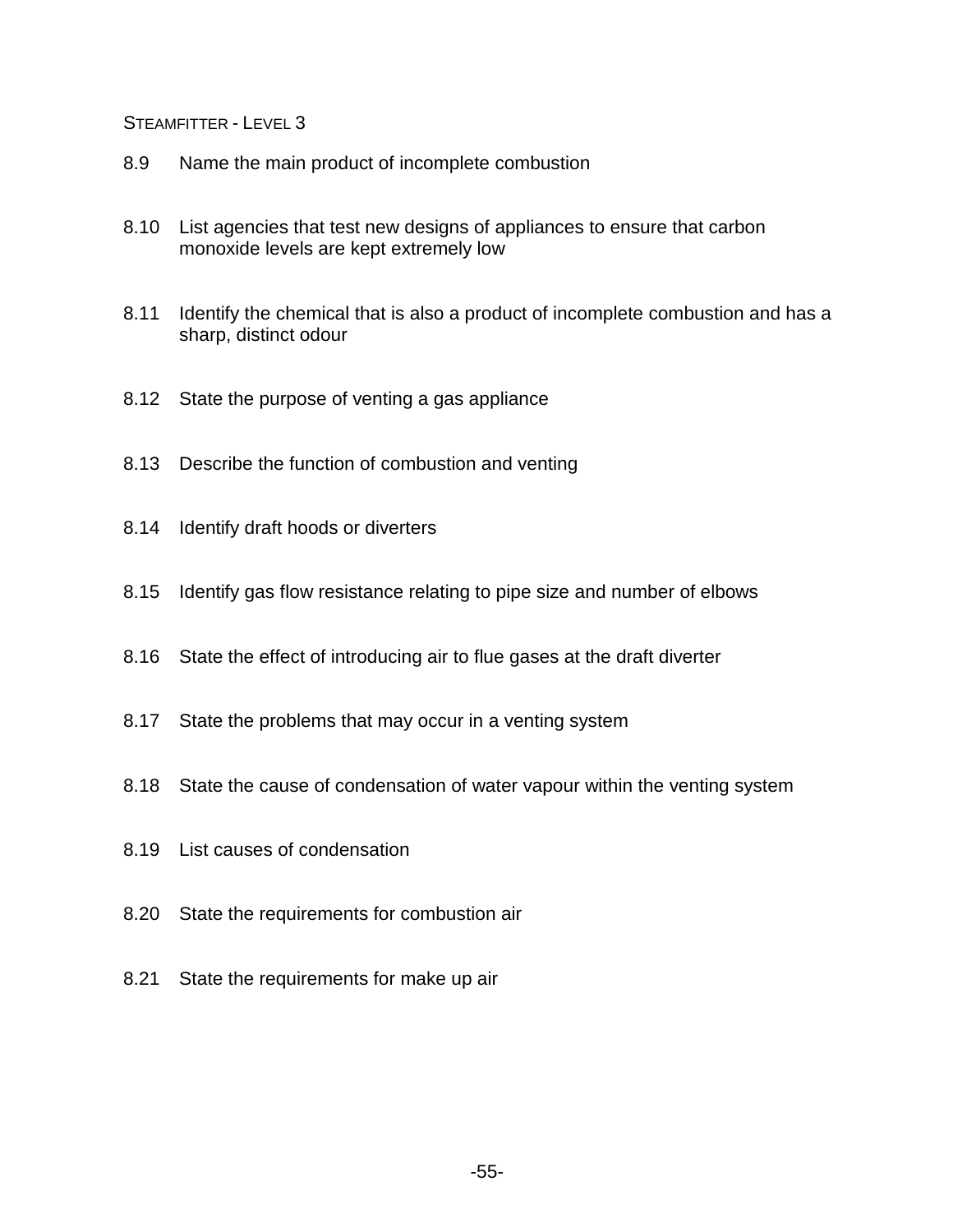- 8.9 Name the main product of incomplete combustion
- 8.10 List agencies that test new designs of appliances to ensure that carbon monoxide levels are kept extremely low
- 8.11 Identify the chemical that is also a product of incomplete combustion and has a sharp, distinct odour
- 8.12 State the purpose of venting a gas appliance
- 8.13 Describe the function of combustion and venting
- 8.14 Identify draft hoods or diverters
- 8.15 Identify gas flow resistance relating to pipe size and number of elbows
- 8.16 State the effect of introducing air to flue gases at the draft diverter
- 8.17 State the problems that may occur in a venting system
- 8.18 State the cause of condensation of water vapour within the venting system
- 8.19 List causes of condensation
- 8.20 State the requirements for combustion air
- 8.21 State the requirements for make up air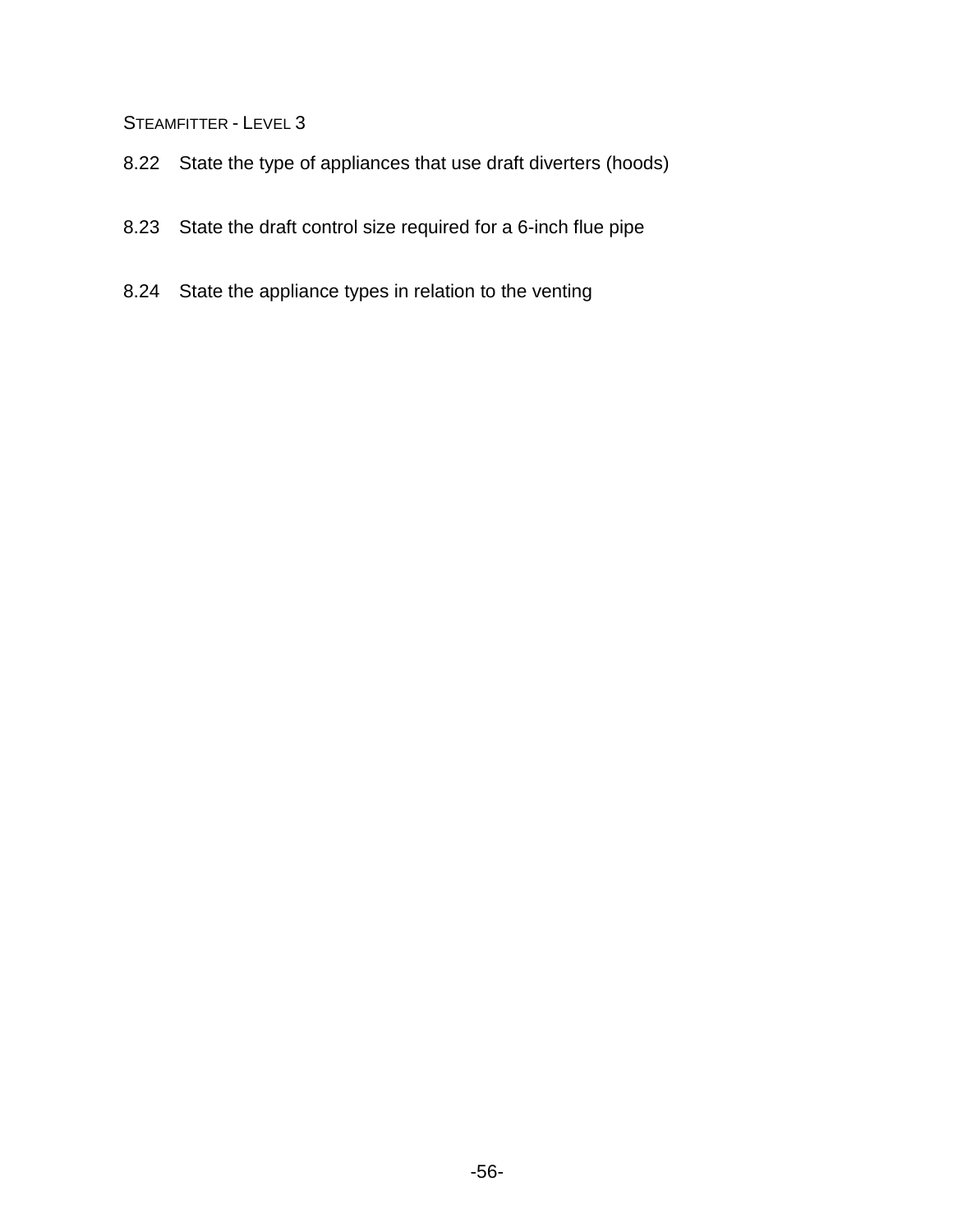- 8.22 State the type of appliances that use draft diverters (hoods)
- 8.23 State the draft control size required for a 6-inch flue pipe
- 8.24 State the appliance types in relation to the venting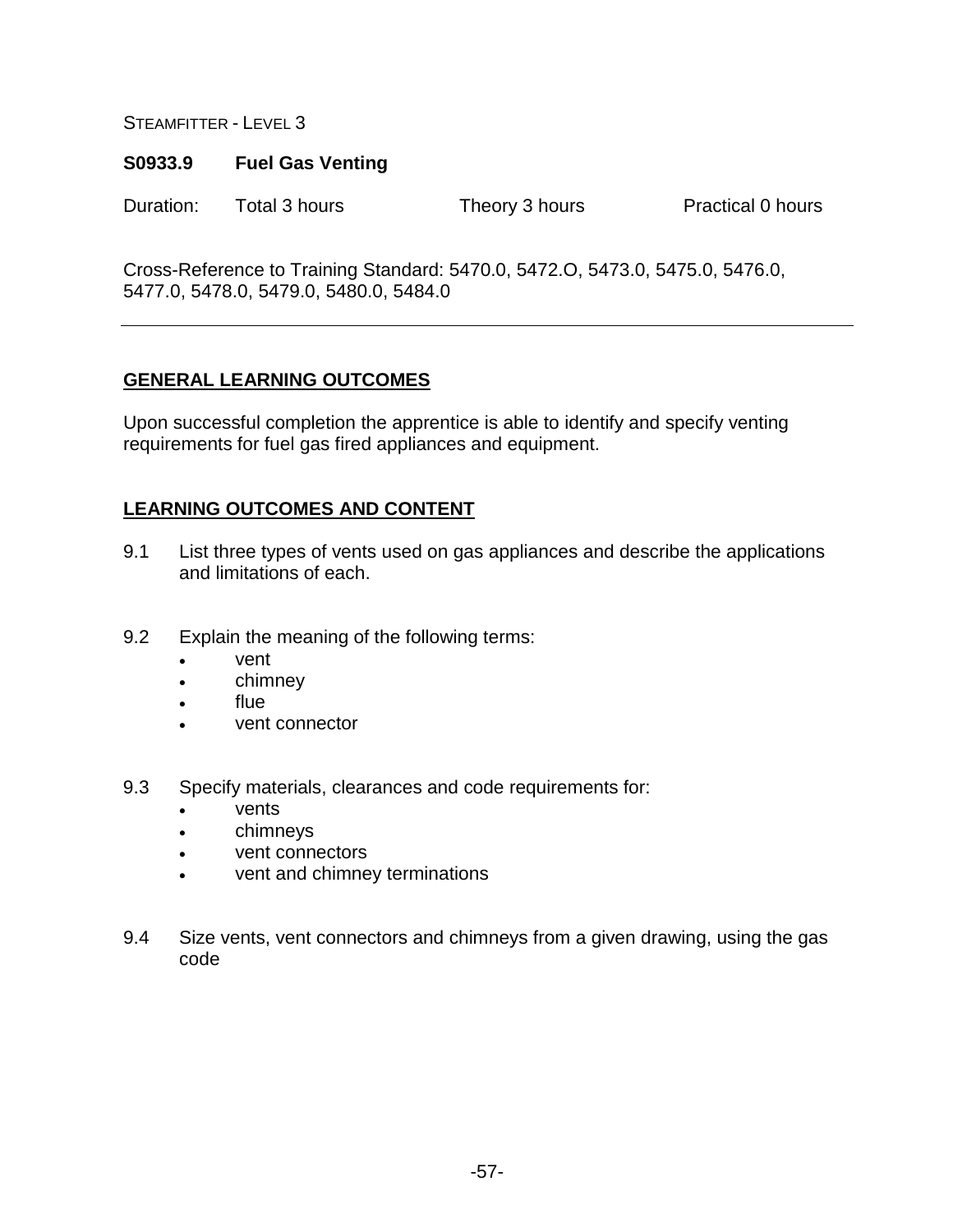### **S0933.9 Fuel Gas Venting**

Duration: Total 3 hours Theory 3 hours Practical 0 hours

Cross-Reference to Training Standard: 5470.0, 5472.O, 5473.0, 5475.0, 5476.0, 5477.0, 5478.0, 5479.0, 5480.0, 5484.0

# **GENERAL LEARNING OUTCOMES**

Upon successful completion the apprentice is able to identify and specify venting requirements for fuel gas fired appliances and equipment.

- 9.1 List three types of vents used on gas appliances and describe the applications and limitations of each.
- 9.2 Explain the meaning of the following terms:
	- vent
	- chimney
	- flue
	- vent connector
- 9.3 Specify materials, clearances and code requirements for:
	- vents
	- chimneys
	- vent connectors
	- vent and chimney terminations
- 9.4 Size vents, vent connectors and chimneys from a given drawing, using the gas code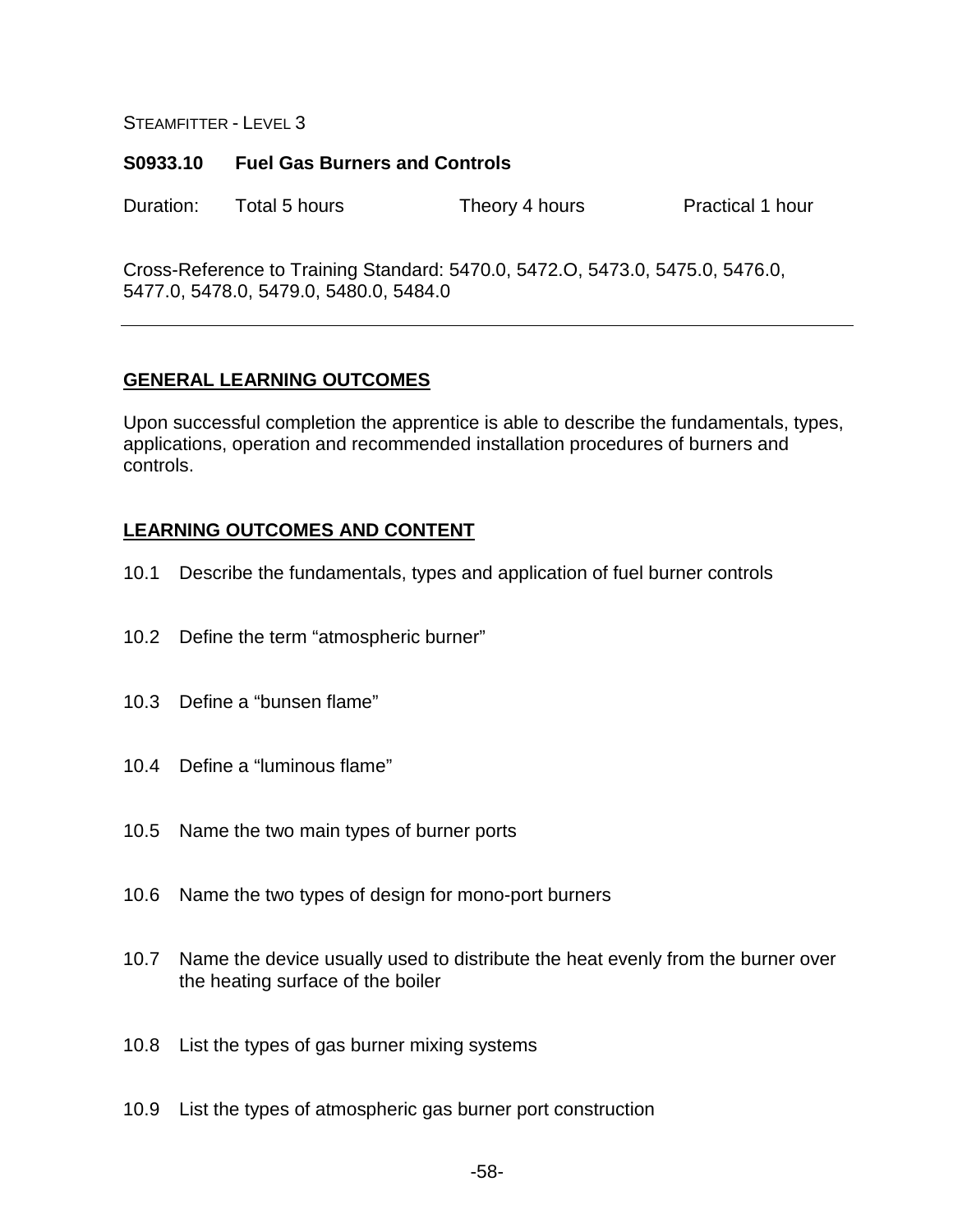### **S0933.10 Fuel Gas Burners and Controls**

Duration: Total 5 hours Theory 4 hours Practical 1 hour

Cross-Reference to Training Standard: 5470.0, 5472.O, 5473.0, 5475.0, 5476.0, 5477.0, 5478.0, 5479.0, 5480.0, 5484.0

## **GENERAL LEARNING OUTCOMES**

Upon successful completion the apprentice is able to describe the fundamentals, types, applications, operation and recommended installation procedures of burners and controls.

- 10.1 Describe the fundamentals, types and application of fuel burner controls
- 10.2 Define the term "atmospheric burner"
- 10.3 Define a "bunsen flame"
- 10.4 Define a "luminous flame"
- 10.5 Name the two main types of burner ports
- 10.6 Name the two types of design for mono-port burners
- 10.7 Name the device usually used to distribute the heat evenly from the burner over the heating surface of the boiler
- 10.8 List the types of gas burner mixing systems
- 10.9 List the types of atmospheric gas burner port construction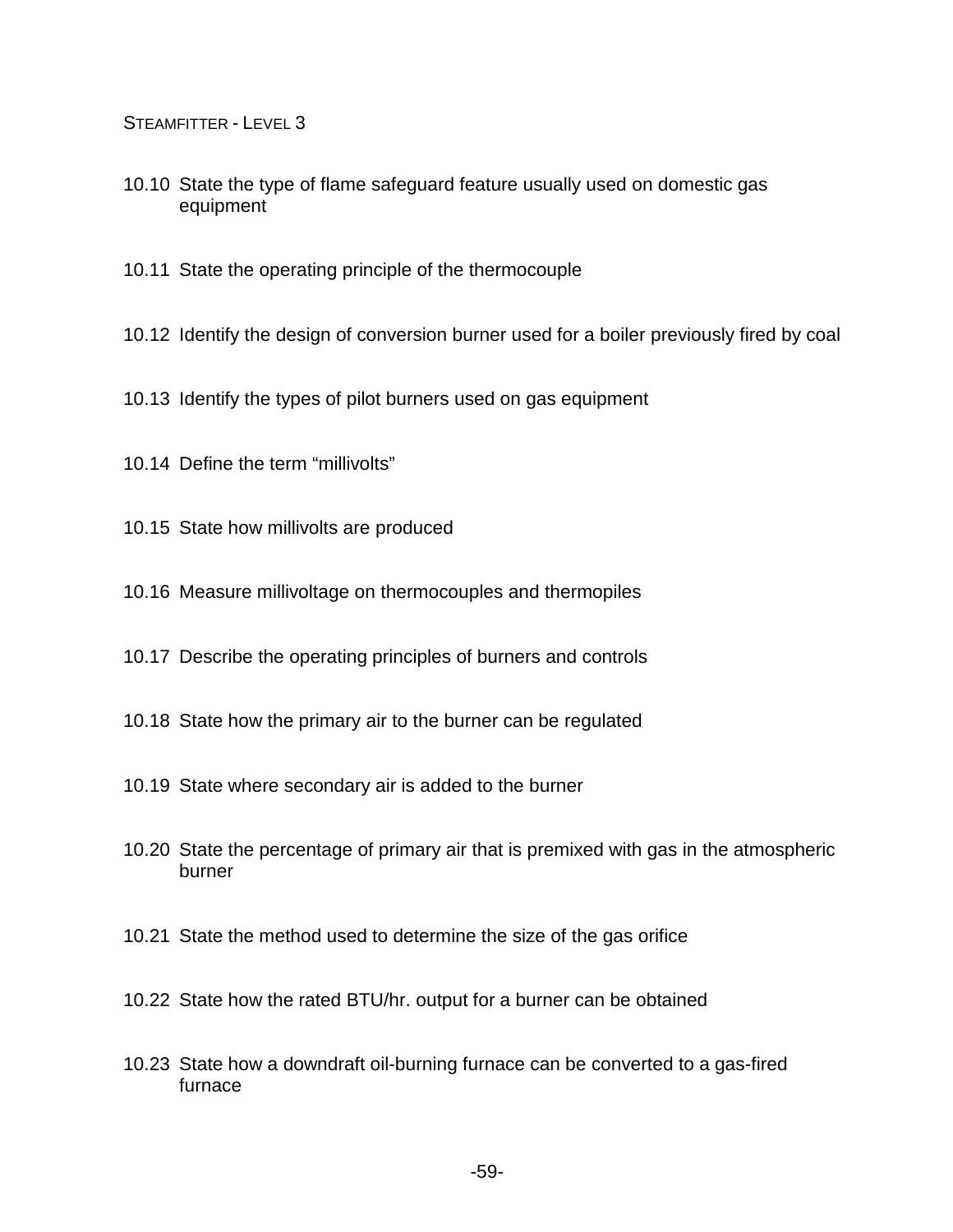- 10.10 State the type of flame safeguard feature usually used on domestic gas equipment
- 10.11 State the operating principle of the thermocouple
- 10.12 Identify the design of conversion burner used for a boiler previously fired by coal
- 10.13 Identify the types of pilot burners used on gas equipment
- 10.14 Define the term "millivolts"
- 10.15 State how millivolts are produced
- 10.16 Measure millivoltage on thermocouples and thermopiles
- 10.17 Describe the operating principles of burners and controls
- 10.18 State how the primary air to the burner can be regulated
- 10.19 State where secondary air is added to the burner
- 10.20 State the percentage of primary air that is premixed with gas in the atmospheric burner
- 10.21 State the method used to determine the size of the gas orifice
- 10.22 State how the rated BTU/hr. output for a burner can be obtained
- 10.23 State how a downdraft oil-burning furnace can be converted to a gas-fired furnace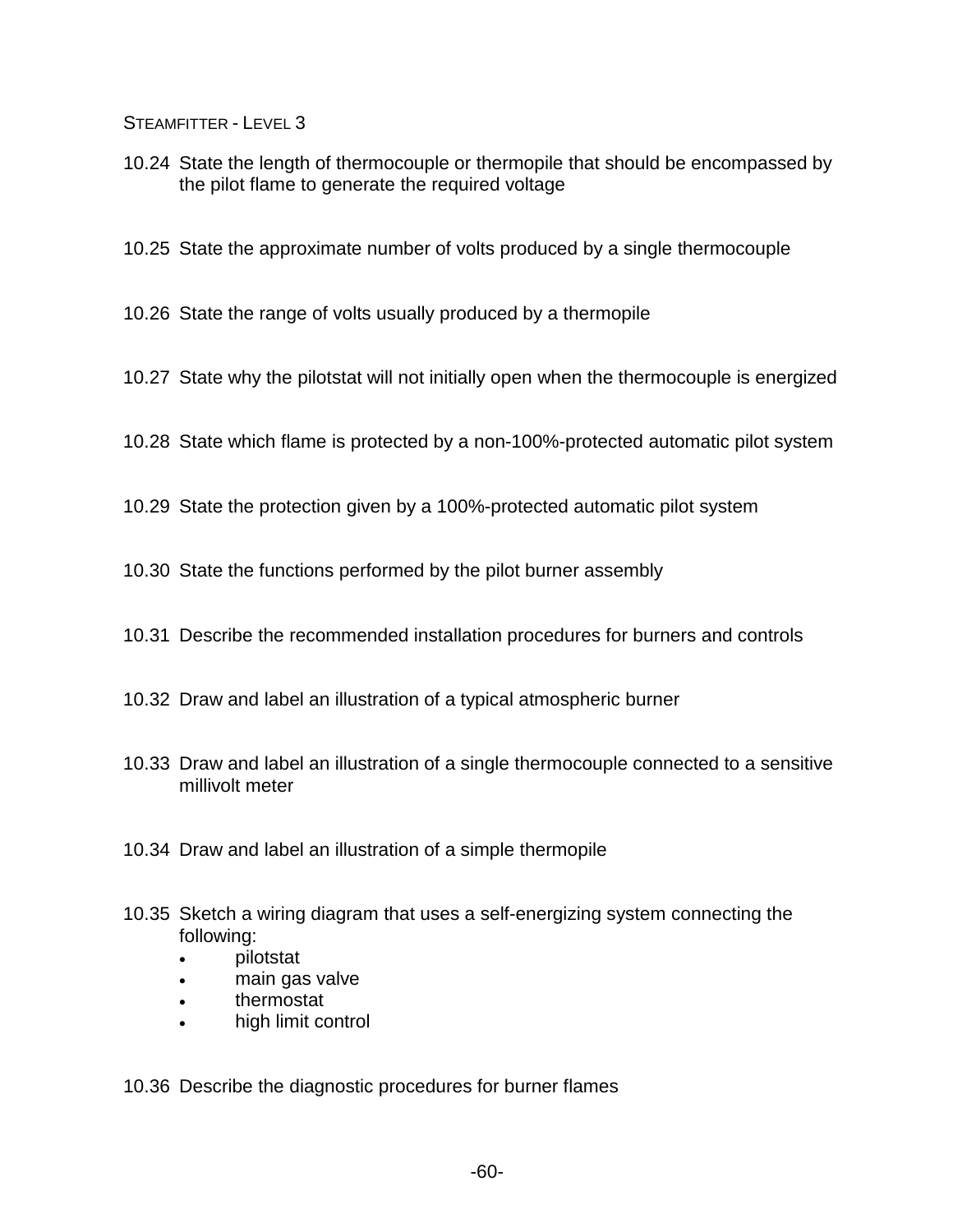- 10.24 State the length of thermocouple or thermopile that should be encompassed by the pilot flame to generate the required voltage
- 10.25 State the approximate number of volts produced by a single thermocouple
- 10.26 State the range of volts usually produced by a thermopile
- 10.27 State why the pilotstat will not initially open when the thermocouple is energized
- 10.28 State which flame is protected by a non-100%-protected automatic pilot system
- 10.29 State the protection given by a 100%-protected automatic pilot system
- 10.30 State the functions performed by the pilot burner assembly
- 10.31 Describe the recommended installation procedures for burners and controls
- 10.32 Draw and label an illustration of a typical atmospheric burner
- 10.33 Draw and label an illustration of a single thermocouple connected to a sensitive millivolt meter
- 10.34 Draw and label an illustration of a simple thermopile
- 10.35 Sketch a wiring diagram that uses a self-energizing system connecting the following:
	- pilotstat
	- main gas valve
	- thermostat
	- high limit control

10.36 Describe the diagnostic procedures for burner flames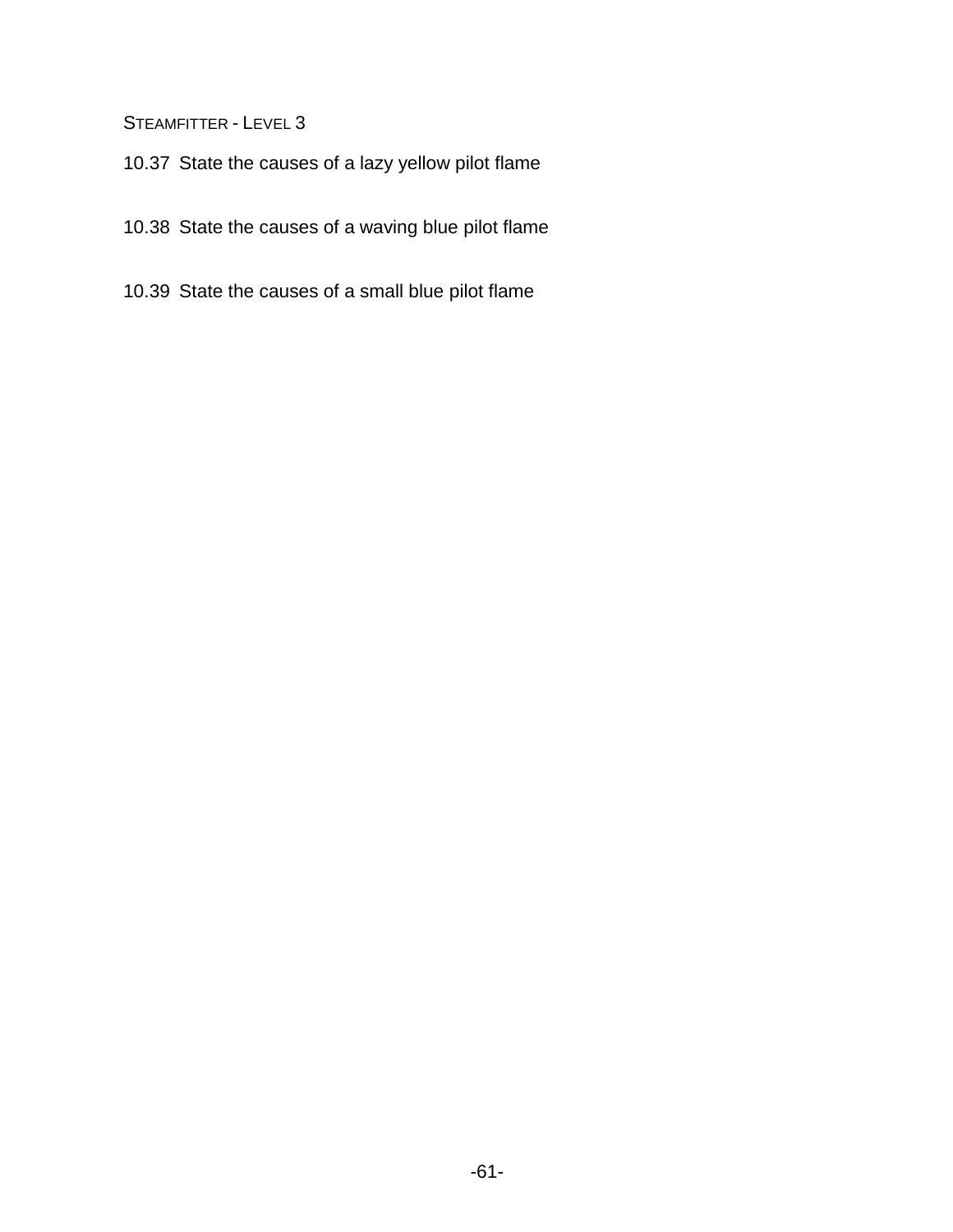- 10.37 State the causes of a lazy yellow pilot flame
- 10.38 State the causes of a waving blue pilot flame
- 10.39 State the causes of a small blue pilot flame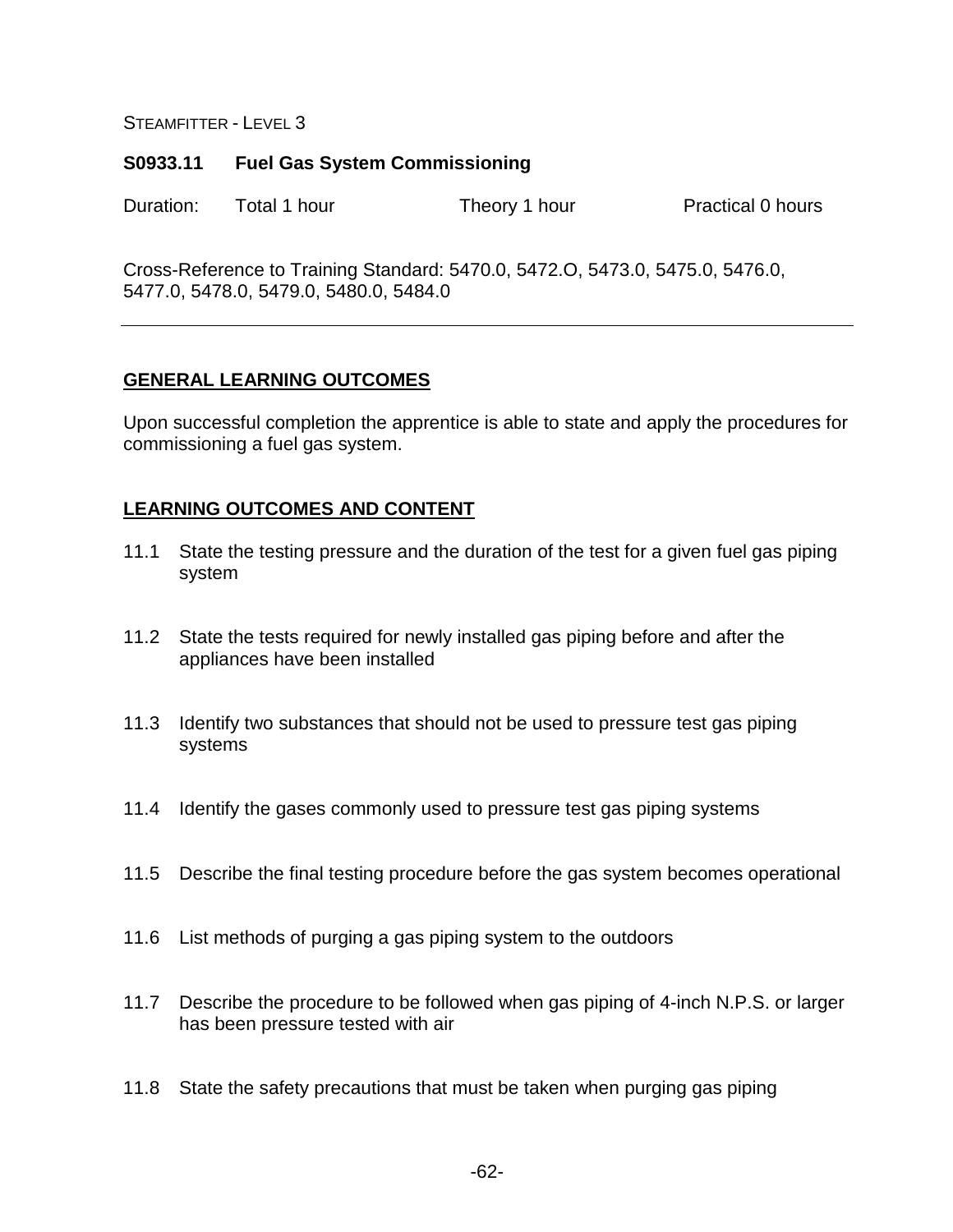### **S0933.11 Fuel Gas System Commissioning**

Duration: Total 1 hour Theory 1 hour Practical 0 hours

Cross-Reference to Training Standard: 5470.0, 5472.O, 5473.0, 5475.0, 5476.0, 5477.0, 5478.0, 5479.0, 5480.0, 5484.0

## **GENERAL LEARNING OUTCOMES**

Upon successful completion the apprentice is able to state and apply the procedures for commissioning a fuel gas system.

- 11.1 State the testing pressure and the duration of the test for a given fuel gas piping system
- 11.2 State the tests required for newly installed gas piping before and after the appliances have been installed
- 11.3 Identify two substances that should not be used to pressure test gas piping systems
- 11.4 Identify the gases commonly used to pressure test gas piping systems
- 11.5 Describe the final testing procedure before the gas system becomes operational
- 11.6 List methods of purging a gas piping system to the outdoors
- 11.7 Describe the procedure to be followed when gas piping of 4-inch N.P.S. or larger has been pressure tested with air
- 11.8 State the safety precautions that must be taken when purging gas piping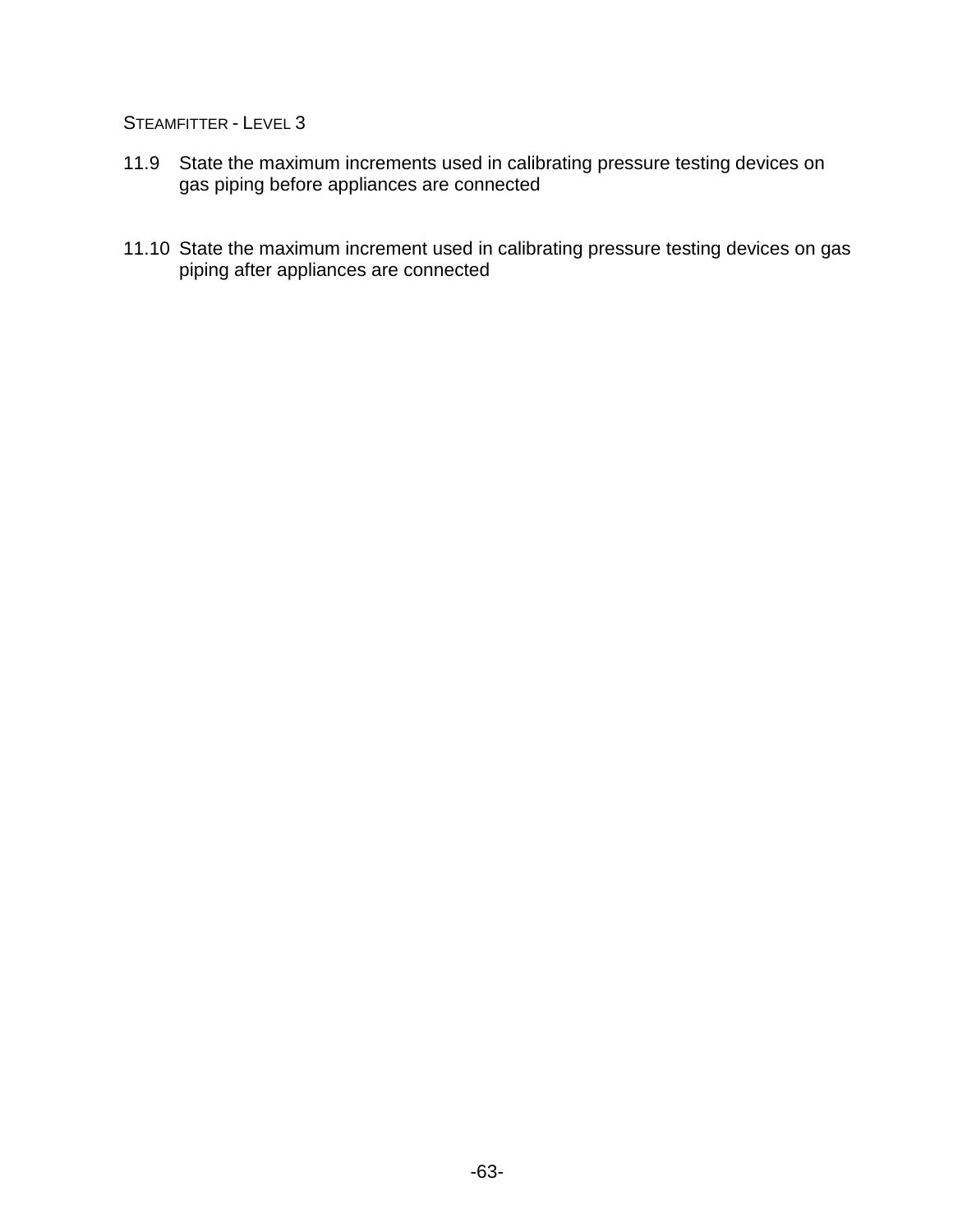- 11.9 State the maximum increments used in calibrating pressure testing devices on gas piping before appliances are connected
- 11.10 State the maximum increment used in calibrating pressure testing devices on gas piping after appliances are connected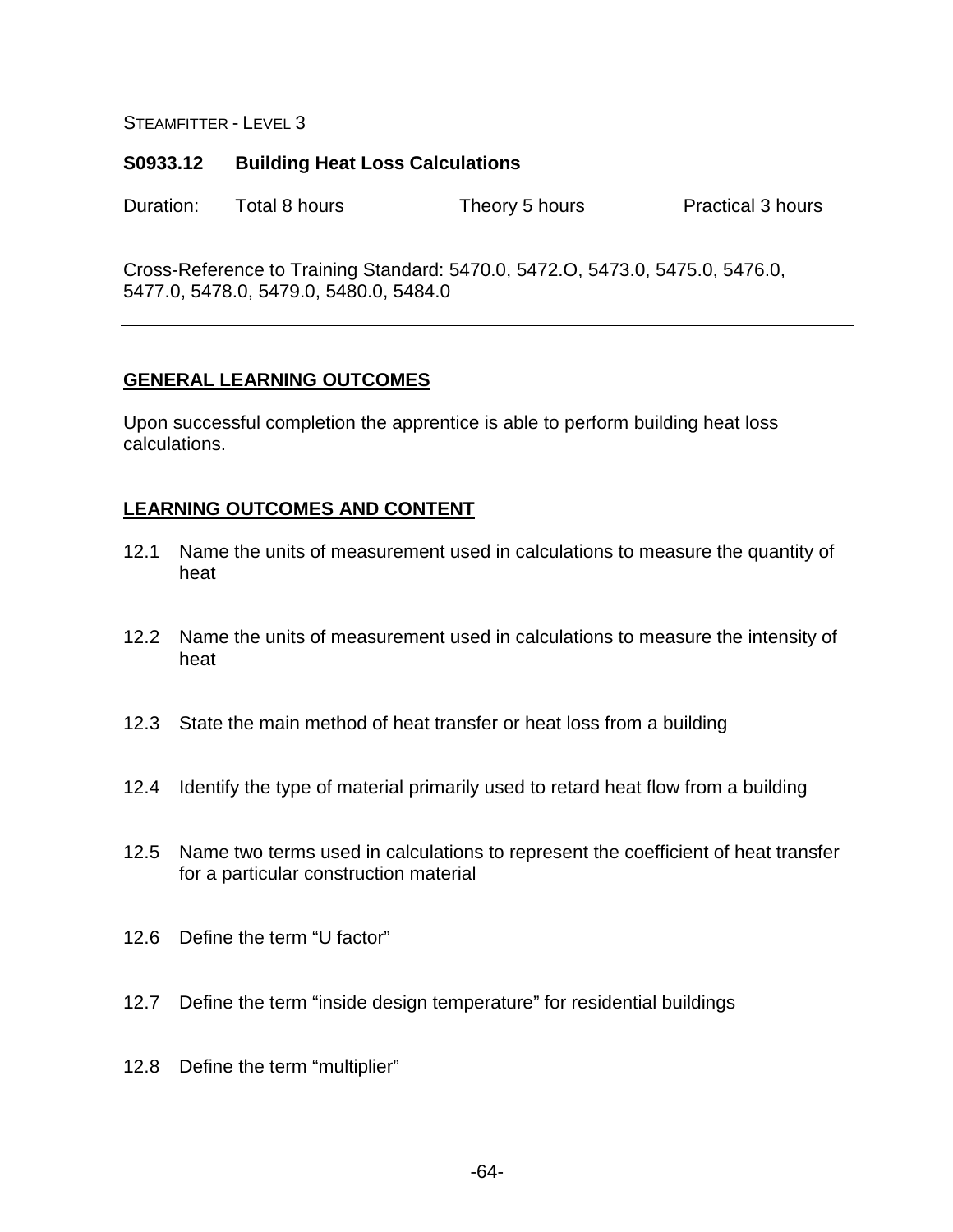### **S0933.12 Building Heat Loss Calculations**

Duration: Total 8 hours Theory 5 hours Practical 3 hours

Cross-Reference to Training Standard: 5470.0, 5472.O, 5473.0, 5475.0, 5476.0, 5477.0, 5478.0, 5479.0, 5480.0, 5484.0

# **GENERAL LEARNING OUTCOMES**

Upon successful completion the apprentice is able to perform building heat loss calculations.

- 12.1 Name the units of measurement used in calculations to measure the quantity of heat
- 12.2 Name the units of measurement used in calculations to measure the intensity of heat
- 12.3 State the main method of heat transfer or heat loss from a building
- 12.4 Identify the type of material primarily used to retard heat flow from a building
- 12.5 Name two terms used in calculations to represent the coefficient of heat transfer for a particular construction material
- 12.6 Define the term "U factor"
- 12.7 Define the term "inside design temperature" for residential buildings
- 12.8 Define the term "multiplier"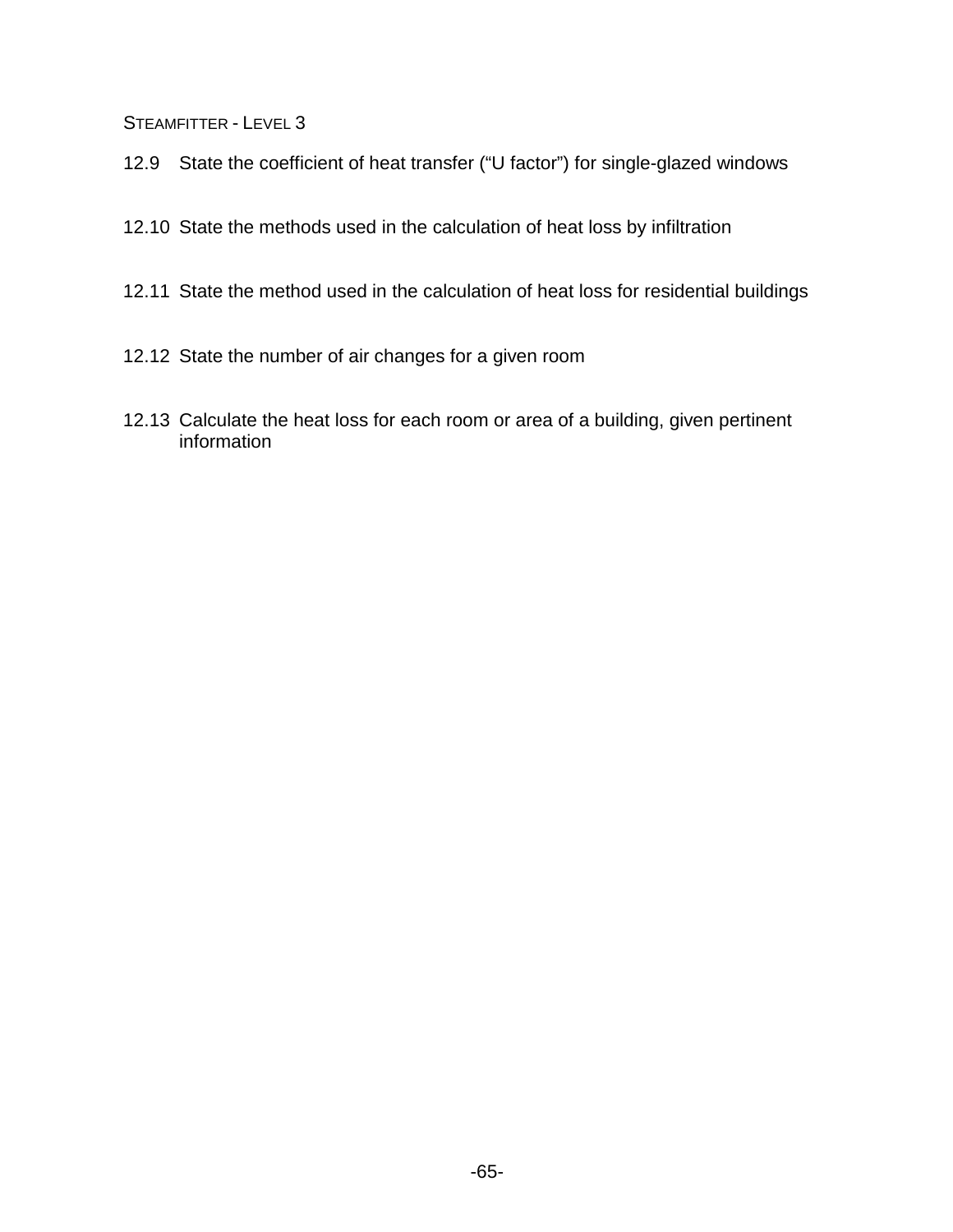- 12.9 State the coefficient of heat transfer ("U factor") for single-glazed windows
- 12.10 State the methods used in the calculation of heat loss by infiltration
- 12.11 State the method used in the calculation of heat loss for residential buildings
- 12.12 State the number of air changes for a given room
- 12.13 Calculate the heat loss for each room or area of a building, given pertinent information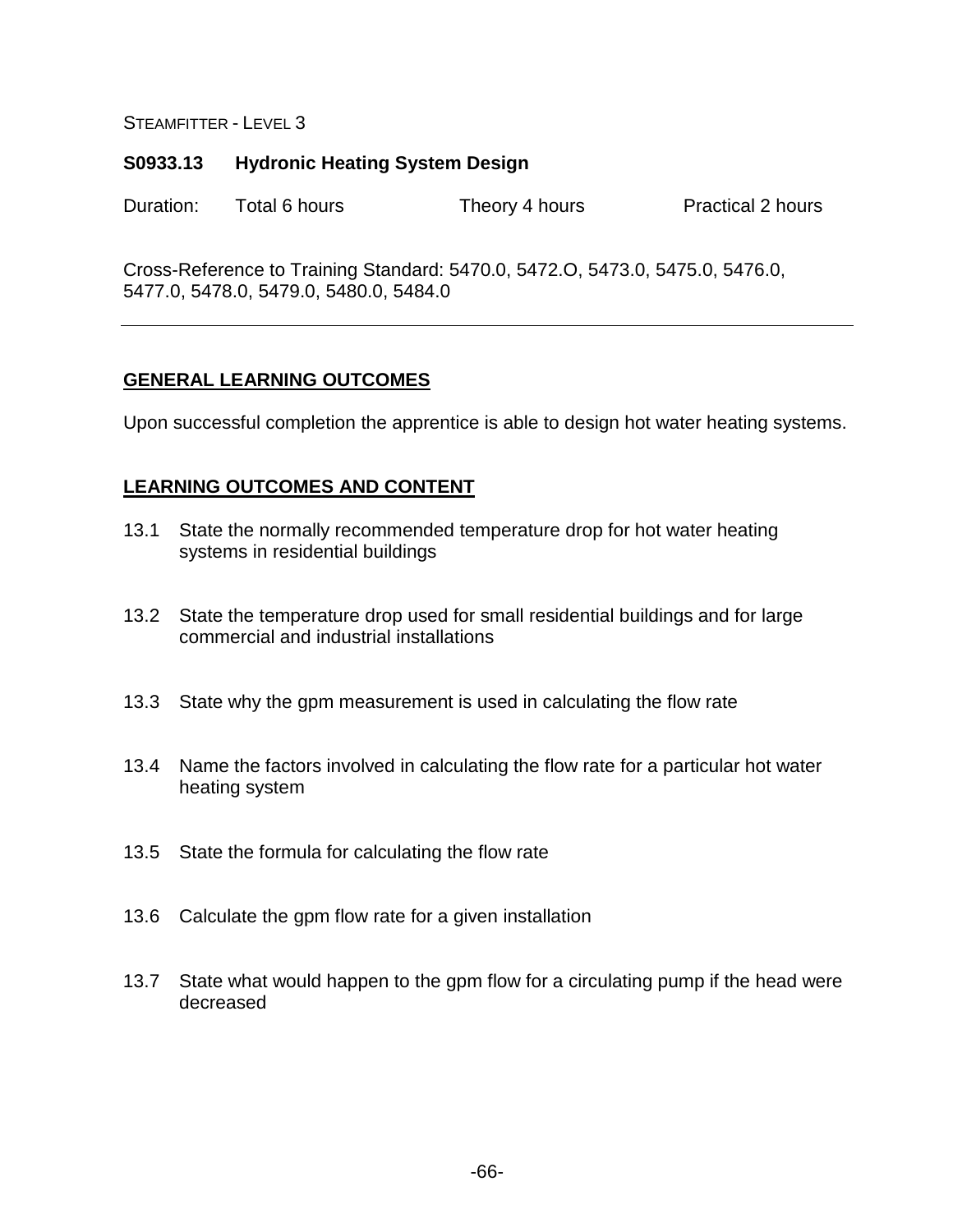## **S0933.13 Hydronic Heating System Design**

Duration: Total 6 hours Theory 4 hours Practical 2 hours

Cross-Reference to Training Standard: 5470.0, 5472.O, 5473.0, 5475.0, 5476.0, 5477.0, 5478.0, 5479.0, 5480.0, 5484.0

# **GENERAL LEARNING OUTCOMES**

Upon successful completion the apprentice is able to design hot water heating systems.

- 13.1 State the normally recommended temperature drop for hot water heating systems in residential buildings
- 13.2 State the temperature drop used for small residential buildings and for large commercial and industrial installations
- 13.3 State why the gpm measurement is used in calculating the flow rate
- 13.4 Name the factors involved in calculating the flow rate for a particular hot water heating system
- 13.5 State the formula for calculating the flow rate
- 13.6 Calculate the gpm flow rate for a given installation
- 13.7 State what would happen to the gpm flow for a circulating pump if the head were decreased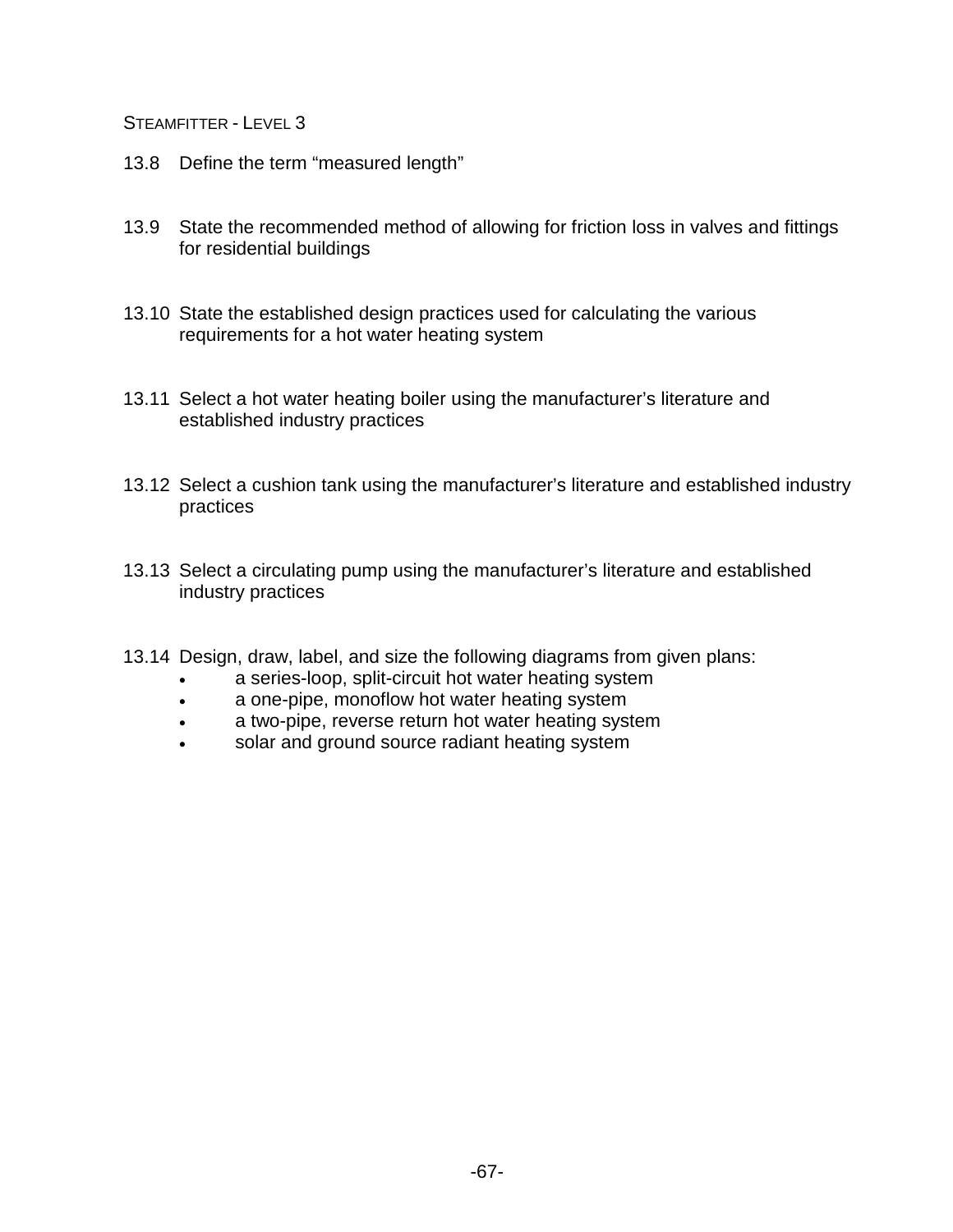- 13.8 Define the term "measured length"
- 13.9 State the recommended method of allowing for friction loss in valves and fittings for residential buildings
- 13.10 State the established design practices used for calculating the various requirements for a hot water heating system
- 13.11 Select a hot water heating boiler using the manufacturer's literature and established industry practices
- 13.12 Select a cushion tank using the manufacturer's literature and established industry practices
- 13.13 Select a circulating pump using the manufacturer's literature and established industry practices
- 13.14 Design, draw, label, and size the following diagrams from given plans:
	- a series-loop, split-circuit hot water heating system
	- a one-pipe, monoflow hot water heating system
	- a two-pipe, reverse return hot water heating system
	- solar and ground source radiant heating system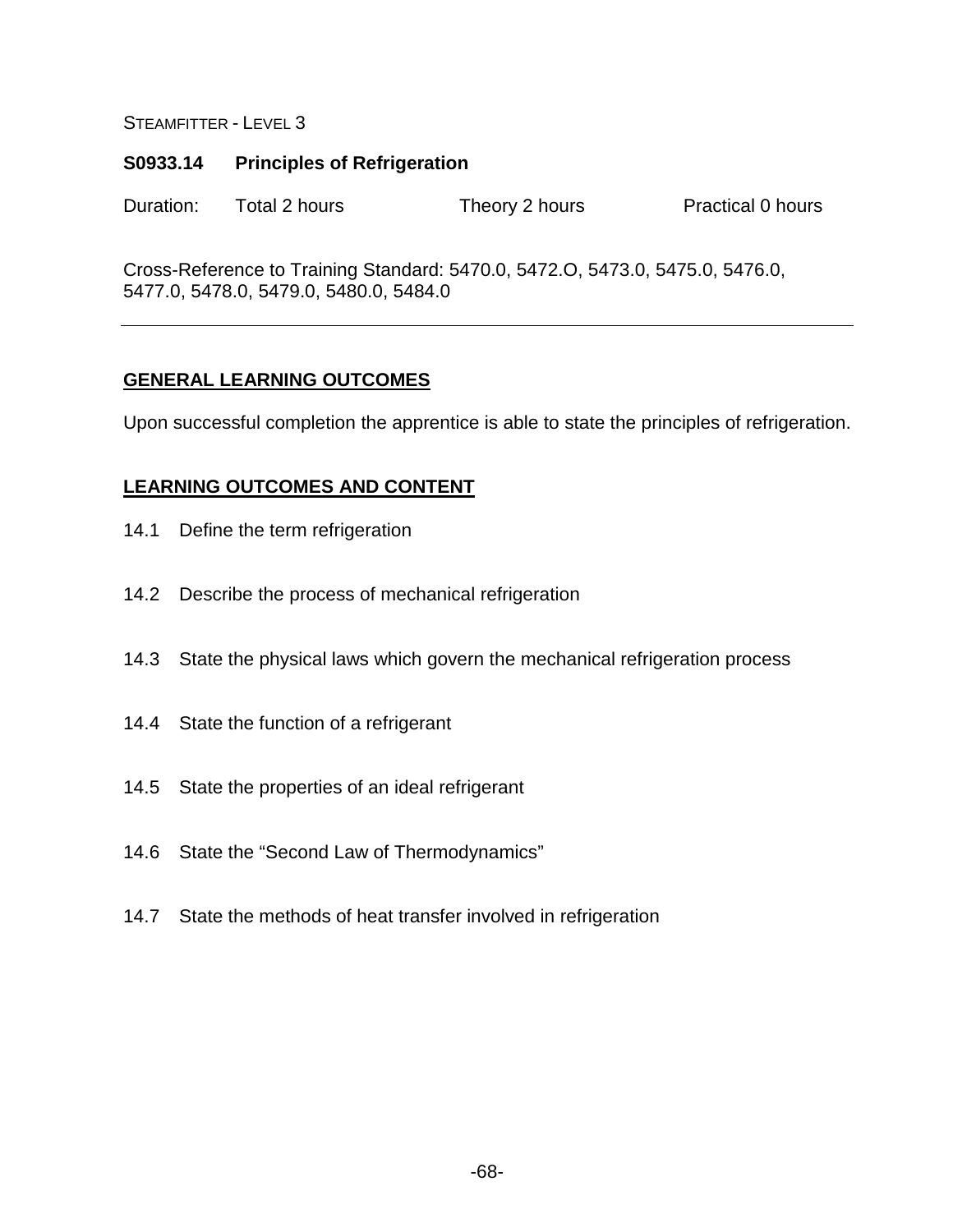### **S0933.14 Principles of Refrigeration**

Duration: Total 2 hours Theory 2 hours Practical 0 hours

Cross-Reference to Training Standard: 5470.0, 5472.O, 5473.0, 5475.0, 5476.0, 5477.0, 5478.0, 5479.0, 5480.0, 5484.0

# **GENERAL LEARNING OUTCOMES**

Upon successful completion the apprentice is able to state the principles of refrigeration.

- 14.1 Define the term refrigeration
- 14.2 Describe the process of mechanical refrigeration
- 14.3 State the physical laws which govern the mechanical refrigeration process
- 14.4 State the function of a refrigerant
- 14.5 State the properties of an ideal refrigerant
- 14.6 State the "Second Law of Thermodynamics"
- 14.7 State the methods of heat transfer involved in refrigeration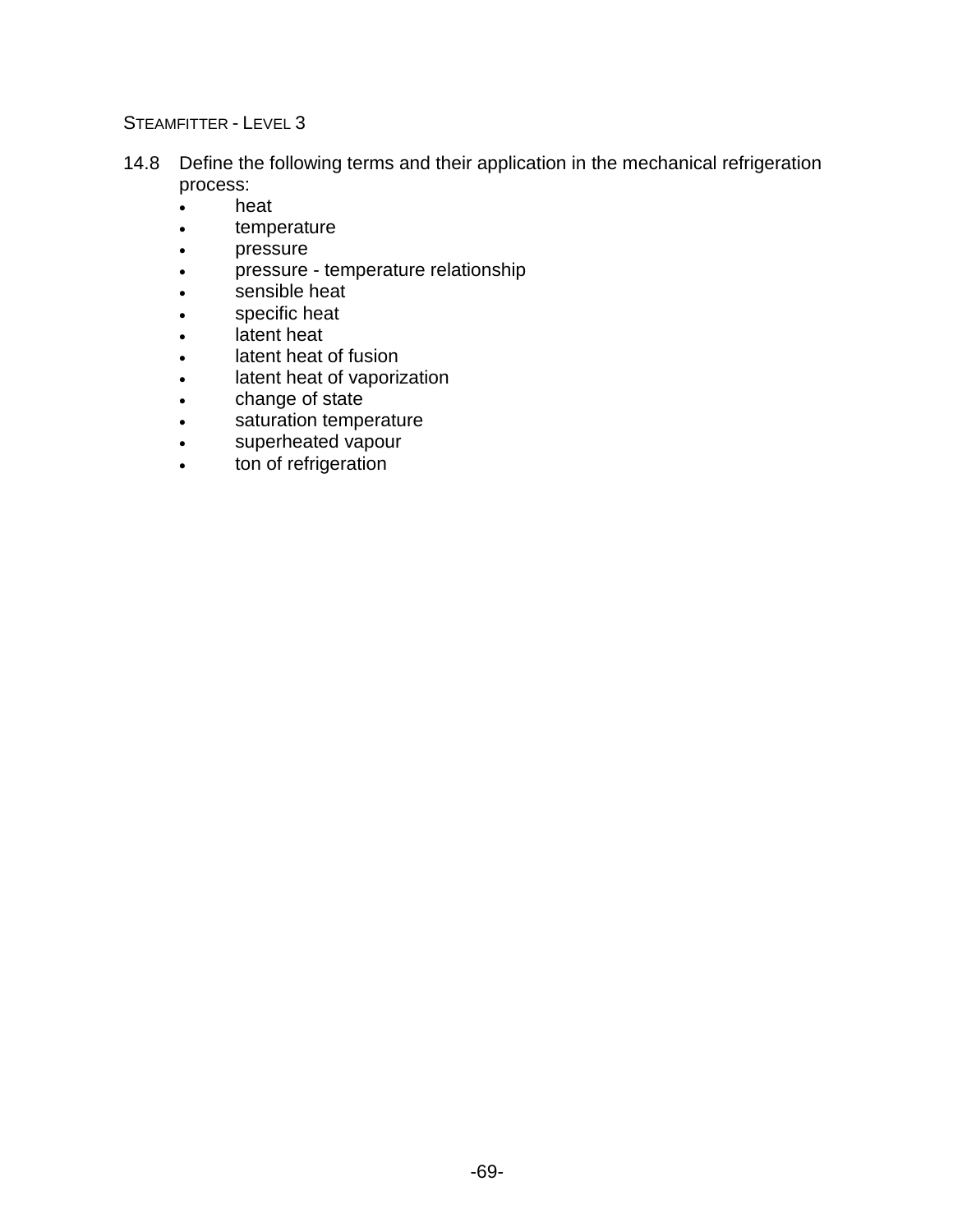- 14.8 Define the following terms and their application in the mechanical refrigeration process:
	- heat
	- temperature
	- pressure
	- pressure temperature relationship
	- sensible heat
	- specific heat
	- latent heat
	- latent heat of fusion
	- latent heat of vaporization
	- change of state
	- saturation temperature
	- superheated vapour
	- ton of refrigeration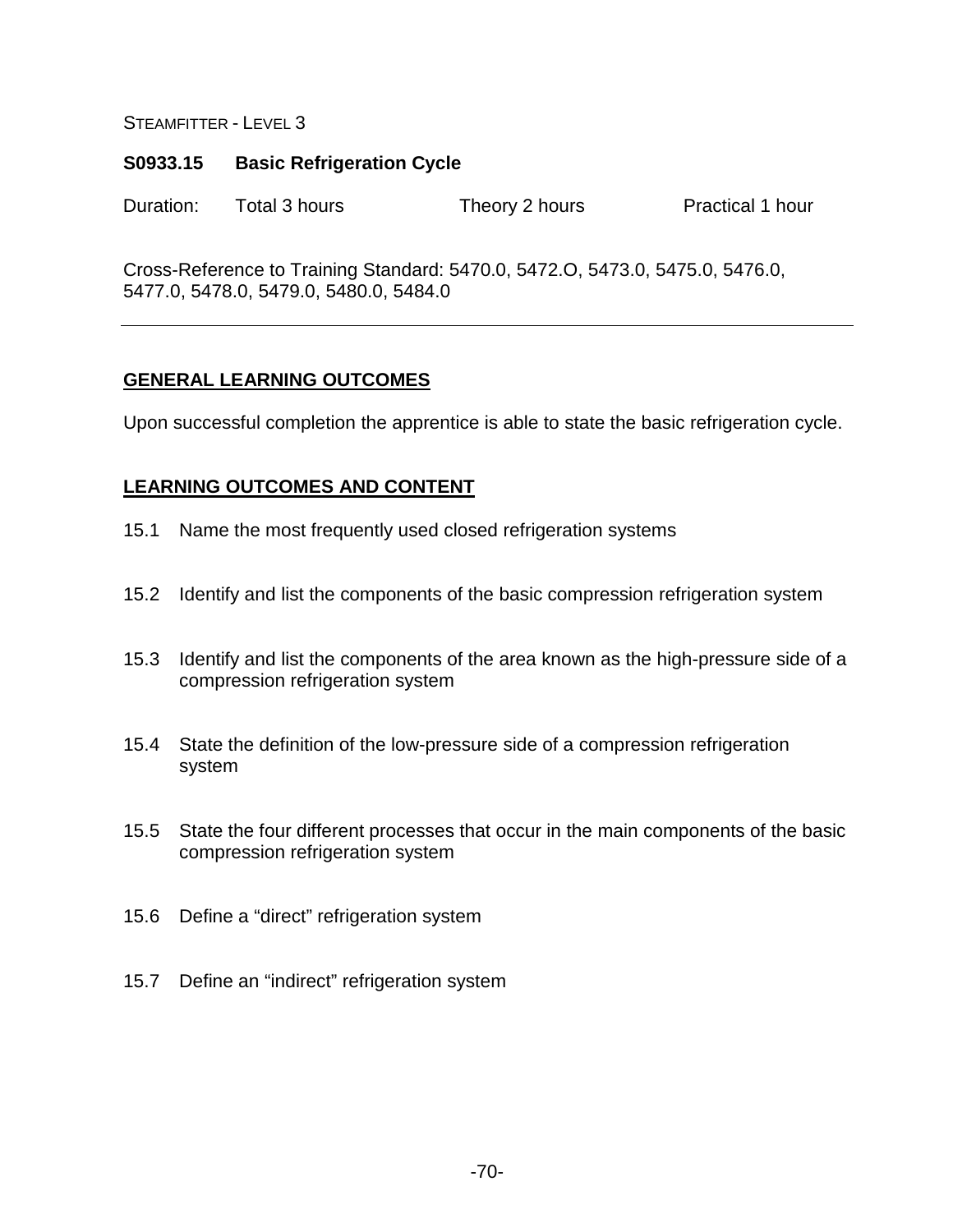### **S0933.15 Basic Refrigeration Cycle**

Duration: Total 3 hours Theory 2 hours Practical 1 hour

Cross-Reference to Training Standard: 5470.0, 5472.O, 5473.0, 5475.0, 5476.0, 5477.0, 5478.0, 5479.0, 5480.0, 5484.0

# **GENERAL LEARNING OUTCOMES**

Upon successful completion the apprentice is able to state the basic refrigeration cycle.

- 15.1 Name the most frequently used closed refrigeration systems
- 15.2 Identify and list the components of the basic compression refrigeration system
- 15.3 Identify and list the components of the area known as the high-pressure side of a compression refrigeration system
- 15.4 State the definition of the low-pressure side of a compression refrigeration system
- 15.5 State the four different processes that occur in the main components of the basic compression refrigeration system
- 15.6 Define a "direct" refrigeration system
- 15.7 Define an "indirect" refrigeration system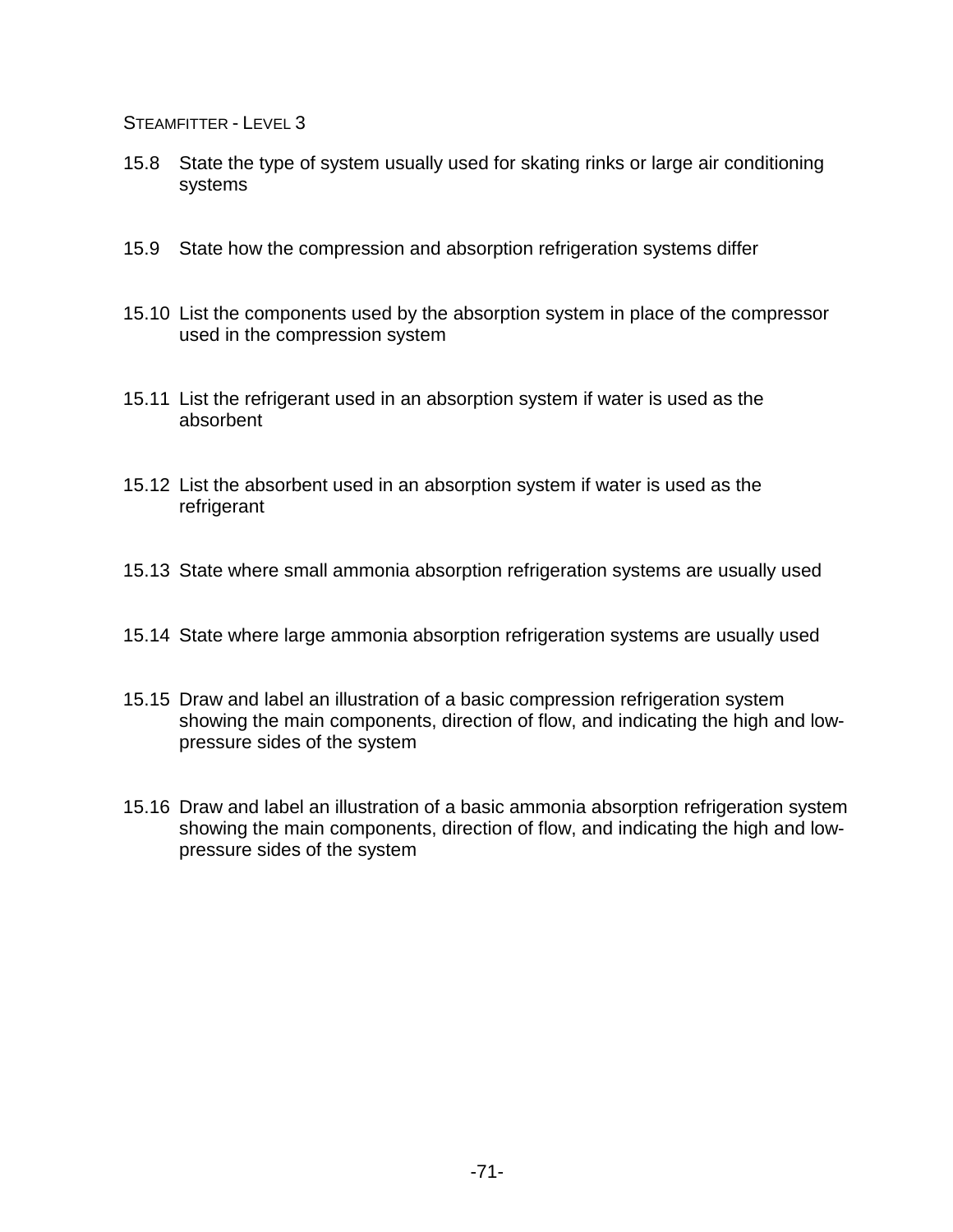- 15.8 State the type of system usually used for skating rinks or large air conditioning systems
- 15.9 State how the compression and absorption refrigeration systems differ
- 15.10 List the components used by the absorption system in place of the compressor used in the compression system
- 15.11 List the refrigerant used in an absorption system if water is used as the absorbent
- 15.12 List the absorbent used in an absorption system if water is used as the refrigerant
- 15.13 State where small ammonia absorption refrigeration systems are usually used
- 15.14 State where large ammonia absorption refrigeration systems are usually used
- 15.15 Draw and label an illustration of a basic compression refrigeration system showing the main components, direction of flow, and indicating the high and lowpressure sides of the system
- 15.16 Draw and label an illustration of a basic ammonia absorption refrigeration system showing the main components, direction of flow, and indicating the high and lowpressure sides of the system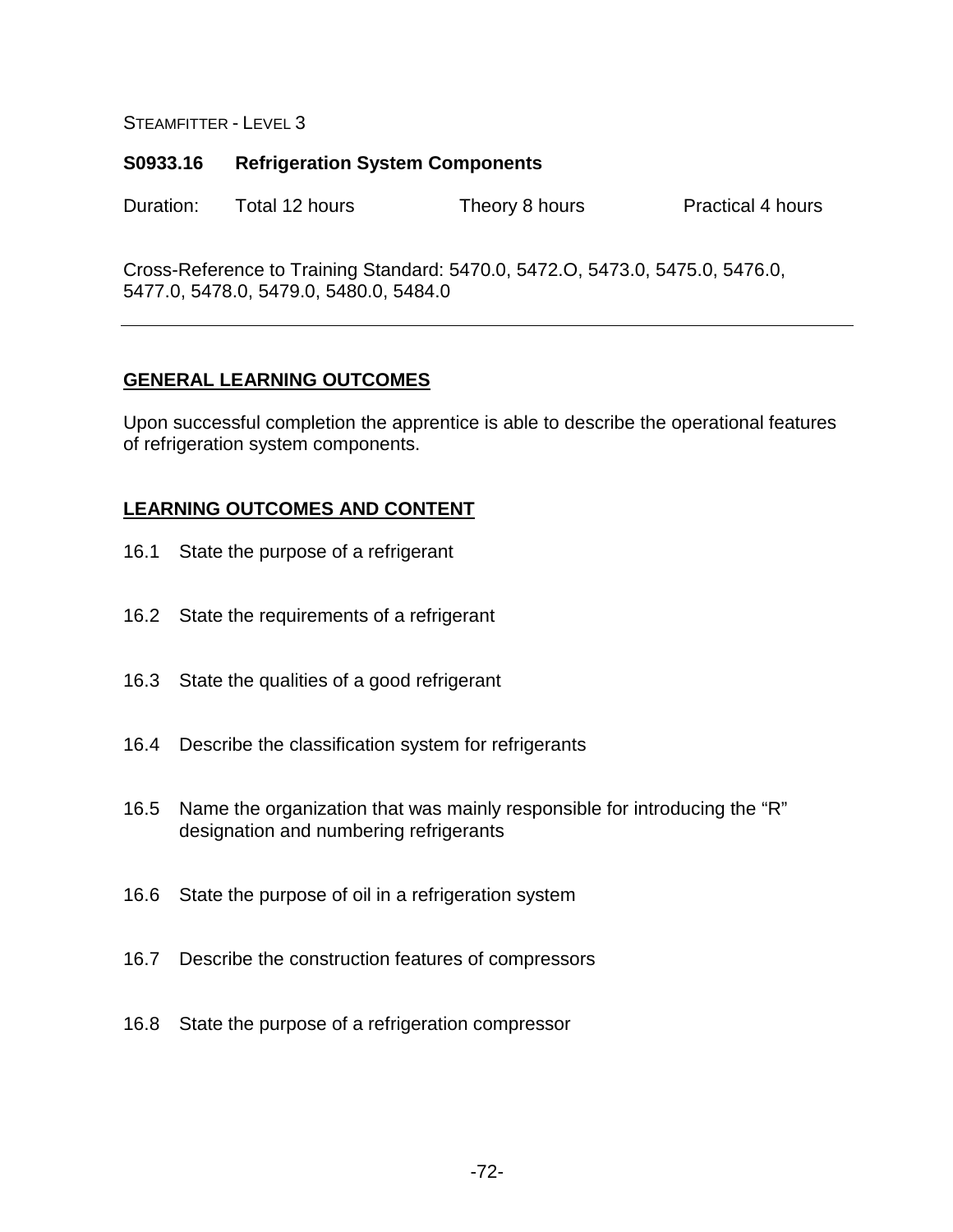#### **S0933.16 Refrigeration System Components**

Duration: Total 12 hours Theory 8 hours Practical 4 hours

Cross-Reference to Training Standard: 5470.0, 5472.O, 5473.0, 5475.0, 5476.0, 5477.0, 5478.0, 5479.0, 5480.0, 5484.0

### **GENERAL LEARNING OUTCOMES**

Upon successful completion the apprentice is able to describe the operational features of refrigeration system components.

- 16.1 State the purpose of a refrigerant
- 16.2 State the requirements of a refrigerant
- 16.3 State the qualities of a good refrigerant
- 16.4 Describe the classification system for refrigerants
- 16.5 Name the organization that was mainly responsible for introducing the "R" designation and numbering refrigerants
- 16.6 State the purpose of oil in a refrigeration system
- 16.7 Describe the construction features of compressors
- 16.8 State the purpose of a refrigeration compressor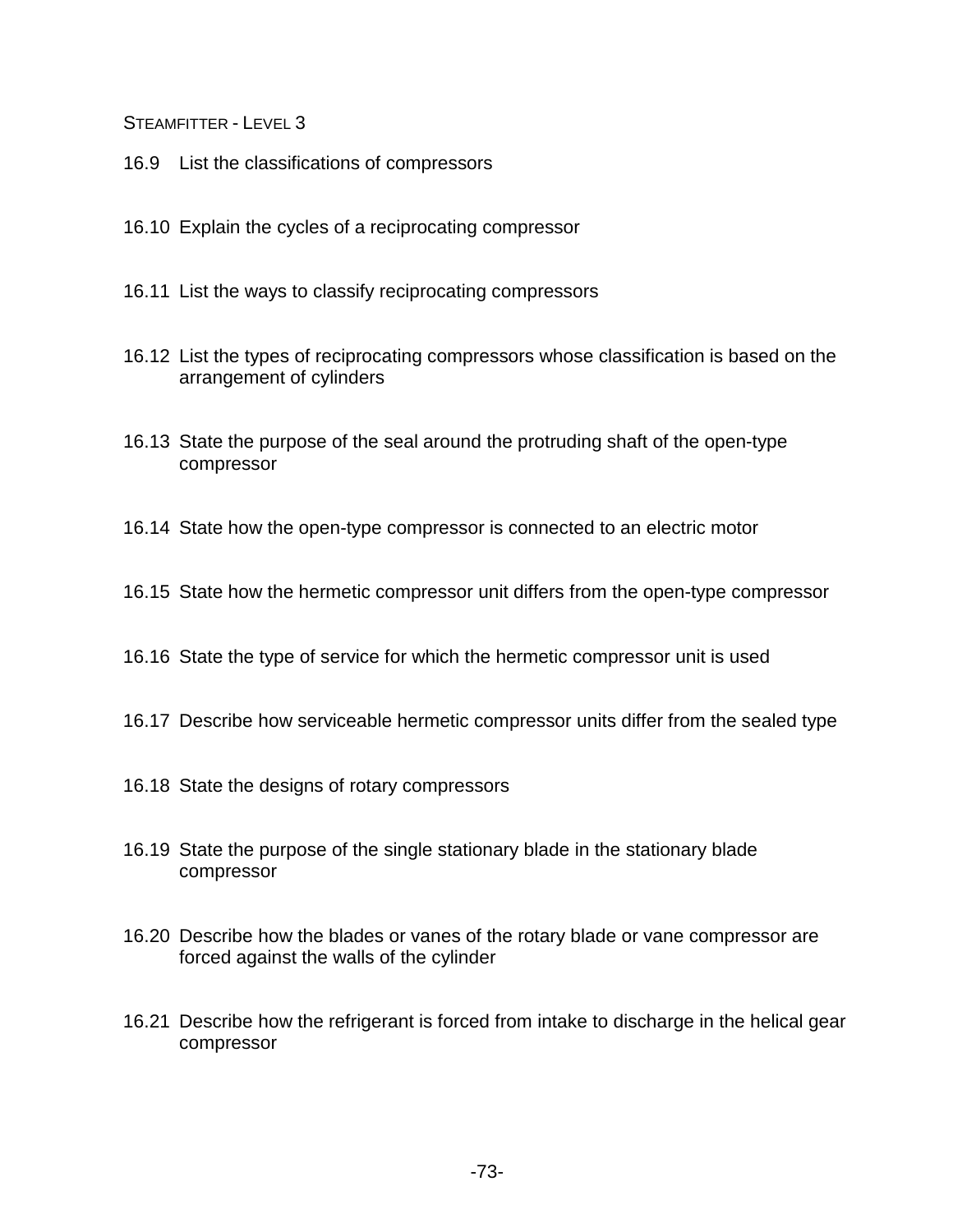- 16.9 List the classifications of compressors
- 16.10 Explain the cycles of a reciprocating compressor
- 16.11 List the ways to classify reciprocating compressors
- 16.12 List the types of reciprocating compressors whose classification is based on the arrangement of cylinders
- 16.13 State the purpose of the seal around the protruding shaft of the open-type compressor
- 16.14 State how the open-type compressor is connected to an electric motor
- 16.15 State how the hermetic compressor unit differs from the open-type compressor
- 16.16 State the type of service for which the hermetic compressor unit is used
- 16.17 Describe how serviceable hermetic compressor units differ from the sealed type
- 16.18 State the designs of rotary compressors
- 16.19 State the purpose of the single stationary blade in the stationary blade compressor
- 16.20 Describe how the blades or vanes of the rotary blade or vane compressor are forced against the walls of the cylinder
- 16.21 Describe how the refrigerant is forced from intake to discharge in the helical gear compressor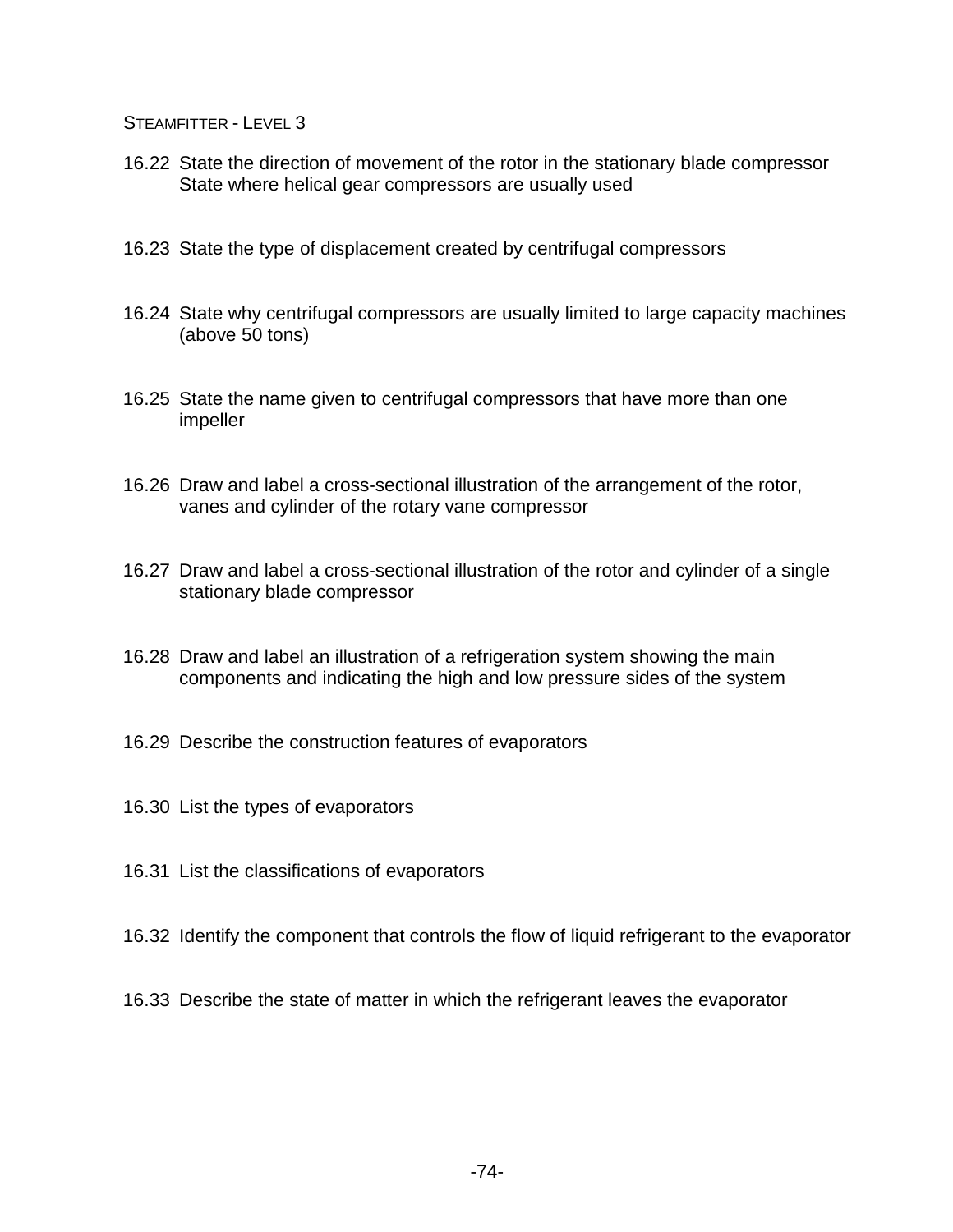- 16.22 State the direction of movement of the rotor in the stationary blade compressor State where helical gear compressors are usually used
- 16.23 State the type of displacement created by centrifugal compressors
- 16.24 State why centrifugal compressors are usually limited to large capacity machines (above 50 tons)
- 16.25 State the name given to centrifugal compressors that have more than one impeller
- 16.26 Draw and label a cross-sectional illustration of the arrangement of the rotor, vanes and cylinder of the rotary vane compressor
- 16.27 Draw and label a cross-sectional illustration of the rotor and cylinder of a single stationary blade compressor
- 16.28 Draw and label an illustration of a refrigeration system showing the main components and indicating the high and low pressure sides of the system
- 16.29 Describe the construction features of evaporators
- 16.30 List the types of evaporators
- 16.31 List the classifications of evaporators
- 16.32 Identify the component that controls the flow of liquid refrigerant to the evaporator
- 16.33 Describe the state of matter in which the refrigerant leaves the evaporator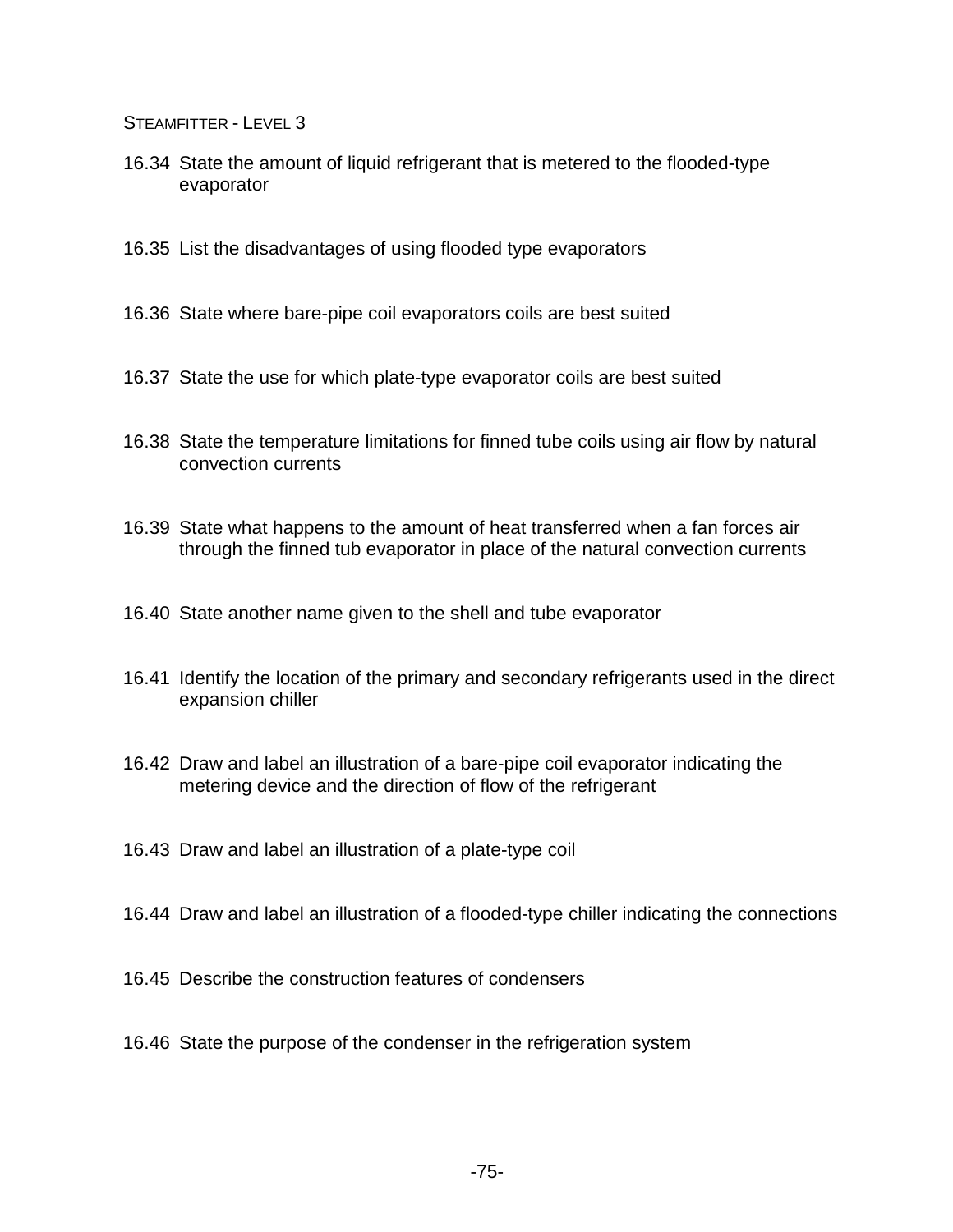- 16.34 State the amount of liquid refrigerant that is metered to the flooded-type evaporator
- 16.35 List the disadvantages of using flooded type evaporators
- 16.36 State where bare-pipe coil evaporators coils are best suited
- 16.37 State the use for which plate-type evaporator coils are best suited
- 16.38 State the temperature limitations for finned tube coils using air flow by natural convection currents
- 16.39 State what happens to the amount of heat transferred when a fan forces air through the finned tub evaporator in place of the natural convection currents
- 16.40 State another name given to the shell and tube evaporator
- 16.41 Identify the location of the primary and secondary refrigerants used in the direct expansion chiller
- 16.42 Draw and label an illustration of a bare-pipe coil evaporator indicating the metering device and the direction of flow of the refrigerant
- 16.43 Draw and label an illustration of a plate-type coil
- 16.44 Draw and label an illustration of a flooded-type chiller indicating the connections
- 16.45 Describe the construction features of condensers
- 16.46 State the purpose of the condenser in the refrigeration system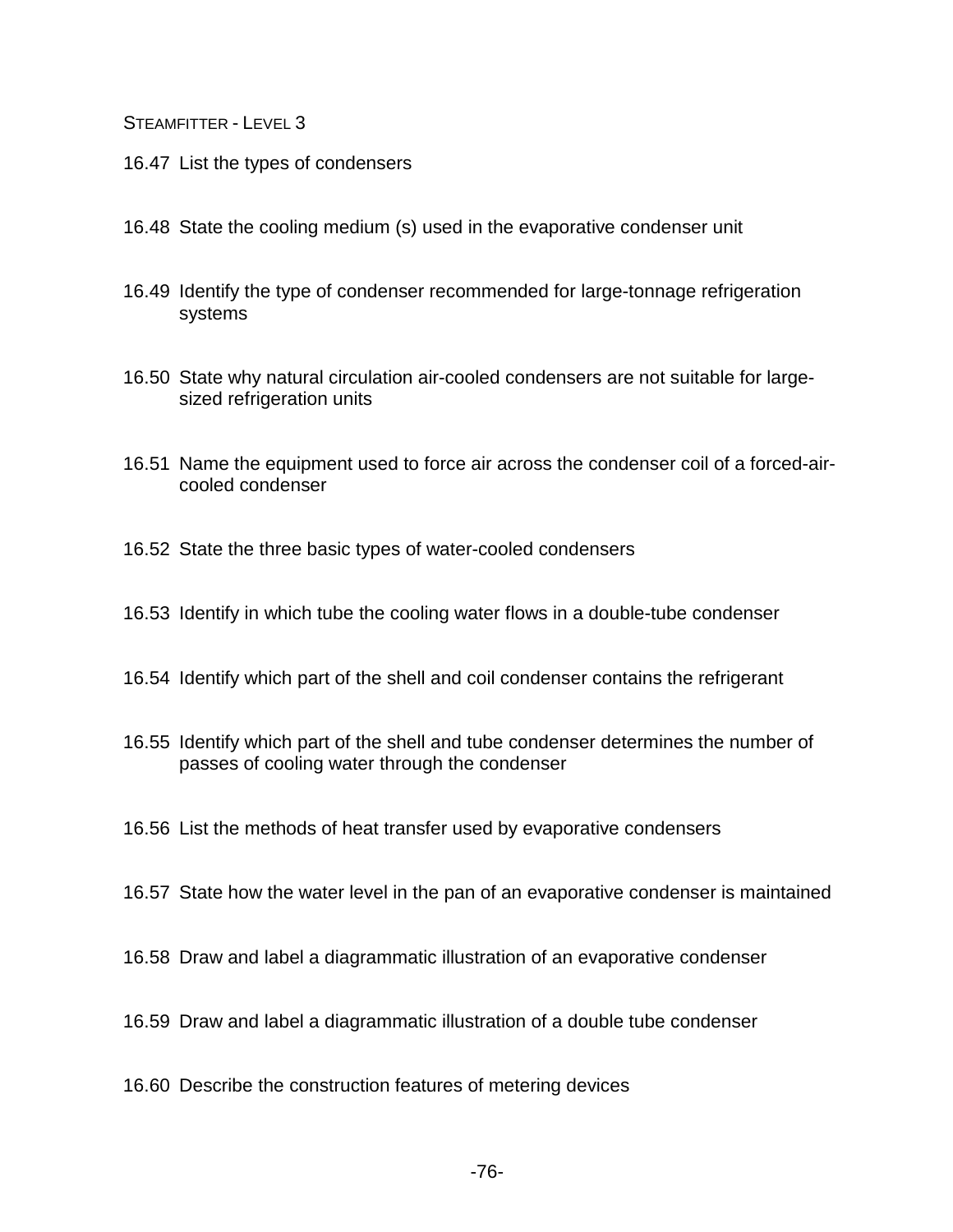- 16.47 List the types of condensers
- 16.48 State the cooling medium (s) used in the evaporative condenser unit
- 16.49 Identify the type of condenser recommended for large-tonnage refrigeration systems
- 16.50 State why natural circulation air-cooled condensers are not suitable for largesized refrigeration units
- 16.51 Name the equipment used to force air across the condenser coil of a forced-aircooled condenser
- 16.52 State the three basic types of water-cooled condensers
- 16.53 Identify in which tube the cooling water flows in a double-tube condenser
- 16.54 Identify which part of the shell and coil condenser contains the refrigerant
- 16.55 Identify which part of the shell and tube condenser determines the number of passes of cooling water through the condenser
- 16.56 List the methods of heat transfer used by evaporative condensers
- 16.57 State how the water level in the pan of an evaporative condenser is maintained
- 16.58 Draw and label a diagrammatic illustration of an evaporative condenser
- 16.59 Draw and label a diagrammatic illustration of a double tube condenser
- 16.60 Describe the construction features of metering devices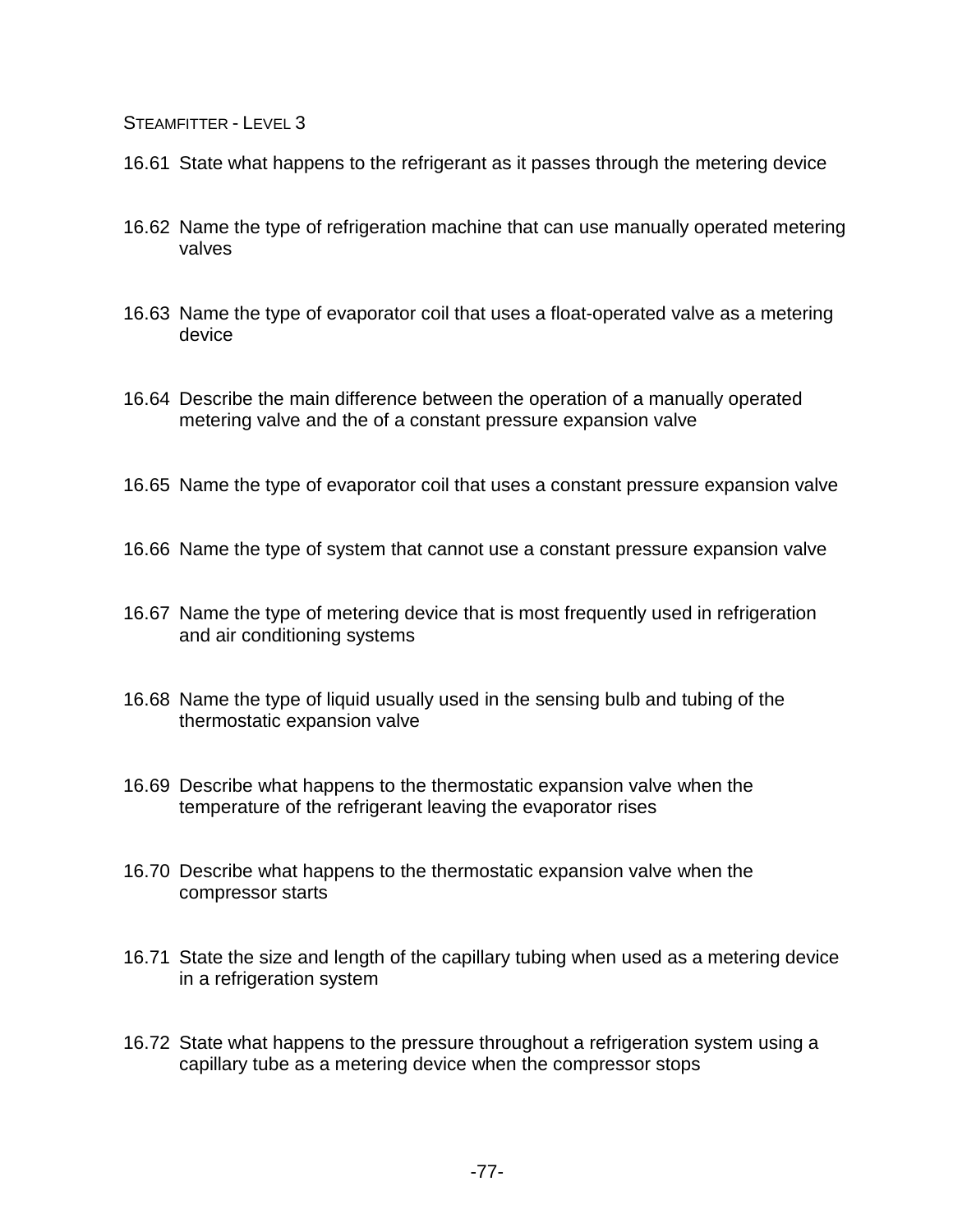- 16.61 State what happens to the refrigerant as it passes through the metering device
- 16.62 Name the type of refrigeration machine that can use manually operated metering valves
- 16.63 Name the type of evaporator coil that uses a float-operated valve as a metering device
- 16.64 Describe the main difference between the operation of a manually operated metering valve and the of a constant pressure expansion valve
- 16.65 Name the type of evaporator coil that uses a constant pressure expansion valve
- 16.66 Name the type of system that cannot use a constant pressure expansion valve
- 16.67 Name the type of metering device that is most frequently used in refrigeration and air conditioning systems
- 16.68 Name the type of liquid usually used in the sensing bulb and tubing of the thermostatic expansion valve
- 16.69 Describe what happens to the thermostatic expansion valve when the temperature of the refrigerant leaving the evaporator rises
- 16.70 Describe what happens to the thermostatic expansion valve when the compressor starts
- 16.71 State the size and length of the capillary tubing when used as a metering device in a refrigeration system
- 16.72 State what happens to the pressure throughout a refrigeration system using a capillary tube as a metering device when the compressor stops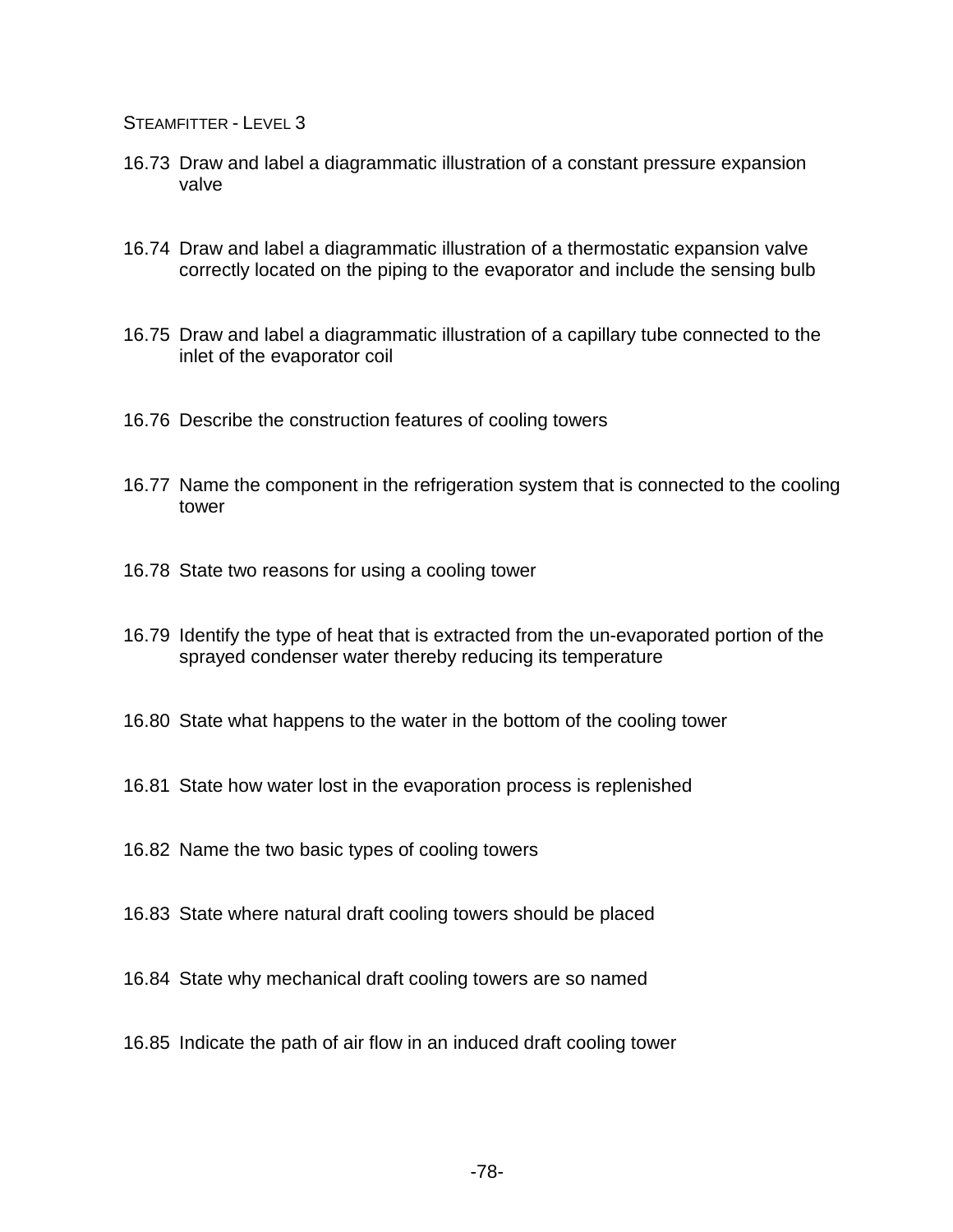- 16.73 Draw and label a diagrammatic illustration of a constant pressure expansion valve
- 16.74 Draw and label a diagrammatic illustration of a thermostatic expansion valve correctly located on the piping to the evaporator and include the sensing bulb
- 16.75 Draw and label a diagrammatic illustration of a capillary tube connected to the inlet of the evaporator coil
- 16.76 Describe the construction features of cooling towers
- 16.77 Name the component in the refrigeration system that is connected to the cooling tower
- 16.78 State two reasons for using a cooling tower
- 16.79 Identify the type of heat that is extracted from the un-evaporated portion of the sprayed condenser water thereby reducing its temperature
- 16.80 State what happens to the water in the bottom of the cooling tower
- 16.81 State how water lost in the evaporation process is replenished
- 16.82 Name the two basic types of cooling towers
- 16.83 State where natural draft cooling towers should be placed
- 16.84 State why mechanical draft cooling towers are so named
- 16.85 Indicate the path of air flow in an induced draft cooling tower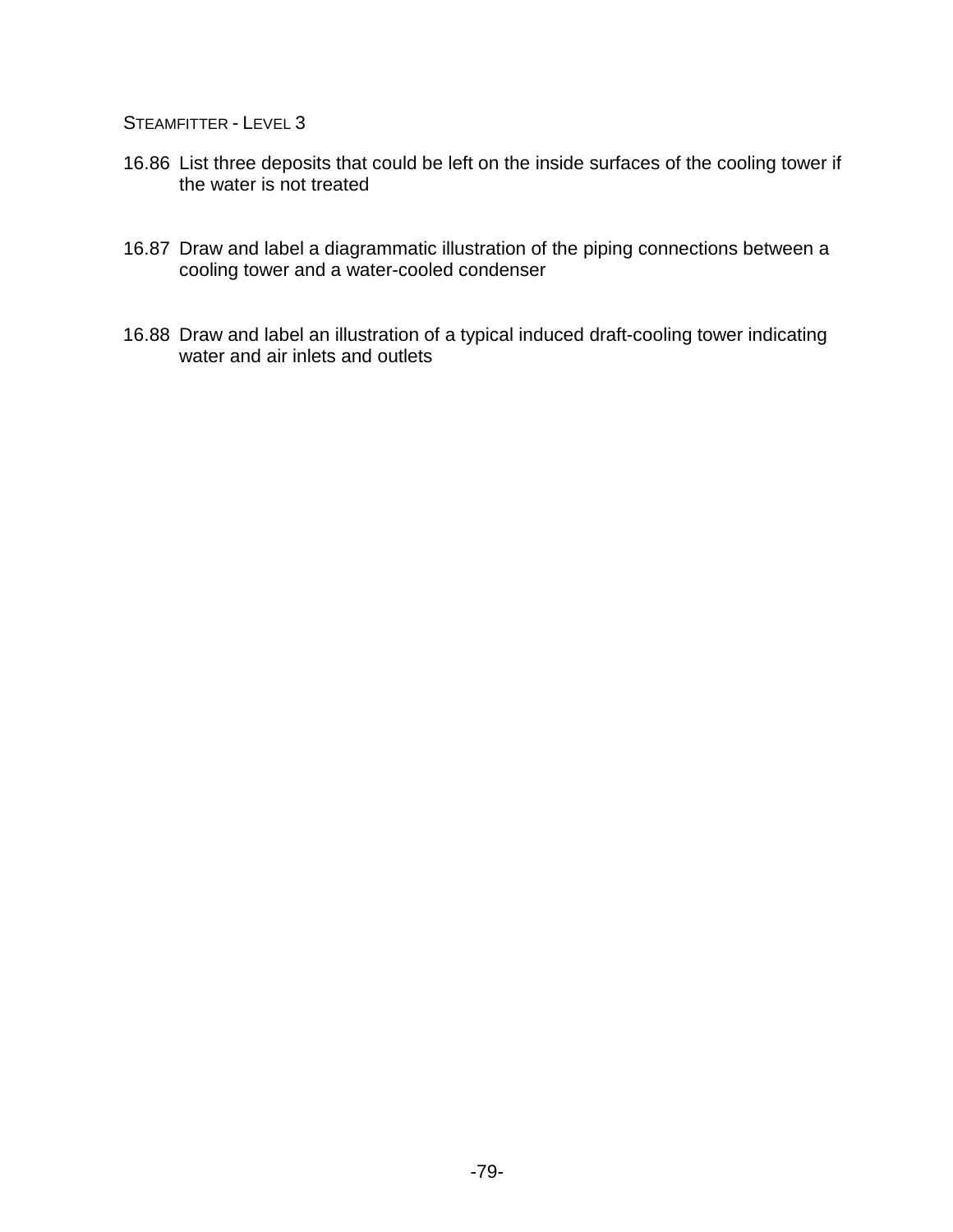- 16.86 List three deposits that could be left on the inside surfaces of the cooling tower if the water is not treated
- 16.87 Draw and label a diagrammatic illustration of the piping connections between a cooling tower and a water-cooled condenser
- 16.88 Draw and label an illustration of a typical induced draft-cooling tower indicating water and air inlets and outlets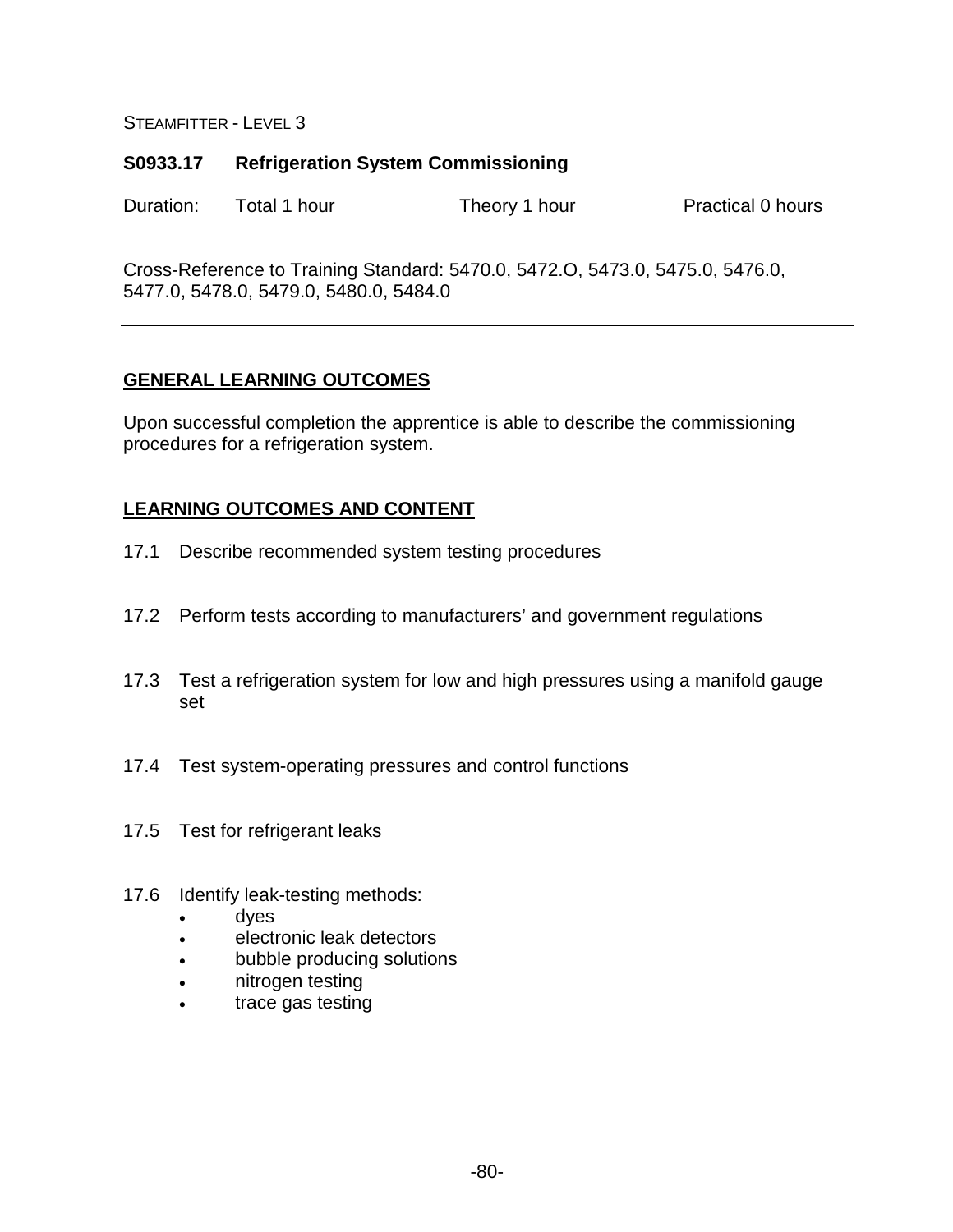## **S0933.17 Refrigeration System Commissioning**

Duration: Total 1 hour Theory 1 hour Practical 0 hours

Cross-Reference to Training Standard: 5470.0, 5472.O, 5473.0, 5475.0, 5476.0, 5477.0, 5478.0, 5479.0, 5480.0, 5484.0

# **GENERAL LEARNING OUTCOMES**

Upon successful completion the apprentice is able to describe the commissioning procedures for a refrigeration system.

- 17.1 Describe recommended system testing procedures
- 17.2 Perform tests according to manufacturers' and government regulations
- 17.3 Test a refrigeration system for low and high pressures using a manifold gauge set
- 17.4 Test system-operating pressures and control functions
- 17.5 Test for refrigerant leaks
- 17.6 Identify leak-testing methods:
	- dyes
	- electronic leak detectors
	- bubble producing solutions
	- nitrogen testing
	- trace gas testing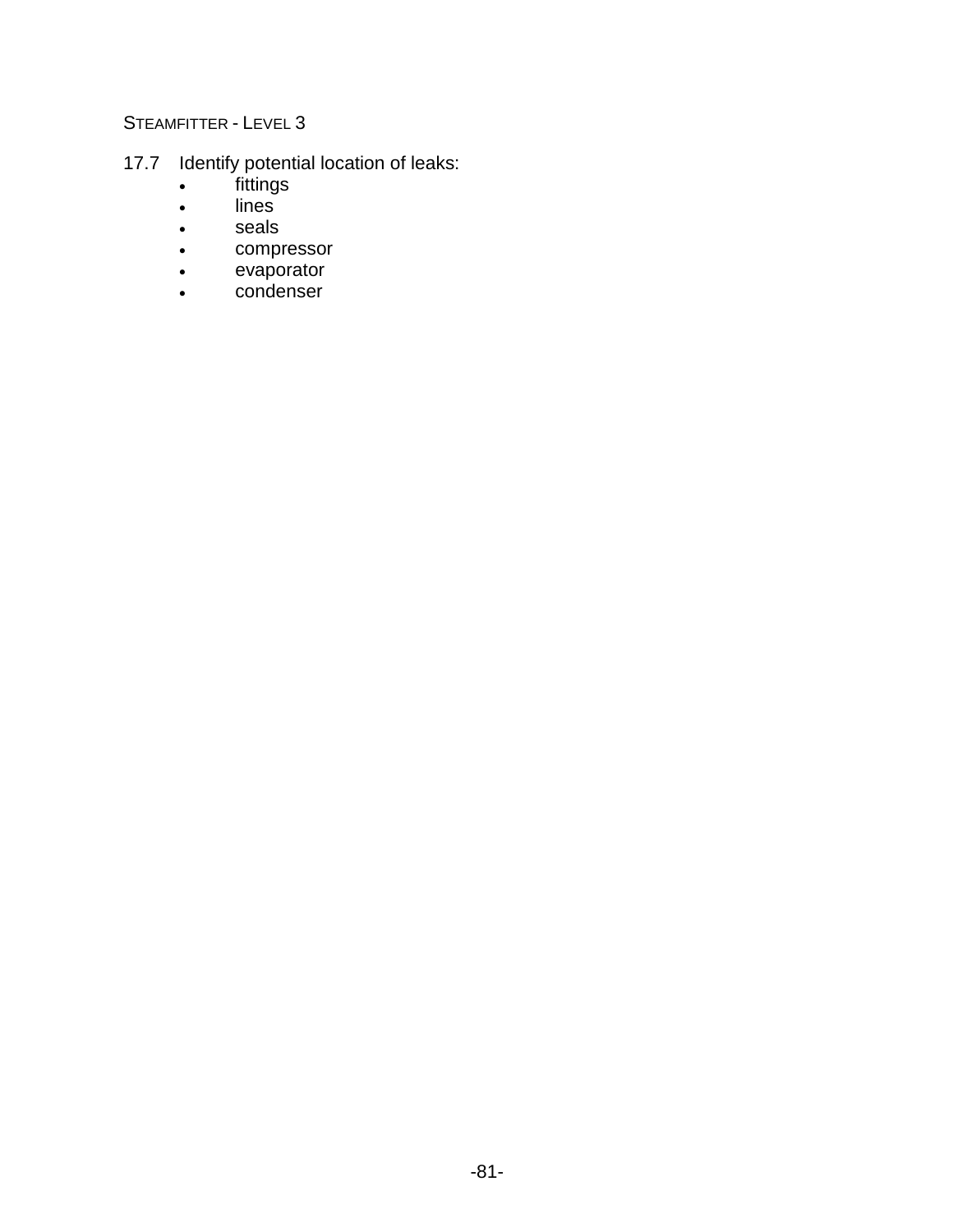- 17.7 Identify potential location of leaks:
	- fittings
	- lines
	- seals
	- compressor
	- evaporator
	- condenser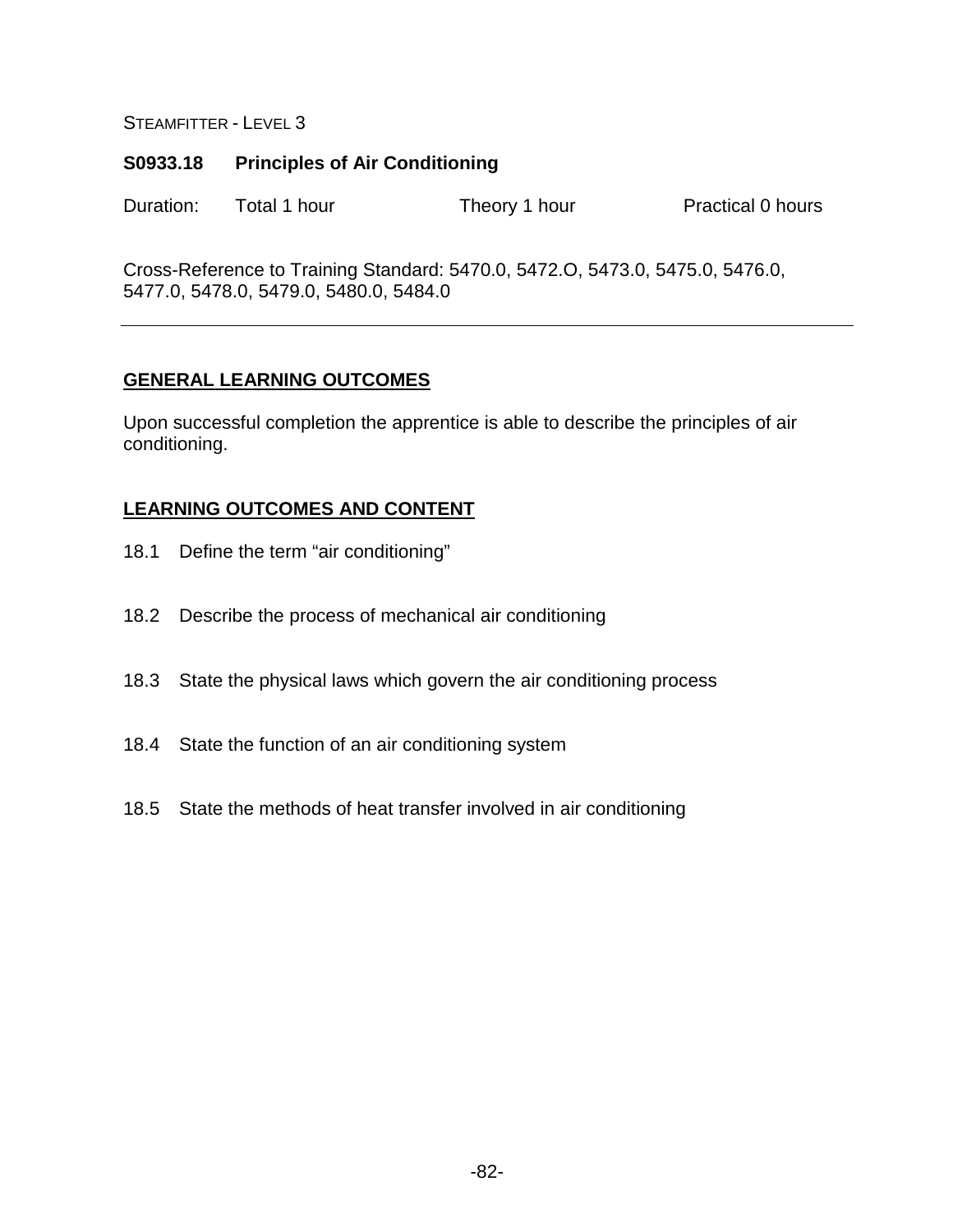## **S0933.18 Principles of Air Conditioning**

Duration: Total 1 hour Theory 1 hour Practical 0 hours

Cross-Reference to Training Standard: 5470.0, 5472.O, 5473.0, 5475.0, 5476.0, 5477.0, 5478.0, 5479.0, 5480.0, 5484.0

# **GENERAL LEARNING OUTCOMES**

Upon successful completion the apprentice is able to describe the principles of air conditioning.

- 18.1 Define the term "air conditioning"
- 18.2 Describe the process of mechanical air conditioning
- 18.3 State the physical laws which govern the air conditioning process
- 18.4 State the function of an air conditioning system
- 18.5 State the methods of heat transfer involved in air conditioning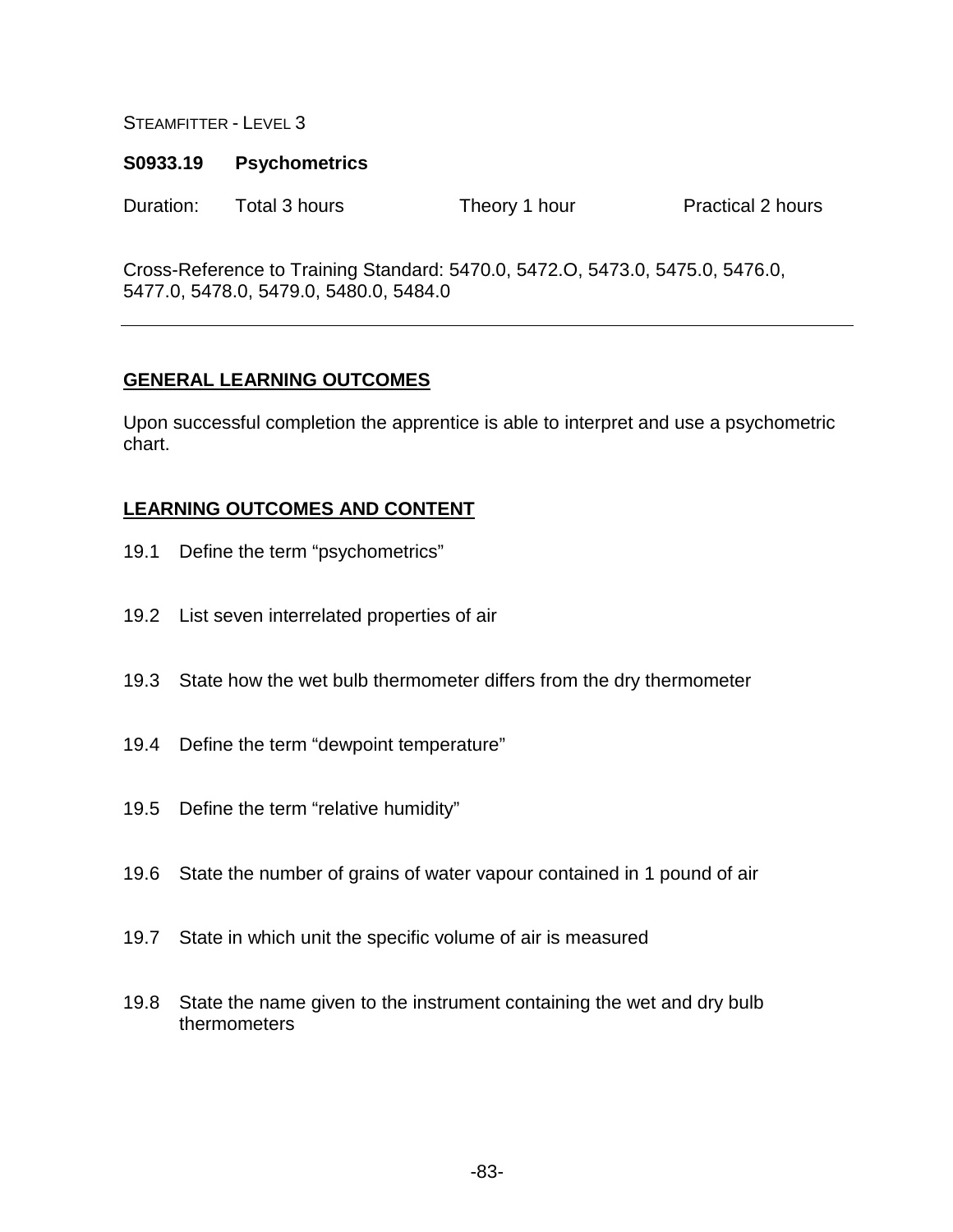#### **S0933.19 Psychometrics**

Duration: Total 3 hours Theory 1 hour Practical 2 hours

Cross-Reference to Training Standard: 5470.0, 5472.O, 5473.0, 5475.0, 5476.0, 5477.0, 5478.0, 5479.0, 5480.0, 5484.0

# **GENERAL LEARNING OUTCOMES**

Upon successful completion the apprentice is able to interpret and use a psychometric chart.

- 19.1 Define the term "psychometrics"
- 19.2 List seven interrelated properties of air
- 19.3 State how the wet bulb thermometer differs from the dry thermometer
- 19.4 Define the term "dewpoint temperature"
- 19.5 Define the term "relative humidity"
- 19.6 State the number of grains of water vapour contained in 1 pound of air
- 19.7 State in which unit the specific volume of air is measured
- 19.8 State the name given to the instrument containing the wet and dry bulb thermometers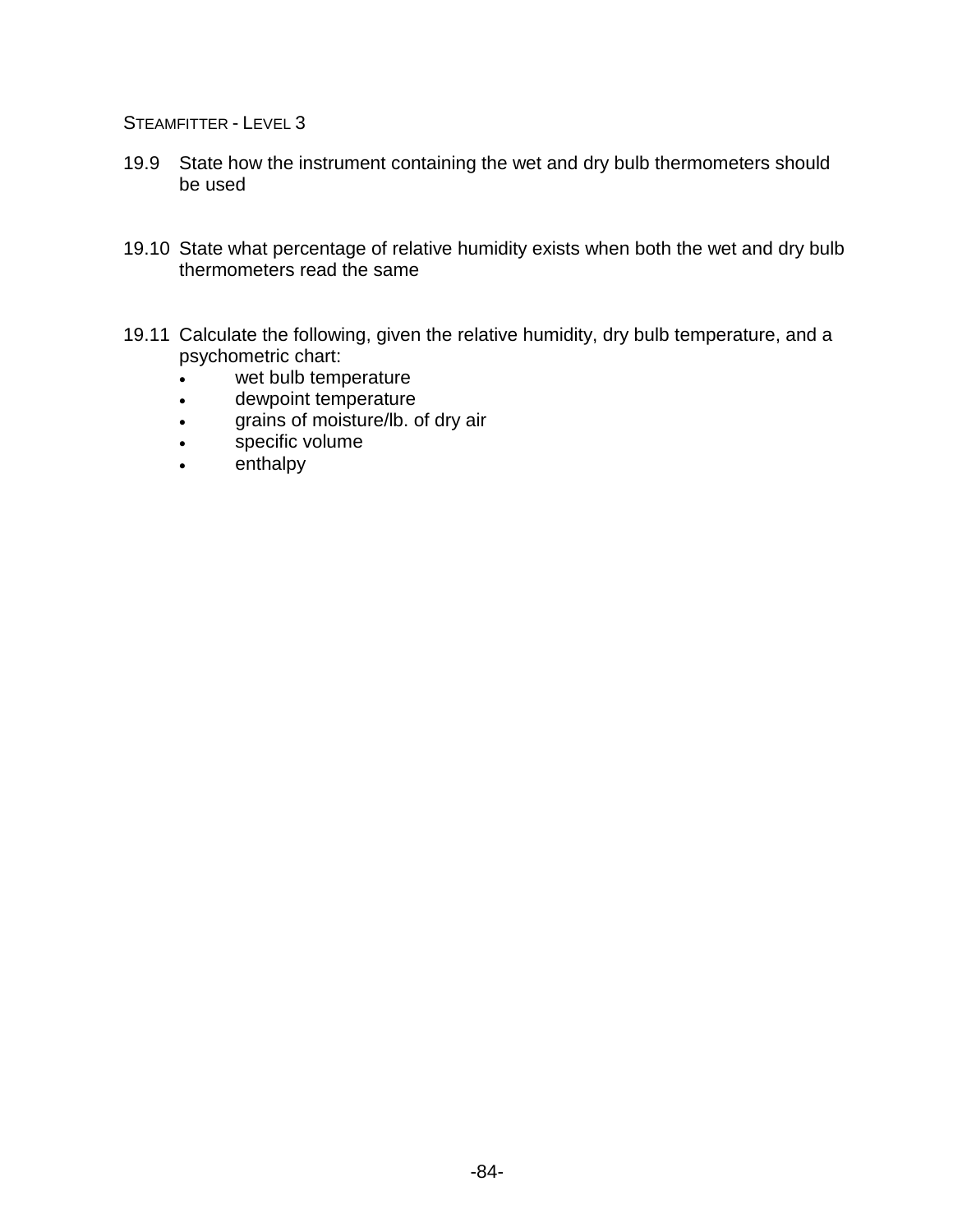- 19.9 State how the instrument containing the wet and dry bulb thermometers should be used
- 19.10 State what percentage of relative humidity exists when both the wet and dry bulb thermometers read the same
- 19.11 Calculate the following, given the relative humidity, dry bulb temperature, and a psychometric chart:
	- wet bulb temperature
	- dewpoint temperature
	- grains of moisture/lb. of dry air
	- specific volume
	- enthalpy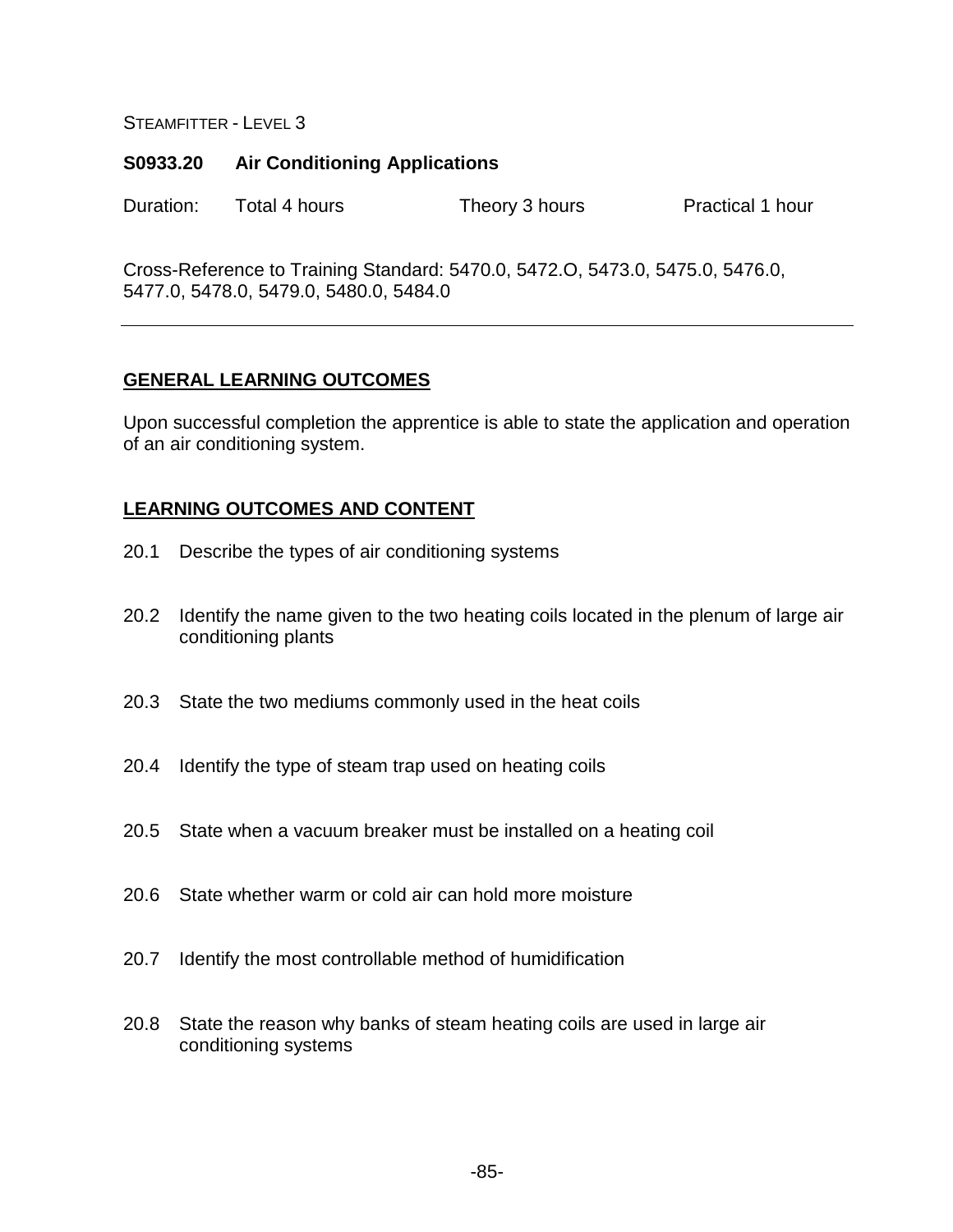#### **S0933.20 Air Conditioning Applications**

Duration: Total 4 hours Theory 3 hours Practical 1 hour

Cross-Reference to Training Standard: 5470.0, 5472.O, 5473.0, 5475.0, 5476.0, 5477.0, 5478.0, 5479.0, 5480.0, 5484.0

### **GENERAL LEARNING OUTCOMES**

Upon successful completion the apprentice is able to state the application and operation of an air conditioning system.

- 20.1 Describe the types of air conditioning systems
- 20.2 Identify the name given to the two heating coils located in the plenum of large air conditioning plants
- 20.3 State the two mediums commonly used in the heat coils
- 20.4 Identify the type of steam trap used on heating coils
- 20.5 State when a vacuum breaker must be installed on a heating coil
- 20.6 State whether warm or cold air can hold more moisture
- 20.7 Identify the most controllable method of humidification
- 20.8 State the reason why banks of steam heating coils are used in large air conditioning systems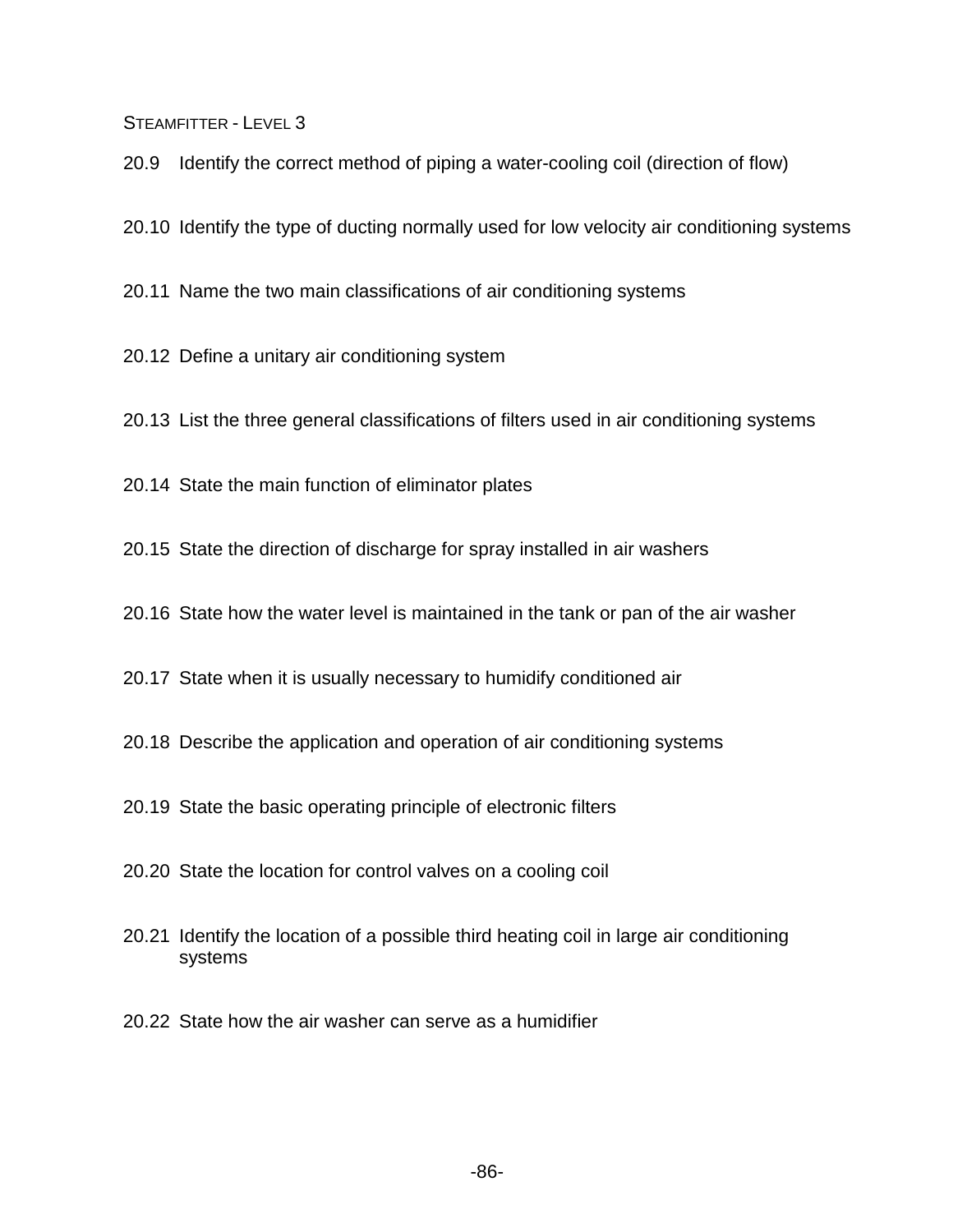20.9 Identify the correct method of piping a water-cooling coil (direction of flow)

20.10 Identify the type of ducting normally used for low velocity air conditioning systems

20.11 Name the two main classifications of air conditioning systems

20.12 Define a unitary air conditioning system

20.13 List the three general classifications of filters used in air conditioning systems

20.14 State the main function of eliminator plates

20.15 State the direction of discharge for spray installed in air washers

20.16 State how the water level is maintained in the tank or pan of the air washer

20.17 State when it is usually necessary to humidify conditioned air

20.18 Describe the application and operation of air conditioning systems

20.19 State the basic operating principle of electronic filters

20.20 State the location for control valves on a cooling coil

- 20.21 Identify the location of a possible third heating coil in large air conditioning systems
- 20.22 State how the air washer can serve as a humidifier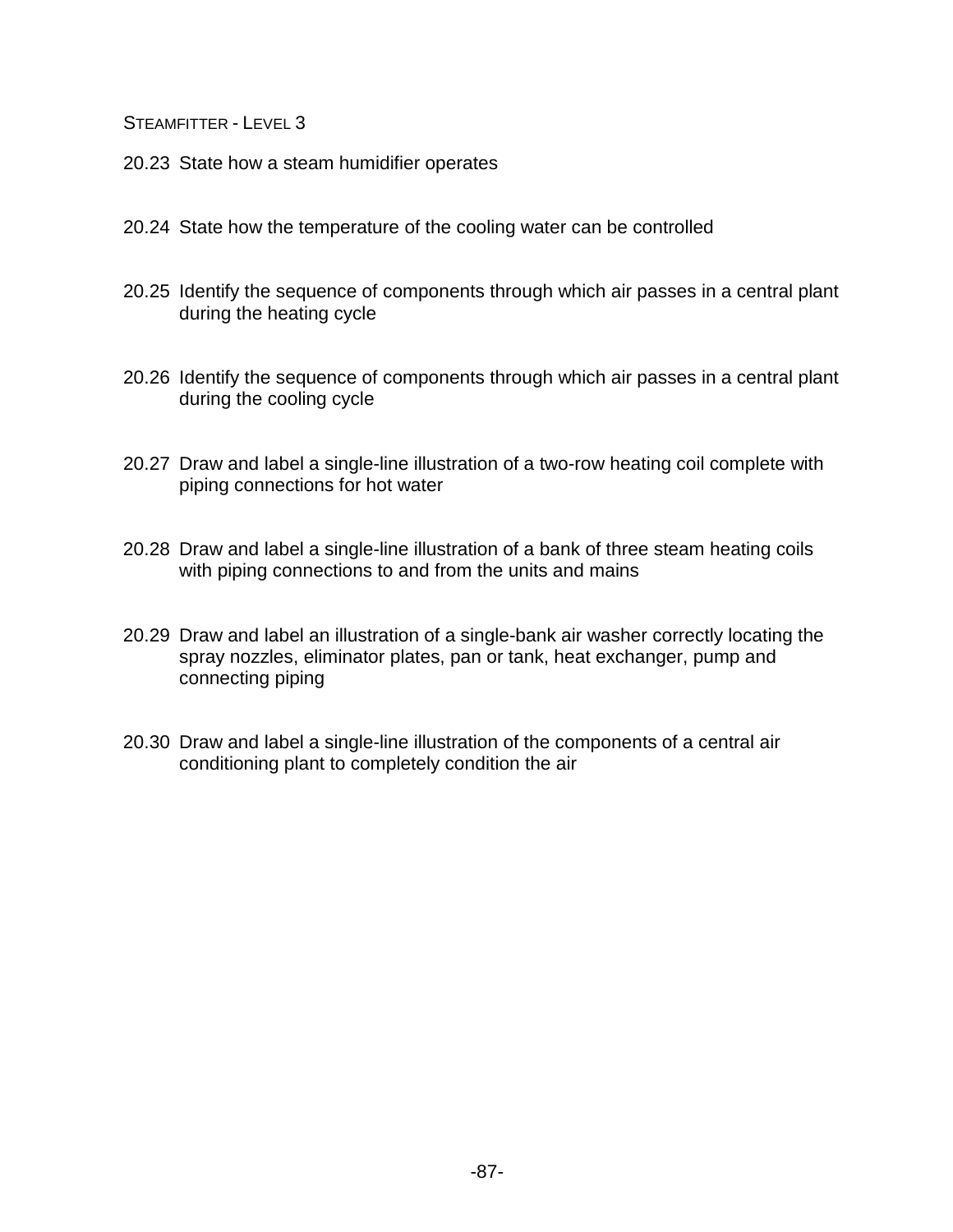- 20.23 State how a steam humidifier operates
- 20.24 State how the temperature of the cooling water can be controlled
- 20.25 Identify the sequence of components through which air passes in a central plant during the heating cycle
- 20.26 Identify the sequence of components through which air passes in a central plant during the cooling cycle
- 20.27 Draw and label a single-line illustration of a two-row heating coil complete with piping connections for hot water
- 20.28 Draw and label a single-line illustration of a bank of three steam heating coils with piping connections to and from the units and mains
- 20.29 Draw and label an illustration of a single-bank air washer correctly locating the spray nozzles, eliminator plates, pan or tank, heat exchanger, pump and connecting piping
- 20.30 Draw and label a single-line illustration of the components of a central air conditioning plant to completely condition the air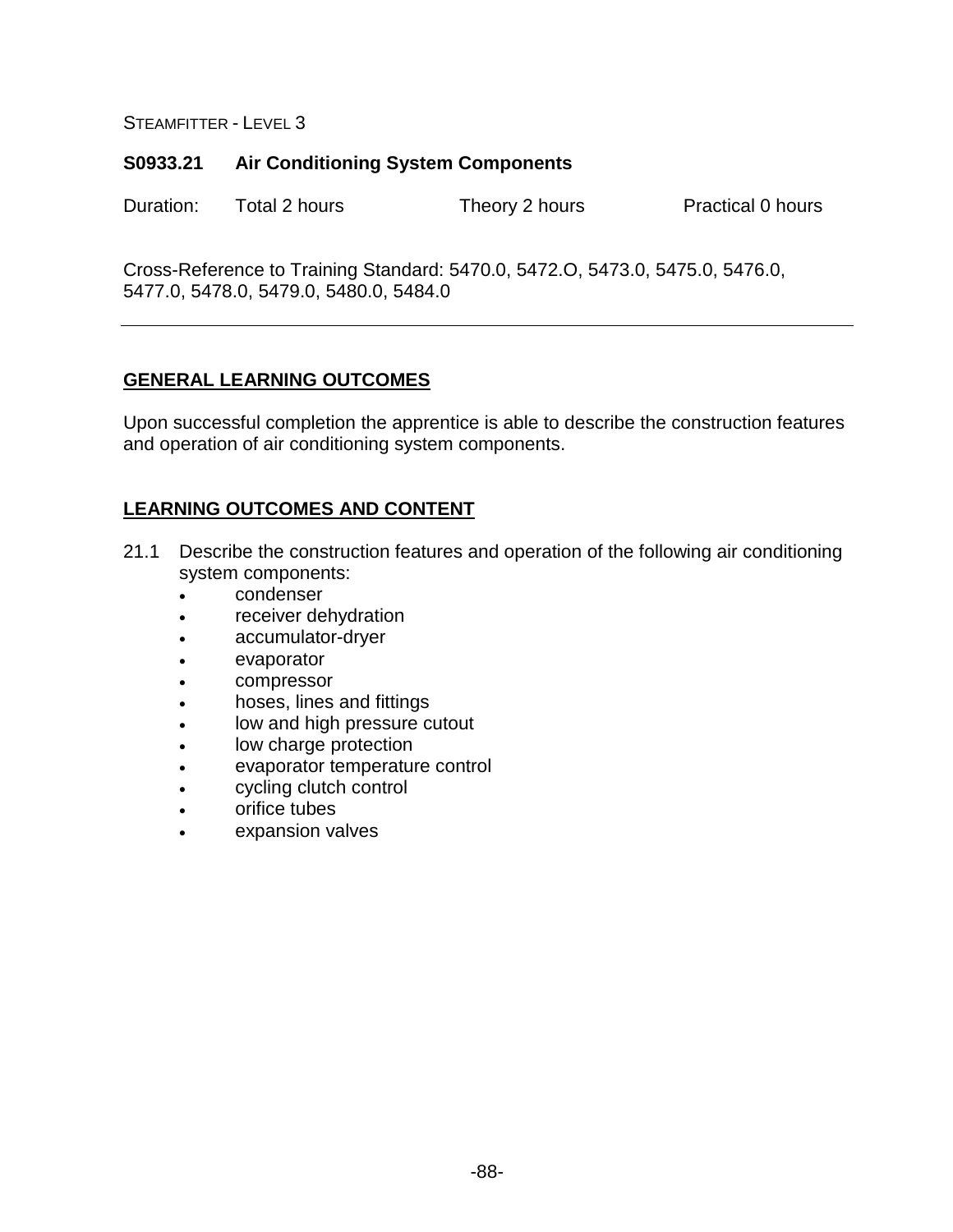## **S0933.21 Air Conditioning System Components**

Duration: Total 2 hours Theory 2 hours Practical 0 hours

Cross-Reference to Training Standard: 5470.0, 5472.O, 5473.0, 5475.0, 5476.0, 5477.0, 5478.0, 5479.0, 5480.0, 5484.0

# **GENERAL LEARNING OUTCOMES**

Upon successful completion the apprentice is able to describe the construction features and operation of air conditioning system components.

- 21.1 Describe the construction features and operation of the following air conditioning system components:
	- condenser
	- receiver dehydration
	- accumulator-dryer
	- evaporator
	- compressor
	- hoses, lines and fittings
	- low and high pressure cutout
	- low charge protection
	- evaporator temperature control
	- cycling clutch control
	- orifice tubes
	- expansion valves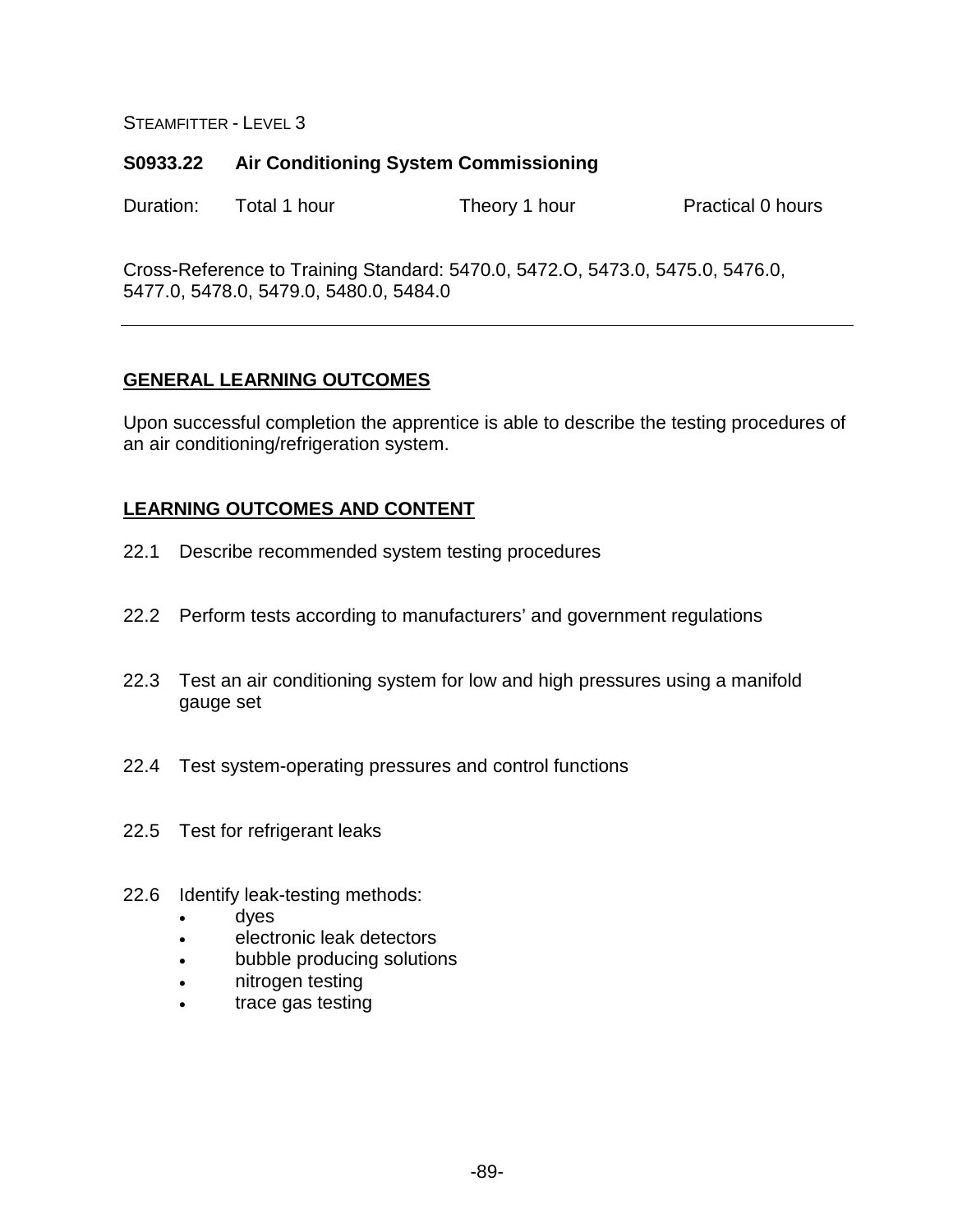## **S0933.22 Air Conditioning System Commissioning**

Duration: Total 1 hour Theory 1 hour Practical 0 hours

Cross-Reference to Training Standard: 5470.0, 5472.O, 5473.0, 5475.0, 5476.0, 5477.0, 5478.0, 5479.0, 5480.0, 5484.0

# **GENERAL LEARNING OUTCOMES**

Upon successful completion the apprentice is able to describe the testing procedures of an air conditioning/refrigeration system.

- 22.1 Describe recommended system testing procedures
- 22.2 Perform tests according to manufacturers' and government regulations
- 22.3 Test an air conditioning system for low and high pressures using a manifold gauge set
- 22.4 Test system-operating pressures and control functions
- 22.5 Test for refrigerant leaks
- 22.6 Identify leak-testing methods:
	- dyes
	- electronic leak detectors
	- bubble producing solutions
	- nitrogen testing
	- trace gas testing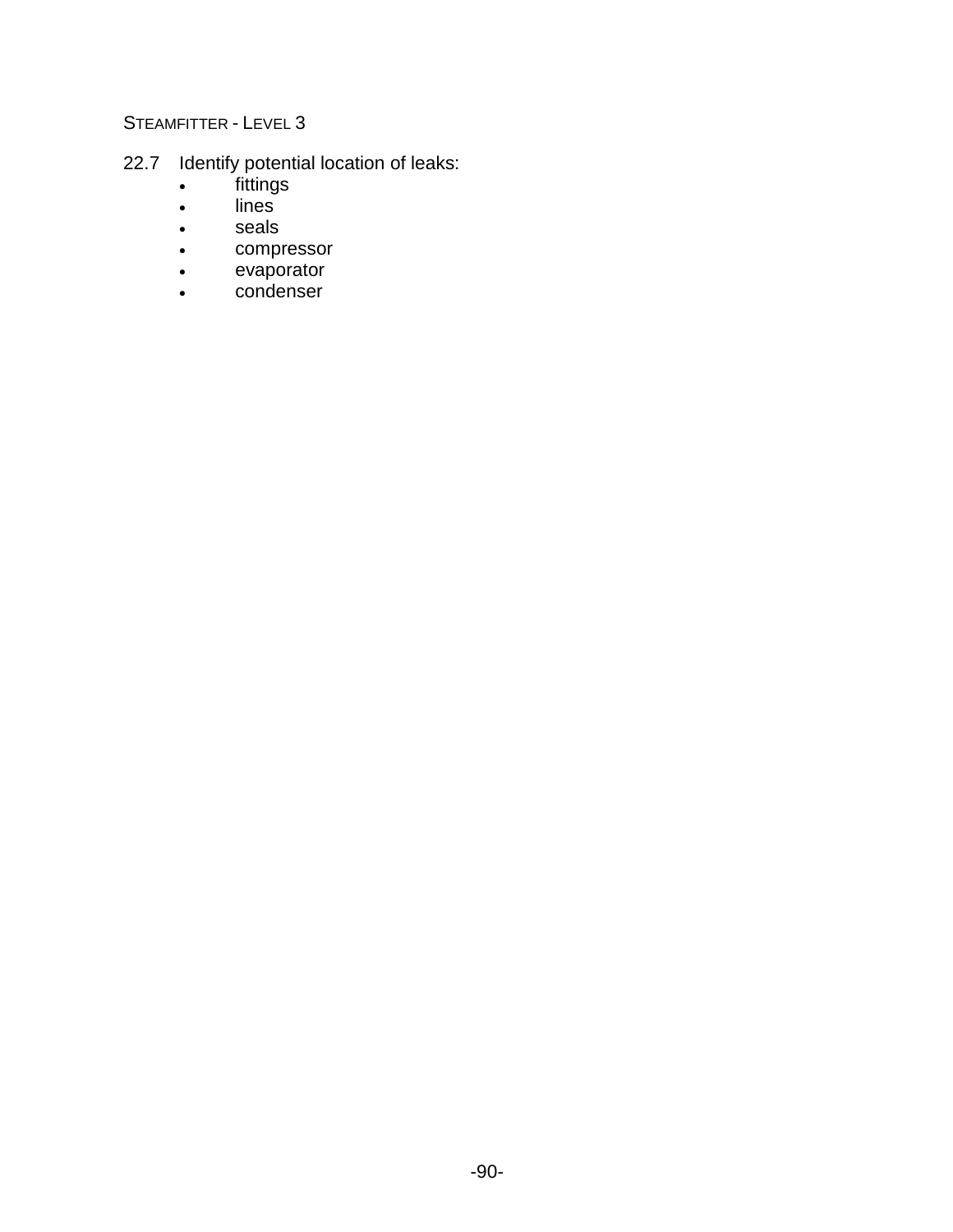- 22.7 Identify potential location of leaks:
	- fittings
	- lines
	- seals
	- compressor
	- evaporator
	- condenser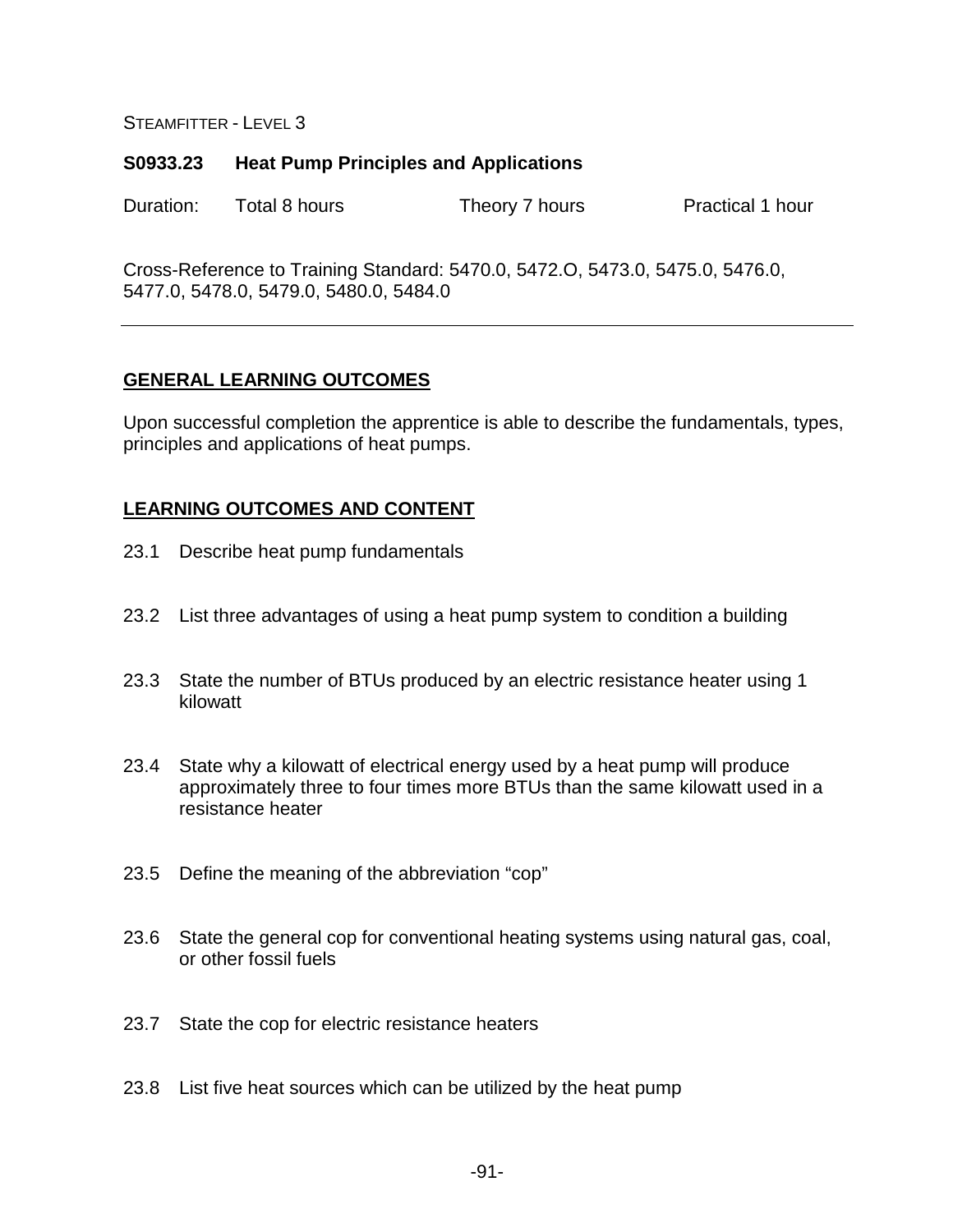#### **S0933.23 Heat Pump Principles and Applications**

Duration: Total 8 hours Theory 7 hours Practical 1 hour

Cross-Reference to Training Standard: 5470.0, 5472.O, 5473.0, 5475.0, 5476.0, 5477.0, 5478.0, 5479.0, 5480.0, 5484.0

### **GENERAL LEARNING OUTCOMES**

Upon successful completion the apprentice is able to describe the fundamentals, types, principles and applications of heat pumps.

- 23.1 Describe heat pump fundamentals
- 23.2 List three advantages of using a heat pump system to condition a building
- 23.3 State the number of BTUs produced by an electric resistance heater using 1 kilowatt
- 23.4 State why a kilowatt of electrical energy used by a heat pump will produce approximately three to four times more BTUs than the same kilowatt used in a resistance heater
- 23.5 Define the meaning of the abbreviation "cop"
- 23.6 State the general cop for conventional heating systems using natural gas, coal, or other fossil fuels
- 23.7 State the cop for electric resistance heaters
- 23.8 List five heat sources which can be utilized by the heat pump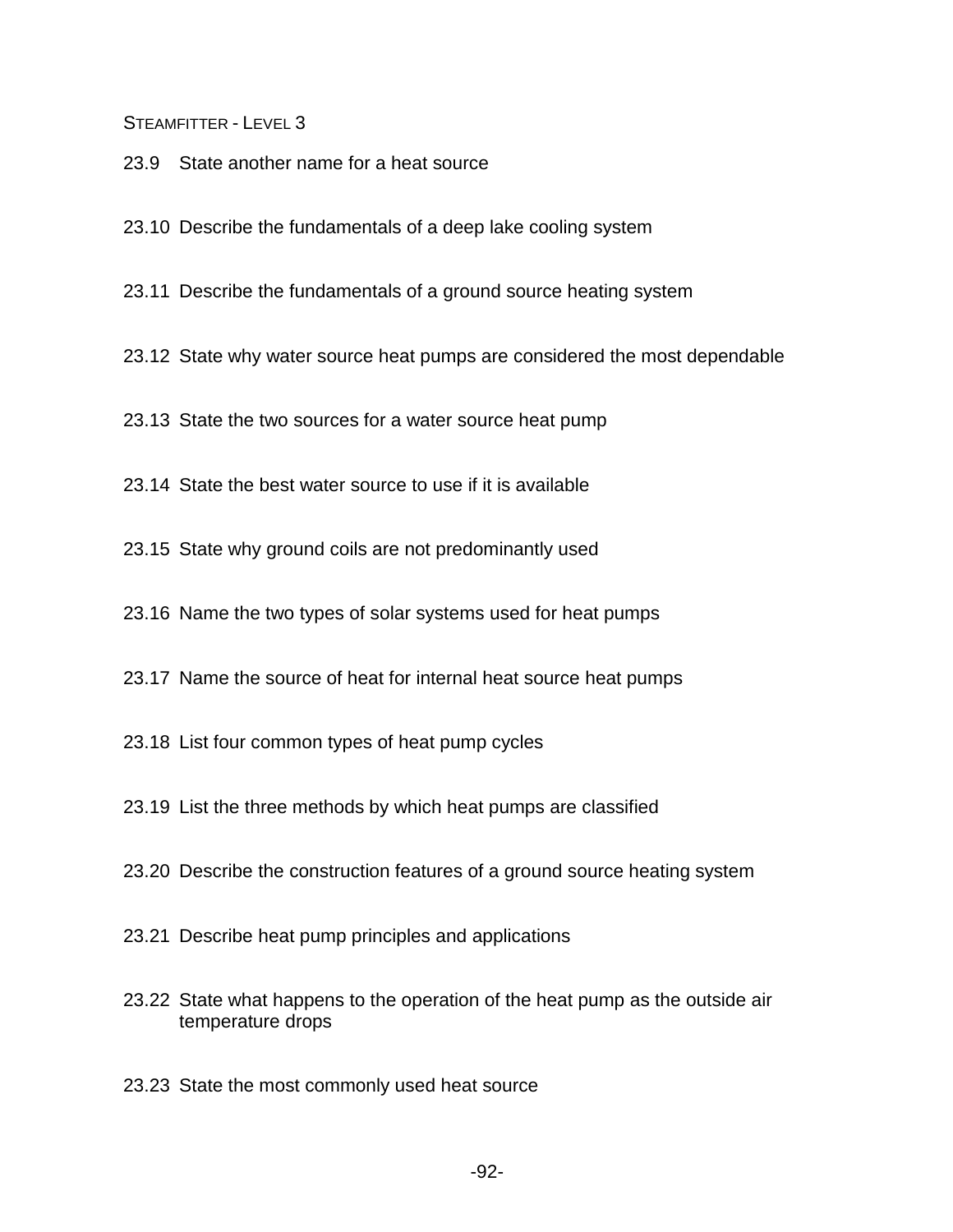23.9 State another name for a heat source

23.10 Describe the fundamentals of a deep lake cooling system

23.11 Describe the fundamentals of a ground source heating system

23.12 State why water source heat pumps are considered the most dependable

23.13 State the two sources for a water source heat pump

23.14 State the best water source to use if it is available

23.15 State why ground coils are not predominantly used

23.16 Name the two types of solar systems used for heat pumps

23.17 Name the source of heat for internal heat source heat pumps

23.18 List four common types of heat pump cycles

23.19 List the three methods by which heat pumps are classified

23.20 Describe the construction features of a ground source heating system

23.21 Describe heat pump principles and applications

23.22 State what happens to the operation of the heat pump as the outside air temperature drops

23.23 State the most commonly used heat source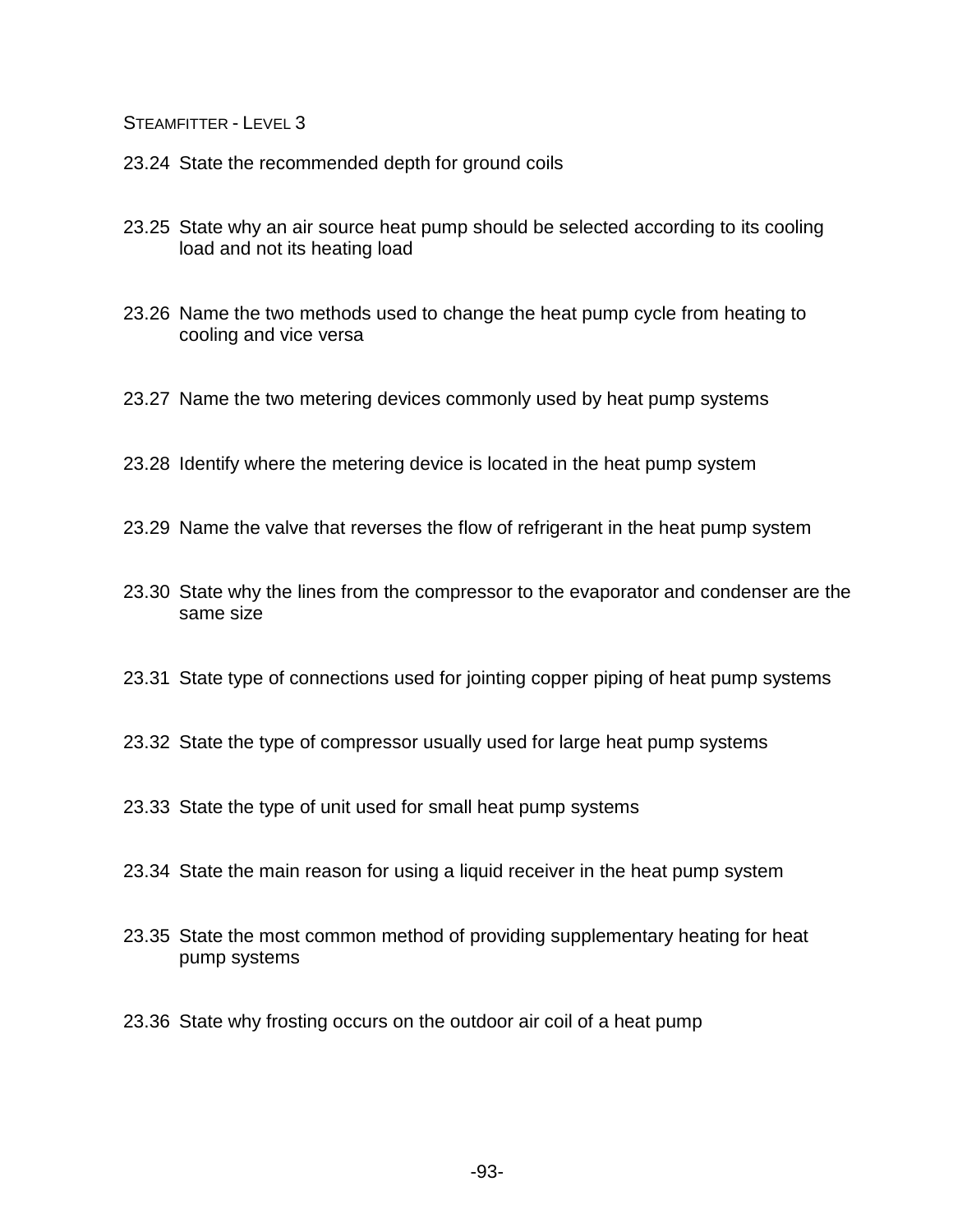- 23.24 State the recommended depth for ground coils
- 23.25 State why an air source heat pump should be selected according to its cooling load and not its heating load
- 23.26 Name the two methods used to change the heat pump cycle from heating to cooling and vice versa
- 23.27 Name the two metering devices commonly used by heat pump systems
- 23.28 Identify where the metering device is located in the heat pump system
- 23.29 Name the valve that reverses the flow of refrigerant in the heat pump system
- 23.30 State why the lines from the compressor to the evaporator and condenser are the same size
- 23.31 State type of connections used for jointing copper piping of heat pump systems
- 23.32 State the type of compressor usually used for large heat pump systems
- 23.33 State the type of unit used for small heat pump systems
- 23.34 State the main reason for using a liquid receiver in the heat pump system
- 23.35 State the most common method of providing supplementary heating for heat pump systems
- 23.36 State why frosting occurs on the outdoor air coil of a heat pump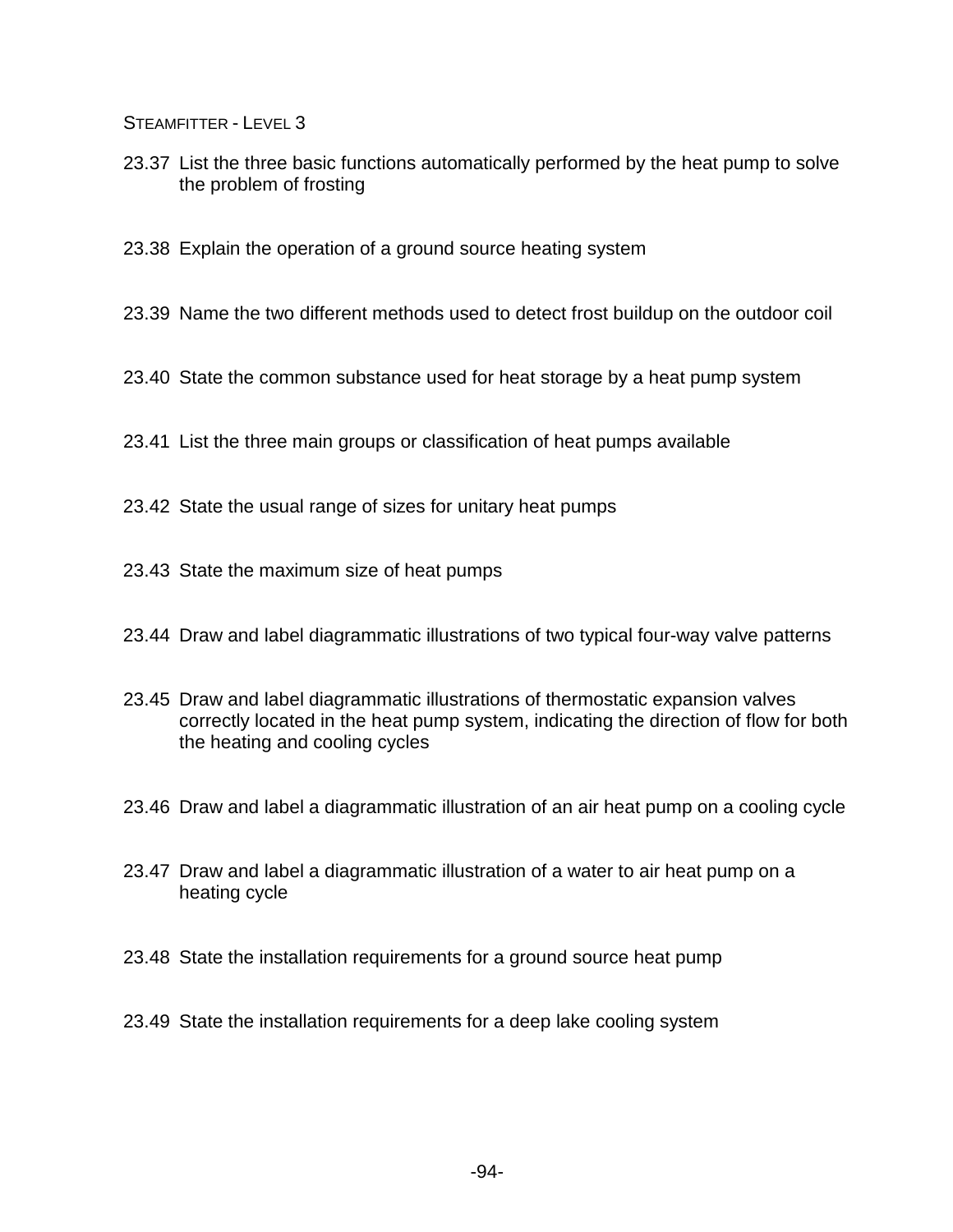23.37 List the three basic functions automatically performed by the heat pump to solve the problem of frosting

23.38 Explain the operation of a ground source heating system

23.39 Name the two different methods used to detect frost buildup on the outdoor coil

- 23.40 State the common substance used for heat storage by a heat pump system
- 23.41 List the three main groups or classification of heat pumps available
- 23.42 State the usual range of sizes for unitary heat pumps
- 23.43 State the maximum size of heat pumps
- 23.44 Draw and label diagrammatic illustrations of two typical four-way valve patterns
- 23.45 Draw and label diagrammatic illustrations of thermostatic expansion valves correctly located in the heat pump system, indicating the direction of flow for both the heating and cooling cycles
- 23.46 Draw and label a diagrammatic illustration of an air heat pump on a cooling cycle
- 23.47 Draw and label a diagrammatic illustration of a water to air heat pump on a heating cycle
- 23.48 State the installation requirements for a ground source heat pump
- 23.49 State the installation requirements for a deep lake cooling system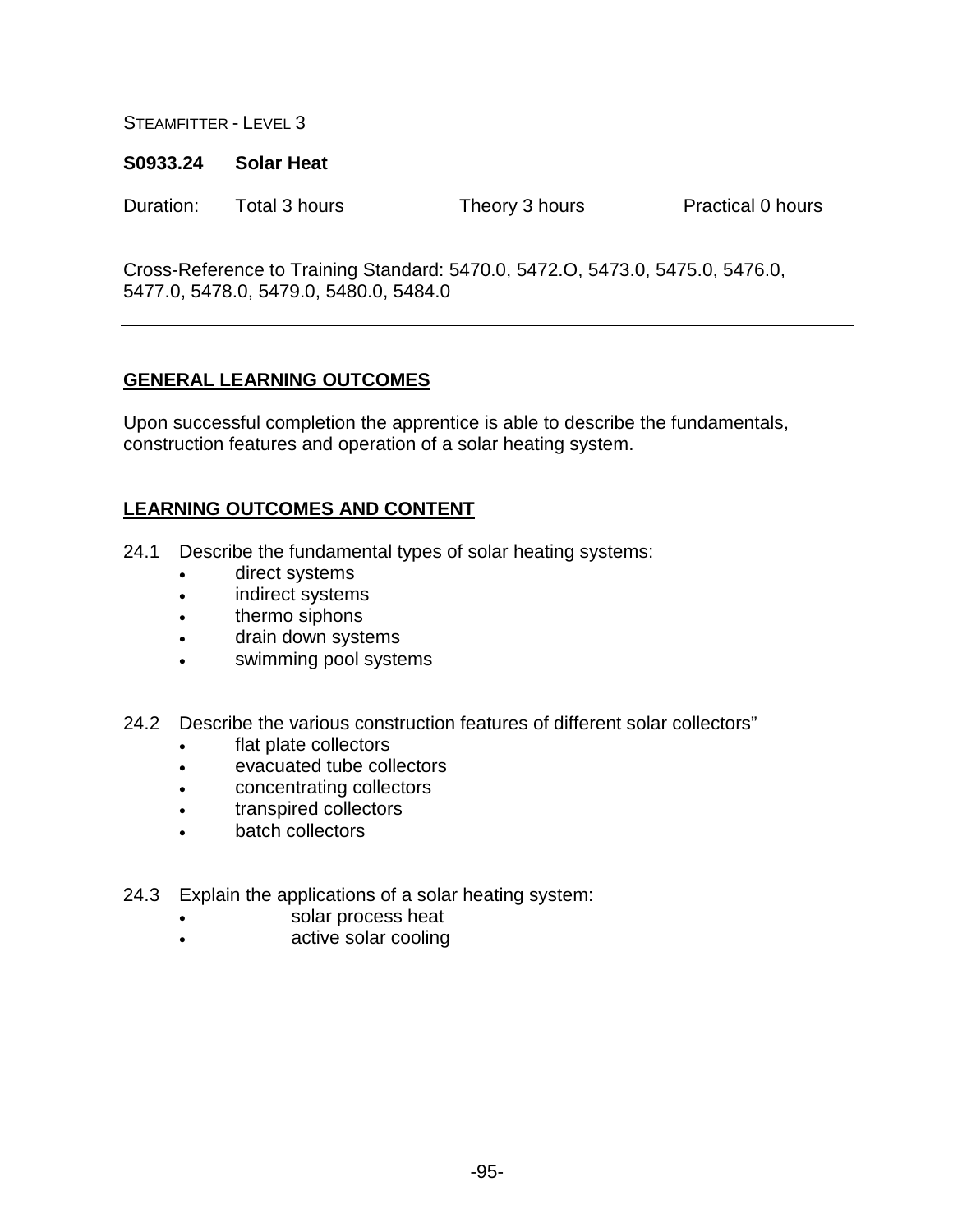#### **S0933.24 Solar Heat**

Duration: Total 3 hours Theory 3 hours Practical 0 hours

Cross-Reference to Training Standard: 5470.0, 5472.O, 5473.0, 5475.0, 5476.0, 5477.0, 5478.0, 5479.0, 5480.0, 5484.0

# **GENERAL LEARNING OUTCOMES**

Upon successful completion the apprentice is able to describe the fundamentals, construction features and operation of a solar heating system.

- 24.1 Describe the fundamental types of solar heating systems:
	- direct systems
	- indirect systems
	- thermo siphons
	- drain down systems
	- swimming pool systems
- 24.2 Describe the various construction features of different solar collectors"
	- flat plate collectors
	- evacuated tube collectors
	- concentrating collectors
	- transpired collectors
	- batch collectors
- 24.3 Explain the applications of a solar heating system:
	- solar process heat
	- active solar cooling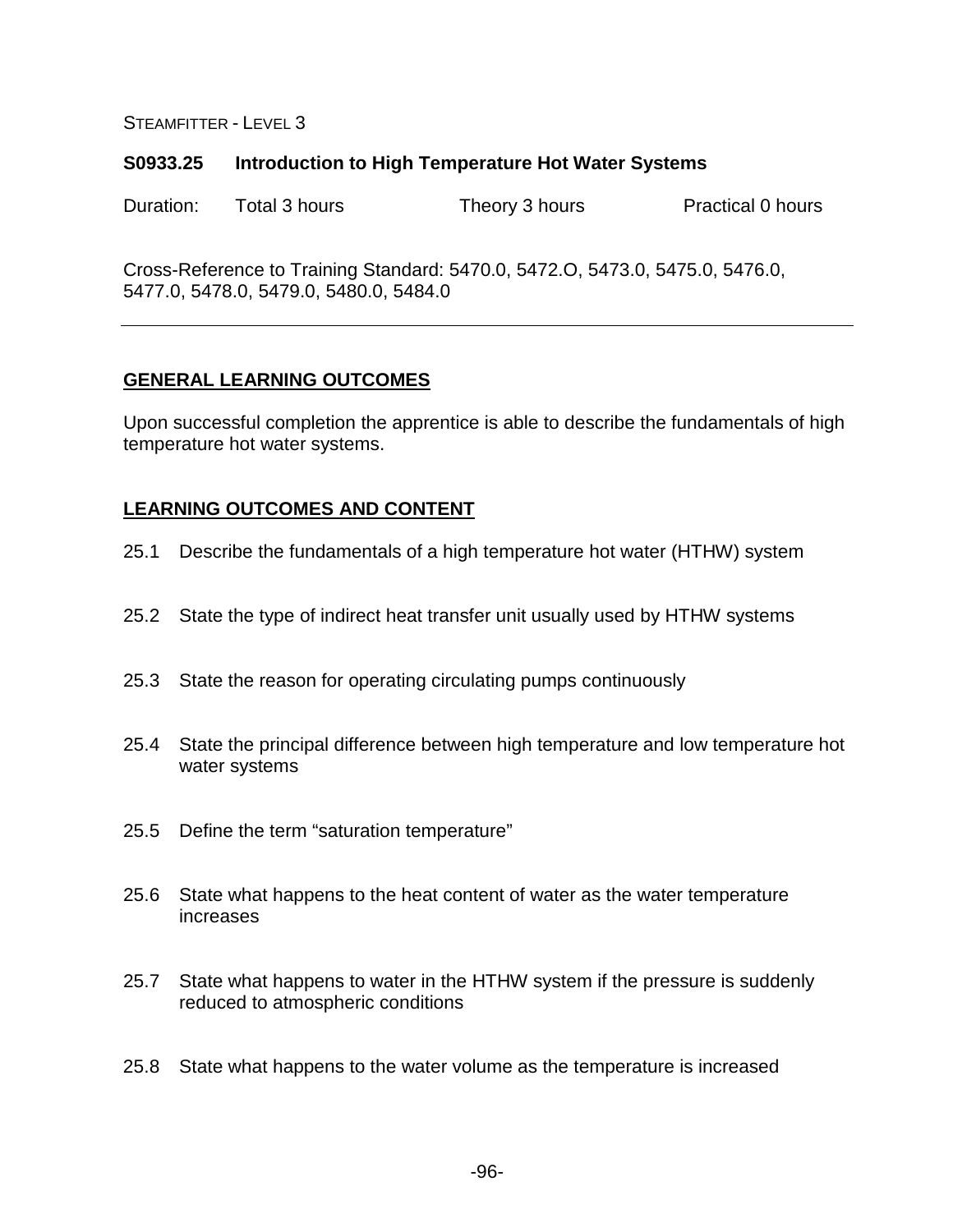#### **S0933.25 Introduction to High Temperature Hot Water Systems**

Duration: Total 3 hours Theory 3 hours Practical 0 hours

Cross-Reference to Training Standard: 5470.0, 5472.O, 5473.0, 5475.0, 5476.0, 5477.0, 5478.0, 5479.0, 5480.0, 5484.0

### **GENERAL LEARNING OUTCOMES**

Upon successful completion the apprentice is able to describe the fundamentals of high temperature hot water systems.

- 25.1 Describe the fundamentals of a high temperature hot water (HTHW) system
- 25.2 State the type of indirect heat transfer unit usually used by HTHW systems
- 25.3 State the reason for operating circulating pumps continuously
- 25.4 State the principal difference between high temperature and low temperature hot water systems
- 25.5 Define the term "saturation temperature"
- 25.6 State what happens to the heat content of water as the water temperature increases
- 25.7 State what happens to water in the HTHW system if the pressure is suddenly reduced to atmospheric conditions
- 25.8 State what happens to the water volume as the temperature is increased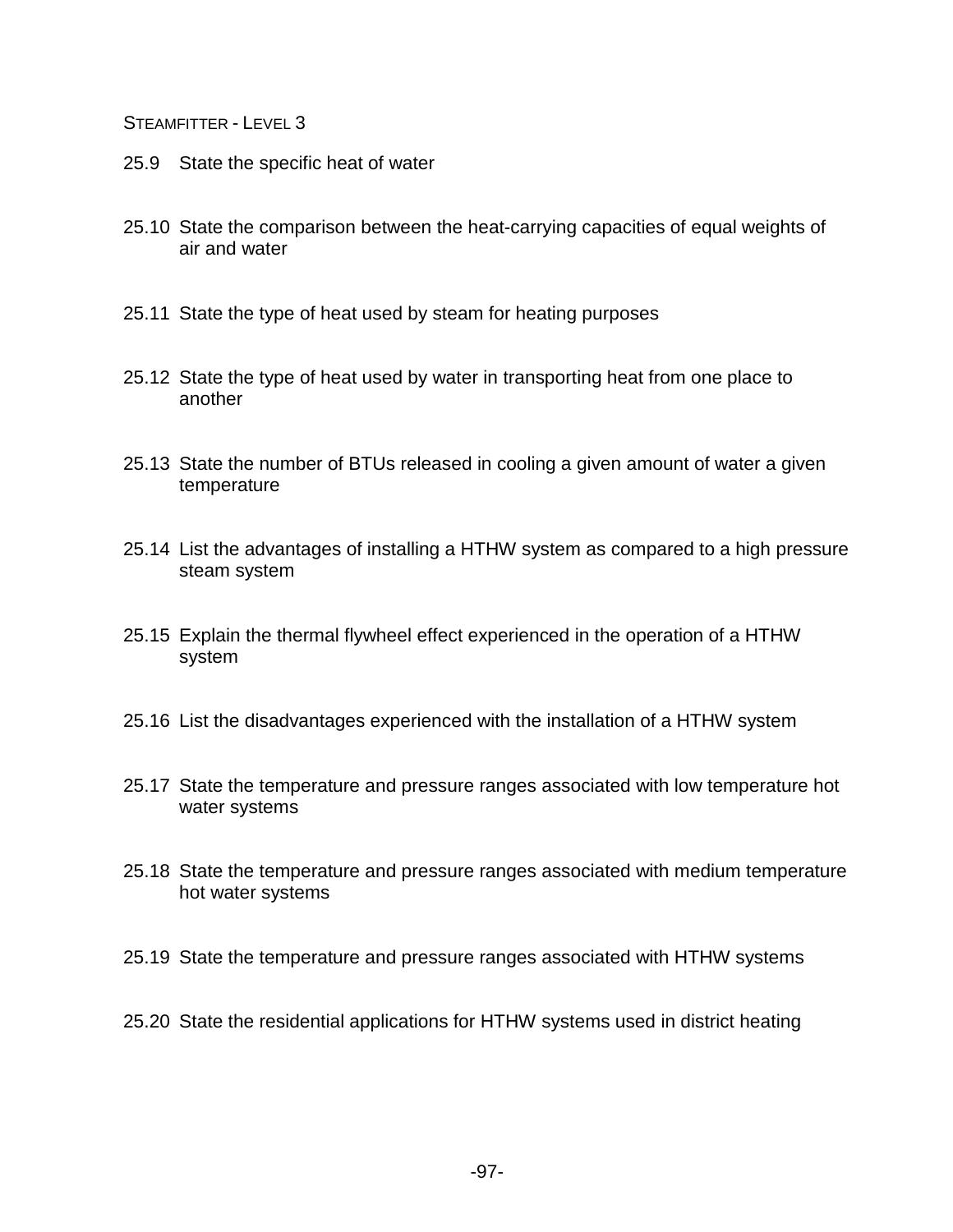- 25.9 State the specific heat of water
- 25.10 State the comparison between the heat-carrying capacities of equal weights of air and water
- 25.11 State the type of heat used by steam for heating purposes
- 25.12 State the type of heat used by water in transporting heat from one place to another
- 25.13 State the number of BTUs released in cooling a given amount of water a given temperature
- 25.14 List the advantages of installing a HTHW system as compared to a high pressure steam system
- 25.15 Explain the thermal flywheel effect experienced in the operation of a HTHW system
- 25.16 List the disadvantages experienced with the installation of a HTHW system
- 25.17 State the temperature and pressure ranges associated with low temperature hot water systems
- 25.18 State the temperature and pressure ranges associated with medium temperature hot water systems
- 25.19 State the temperature and pressure ranges associated with HTHW systems
- 25.20 State the residential applications for HTHW systems used in district heating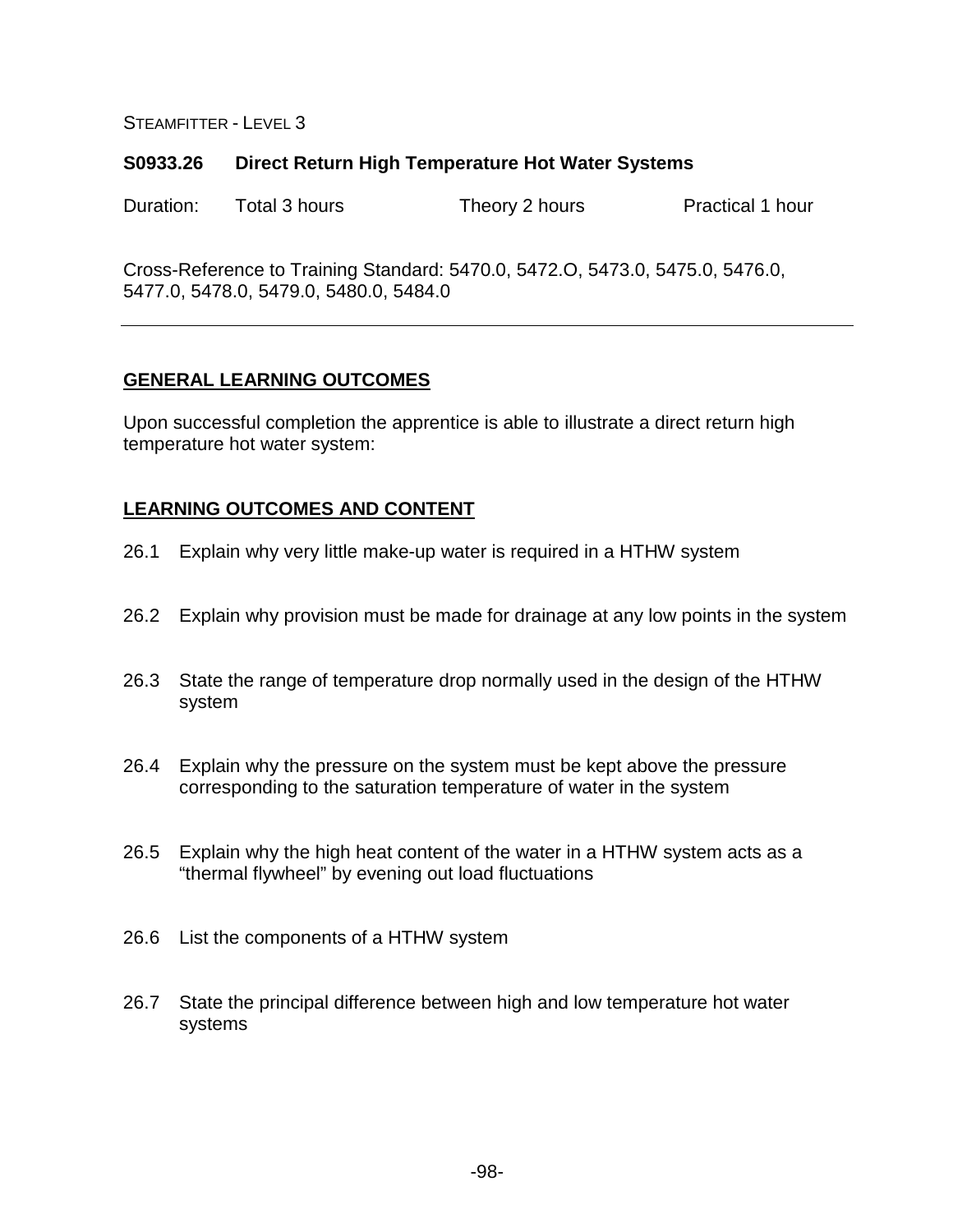#### **S0933.26 Direct Return High Temperature Hot Water Systems**

Duration: Total 3 hours Theory 2 hours Practical 1 hour

Cross-Reference to Training Standard: 5470.0, 5472.O, 5473.0, 5475.0, 5476.0, 5477.0, 5478.0, 5479.0, 5480.0, 5484.0

### **GENERAL LEARNING OUTCOMES**

Upon successful completion the apprentice is able to illustrate a direct return high temperature hot water system:

- 26.1 Explain why very little make-up water is required in a HTHW system
- 26.2 Explain why provision must be made for drainage at any low points in the system
- 26.3 State the range of temperature drop normally used in the design of the HTHW system
- 26.4 Explain why the pressure on the system must be kept above the pressure corresponding to the saturation temperature of water in the system
- 26.5 Explain why the high heat content of the water in a HTHW system acts as a "thermal flywheel" by evening out load fluctuations
- 26.6 List the components of a HTHW system
- 26.7 State the principal difference between high and low temperature hot water systems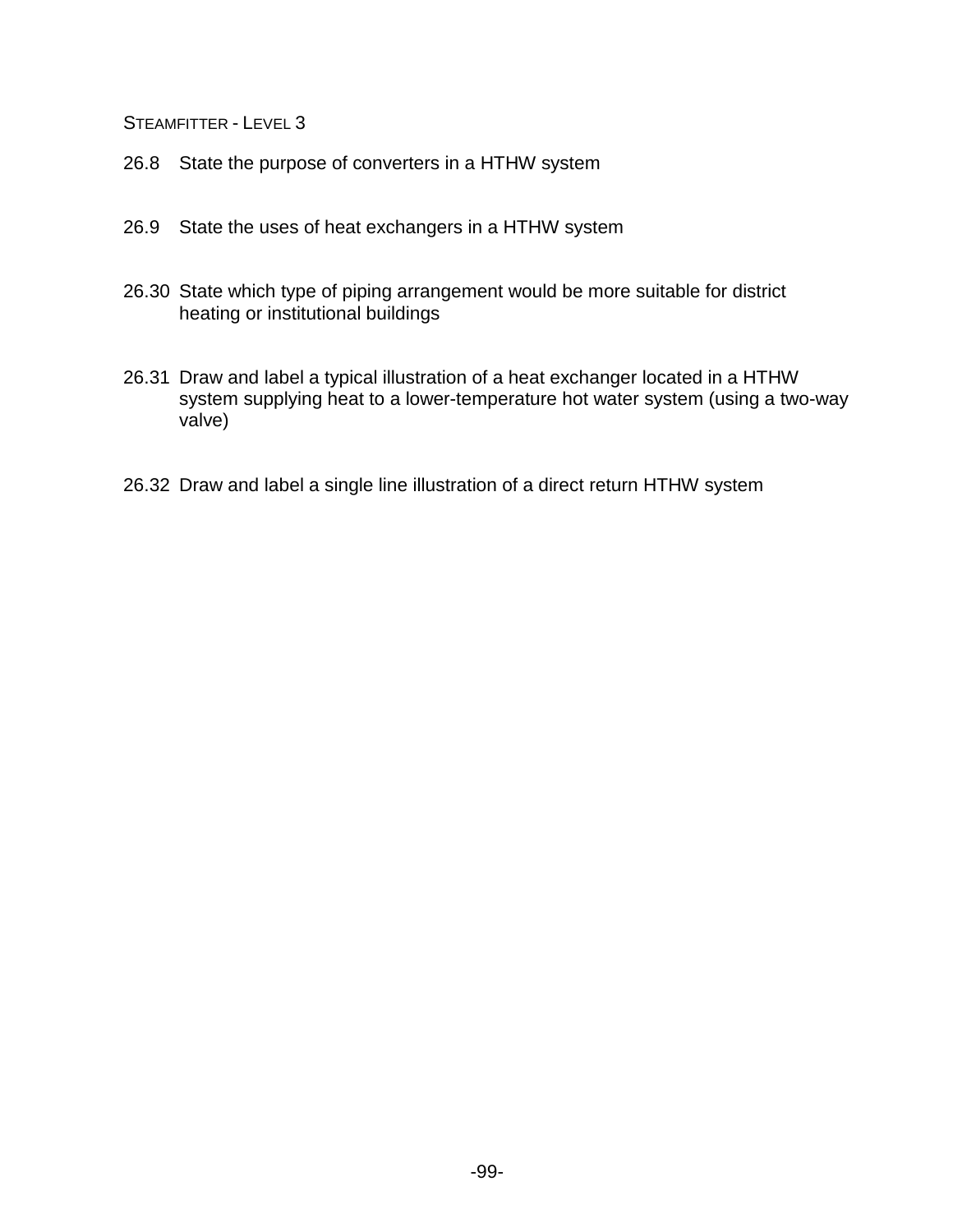- 26.8 State the purpose of converters in a HTHW system
- 26.9 State the uses of heat exchangers in a HTHW system
- 26.30 State which type of piping arrangement would be more suitable for district heating or institutional buildings
- 26.31 Draw and label a typical illustration of a heat exchanger located in a HTHW system supplying heat to a lower-temperature hot water system (using a two-way valve)
- 26.32 Draw and label a single line illustration of a direct return HTHW system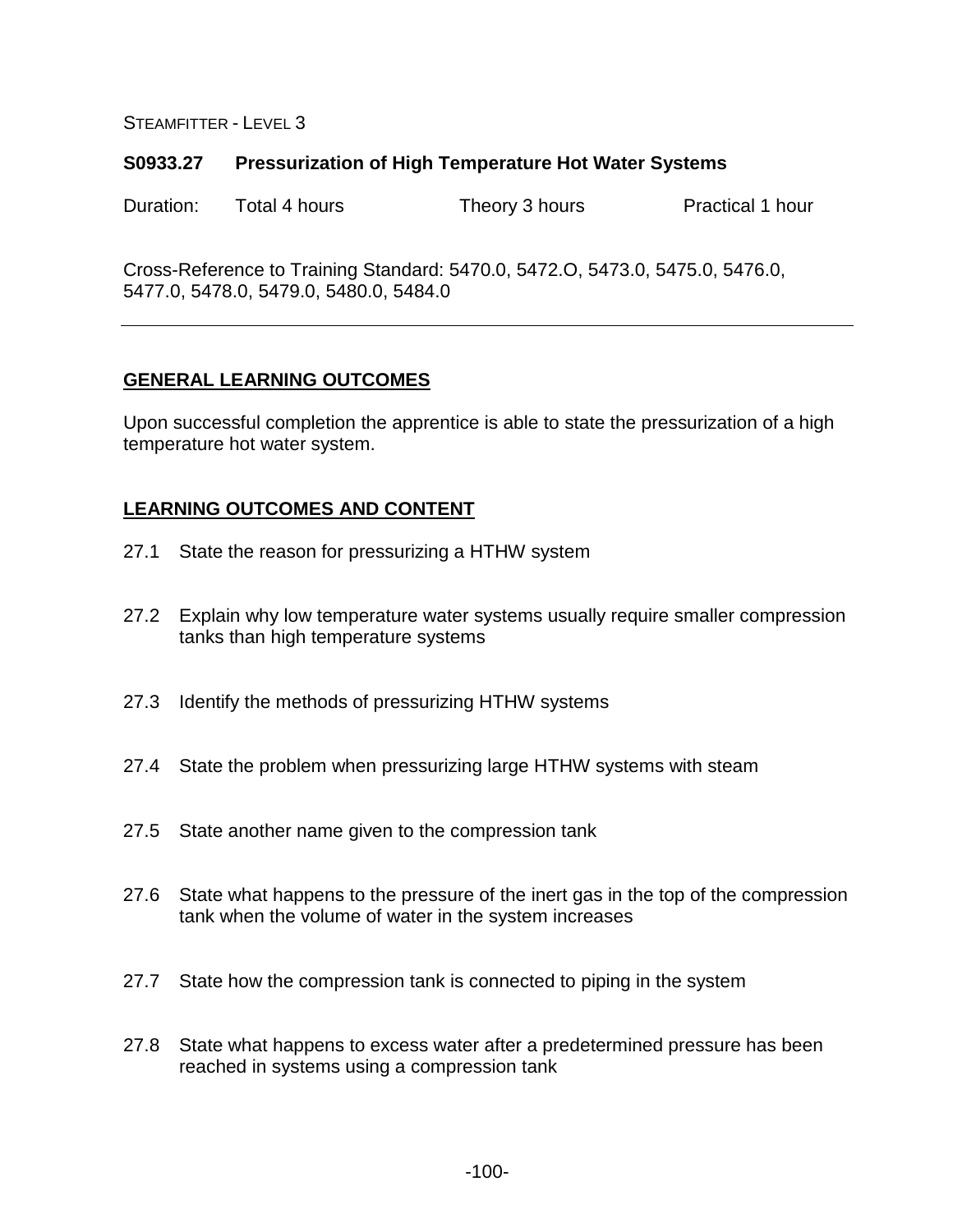### **S0933.27 Pressurization of High Temperature Hot Water Systems**

Duration: Total 4 hours Theory 3 hours Practical 1 hour

Cross-Reference to Training Standard: 5470.0, 5472.O, 5473.0, 5475.0, 5476.0, 5477.0, 5478.0, 5479.0, 5480.0, 5484.0

### **GENERAL LEARNING OUTCOMES**

Upon successful completion the apprentice is able to state the pressurization of a high temperature hot water system.

- 27.1 State the reason for pressurizing a HTHW system
- 27.2 Explain why low temperature water systems usually require smaller compression tanks than high temperature systems
- 27.3 Identify the methods of pressurizing HTHW systems
- 27.4 State the problem when pressurizing large HTHW systems with steam
- 27.5 State another name given to the compression tank
- 27.6 State what happens to the pressure of the inert gas in the top of the compression tank when the volume of water in the system increases
- 27.7 State how the compression tank is connected to piping in the system
- 27.8 State what happens to excess water after a predetermined pressure has been reached in systems using a compression tank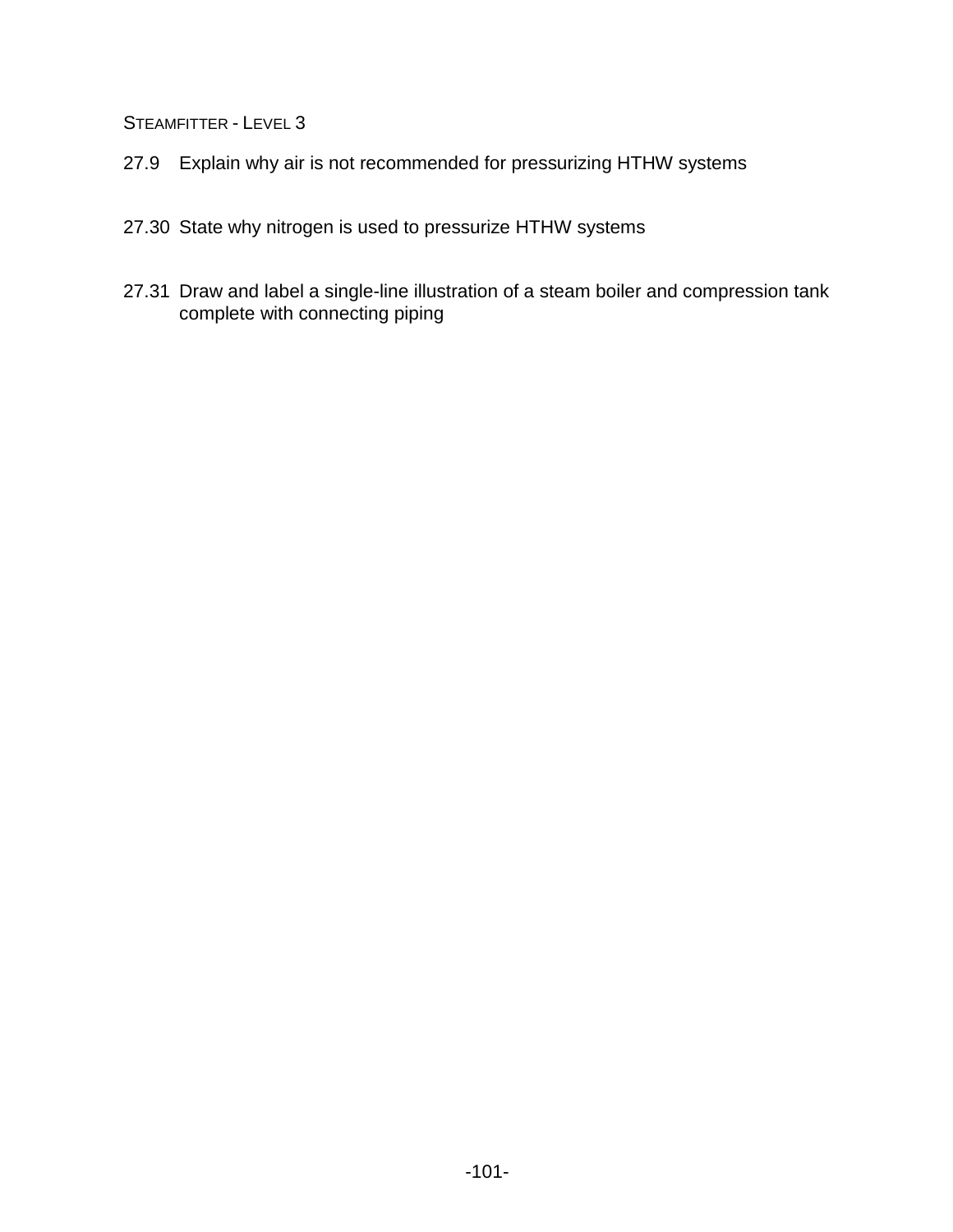- 27.9 Explain why air is not recommended for pressurizing HTHW systems
- 27.30 State why nitrogen is used to pressurize HTHW systems
- 27.31 Draw and label a single-line illustration of a steam boiler and compression tank complete with connecting piping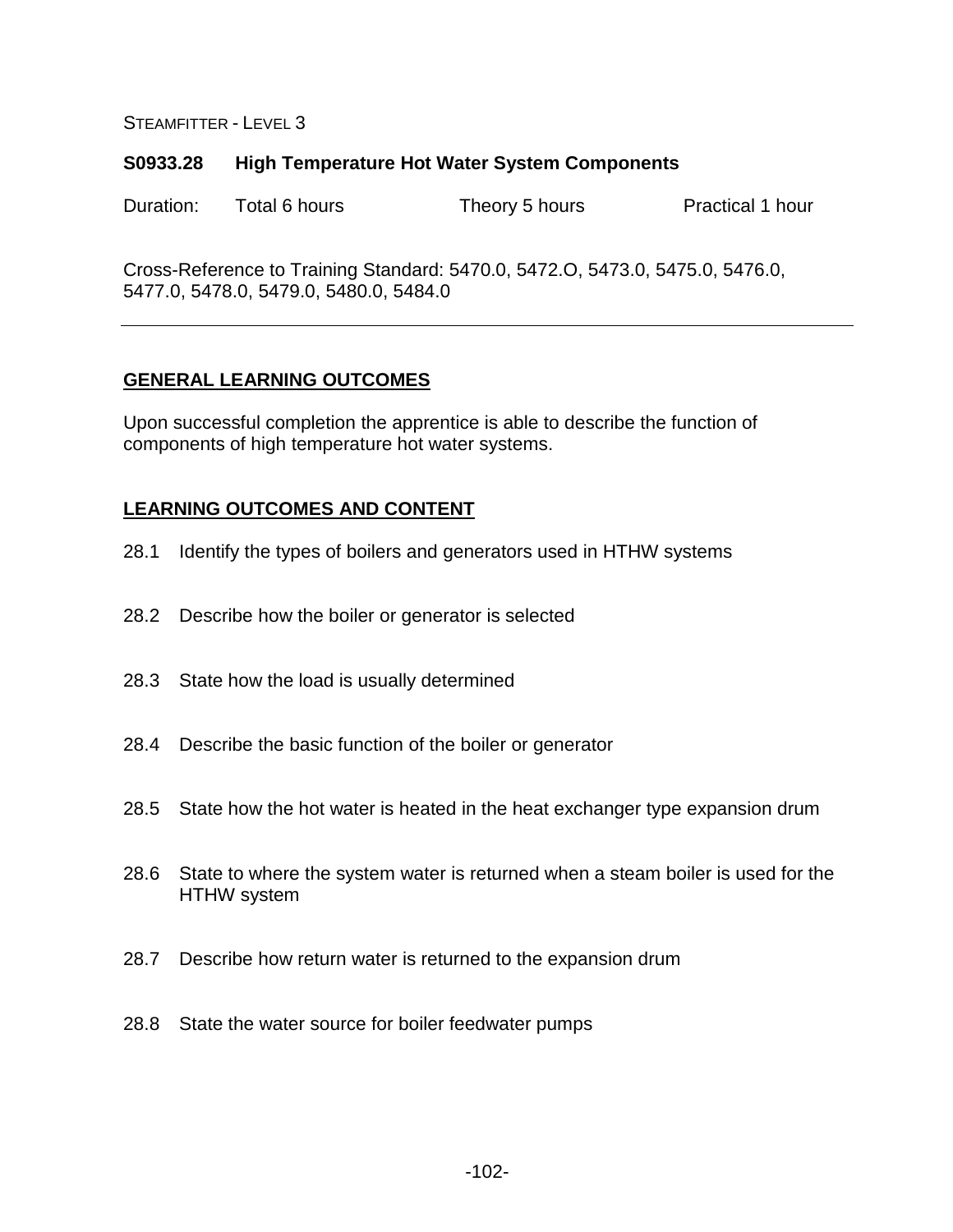#### **S0933.28 High Temperature Hot Water System Components**

Duration: Total 6 hours Theory 5 hours Practical 1 hour

Cross-Reference to Training Standard: 5470.0, 5472.O, 5473.0, 5475.0, 5476.0, 5477.0, 5478.0, 5479.0, 5480.0, 5484.0

### **GENERAL LEARNING OUTCOMES**

Upon successful completion the apprentice is able to describe the function of components of high temperature hot water systems.

- 28.1 Identify the types of boilers and generators used in HTHW systems
- 28.2 Describe how the boiler or generator is selected
- 28.3 State how the load is usually determined
- 28.4 Describe the basic function of the boiler or generator
- 28.5 State how the hot water is heated in the heat exchanger type expansion drum
- 28.6 State to where the system water is returned when a steam boiler is used for the HTHW system
- 28.7 Describe how return water is returned to the expansion drum
- 28.8 State the water source for boiler feedwater pumps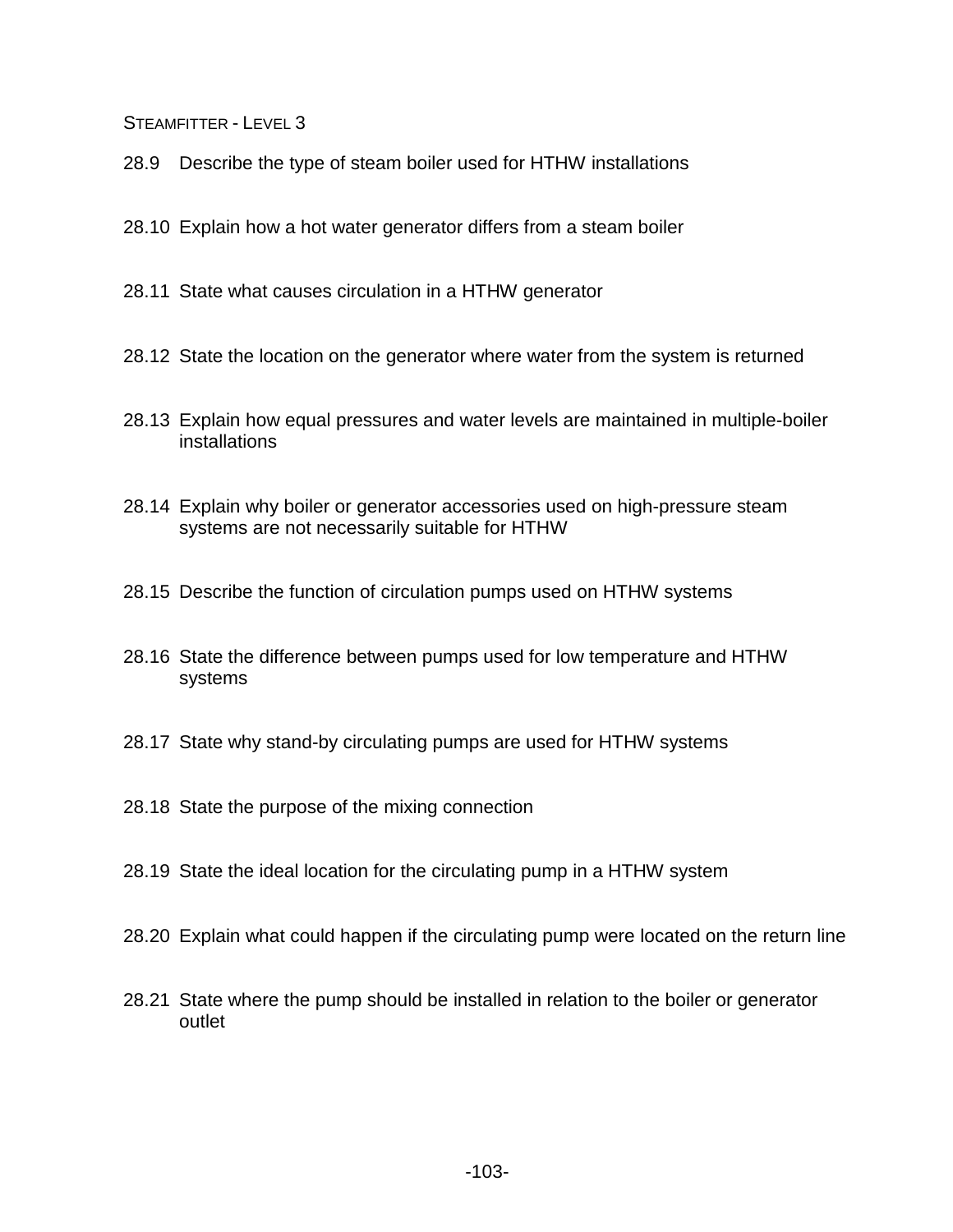28.9 Describe the type of steam boiler used for HTHW installations

28.10 Explain how a hot water generator differs from a steam boiler

- 28.11 State what causes circulation in a HTHW generator
- 28.12 State the location on the generator where water from the system is returned
- 28.13 Explain how equal pressures and water levels are maintained in multiple-boiler installations
- 28.14 Explain why boiler or generator accessories used on high-pressure steam systems are not necessarily suitable for HTHW
- 28.15 Describe the function of circulation pumps used on HTHW systems
- 28.16 State the difference between pumps used for low temperature and HTHW systems
- 28.17 State why stand-by circulating pumps are used for HTHW systems
- 28.18 State the purpose of the mixing connection
- 28.19 State the ideal location for the circulating pump in a HTHW system
- 28.20 Explain what could happen if the circulating pump were located on the return line
- 28.21 State where the pump should be installed in relation to the boiler or generator outlet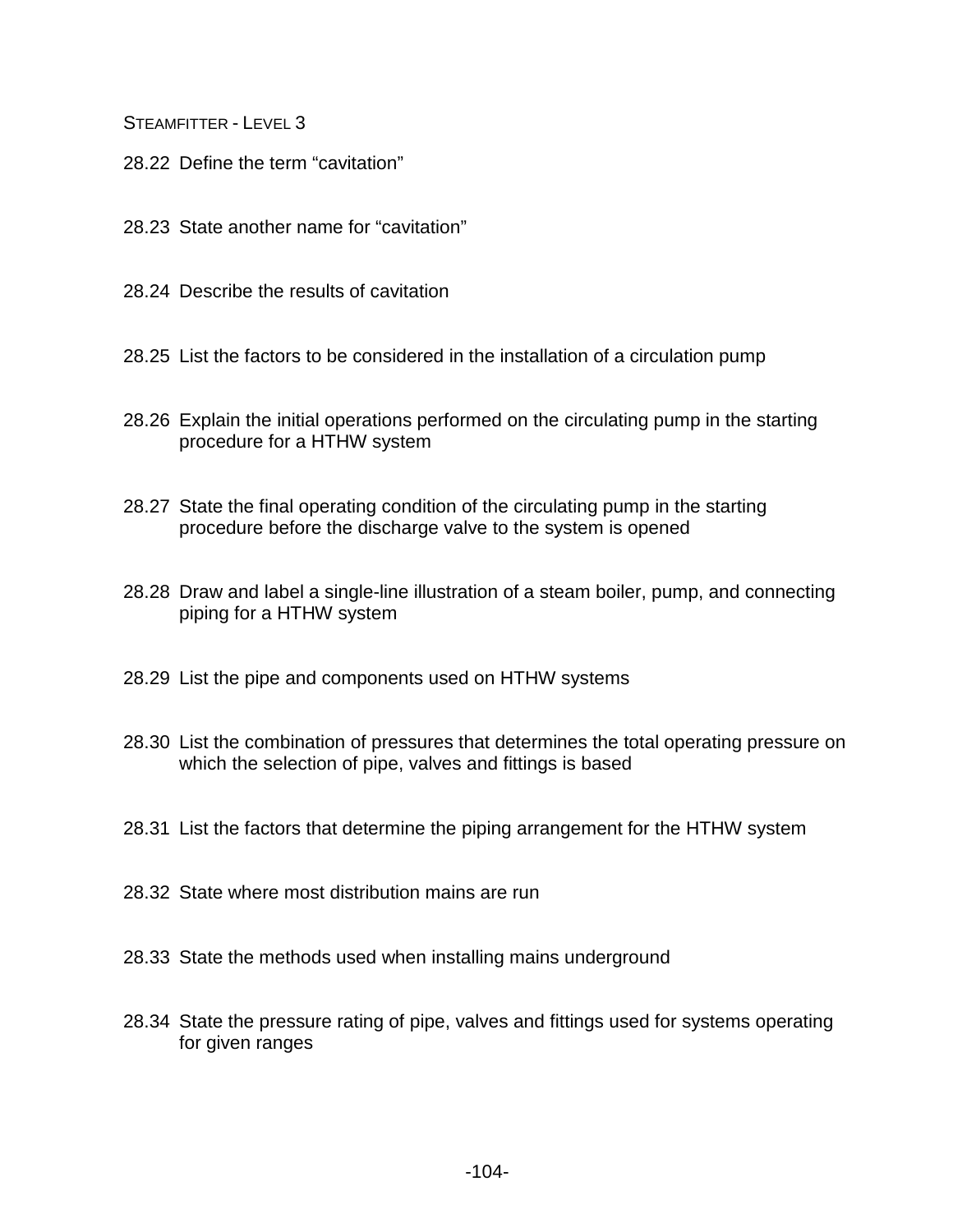- 28.22 Define the term "cavitation"
- 28.23 State another name for "cavitation"
- 28.24 Describe the results of cavitation
- 28.25 List the factors to be considered in the installation of a circulation pump
- 28.26 Explain the initial operations performed on the circulating pump in the starting procedure for a HTHW system
- 28.27 State the final operating condition of the circulating pump in the starting procedure before the discharge valve to the system is opened
- 28.28 Draw and label a single-line illustration of a steam boiler, pump, and connecting piping for a HTHW system
- 28.29 List the pipe and components used on HTHW systems
- 28.30 List the combination of pressures that determines the total operating pressure on which the selection of pipe, valves and fittings is based
- 28.31 List the factors that determine the piping arrangement for the HTHW system
- 28.32 State where most distribution mains are run
- 28.33 State the methods used when installing mains underground
- 28.34 State the pressure rating of pipe, valves and fittings used for systems operating for given ranges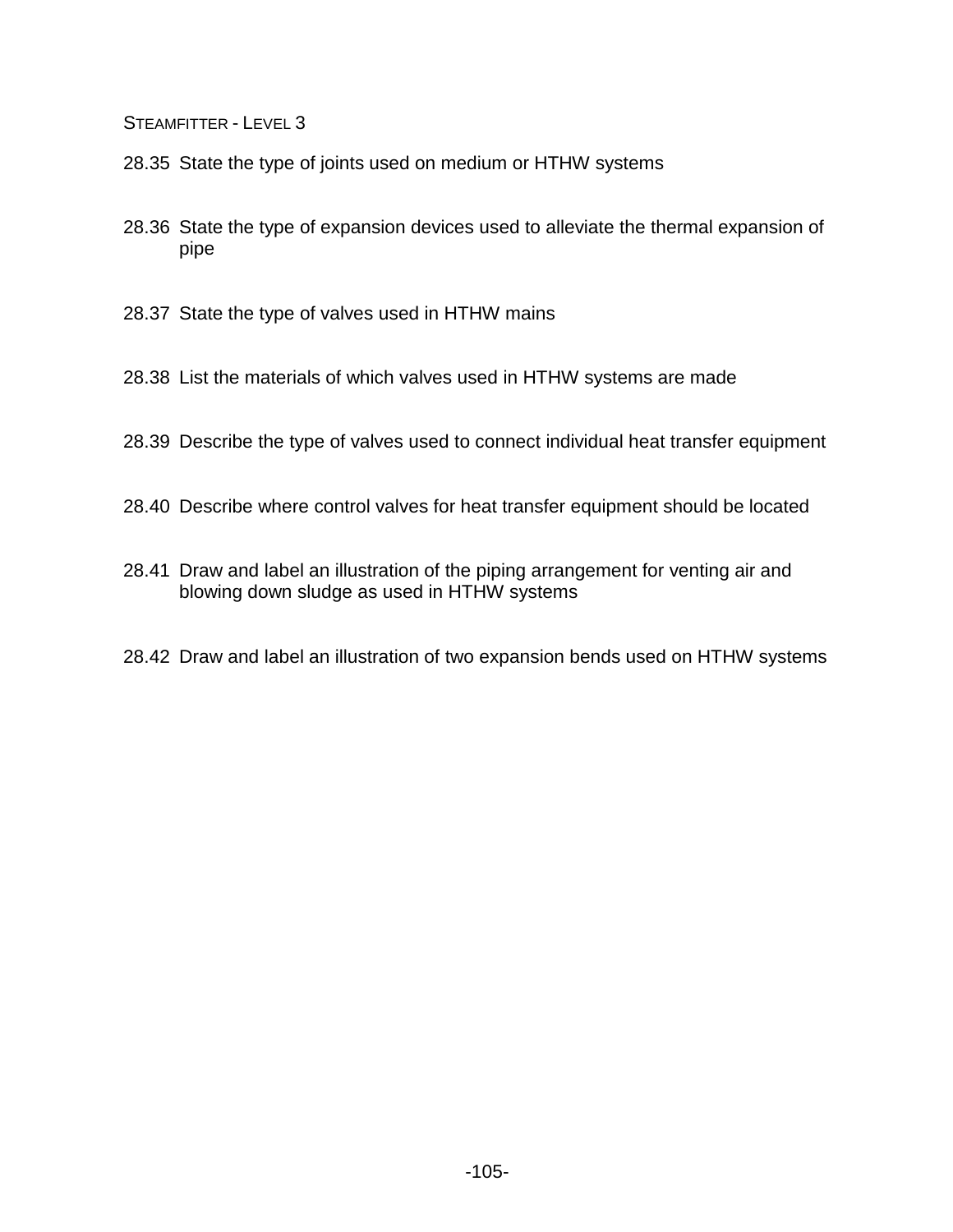- 28.35 State the type of joints used on medium or HTHW systems
- 28.36 State the type of expansion devices used to alleviate the thermal expansion of pipe
- 28.37 State the type of valves used in HTHW mains
- 28.38 List the materials of which valves used in HTHW systems are made
- 28.39 Describe the type of valves used to connect individual heat transfer equipment
- 28.40 Describe where control valves for heat transfer equipment should be located
- 28.41 Draw and label an illustration of the piping arrangement for venting air and blowing down sludge as used in HTHW systems
- 28.42 Draw and label an illustration of two expansion bends used on HTHW systems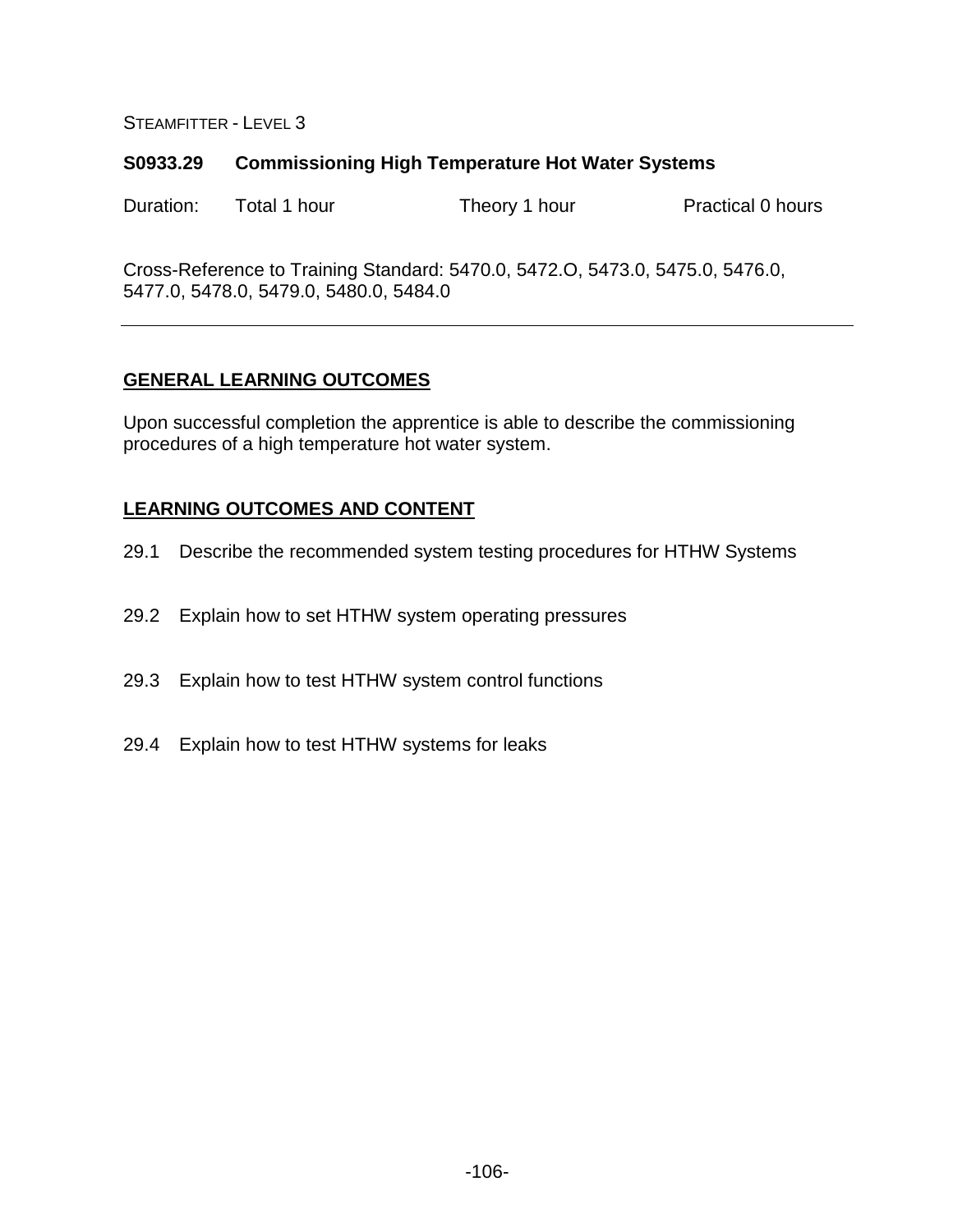#### **S0933.29 Commissioning High Temperature Hot Water Systems**

Duration: Total 1 hour Theory 1 hour Practical 0 hours

Cross-Reference to Training Standard: 5470.0, 5472.O, 5473.0, 5475.0, 5476.0, 5477.0, 5478.0, 5479.0, 5480.0, 5484.0

## **GENERAL LEARNING OUTCOMES**

Upon successful completion the apprentice is able to describe the commissioning procedures of a high temperature hot water system.

- 29.1 Describe the recommended system testing procedures for HTHW Systems
- 29.2 Explain how to set HTHW system operating pressures
- 29.3 Explain how to test HTHW system control functions
- 29.4 Explain how to test HTHW systems for leaks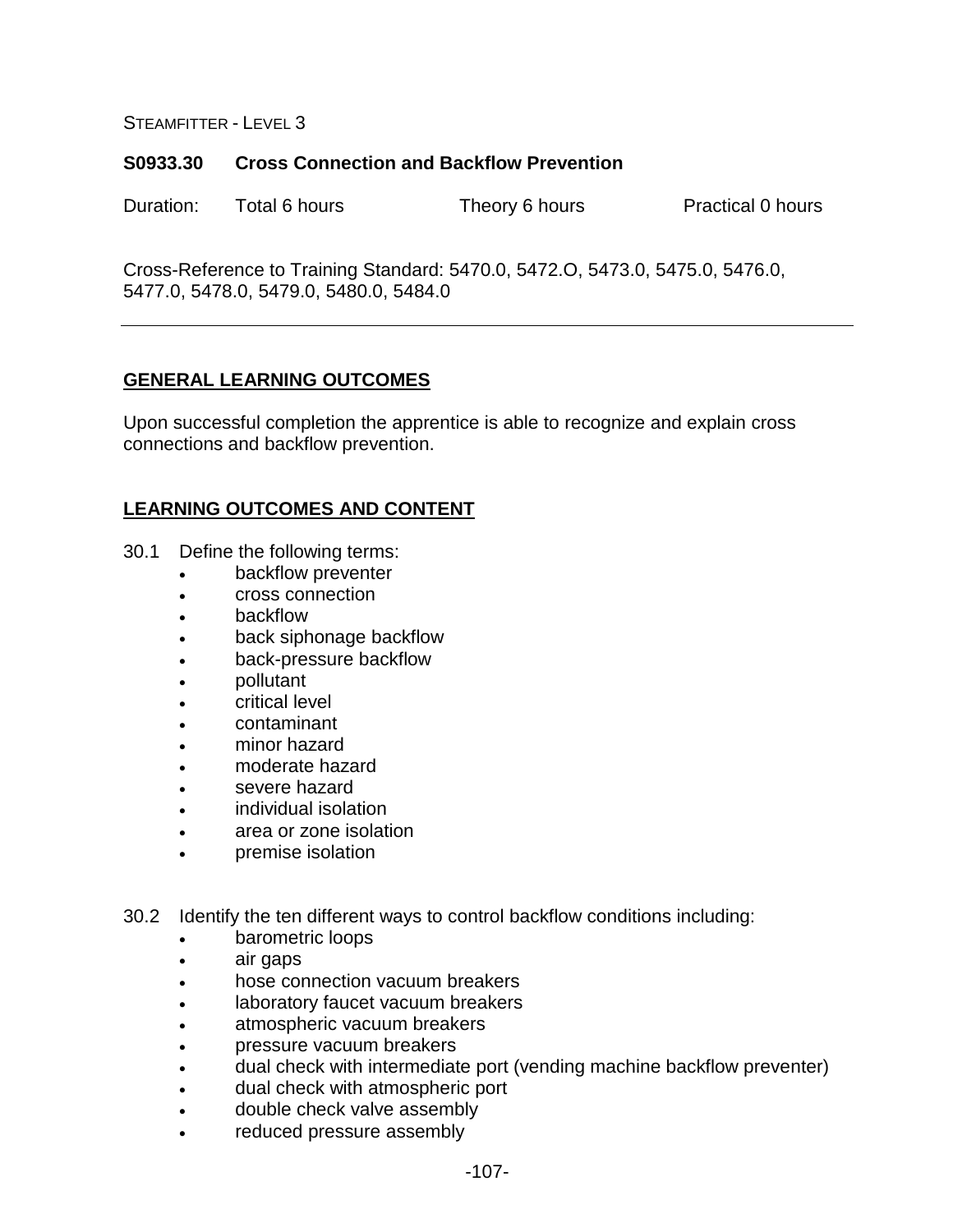#### **S0933.30 Cross Connection and Backflow Prevention**

Duration: Total 6 hours Theory 6 hours Practical 0 hours

Cross-Reference to Training Standard: 5470.0, 5472.O, 5473.0, 5475.0, 5476.0, 5477.0, 5478.0, 5479.0, 5480.0, 5484.0

## **GENERAL LEARNING OUTCOMES**

Upon successful completion the apprentice is able to recognize and explain cross connections and backflow prevention.

- 30.1 Define the following terms:
	- backflow preventer
	- cross connection
	- **backflow**
	- back siphonage backflow
	- back-pressure backflow
	- pollutant
	- critical level
	- contaminant
	- minor hazard
	- moderate hazard
	- severe hazard
	- individual isolation
	- area or zone isolation
	- premise isolation
- 30.2 Identify the ten different ways to control backflow conditions including:
	- barometric loops
	- air gaps
	- hose connection vacuum breakers
	- laboratory faucet vacuum breakers
	- atmospheric vacuum breakers
	- pressure vacuum breakers
	- dual check with intermediate port (vending machine backflow preventer)
	- dual check with atmospheric port
	- double check valve assembly
	- reduced pressure assembly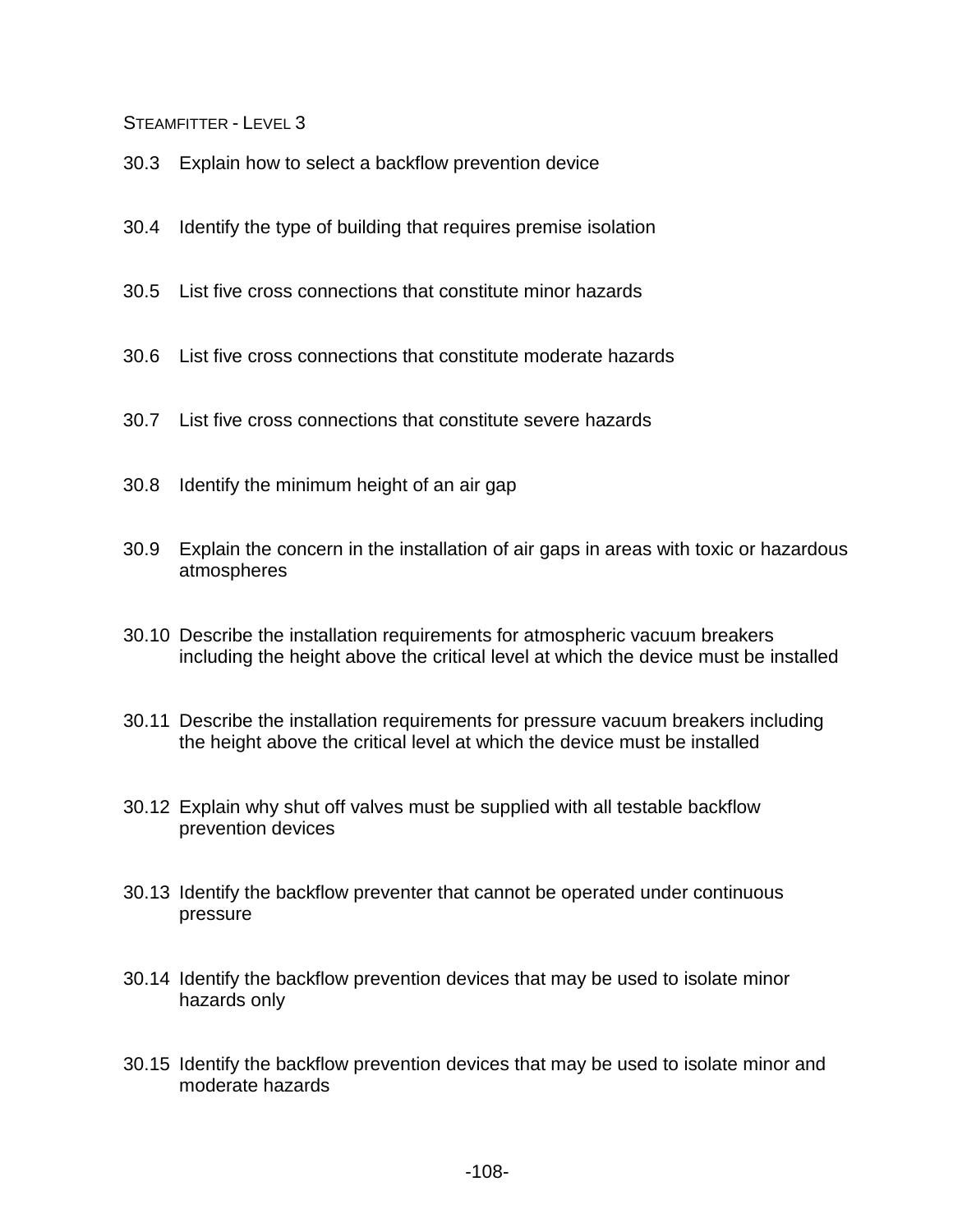- 30.3 Explain how to select a backflow prevention device
- 30.4 Identify the type of building that requires premise isolation
- 30.5 List five cross connections that constitute minor hazards
- 30.6 List five cross connections that constitute moderate hazards
- 30.7 List five cross connections that constitute severe hazards
- 30.8 Identify the minimum height of an air gap
- 30.9 Explain the concern in the installation of air gaps in areas with toxic or hazardous atmospheres
- 30.10 Describe the installation requirements for atmospheric vacuum breakers including the height above the critical level at which the device must be installed
- 30.11 Describe the installation requirements for pressure vacuum breakers including the height above the critical level at which the device must be installed
- 30.12 Explain why shut off valves must be supplied with all testable backflow prevention devices
- 30.13 Identify the backflow preventer that cannot be operated under continuous pressure
- 30.14 Identify the backflow prevention devices that may be used to isolate minor hazards only
- 30.15 Identify the backflow prevention devices that may be used to isolate minor and moderate hazards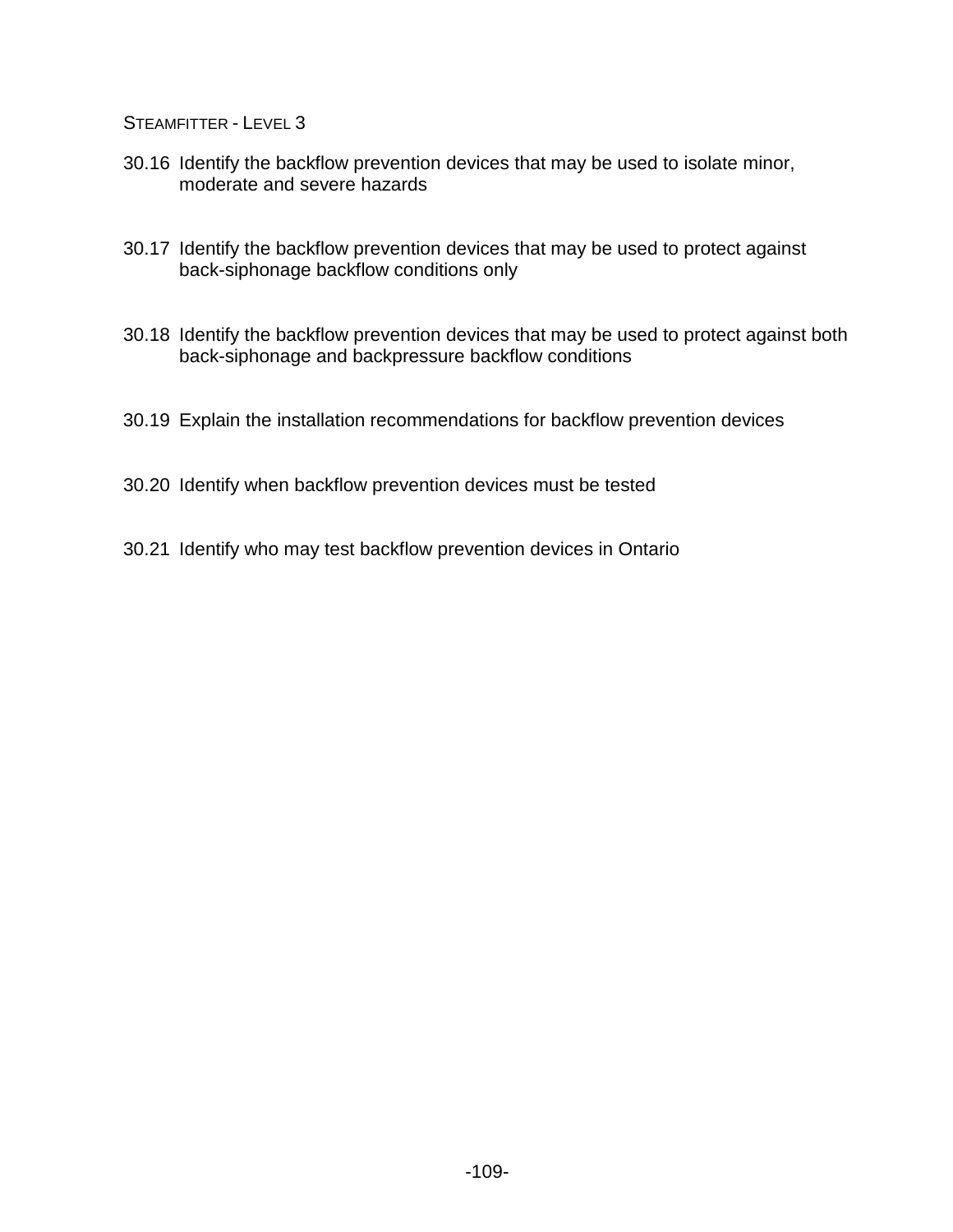- 30.16 Identify the backflow prevention devices that may be used to isolate minor, moderate and severe hazards
- 30.17 Identify the backflow prevention devices that may be used to protect against back-siphonage backflow conditions only
- 30.18 Identify the backflow prevention devices that may be used to protect against both back-siphonage and backpressure backflow conditions
- 30.19 Explain the installation recommendations for backflow prevention devices
- 30.20 Identify when backflow prevention devices must be tested
- 30.21 Identify who may test backflow prevention devices in Ontario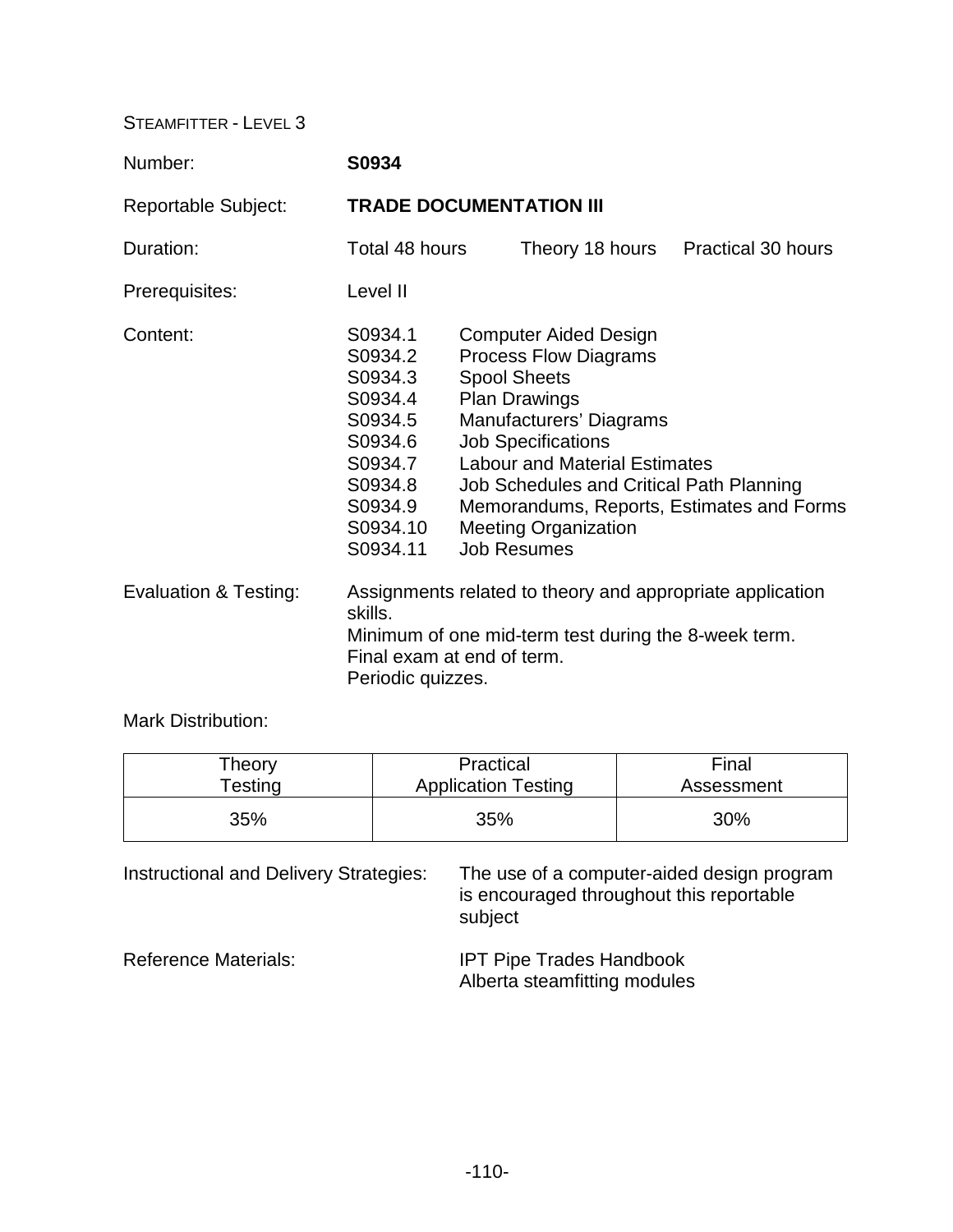| Number:               | S0934                                                                                                                                                                           |  |                                                                                                                                                                                                                                                                  |                                                                                       |
|-----------------------|---------------------------------------------------------------------------------------------------------------------------------------------------------------------------------|--|------------------------------------------------------------------------------------------------------------------------------------------------------------------------------------------------------------------------------------------------------------------|---------------------------------------------------------------------------------------|
| Reportable Subject:   | <b>TRADE DOCUMENTATION III</b>                                                                                                                                                  |  |                                                                                                                                                                                                                                                                  |                                                                                       |
| Duration:             | Total 48 hours                                                                                                                                                                  |  | Theory 18 hours                                                                                                                                                                                                                                                  | <b>Practical 30 hours</b>                                                             |
| Prerequisites:        | Level II                                                                                                                                                                        |  |                                                                                                                                                                                                                                                                  |                                                                                       |
| Content:              | S0934.1<br>S0934.2<br>S0934.3<br>S0934.4<br>S0934.5<br>S0934.6<br>S0934.7<br>S0934.8<br>S0934.9<br>S0934.10<br>S0934.11                                                         |  | <b>Computer Aided Design</b><br><b>Process Flow Diagrams</b><br><b>Spool Sheets</b><br><b>Plan Drawings</b><br>Manufacturers' Diagrams<br><b>Job Specifications</b><br><b>Labour and Material Estimates</b><br><b>Meeting Organization</b><br><b>Job Resumes</b> | Job Schedules and Critical Path Planning<br>Memorandums, Reports, Estimates and Forms |
| Evaluation & Testing: | Assignments related to theory and appropriate application<br>skills.<br>Minimum of one mid-term test during the 8-week term.<br>Final exam at end of term.<br>Periodic quizzes. |  |                                                                                                                                                                                                                                                                  |                                                                                       |

Mark Distribution:

| Theory     | Practical                  | Final      |
|------------|----------------------------|------------|
| $T$ esting | <b>Application Testing</b> | Assessment |
| 35%        | 35%                        | 30%        |

Instructional and Delivery Strategies: The use of a computer-aided design program is encouraged throughout this reportable subject

Reference Materials: **IPT Pipe Trades Handbook** Alberta steamfitting modules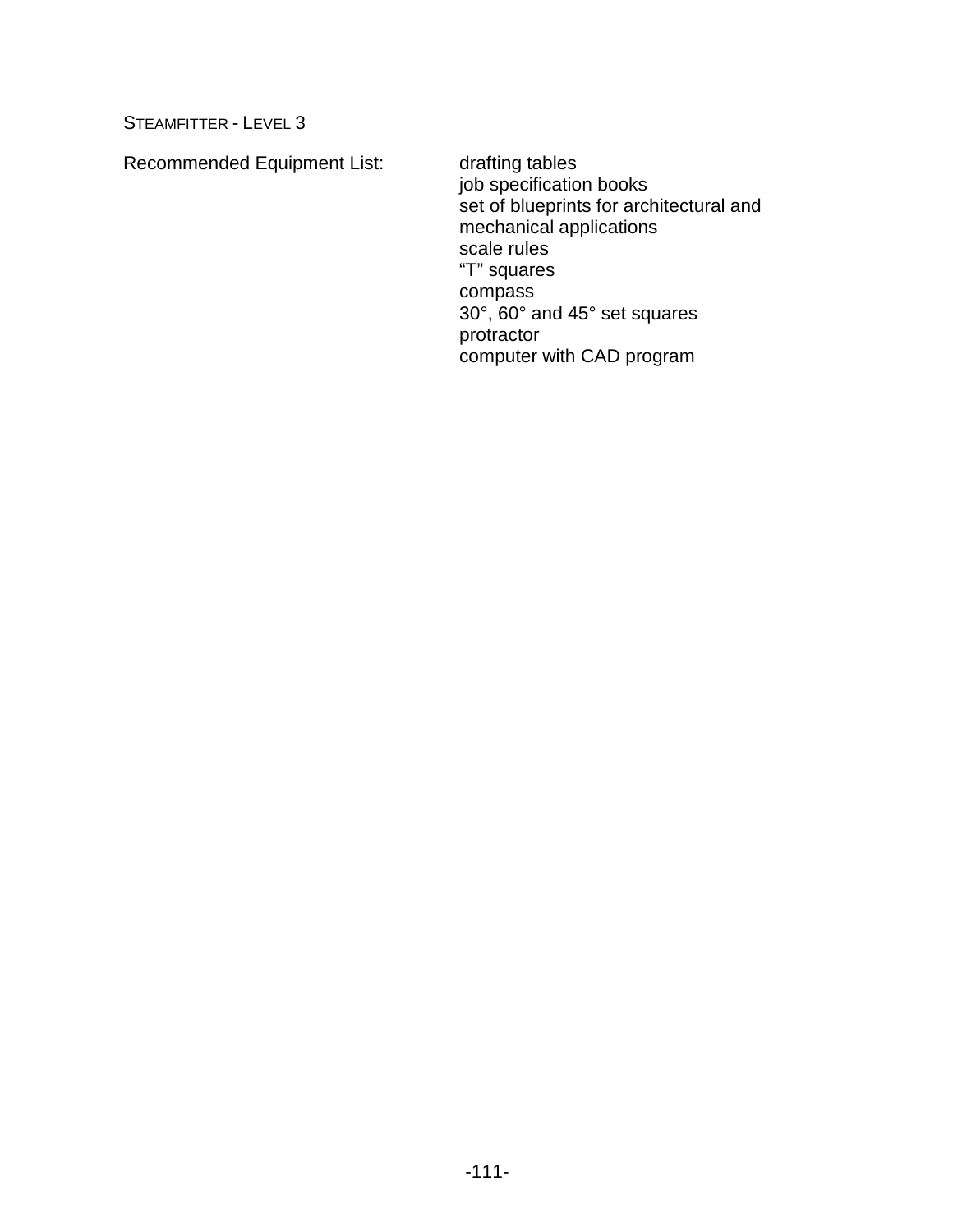Recommended Equipment List: drafting tables

job specification books set of blueprints for architectural and mechanical applications scale rules "T" squares compass 30°, 60° and 45° set squares protractor computer with CAD program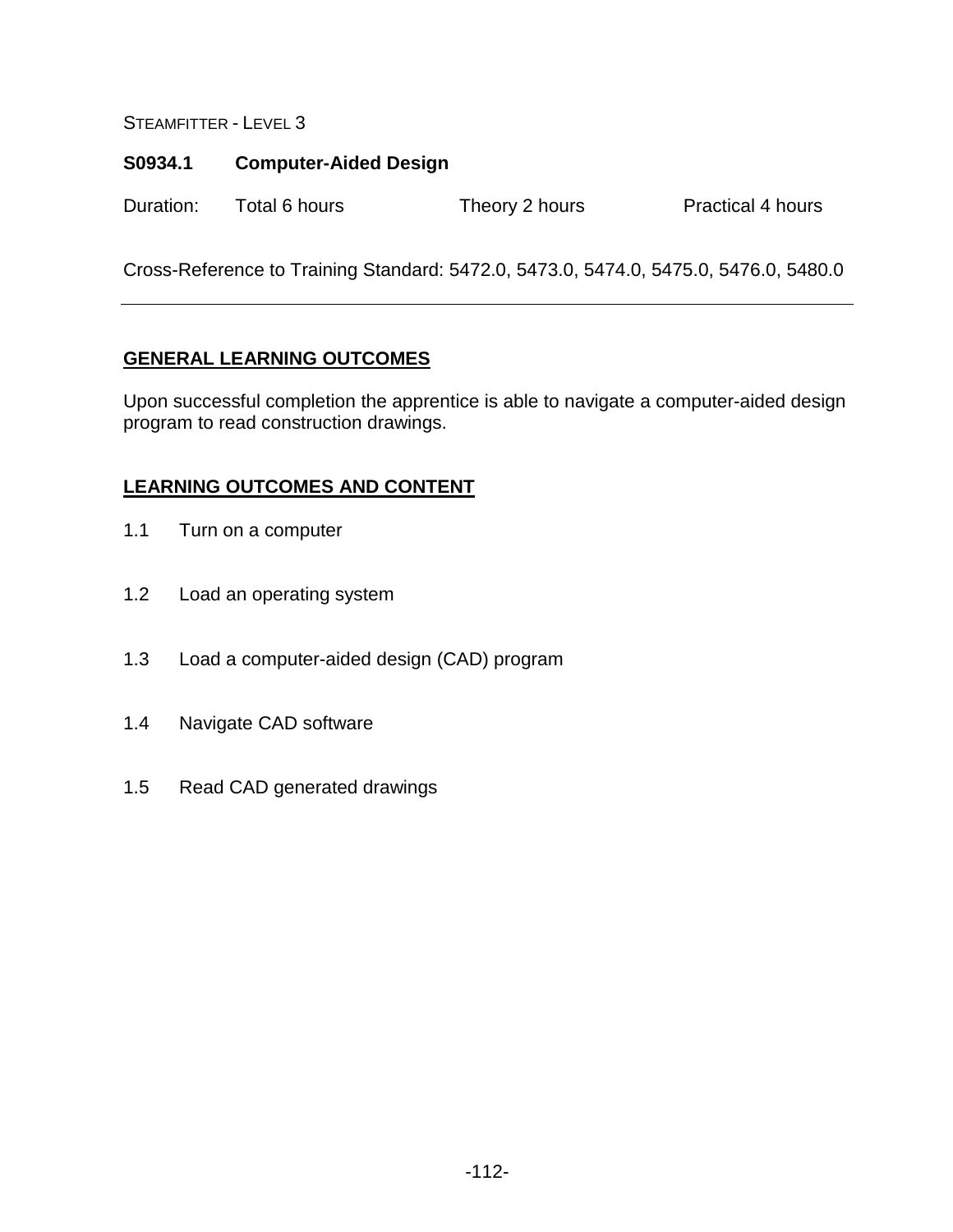# **S0934.1 Computer-Aided Design**

Duration: Total 6 hours Theory 2 hours Practical 4 hours

Cross-Reference to Training Standard: 5472.0, 5473.0, 5474.0, 5475.0, 5476.0, 5480.0

# **GENERAL LEARNING OUTCOMES**

Upon successful completion the apprentice is able to navigate a computer-aided design program to read construction drawings.

- 1.1 Turn on a computer
- 1.2 Load an operating system
- 1.3 Load a computer-aided design (CAD) program
- 1.4 Navigate CAD software
- 1.5 Read CAD generated drawings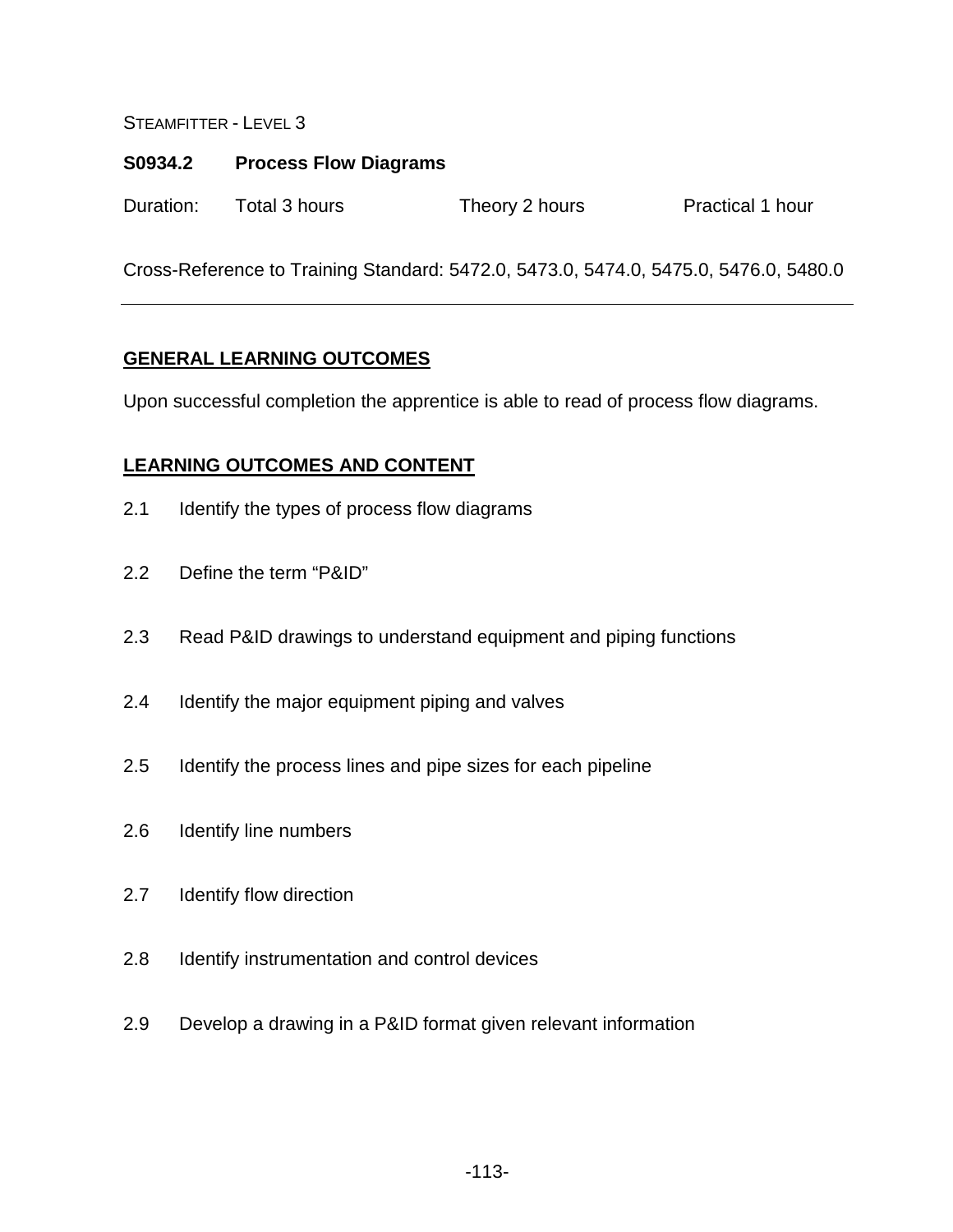### **S0934.2 Process Flow Diagrams**

Duration: Total 3 hours Theory 2 hours Practical 1 hour

Cross-Reference to Training Standard: 5472.0, 5473.0, 5474.0, 5475.0, 5476.0, 5480.0

## **GENERAL LEARNING OUTCOMES**

Upon successful completion the apprentice is able to read of process flow diagrams.

- 2.1 Identify the types of process flow diagrams
- 2.2 Define the term "P&ID"
- 2.3 Read P&ID drawings to understand equipment and piping functions
- 2.4 Identify the major equipment piping and valves
- 2.5 Identify the process lines and pipe sizes for each pipeline
- 2.6 Identify line numbers
- 2.7 Identify flow direction
- 2.8 Identify instrumentation and control devices
- 2.9 Develop a drawing in a P&ID format given relevant information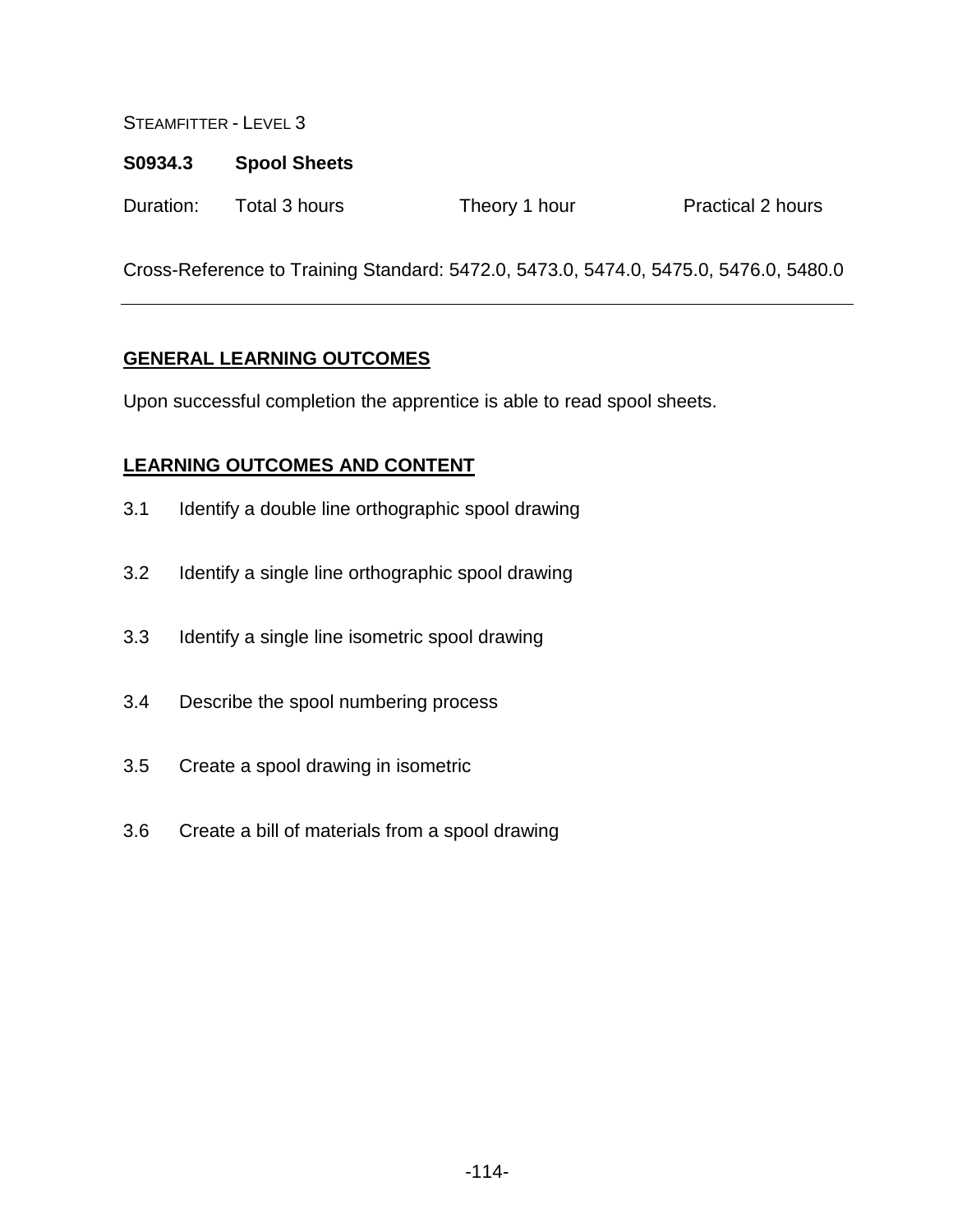### **S0934.3 Spool Sheets**

| Duration:<br>Total 3 hours<br>Theory 1 hour | <b>Practical 2 hours</b> |
|---------------------------------------------|--------------------------|
|---------------------------------------------|--------------------------|

Cross-Reference to Training Standard: 5472.0, 5473.0, 5474.0, 5475.0, 5476.0, 5480.0

## **GENERAL LEARNING OUTCOMES**

Upon successful completion the apprentice is able to read spool sheets.

- 3.1 Identify a double line orthographic spool drawing
- 3.2 Identify a single line orthographic spool drawing
- 3.3 Identify a single line isometric spool drawing
- 3.4 Describe the spool numbering process
- 3.5 Create a spool drawing in isometric
- 3.6 Create a bill of materials from a spool drawing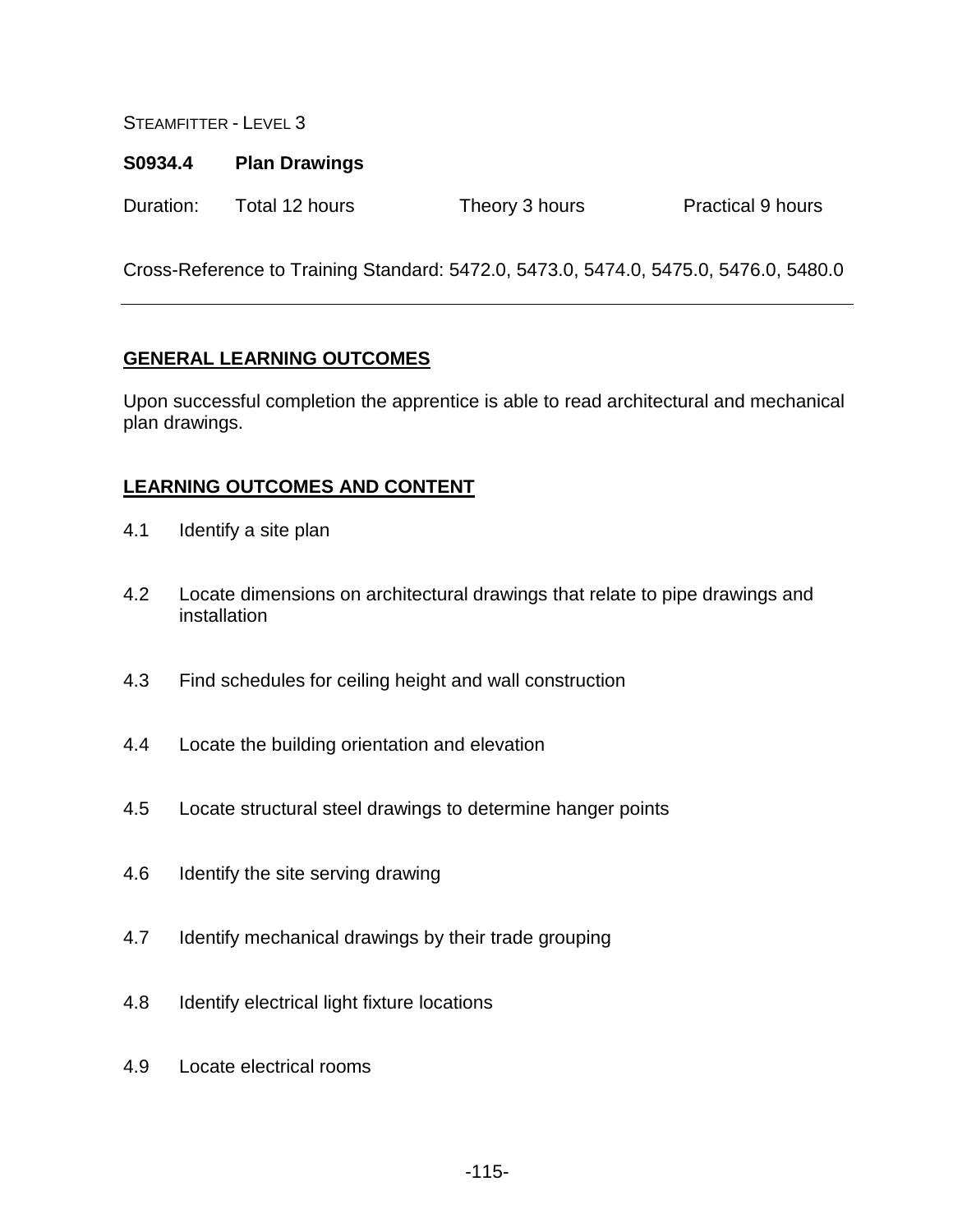#### **S0934.4 Plan Drawings**

Duration: Total 12 hours Theory 3 hours Practical 9 hours

Cross-Reference to Training Standard: 5472.0, 5473.0, 5474.0, 5475.0, 5476.0, 5480.0

#### **GENERAL LEARNING OUTCOMES**

Upon successful completion the apprentice is able to read architectural and mechanical plan drawings.

- 4.1 Identify a site plan
- 4.2 Locate dimensions on architectural drawings that relate to pipe drawings and installation
- 4.3 Find schedules for ceiling height and wall construction
- 4.4 Locate the building orientation and elevation
- 4.5 Locate structural steel drawings to determine hanger points
- 4.6 Identify the site serving drawing
- 4.7 Identify mechanical drawings by their trade grouping
- 4.8 Identify electrical light fixture locations
- 4.9 Locate electrical rooms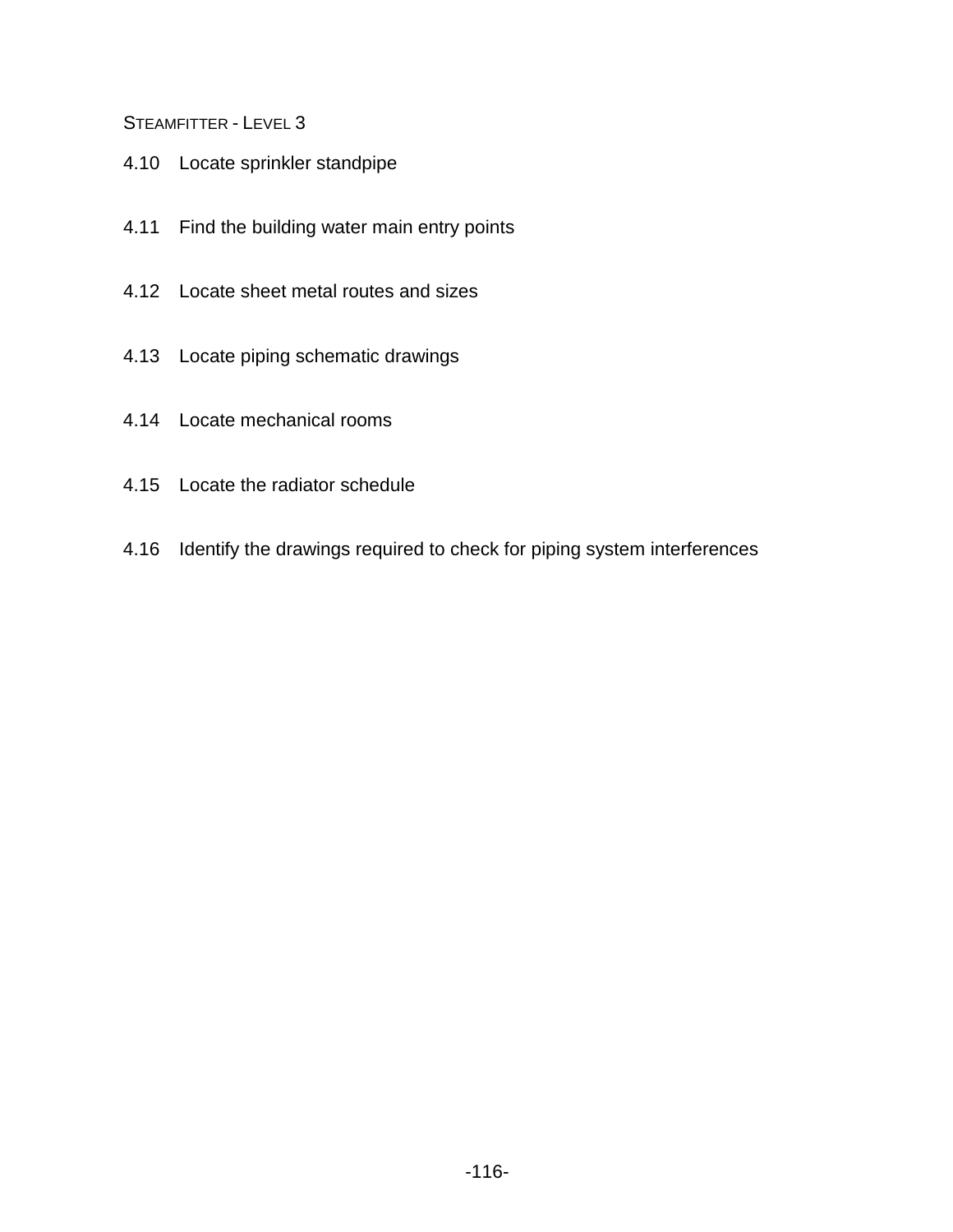- 4.10 Locate sprinkler standpipe
- 4.11 Find the building water main entry points
- 4.12 Locate sheet metal routes and sizes
- 4.13 Locate piping schematic drawings
- 4.14 Locate mechanical rooms
- 4.15 Locate the radiator schedule
- 4.16 Identify the drawings required to check for piping system interferences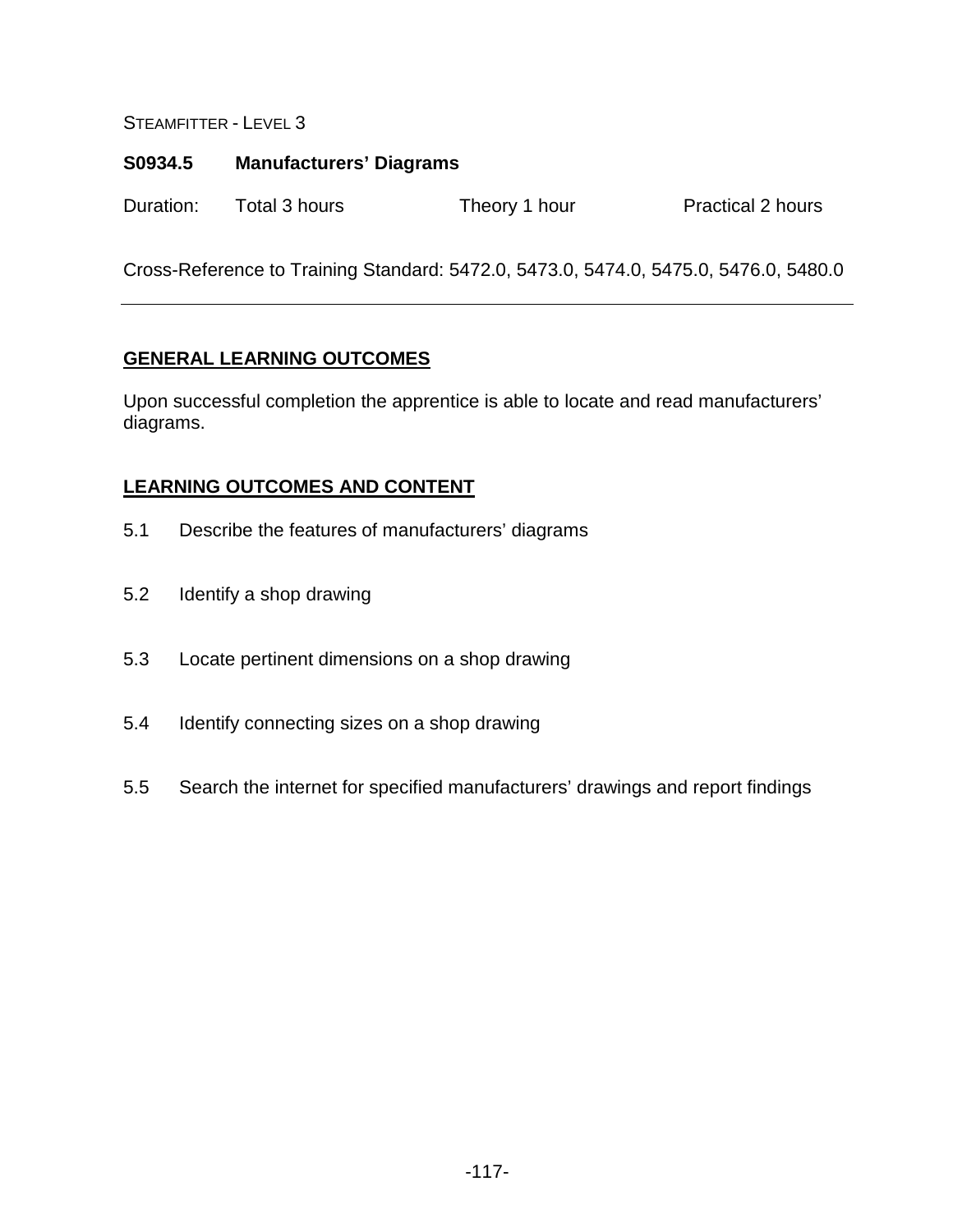## **S0934.5 Manufacturers' Diagrams**

Duration: Total 3 hours Theory 1 hour Practical 2 hours

Cross-Reference to Training Standard: 5472.0, 5473.0, 5474.0, 5475.0, 5476.0, 5480.0

## **GENERAL LEARNING OUTCOMES**

Upon successful completion the apprentice is able to locate and read manufacturers' diagrams.

- 5.1 Describe the features of manufacturers' diagrams
- 5.2 Identify a shop drawing
- 5.3 Locate pertinent dimensions on a shop drawing
- 5.4 Identify connecting sizes on a shop drawing
- 5.5 Search the internet for specified manufacturers' drawings and report findings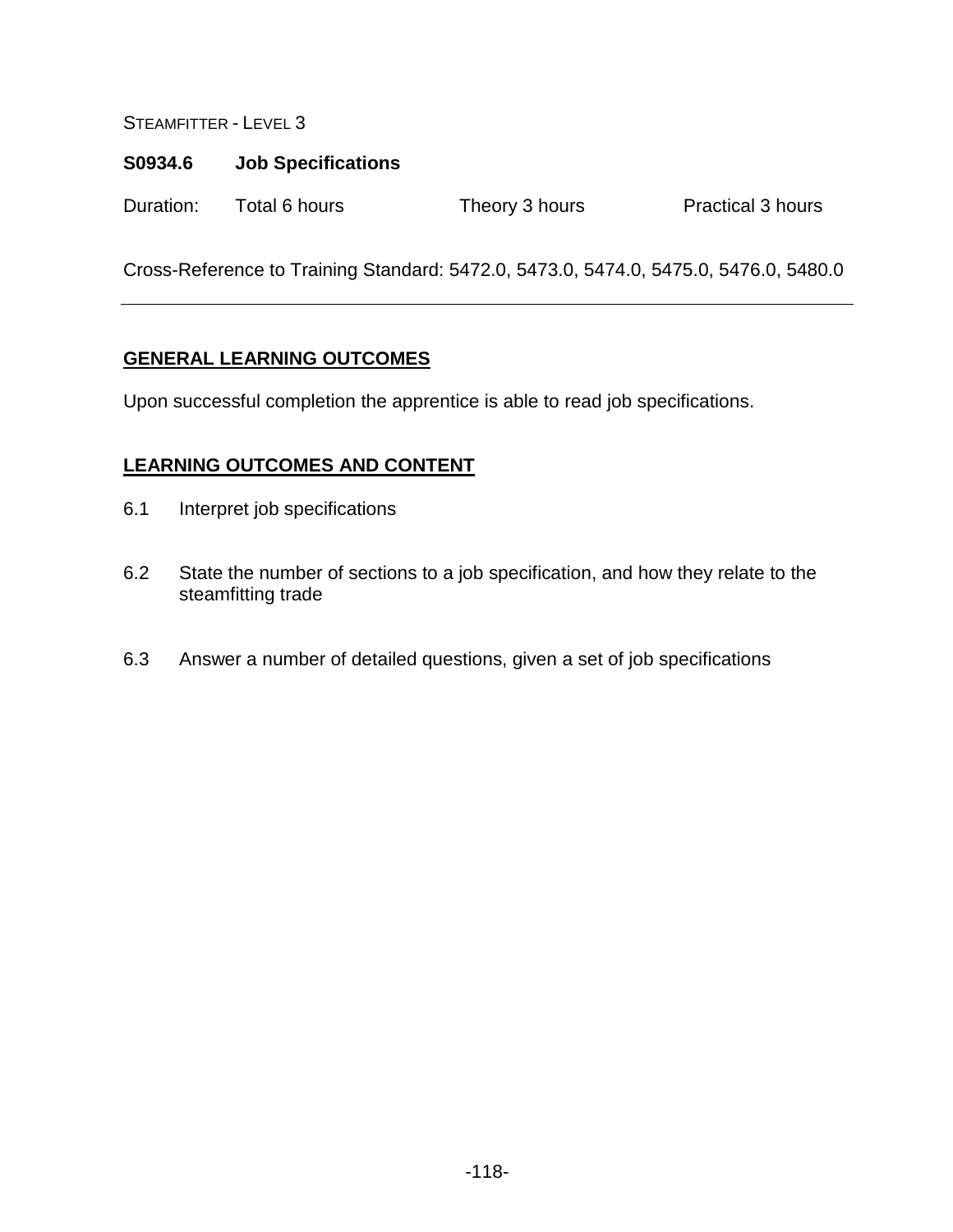#### **S0934.6 Job Specifications**

Duration: Total 6 hours Theory 3 hours Practical 3 hours

Cross-Reference to Training Standard: 5472.0, 5473.0, 5474.0, 5475.0, 5476.0, 5480.0

#### **GENERAL LEARNING OUTCOMES**

Upon successful completion the apprentice is able to read job specifications.

- 6.1 Interpret job specifications
- 6.2 State the number of sections to a job specification, and how they relate to the steamfitting trade
- 6.3 Answer a number of detailed questions, given a set of job specifications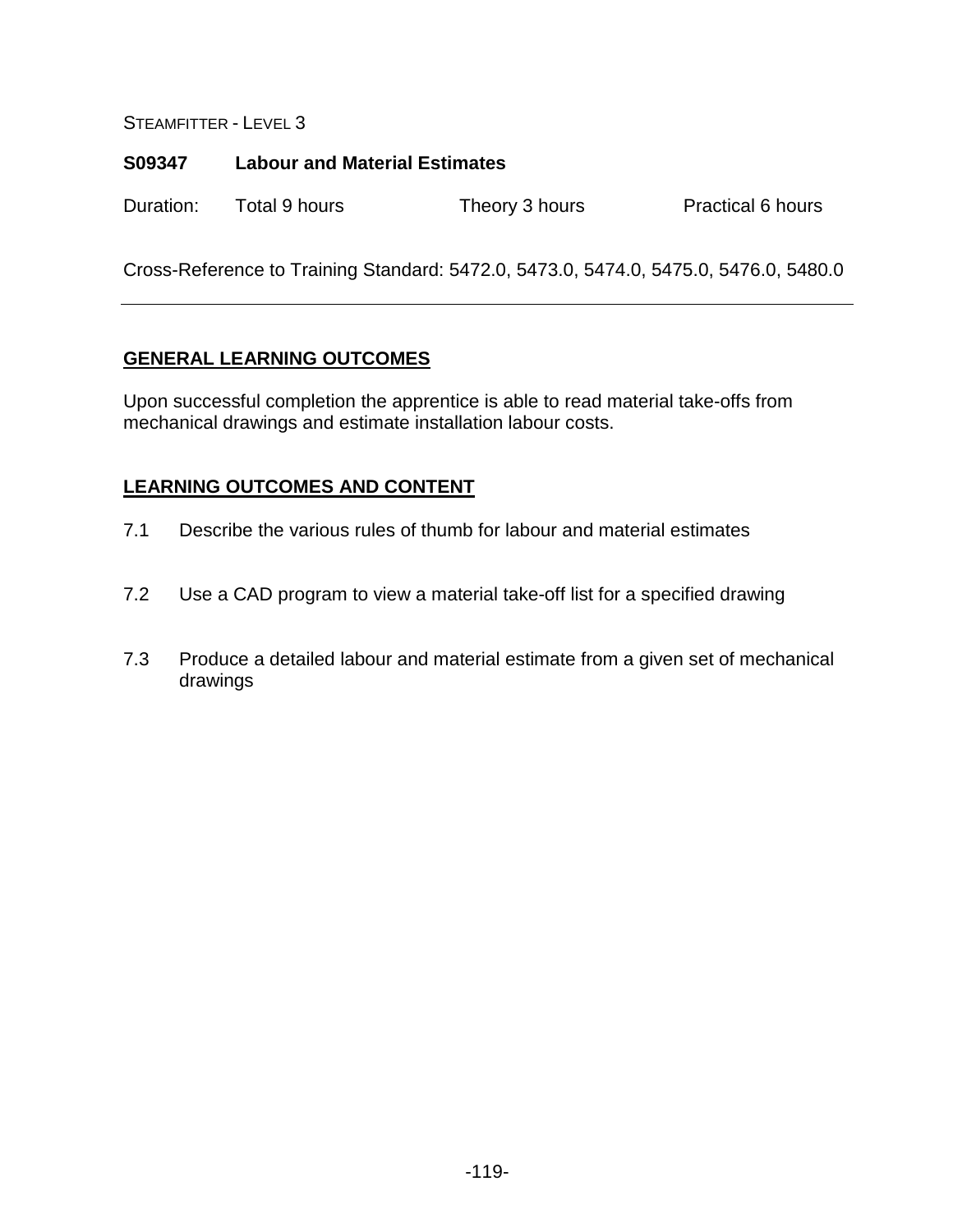# **S09347 Labour and Material Estimates**

Duration: Total 9 hours Theory 3 hours Practical 6 hours

Cross-Reference to Training Standard: 5472.0, 5473.0, 5474.0, 5475.0, 5476.0, 5480.0

## **GENERAL LEARNING OUTCOMES**

Upon successful completion the apprentice is able to read material take-offs from mechanical drawings and estimate installation labour costs.

- 7.1 Describe the various rules of thumb for labour and material estimates
- 7.2 Use a CAD program to view a material take-off list for a specified drawing
- 7.3 Produce a detailed labour and material estimate from a given set of mechanical drawings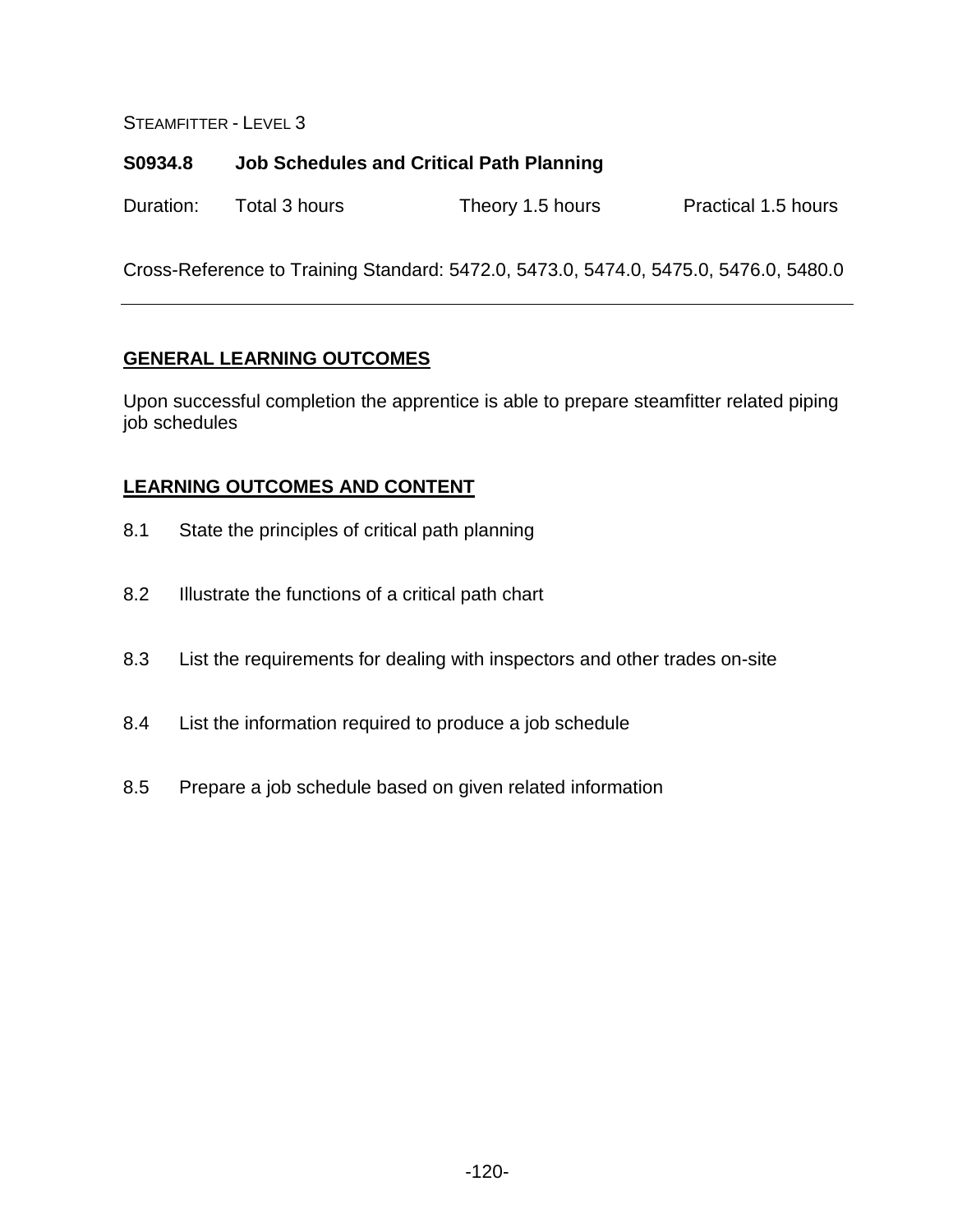## **S0934.8 Job Schedules and Critical Path Planning**

| Duration: | Total 3 hours | Theory 1.5 hours | Practical 1.5 hours |
|-----------|---------------|------------------|---------------------|
|-----------|---------------|------------------|---------------------|

Cross-Reference to Training Standard: 5472.0, 5473.0, 5474.0, 5475.0, 5476.0, 5480.0

## **GENERAL LEARNING OUTCOMES**

Upon successful completion the apprentice is able to prepare steamfitter related piping job schedules

- 8.1 State the principles of critical path planning
- 8.2 Illustrate the functions of a critical path chart
- 8.3 List the requirements for dealing with inspectors and other trades on-site
- 8.4 List the information required to produce a job schedule
- 8.5 Prepare a job schedule based on given related information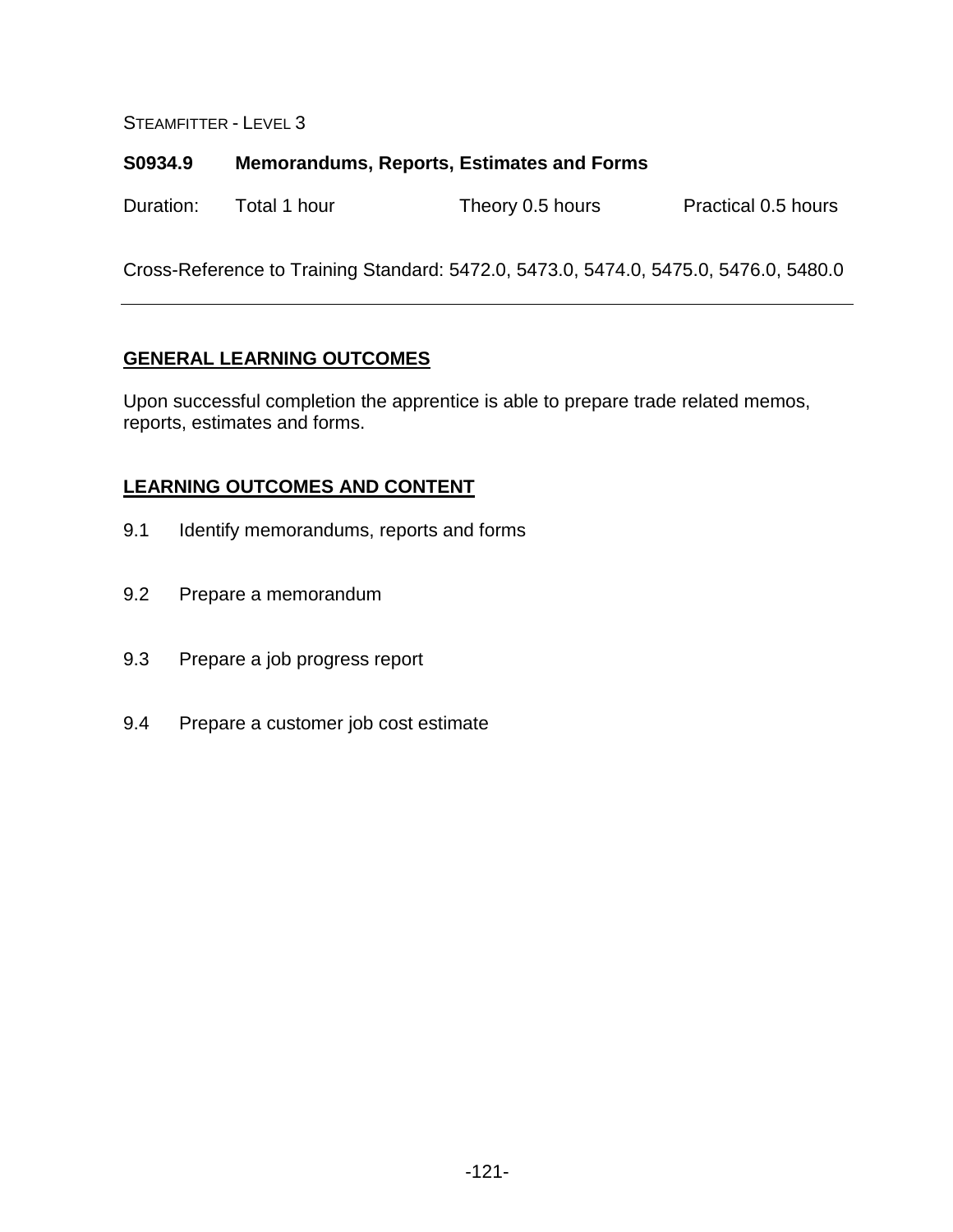#### **S0934.9 Memorandums, Reports, Estimates and Forms**

| Practical 0.5 hours<br>Duration:<br>Total 1 hour<br>Theory 0.5 hours |  |
|----------------------------------------------------------------------|--|
|----------------------------------------------------------------------|--|

Cross-Reference to Training Standard: 5472.0, 5473.0, 5474.0, 5475.0, 5476.0, 5480.0

#### **GENERAL LEARNING OUTCOMES**

Upon successful completion the apprentice is able to prepare trade related memos, reports, estimates and forms.

- 9.1 Identify memorandums, reports and forms
- 9.2 Prepare a memorandum
- 9.3 Prepare a job progress report
- 9.4 Prepare a customer job cost estimate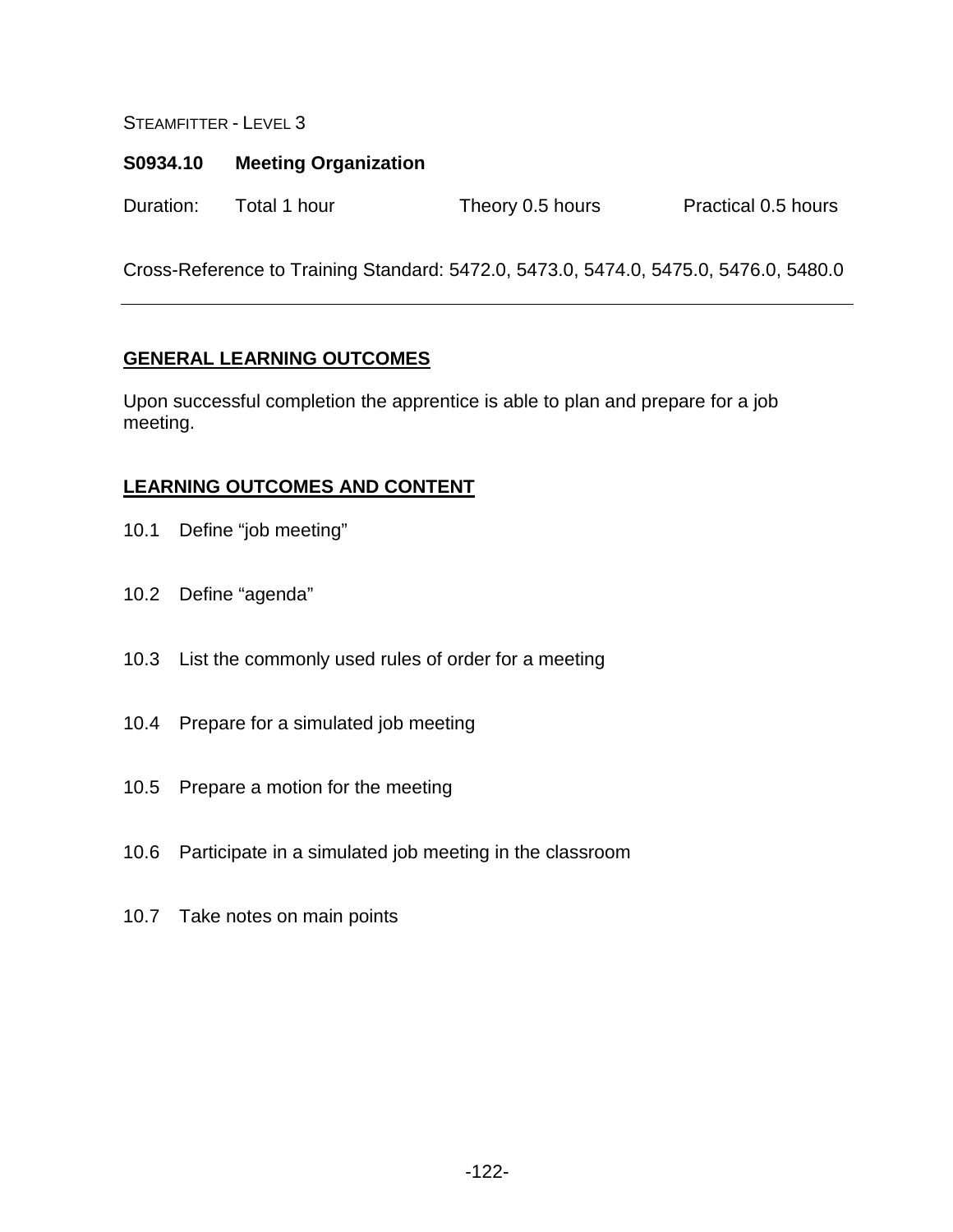### **S0934.10 Meeting Organization**

Duration: Total 1 hour Theory 0.5 hours Practical 0.5 hours

Cross-Reference to Training Standard: 5472.0, 5473.0, 5474.0, 5475.0, 5476.0, 5480.0

## **GENERAL LEARNING OUTCOMES**

Upon successful completion the apprentice is able to plan and prepare for a job meeting.

- 10.1 Define "job meeting"
- 10.2 Define "agenda"
- 10.3 List the commonly used rules of order for a meeting
- 10.4 Prepare for a simulated job meeting
- 10.5 Prepare a motion for the meeting
- 10.6 Participate in a simulated job meeting in the classroom
- 10.7 Take notes on main points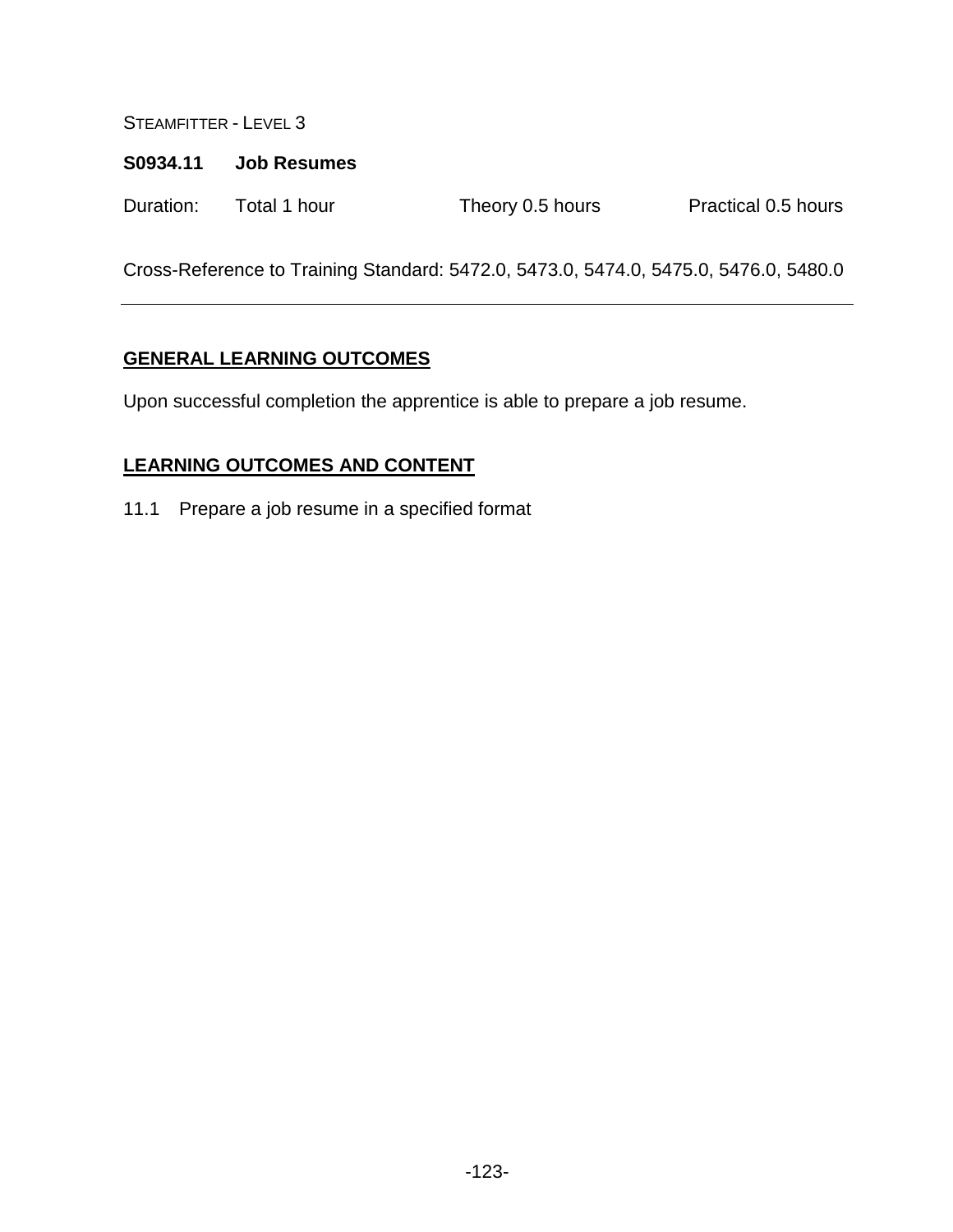#### **S0934.11 Job Resumes**

| Duration: | Total 1 hour | Theory 0.5 hours | Practical 0.5 hours |
|-----------|--------------|------------------|---------------------|
|-----------|--------------|------------------|---------------------|

Cross-Reference to Training Standard: 5472.0, 5473.0, 5474.0, 5475.0, 5476.0, 5480.0

## **GENERAL LEARNING OUTCOMES**

Upon successful completion the apprentice is able to prepare a job resume.

# **LEARNING OUTCOMES AND CONTENT**

11.1 Prepare a job resume in a specified format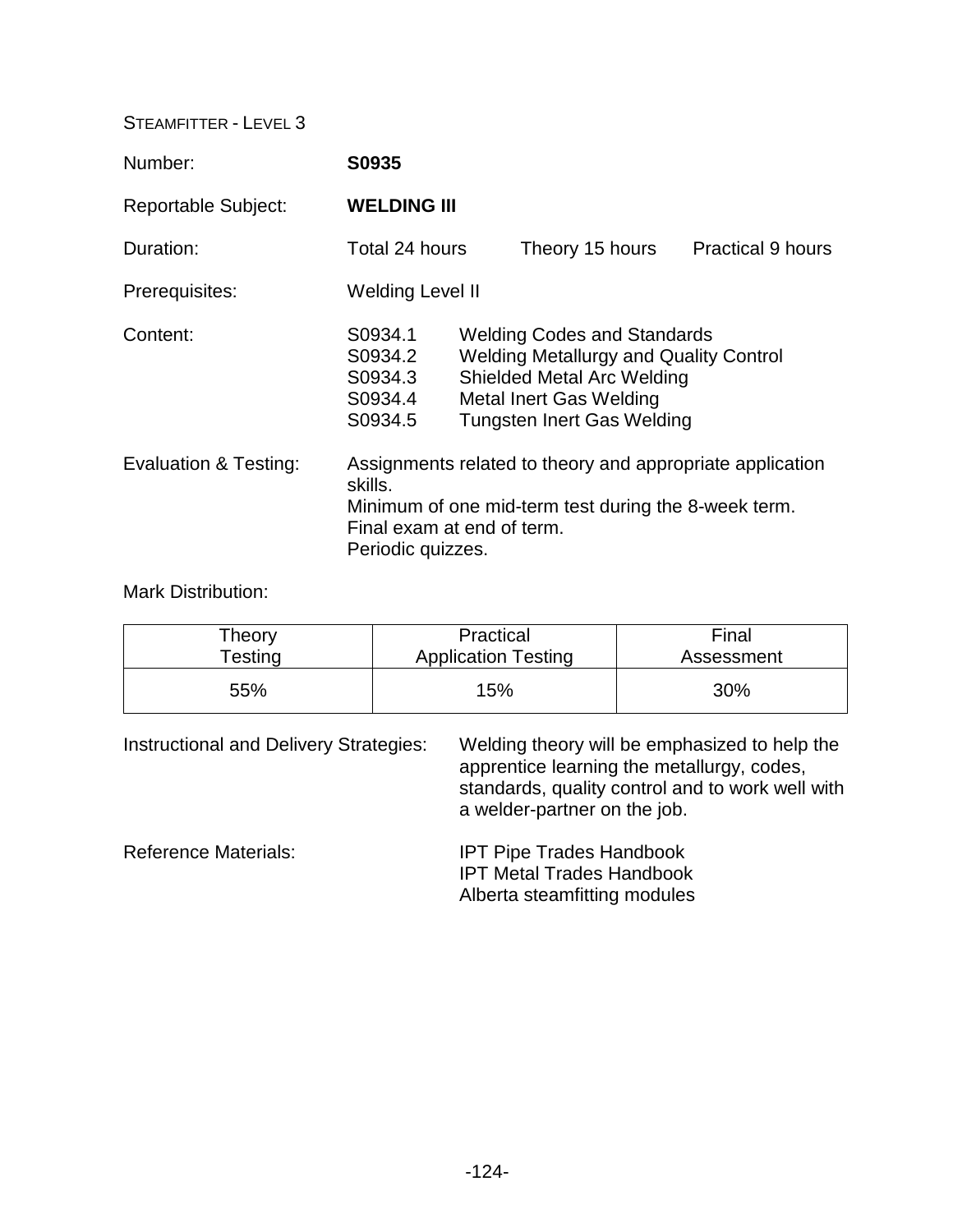| Number:                    | S0935                                                                                                                                                                           |  |                                                                                                                                                                                                 |  |                          |
|----------------------------|---------------------------------------------------------------------------------------------------------------------------------------------------------------------------------|--|-------------------------------------------------------------------------------------------------------------------------------------------------------------------------------------------------|--|--------------------------|
| <b>Reportable Subject:</b> | <b>WELDING III</b>                                                                                                                                                              |  |                                                                                                                                                                                                 |  |                          |
| Duration:                  | Total 24 hours                                                                                                                                                                  |  | Theory 15 hours                                                                                                                                                                                 |  | <b>Practical 9 hours</b> |
| Prerequisites:             | <b>Welding Level II</b>                                                                                                                                                         |  |                                                                                                                                                                                                 |  |                          |
| Content:                   | S0934.1<br>S0934.2<br>S0934.3<br>S0934.4<br>S0934.5                                                                                                                             |  | <b>Welding Codes and Standards</b><br><b>Welding Metallurgy and Quality Control</b><br><b>Shielded Metal Arc Welding</b><br><b>Metal Inert Gas Welding</b><br><b>Tungsten Inert Gas Welding</b> |  |                          |
| Evaluation & Testing:      | Assignments related to theory and appropriate application<br>skills.<br>Minimum of one mid-term test during the 8-week term.<br>Final exam at end of term.<br>Periodic quizzes. |  |                                                                                                                                                                                                 |  |                          |

Mark Distribution:

| Theory        | Practical                  | Final      |
|---------------|----------------------------|------------|
| $\tau$ esting | <b>Application Testing</b> | Assessment |
| 55%           | 15%                        | 30%        |

| Instructional and Delivery Strategies: | Welding theory will be emphasized to help the<br>apprentice learning the metallurgy, codes,<br>standards, quality control and to work well with<br>a welder-partner on the job. |
|----------------------------------------|---------------------------------------------------------------------------------------------------------------------------------------------------------------------------------|
| <b>Reference Materials:</b>            | <b>IPT Pipe Trades Handbook</b><br><b>IPT Metal Trades Handbook</b><br>Alberta steamfitting modules                                                                             |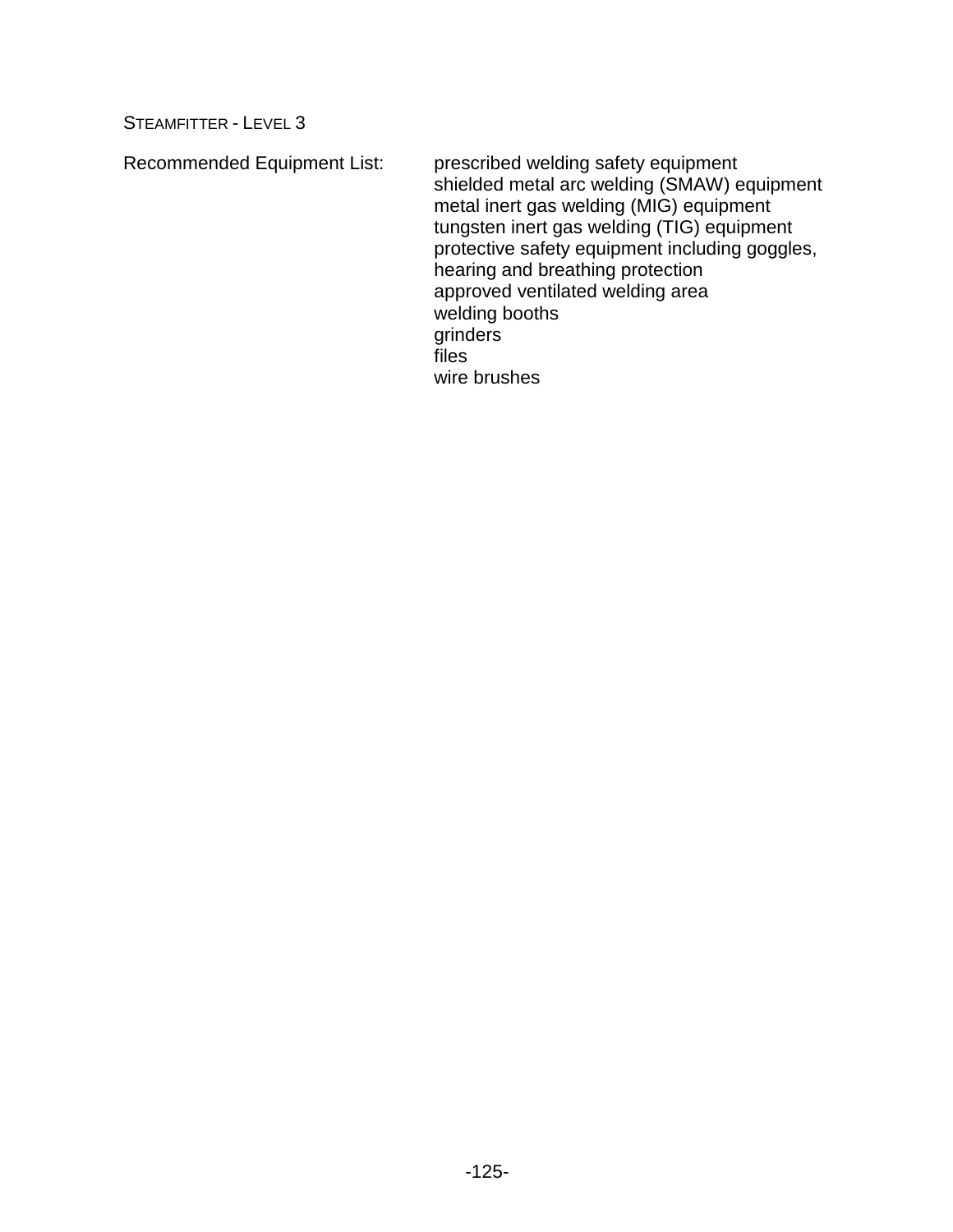Recommended Equipment List: prescribed welding safety equipment

shielded metal arc welding (SMAW) equipment metal inert gas welding (MIG) equipment tungsten inert gas welding (TIG) equipment protective safety equipment including goggles, hearing and breathing protection approved ventilated welding area welding booths grinders files wire brushes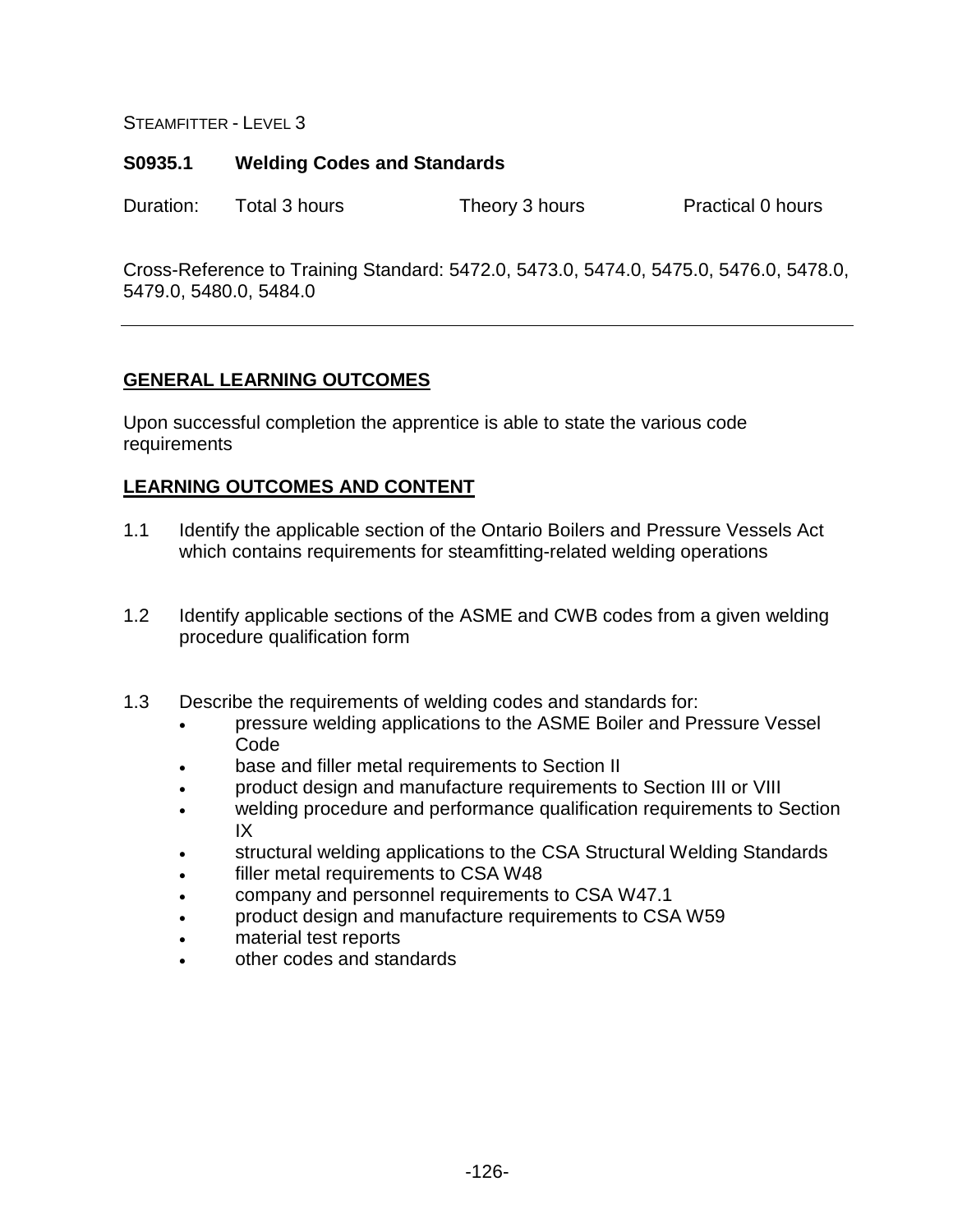### **S0935.1 Welding Codes and Standards**

Duration: Total 3 hours Theory 3 hours Practical 0 hours

Cross-Reference to Training Standard: 5472.0, 5473.0, 5474.0, 5475.0, 5476.0, 5478.0, 5479.0, 5480.0, 5484.0

## **GENERAL LEARNING OUTCOMES**

Upon successful completion the apprentice is able to state the various code requirements

- 1.1 Identify the applicable section of the Ontario Boilers and Pressure Vessels Act which contains requirements for steamfitting-related welding operations
- 1.2 Identify applicable sections of the ASME and CWB codes from a given welding procedure qualification form
- 1.3 Describe the requirements of welding codes and standards for:
	- pressure welding applications to the ASME Boiler and Pressure Vessel Code
	- base and filler metal requirements to Section II
	- product design and manufacture requirements to Section III or VIII
	- welding procedure and performance qualification requirements to Section IX
	- structural welding applications to the CSA Structural Welding Standards
	- filler metal requirements to CSA W48
	- company and personnel requirements to CSA W47.1
	- product design and manufacture requirements to CSA W59
	- material test reports
	- other codes and standards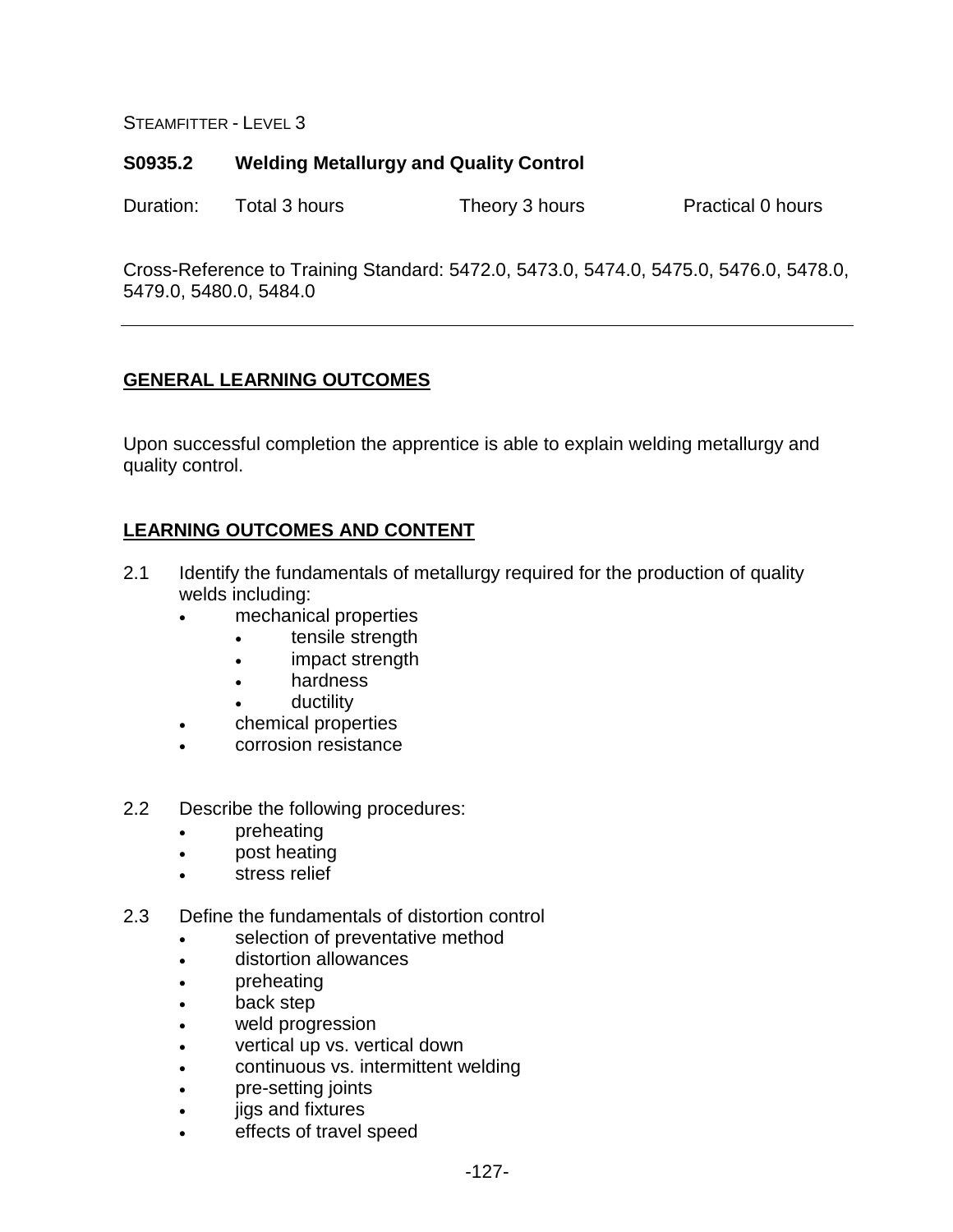## **S0935.2 Welding Metallurgy and Quality Control**

Duration: Total 3 hours Theory 3 hours Practical 0 hours

Cross-Reference to Training Standard: 5472.0, 5473.0, 5474.0, 5475.0, 5476.0, 5478.0, 5479.0, 5480.0, 5484.0

## **GENERAL LEARNING OUTCOMES**

Upon successful completion the apprentice is able to explain welding metallurgy and quality control.

- 2.1 Identify the fundamentals of metallurgy required for the production of quality welds including:
	- mechanical properties
		- tensile strength
		- impact strength
		- hardness
			- ductility
	- chemical properties
	- corrosion resistance
- 2.2 Describe the following procedures:
	- preheating
	- post heating
	- stress relief
- 2.3 Define the fundamentals of distortion control
	- selection of preventative method
	- distortion allowances
	- preheating
	- back step
	- weld progression
	- vertical up vs. vertical down
	- continuous vs. intermittent welding
	- pre-setting joints
	- jigs and fixtures
	- effects of travel speed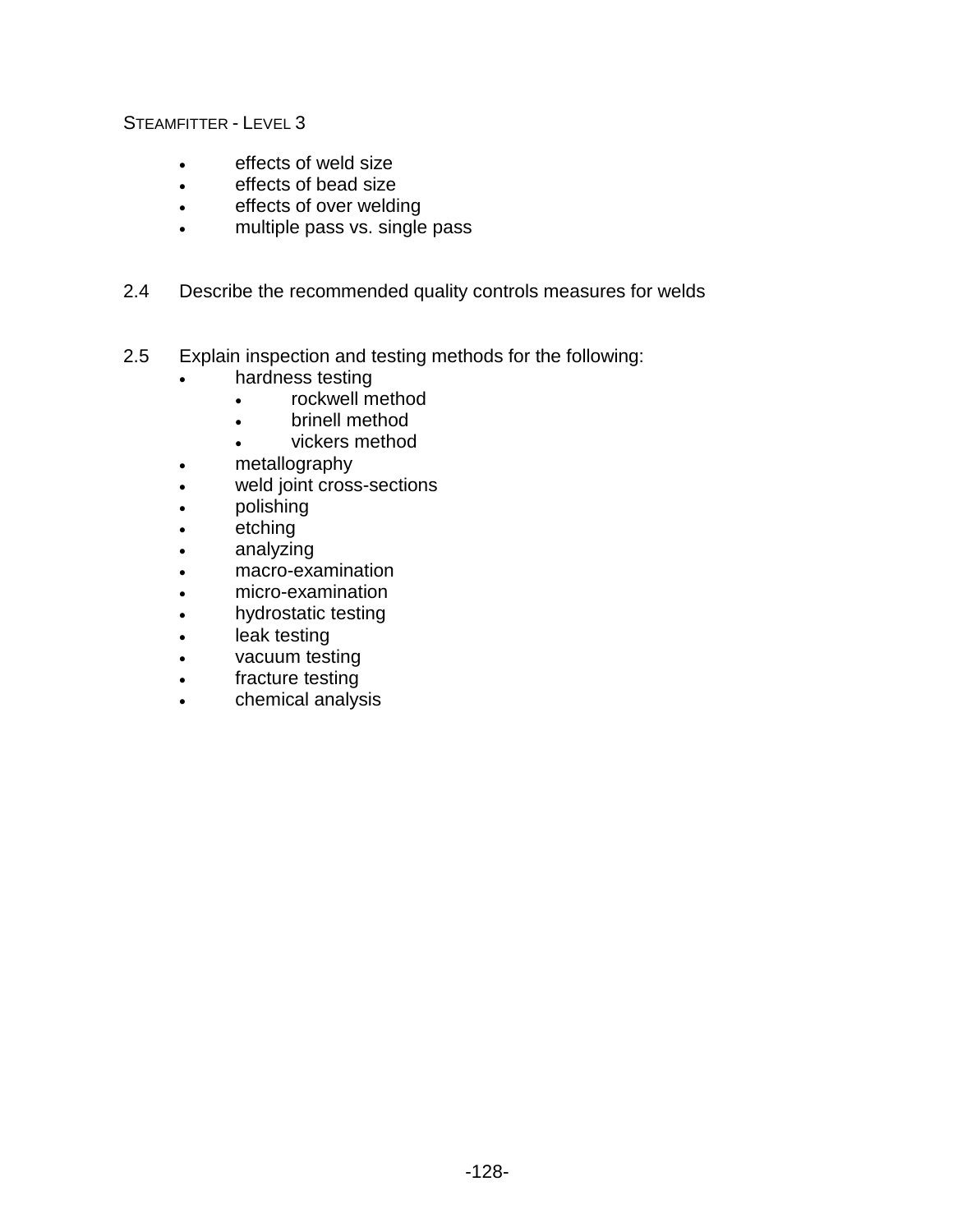- effects of weld size
- effects of bead size
- effects of over welding
- multiple pass vs. single pass
- 2.4 Describe the recommended quality controls measures for welds
- 2.5 Explain inspection and testing methods for the following:
	- hardness testing
		- rockwell method
		- brinell method
		- vickers method
	- metallography
	- weld joint cross-sections
	- polishing
	- etching
	- analyzing
	- macro-examination
	- micro-examination
	- hydrostatic testing
	- leak testing
	- vacuum testing
	- fracture testing
	- chemical analysis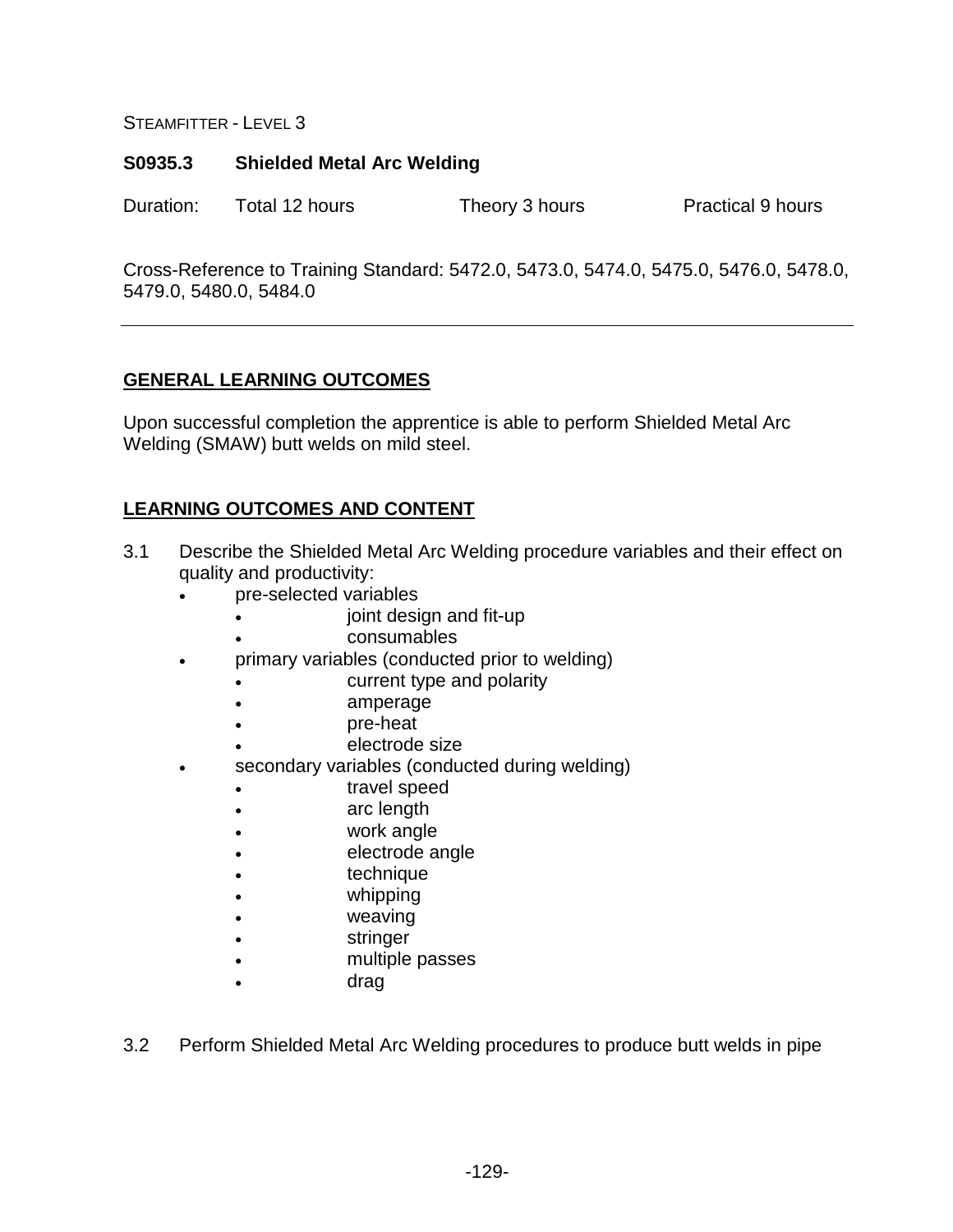### **S0935.3 Shielded Metal Arc Welding**

Duration: Total 12 hours Theory 3 hours Practical 9 hours

Cross-Reference to Training Standard: 5472.0, 5473.0, 5474.0, 5475.0, 5476.0, 5478.0, 5479.0, 5480.0, 5484.0

## **GENERAL LEARNING OUTCOMES**

Upon successful completion the apprentice is able to perform Shielded Metal Arc Welding (SMAW) butt welds on mild steel.

- 3.1 Describe the Shielded Metal Arc Welding procedure variables and their effect on quality and productivity:
	- pre-selected variables
		- joint design and fit-up
		- consumables
	- primary variables (conducted prior to welding)
		- current type and polarity
		- amperage
		- pre-heat
		- electrode size
		- secondary variables (conducted during welding)
			- **travel speed**
			- arc length
			- work angle
			- electrode angle
			- technique
			- whipping
			- weaving
			- stringer
			- multiple passes
			- drag
- 3.2 Perform Shielded Metal Arc Welding procedures to produce butt welds in pipe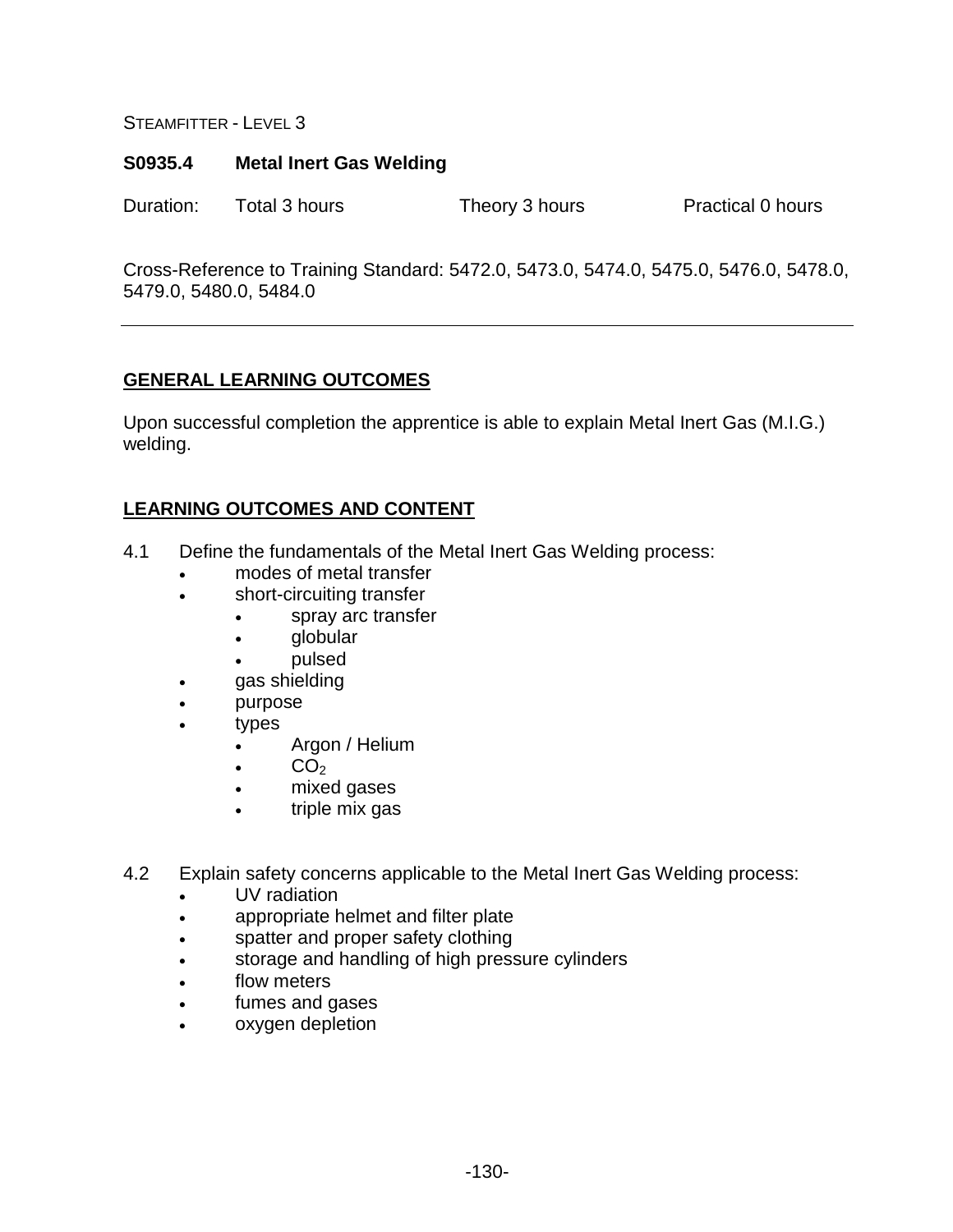#### **S0935.4 Metal Inert Gas Welding**

Duration: Total 3 hours Theory 3 hours Practical 0 hours

Cross-Reference to Training Standard: 5472.0, 5473.0, 5474.0, 5475.0, 5476.0, 5478.0, 5479.0, 5480.0, 5484.0

## **GENERAL LEARNING OUTCOMES**

Upon successful completion the apprentice is able to explain Metal Inert Gas (M.I.G.) welding.

- 4.1 Define the fundamentals of the Metal Inert Gas Welding process:
	- modes of metal transfer
	- short-circuiting transfer
		- spray arc transfer
		- globular
		- pulsed
	- gas shielding
	- purpose
	- types
		- Argon / Helium
		- $\bullet$  CO<sub>2</sub>
		- mixed gases
		- triple mix gas
- 4.2 Explain safety concerns applicable to the Metal Inert Gas Welding process:
	- UV radiation
	- appropriate helmet and filter plate
	- spatter and proper safety clothing
	- storage and handling of high pressure cylinders
	- flow meters
	- fumes and gases
	- oxygen depletion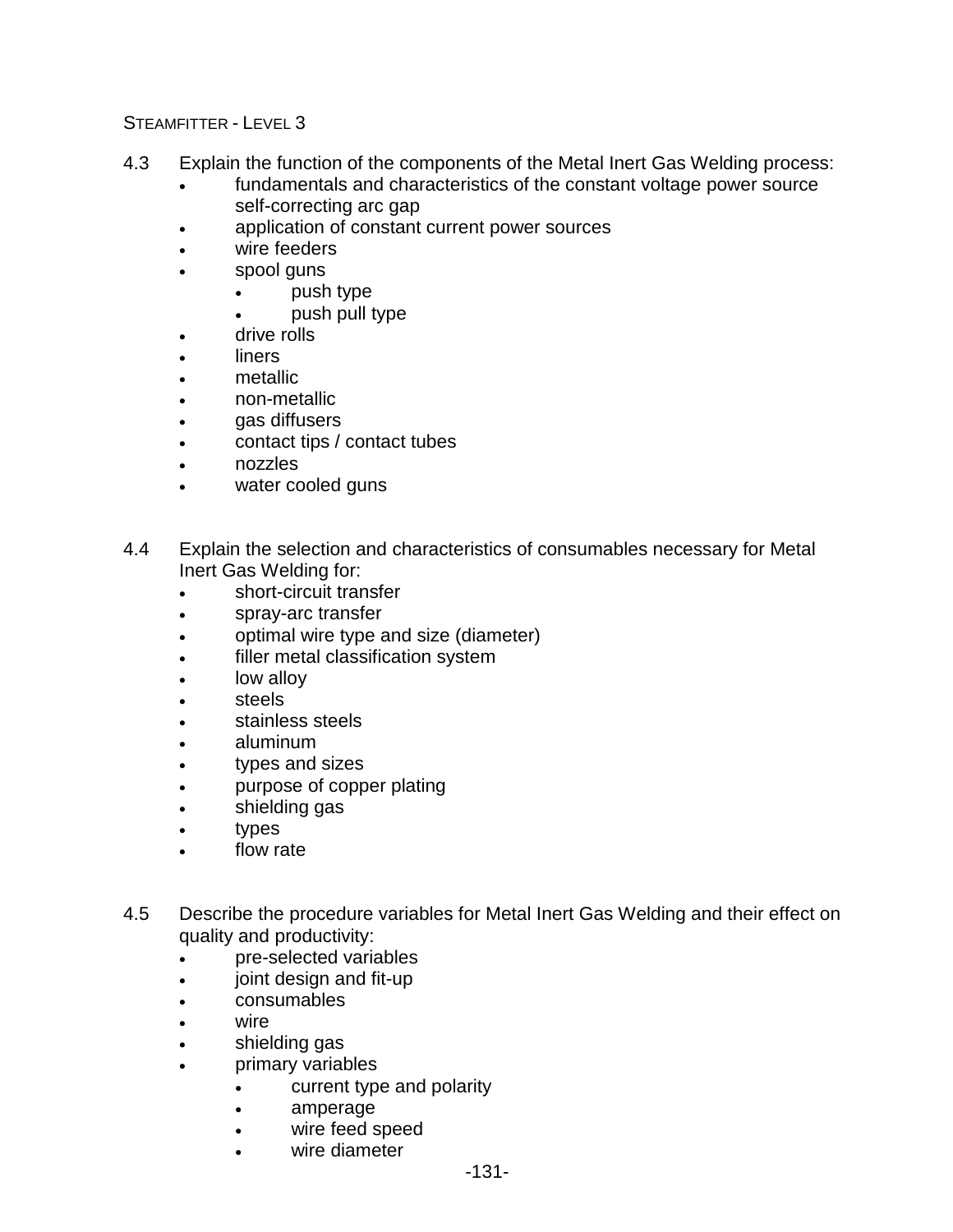- 4.3 Explain the function of the components of the Metal Inert Gas Welding process:
	- fundamentals and characteristics of the constant voltage power source self-correcting arc gap
	- application of constant current power sources
	- wire feeders
	- spool guns
		- push type
		- push pull type
	- drive rolls
	- **liners**
	- metallic
	- non-metallic
	- gas diffusers
	- contact tips / contact tubes
	- nozzles
	- water cooled guns
- 4.4 Explain the selection and characteristics of consumables necessary for Metal Inert Gas Welding for:
	- short-circuit transfer
	- spray-arc transfer
	- optimal wire type and size (diameter)
	- filler metal classification system
	- low alloy
	- steels
	- stainless steels
	- aluminum
	- types and sizes
	- purpose of copper plating
	- shielding gas
	- types
	- flow rate
- 4.5 Describe the procedure variables for Metal Inert Gas Welding and their effect on quality and productivity:
	- pre-selected variables
	- joint design and fit-up
	- consumables
	- wire
	- shielding gas
	- primary variables
		- current type and polarity
		- amperage
		- wire feed speed
		- wire diameter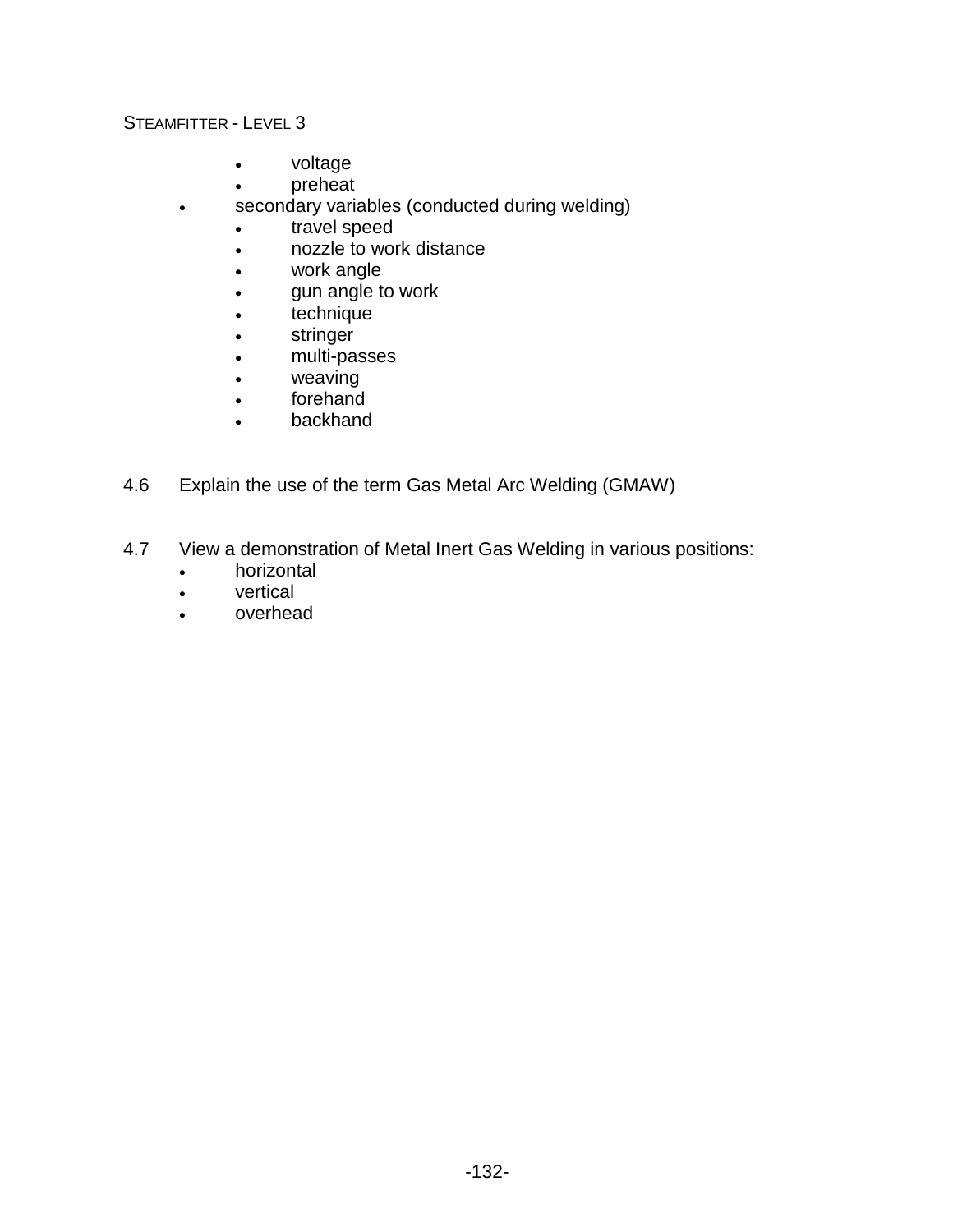- voltage
- preheat
- secondary variables (conducted during welding)
	- travel speed
	- nozzle to work distance
	- work angle
	- gun angle to work
	- technique
	- stringer
	- multi-passes
	- weaving
	- forehand
	- backhand
- 4.6 Explain the use of the term Gas Metal Arc Welding (GMAW)
- 4.7 View a demonstration of Metal Inert Gas Welding in various positions:
	- horizontal
	- vertical
	- overhead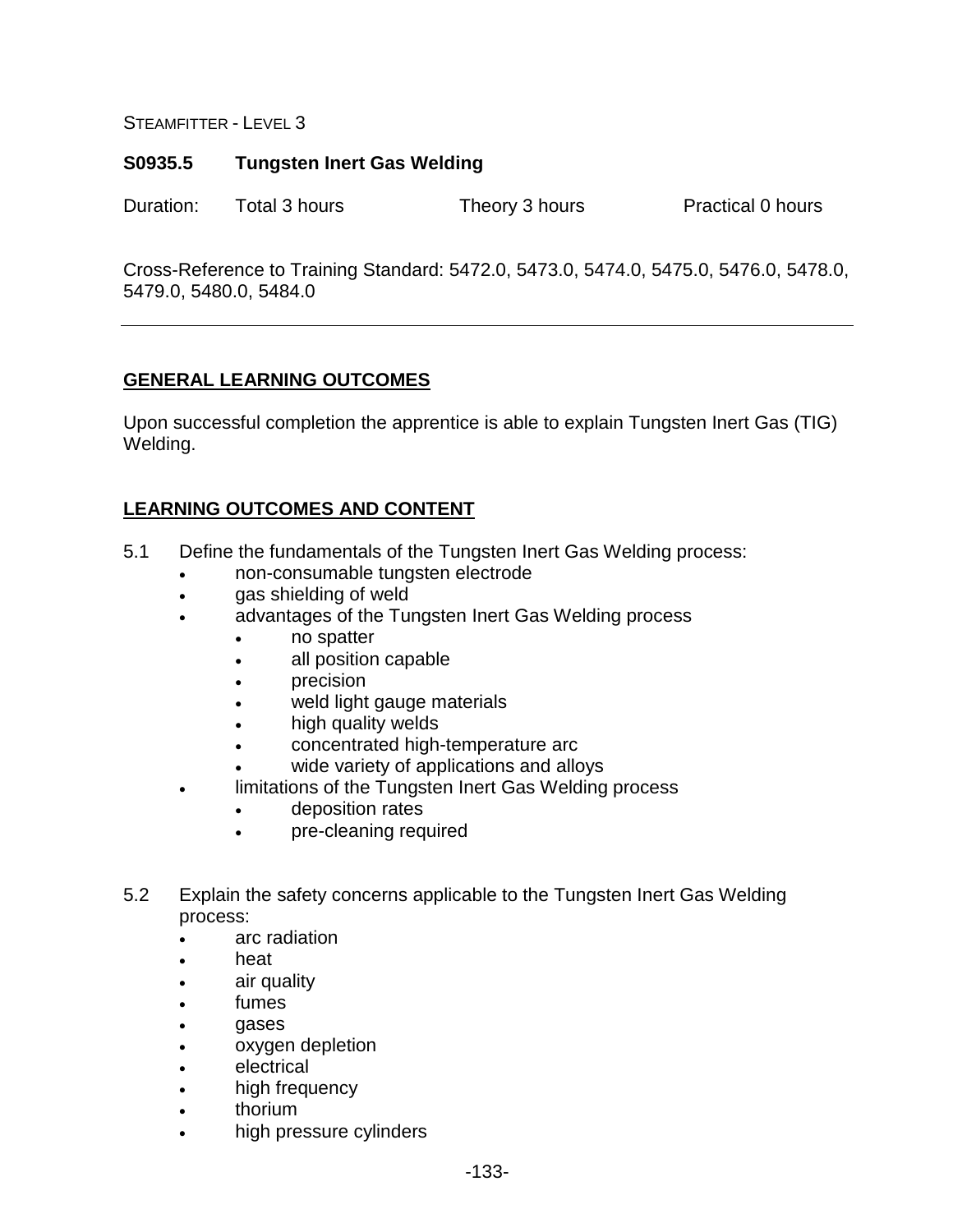## **S0935.5 Tungsten Inert Gas Welding**

Duration: Total 3 hours Theory 3 hours Practical 0 hours

Cross-Reference to Training Standard: 5472.0, 5473.0, 5474.0, 5475.0, 5476.0, 5478.0, 5479.0, 5480.0, 5484.0

## **GENERAL LEARNING OUTCOMES**

Upon successful completion the apprentice is able to explain Tungsten Inert Gas (TIG) Welding.

- 5.1 Define the fundamentals of the Tungsten Inert Gas Welding process:
	- non-consumable tungsten electrode
	- gas shielding of weld
	- advantages of the Tungsten Inert Gas Welding process
		- no spatter
		- all position capable
		- precision
		- weld light gauge materials
		- high quality welds
		- concentrated high-temperature arc
		- wide variety of applications and alloys
	- limitations of the Tungsten Inert Gas Welding process
		- deposition rates
		- pre-cleaning required
- 5.2 Explain the safety concerns applicable to the Tungsten Inert Gas Welding process:
	- arc radiation
	- heat
	- air quality
	- fumes
	- gases
	- oxygen depletion
	- electrical
	- high frequency
	- thorium
	- high pressure cylinders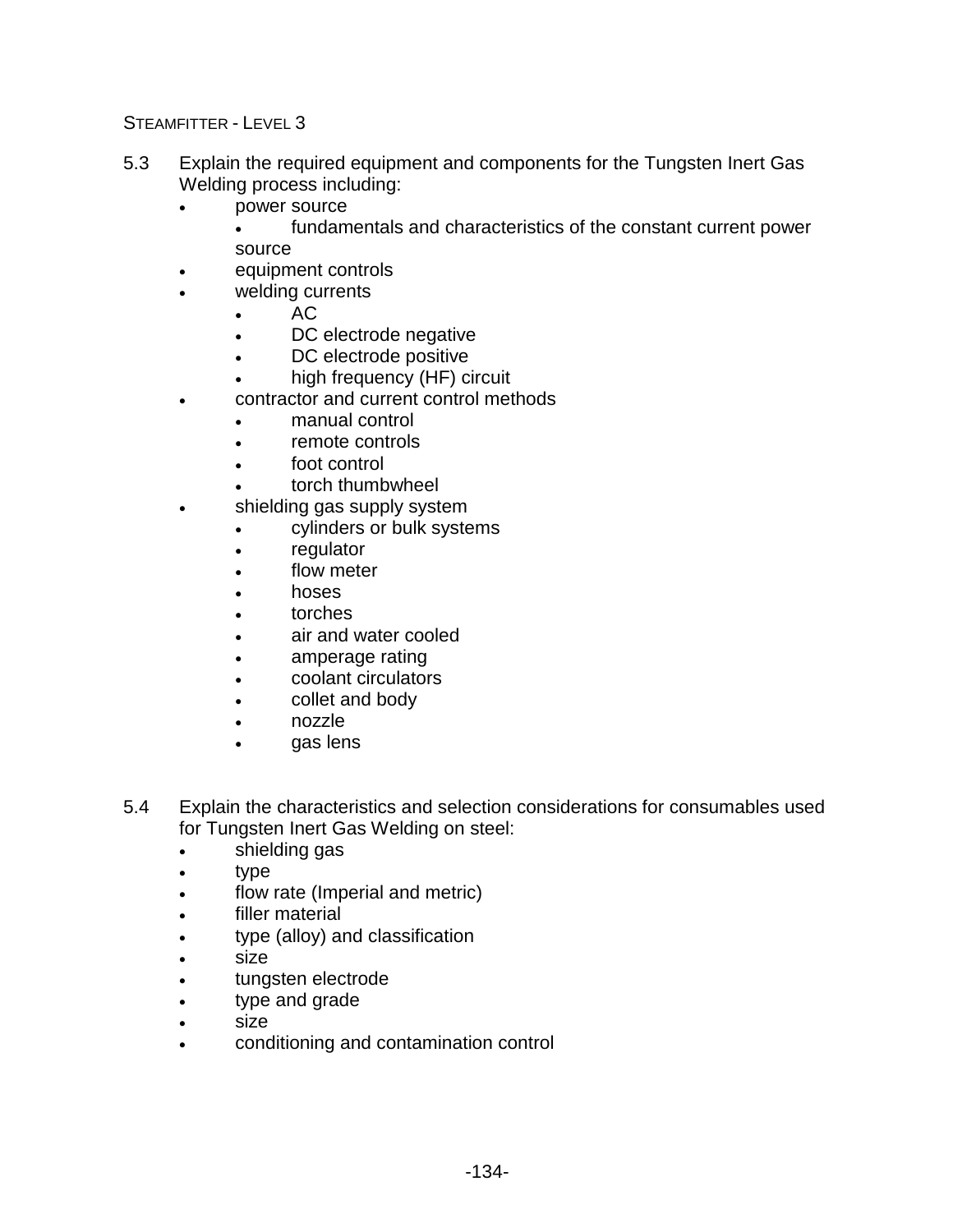- 5.3 Explain the required equipment and components for the Tungsten Inert Gas Welding process including:
	- power source

• fundamentals and characteristics of the constant current power source

- equipment controls
- welding currents
	- AC
	- DC electrode negative
	- DC electrode positive
	- high frequency (HF) circuit
- contractor and current control methods
	- manual control
	- remote controls
	- foot control
	- torch thumbwheel
- shielding gas supply system
	- cylinders or bulk systems
	- regulator
	- flow meter
	- hoses
	- torches
	- air and water cooled
	- amperage rating
	- coolant circulators
	- collet and body
	- nozzle
	- gas lens
- 5.4 Explain the characteristics and selection considerations for consumables used for Tungsten Inert Gas Welding on steel:
	- shielding gas
	- type
	- flow rate (Imperial and metric)
	- filler material
	- type (alloy) and classification
	- size
	- tungsten electrode
	- type and grade
	- size
	- conditioning and contamination control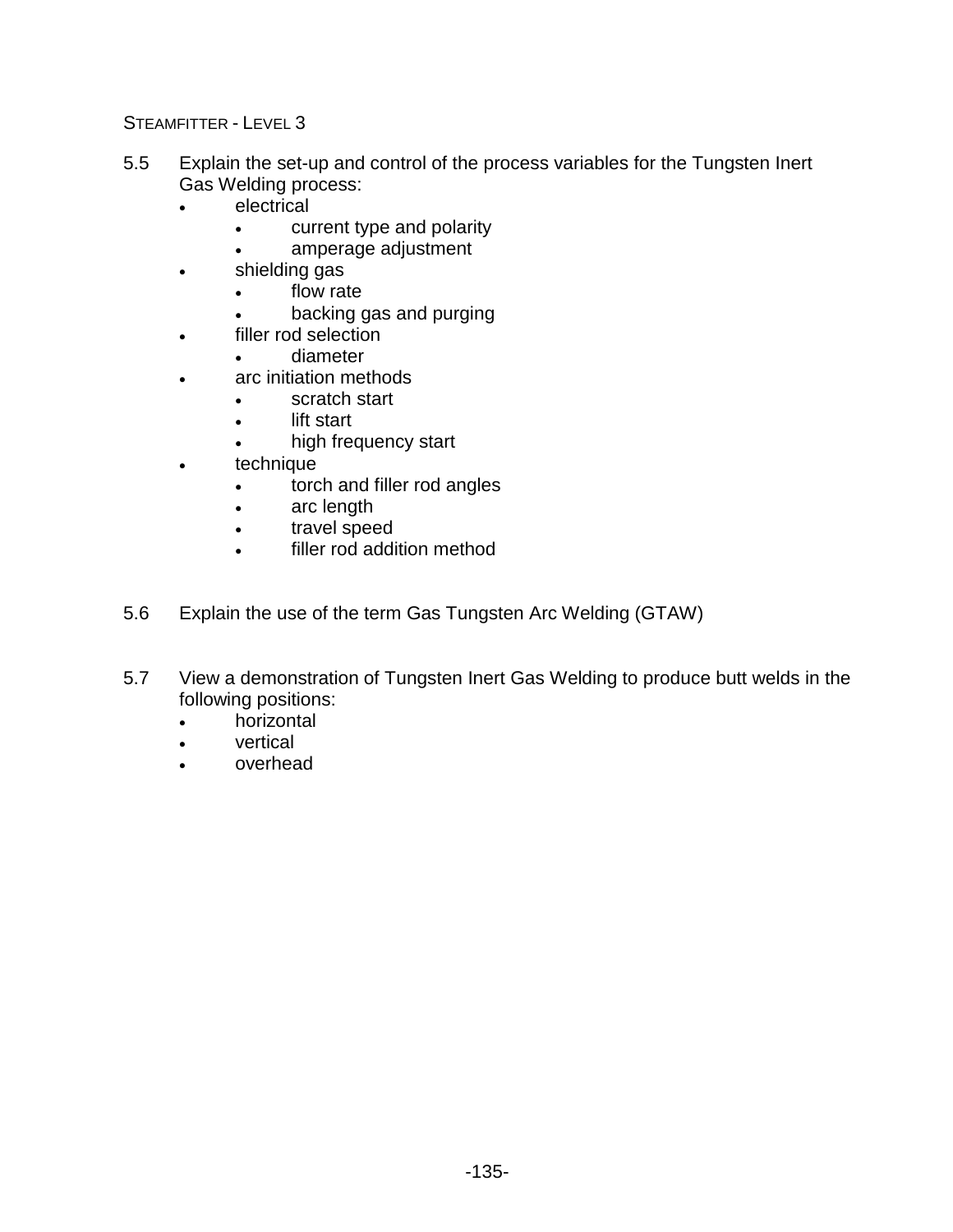- 5.5 Explain the set-up and control of the process variables for the Tungsten Inert Gas Welding process:
	- electrical
		- current type and polarity
		- amperage adjustment
	- shielding gas
		- flow rate
			- backing gas and purging
	- filler rod selection
		- diameter
	- arc initiation methods
		- scratch start
		- lift start
			- high frequency start
	- technique
		- torch and filler rod angles
		- arc length
		- travel speed
		- filler rod addition method
- 5.6 Explain the use of the term Gas Tungsten Arc Welding (GTAW)
- 5.7 View a demonstration of Tungsten Inert Gas Welding to produce butt welds in the following positions:
	- horizontal
	- **vertical**
	- overhead